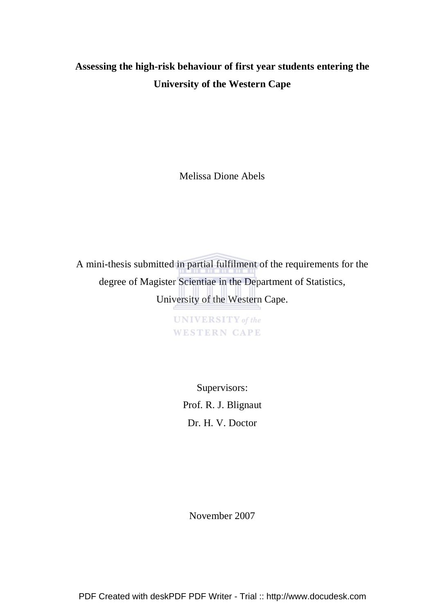# **Assessing the high-risk behaviour of first year students entering the University of the Western Cape**

Melissa Dione Abels

A mini-thesis submitted in partial fulfilment of the requirements for the degree of Magister Scientiae in the Department of Statistics, University of the Western Cape.

> **UNIVERSITY** of the **WESTERN CAPE**

> > Supervisors: Prof. R. J. Blignaut Dr. H. V. Doctor

November 2007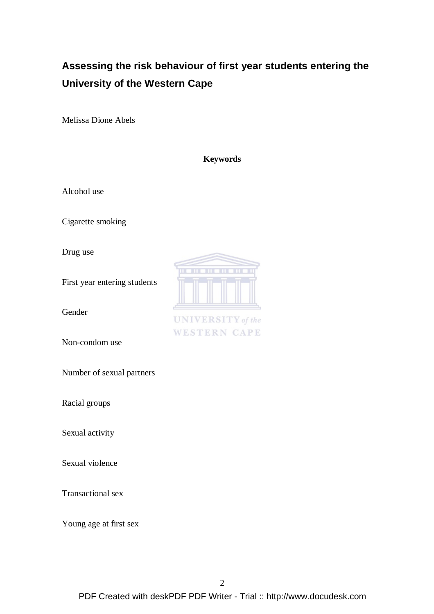# **Assessing the risk behaviour of first year students entering the University of the Western Cape**

Melissa Dione Abels

**Keywords** 

Alcohol use

Cigarette smoking

Drug use

First year entering students

Gender

Non-condom use

Number of sexual partners

Racial groups

Sexual activity

Sexual violence

Transactional sex

Young age at first sex

| <b>.</b> |  |  |
|----------|--|--|
|          |  |  |
|          |  |  |

**UNIVERSITY** of the **WESTERN CAPE**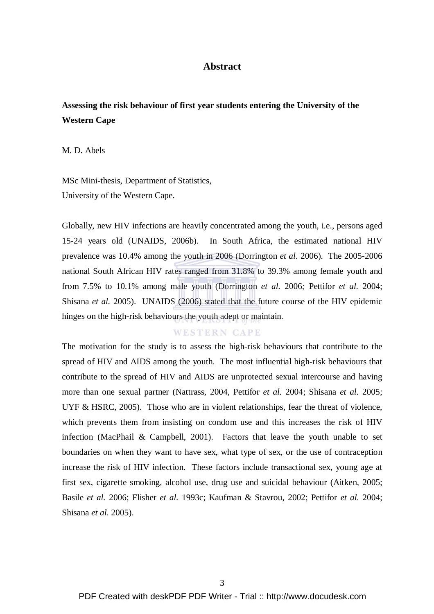### **Abstract**

**Assessing the risk behaviour of first year students entering the University of the Western Cape** 

M. D. Abels

MSc Mini-thesis, Department of Statistics, University of the Western Cape.

Globally, new HIV infections are heavily concentrated among the youth, i.e., persons aged 15-24 years old (UNAIDS, 2006b). In South Africa, the estimated national HIV prevalence was 10.4% among the youth in 2006 (Dorrington *et al*. 2006). The 2005-2006 national South African HIV rates ranged from 31.8% to 39.3% among female youth and from 7.5% to 10.1% among male youth (Dorrington *et al.* 2006*;* Pettifor *et al.* 2004; Shisana *et al.* 2005). UNAIDS (2006) stated that the future course of the HIV epidemic hinges on the high-risk behaviours the youth adept or maintain.

### **WESTERN CAPE**

The motivation for the study is to assess the high-risk behaviours that contribute to the spread of HIV and AIDS among the youth. The most influential high-risk behaviours that contribute to the spread of HIV and AIDS are unprotected sexual intercourse and having more than one sexual partner (Nattrass, 2004, Pettifor *et al.* 2004; Shisana *et al.* 2005; UYF & HSRC, 2005). Those who are in violent relationships, fear the threat of violence, which prevents them from insisting on condom use and this increases the risk of HIV infection (MacPhail  $\&$  Campbell, 2001). Factors that leave the youth unable to set boundaries on when they want to have sex, what type of sex, or the use of contraception increase the risk of HIV infection. These factors include transactional sex, young age at first sex, cigarette smoking, alcohol use, drug use and suicidal behaviour (Aitken, 2005; Basile *et al.* 2006; Flisher *et al.* 1993c; Kaufman & Stavrou, 2002; Pettifor *et al.* 2004; Shisana *et al.* 2005).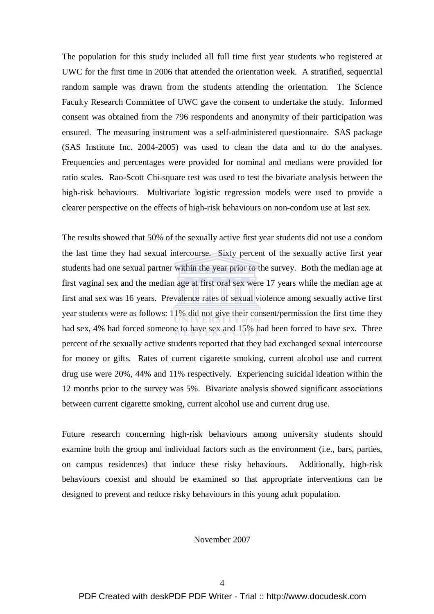The population for this study included all full time first year students who registered at UWC for the first time in 2006 that attended the orientation week. A stratified, sequential random sample was drawn from the students attending the orientation. The Science Faculty Research Committee of UWC gave the consent to undertake the study. Informed consent was obtained from the 796 respondents and anonymity of their participation was ensured. The measuring instrument was a self-administered questionnaire. SAS package (SAS Institute Inc. 2004-2005) was used to clean the data and to do the analyses. Frequencies and percentages were provided for nominal and medians were provided for ratio scales. Rao-Scott Chi-square test was used to test the bivariate analysis between the high-risk behaviours. Multivariate logistic regression models were used to provide a clearer perspective on the effects of high-risk behaviours on non-condom use at last sex.

The results showed that 50% of the sexually active first year students did not use a condom the last time they had sexual intercourse. Sixty percent of the sexually active first year students had one sexual partner within the year prior to the survey. Both the median age at first vaginal sex and the median age at first oral sex were 17 years while the median age at first anal sex was 16 years. Prevalence rates of sexual violence among sexually active first year students were as follows: 11% did not give their consent/permission the first time they had sex, 4% had forced someone to have sex and 15% had been forced to have sex. Three percent of the sexually active students reported that they had exchanged sexual intercourse for money or gifts. Rates of current cigarette smoking, current alcohol use and current drug use were 20%, 44% and 11% respectively. Experiencing suicidal ideation within the 12 months prior to the survey was 5%. Bivariate analysis showed significant associations between current cigarette smoking, current alcohol use and current drug use.

Future research concerning high-risk behaviours among university students should examine both the group and individual factors such as the environment (i.e., bars, parties, on campus residences) that induce these risky behaviours. Additionally, high-risk behaviours coexist and should be examined so that appropriate interventions can be designed to prevent and reduce risky behaviours in this young adult population.

### November 2007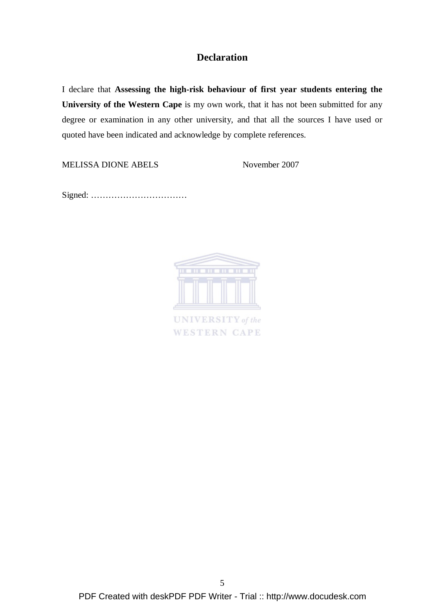## **Declaration**

I declare that **Assessing the high-risk behaviour of first year students entering the University of the Western Cape** is my own work, that it has not been submitted for any degree or examination in any other university, and that all the sources I have used or quoted have been indicated and acknowledge by complete references.

MELISSA DIONE ABELS<br>
November 2007

Signed: ……………………………



**UNIVERSITY** of the **WESTERN CAPE**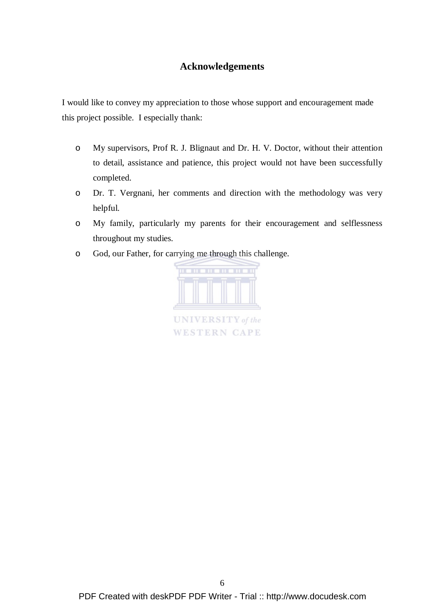## **Acknowledgements**

I would like to convey my appreciation to those whose support and encouragement made this project possible. I especially thank:

- o My supervisors, Prof R. J. Blignaut and Dr. H. V. Doctor, without their attention to detail, assistance and patience, this project would not have been successfully completed.
- o Dr. T. Vergnani, her comments and direction with the methodology was very helpful.
- o My family, particularly my parents for their encouragement and selflessness throughout my studies.
- o God, our Father, for carrying me through this challenge.

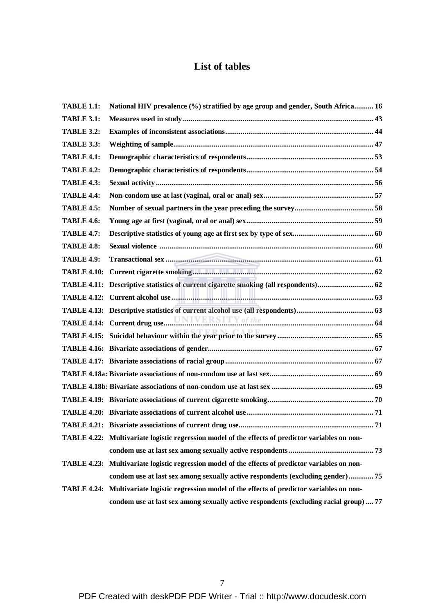## **List of tables**

| <b>TABLE 1.1:</b>  | National HIV prevalence (%) stratified by age group and gender, South Africa 16                  |
|--------------------|--------------------------------------------------------------------------------------------------|
| <b>TABLE 3.1:</b>  |                                                                                                  |
| <b>TABLE 3.2:</b>  |                                                                                                  |
| <b>TABLE 3.3:</b>  |                                                                                                  |
| <b>TABLE 4.1:</b>  |                                                                                                  |
| <b>TABLE 4.2:</b>  |                                                                                                  |
| <b>TABLE 4.3:</b>  |                                                                                                  |
| <b>TABLE 4.4:</b>  |                                                                                                  |
| <b>TABLE 4.5:</b>  |                                                                                                  |
| <b>TABLE 4.6:</b>  |                                                                                                  |
| <b>TABLE 4.7:</b>  |                                                                                                  |
| <b>TABLE 4.8:</b>  |                                                                                                  |
| <b>TABLE 4.9:</b>  |                                                                                                  |
| <b>TABLE 4.10:</b> |                                                                                                  |
|                    |                                                                                                  |
|                    |                                                                                                  |
|                    |                                                                                                  |
|                    |                                                                                                  |
|                    |                                                                                                  |
|                    |                                                                                                  |
|                    |                                                                                                  |
|                    |                                                                                                  |
|                    |                                                                                                  |
|                    |                                                                                                  |
|                    |                                                                                                  |
|                    |                                                                                                  |
|                    | TABLE 4.22: Multivariate logistic regression model of the effects of predictor variables on non- |
|                    |                                                                                                  |
|                    | TABLE 4.23: Multivariate logistic regression model of the effects of predictor variables on non- |
|                    | condom use at last sex among sexually active respondents (excluding gender)75                    |
|                    | TABLE 4.24: Multivariate logistic regression model of the effects of predictor variables on non- |
|                    | condom use at last sex among sexually active respondents (excluding racial group)  77            |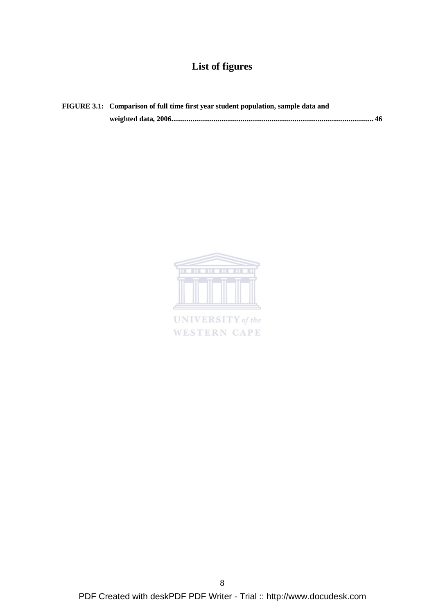# **List of figures**

| FIGURE 3.1: Comparison of full time first year student population, sample data and |  |  |
|------------------------------------------------------------------------------------|--|--|
|                                                                                    |  |  |



**UNIVERSITY** of the **WESTERN CAPE**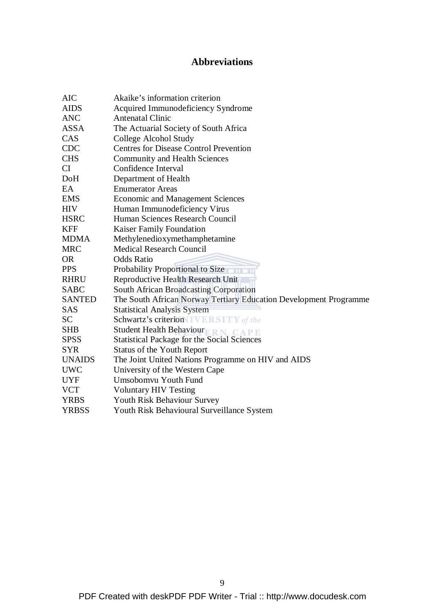# **Abbreviations**

| <b>AIC</b>    | Akaike's information criterion                                    |
|---------------|-------------------------------------------------------------------|
| <b>AIDS</b>   | Acquired Immunodeficiency Syndrome                                |
| <b>ANC</b>    | <b>Antenatal Clinic</b>                                           |
| <b>ASSA</b>   | The Actuarial Society of South Africa                             |
| CAS           | College Alcohol Study                                             |
| <b>CDC</b>    | <b>Centres for Disease Control Prevention</b>                     |
| <b>CHS</b>    | Community and Health Sciences                                     |
| CI            | Confidence Interval                                               |
| DoH           | Department of Health                                              |
| EA            | <b>Enumerator Areas</b>                                           |
| <b>EMS</b>    | <b>Economic and Management Sciences</b>                           |
| <b>HIV</b>    | Human Immunodeficiency Virus                                      |
| <b>HSRC</b>   | Human Sciences Research Council                                   |
| <b>KFF</b>    | Kaiser Family Foundation                                          |
| <b>MDMA</b>   | Methylenedioxymethamphetamine                                     |
| <b>MRC</b>    | <b>Medical Research Council</b>                                   |
| <b>OR</b>     | <b>Odds Ratio</b>                                                 |
| <b>PPS</b>    | Probability Proportional to Size                                  |
| <b>RHRU</b>   | Reproductive Health Research Unit                                 |
| <b>SABC</b>   | South African Broadcasting Corporation                            |
| <b>SANTED</b> | The South African Norway Tertiary Education Development Programme |
| <b>SAS</b>    | <b>Statistical Analysis System</b>                                |
| <b>SC</b>     | Schwartz's criterion <b>IVERSITY</b> of the                       |
| <b>SHB</b>    | <b>Student Health Behaviour</b><br><b>ERN CAPE</b>                |
| <b>SPSS</b>   | <b>Statistical Package for the Social Sciences</b>                |
| <b>SYR</b>    | <b>Status of the Youth Report</b>                                 |
| <b>UNAIDS</b> | The Joint United Nations Programme on HIV and AIDS                |
| <b>UWC</b>    | University of the Western Cape                                    |
| <b>UYF</b>    | Umsobomvu Youth Fund                                              |
| <b>VCT</b>    | <b>Voluntary HIV Testing</b>                                      |
| <b>YRBS</b>   | <b>Youth Risk Behaviour Survey</b>                                |
| <b>YRBSS</b>  | Youth Risk Behavioural Surveillance System                        |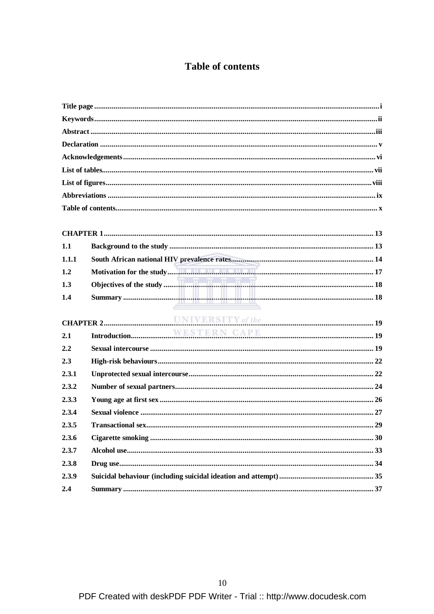## **Table of contents**

| 1.1   |  |
|-------|--|
| 1.1.1 |  |
| 1.2   |  |
| 1.3   |  |
| 1.4   |  |
|       |  |
|       |  |
| 2.1   |  |
| 2.2   |  |
| 2.3   |  |
| 2.3.1 |  |
| 2.3.2 |  |
| 2.3.3 |  |
| 2.3.4 |  |
| 2.3.5 |  |
| 2.3.6 |  |
| 2.3.7 |  |
| 2.3.8 |  |
| 2.3.9 |  |
| 2.4   |  |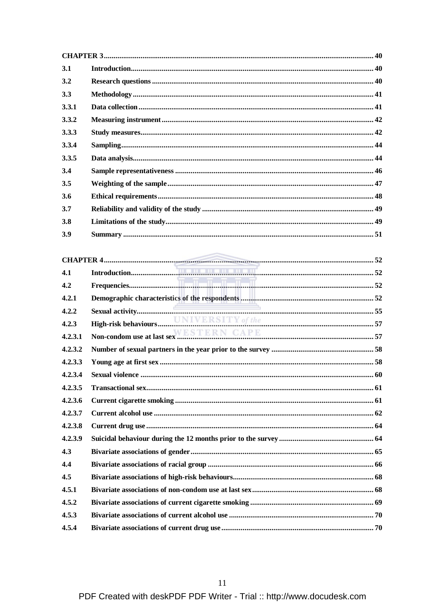| 3.1   |  |
|-------|--|
| 3.2   |  |
| 3.3   |  |
| 3.3.1 |  |
| 3.3.2 |  |
| 3.3.3 |  |
| 3.3.4 |  |
| 3.3.5 |  |
| 3.4   |  |
| 3.5   |  |
| 3.6   |  |
| 3.7   |  |
| 3.8   |  |
| 3.9   |  |

| 4.1     |  |
|---------|--|
| 4.2     |  |
| 4.2.1   |  |
| 4.2.2   |  |
| 4.2.3   |  |
| 4.2.3.1 |  |
| 4.2.3.2 |  |
| 4.2.3.3 |  |
| 4.2.3.4 |  |
| 4.2.3.5 |  |
| 4.2.3.6 |  |
| 4.2.3.7 |  |
| 4.2.3.8 |  |
| 4.2.3.9 |  |
| 4.3     |  |
| 4.4     |  |
| 4.5     |  |
| 4.5.1   |  |
| 4.5.2   |  |
| 4.5.3   |  |
| 4.5.4   |  |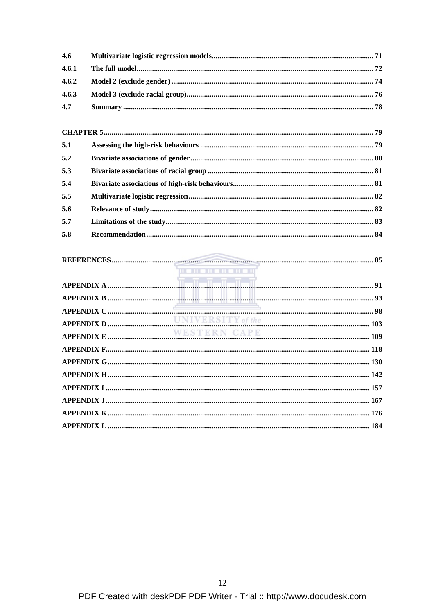| $4.6^{\circ}$ |  |
|---------------|--|
| 4.6.1         |  |
| 4.6.2         |  |
| 4.6.3         |  |
| 4.7           |  |

| 5.1 |  |
|-----|--|
| 5.2 |  |
| 5.3 |  |
| 5.4 |  |
| 5.5 |  |
| 5.6 |  |
| 5.7 |  |
| 5.8 |  |

| <b>HOLD AND AND A</b> |  |
|-----------------------|--|
|                       |  |
|                       |  |
|                       |  |
|                       |  |
|                       |  |
|                       |  |
|                       |  |
|                       |  |
|                       |  |
|                       |  |
|                       |  |
|                       |  |
|                       |  |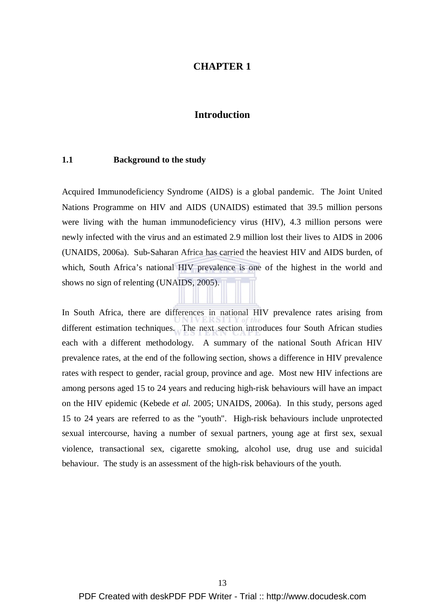### **CHAPTER 1**

### **Introduction**

### **1.1 Background to the study**

Acquired Immunodeficiency Syndrome (AIDS) is a global pandemic. The Joint United Nations Programme on HIV and AIDS (UNAIDS) estimated that 39.5 million persons were living with the human immunodeficiency virus (HIV), 4.3 million persons were newly infected with the virus and an estimated 2.9 million lost their lives to AIDS in 2006 (UNAIDS, 2006a). Sub-Saharan Africa has carried the heaviest HIV and AIDS burden, of which, South Africa's national HIV prevalence is one of the highest in the world and shows no sign of relenting (UNAIDS, 2005).

In South Africa, there are differences in national HIV prevalence rates arising from different estimation techniques. The next section introduces four South African studies each with a different methodology. A summary of the national South African HIV prevalence rates, at the end of the following section, shows a difference in HIV prevalence rates with respect to gender, racial group, province and age. Most new HIV infections are among persons aged 15 to 24 years and reducing high-risk behaviours will have an impact on the HIV epidemic (Kebede *et al.* 2005; UNAIDS, 2006a). In this study, persons aged 15 to 24 years are referred to as the "youth". High-risk behaviours include unprotected sexual intercourse, having a number of sexual partners, young age at first sex, sexual violence, transactional sex, cigarette smoking, alcohol use, drug use and suicidal behaviour. The study is an assessment of the high-risk behaviours of the youth.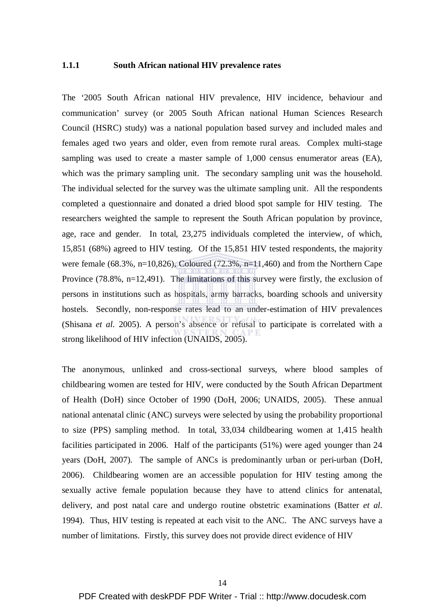### **1.1.1 South African national HIV prevalence rates**

The '2005 South African national HIV prevalence, HIV incidence, behaviour and communication' survey (or 2005 South African national Human Sciences Research Council (HSRC) study) was a national population based survey and included males and females aged two years and older, even from remote rural areas. Complex multi-stage sampling was used to create a master sample of 1,000 census enumerator areas (EA), which was the primary sampling unit. The secondary sampling unit was the household. The individual selected for the survey was the ultimate sampling unit. All the respondents completed a questionnaire and donated a dried blood spot sample for HIV testing. The researchers weighted the sample to represent the South African population by province, age, race and gender. In total, 23,275 individuals completed the interview, of which, 15,851 (68%) agreed to HIV testing. Of the 15,851 HIV tested respondents, the majority were female  $(68.3\%, n=10,826)$ , Coloured  $(72.3\%, n=11,460)$  and from the Northern Cape Province (78.8%, n=12,491). The limitations of this survey were firstly, the exclusion of persons in institutions such as hospitals, army barracks, boarding schools and university hostels. Secondly, non-response rates lead to an under-estimation of HIV prevalences (Shisana *et al.* 2005). A person's absence or refusal to participate is correlated with a strong likelihood of HIV infection (UNAIDS, 2005).

The anonymous, unlinked and cross-sectional surveys, where blood samples of childbearing women are tested for HIV, were conducted by the South African Department of Health (DoH) since October of 1990 (DoH, 2006; UNAIDS, 2005). These annual national antenatal clinic (ANC) surveys were selected by using the probability proportional to size (PPS) sampling method. In total, 33,034 childbearing women at 1,415 health facilities participated in 2006. Half of the participants (51%) were aged younger than 24 years (DoH, 2007). The sample of ANCs is predominantly urban or peri-urban (DoH, 2006). Childbearing women are an accessible population for HIV testing among the sexually active female population because they have to attend clinics for antenatal, delivery, and post natal care and undergo routine obstetric examinations (Batter *et al*. 1994). Thus, HIV testing is repeated at each visit to the ANC. The ANC surveys have a number of limitations. Firstly, this survey does not provide direct evidence of HIV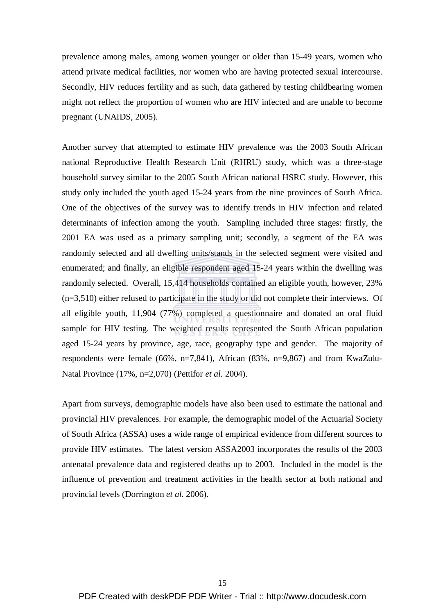prevalence among males, among women younger or older than 15-49 years, women who attend private medical facilities, nor women who are having protected sexual intercourse. Secondly, HIV reduces fertility and as such, data gathered by testing childbearing women might not reflect the proportion of women who are HIV infected and are unable to become pregnant (UNAIDS, 2005).

Another survey that attempted to estimate HIV prevalence was the 2003 South African national Reproductive Health Research Unit (RHRU) study, which was a three-stage household survey similar to the 2005 South African national HSRC study. However, this study only included the youth aged 15-24 years from the nine provinces of South Africa. One of the objectives of the survey was to identify trends in HIV infection and related determinants of infection among the youth. Sampling included three stages: firstly, the 2001 EA was used as a primary sampling unit; secondly, a segment of the EA was randomly selected and all dwelling units/stands in the selected segment were visited and enumerated; and finally, an eligible respondent aged 15-24 years within the dwelling was randomly selected. Overall, 15,414 households contained an eligible youth, however, 23% (n=3,510) either refused to participate in the study or did not complete their interviews. Of all eligible youth, 11,904 (77%) completed a questionnaire and donated an oral fluid sample for HIV testing. The weighted results represented the South African population aged 15-24 years by province, age, race, geography type and gender. The majority of respondents were female (66%, n=7,841), African (83%, n=9,867) and from KwaZulu-Natal Province (17%, n=2,070) (Pettifor *et al.* 2004).

Apart from surveys, demographic models have also been used to estimate the national and provincial HIV prevalences. For example, the demographic model of the Actuarial Society of South Africa (ASSA) uses a wide range of empirical evidence from different sources to provide HIV estimates. The latest version ASSA2003 incorporates the results of the 2003 antenatal prevalence data and registered deaths up to 2003. Included in the model is the influence of prevention and treatment activities in the health sector at both national and provincial levels (Dorrington *et al.* 2006).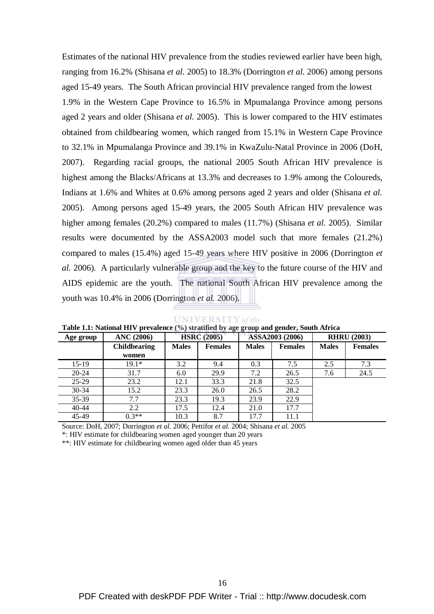Estimates of the national HIV prevalence from the studies reviewed earlier have been high, ranging from 16.2% (Shisana *et al.* 2005) to 18.3% (Dorrington *et al.* 2006) among persons aged 15-49 years. The South African provincial HIV prevalence ranged from the lowest 1.9% in the Western Cape Province to 16.5% in Mpumalanga Province among persons aged 2 years and older (Shisana *et al.* 2005). This is lower compared to the HIV estimates obtained from childbearing women, which ranged from 15.1% in Western Cape Province to 32.1% in Mpumalanga Province and 39.1% in KwaZulu-Natal Province in 2006 (DoH, 2007). Regarding racial groups, the national 2005 South African HIV prevalence is highest among the Blacks/Africans at 13.3% and decreases to 1.9% among the Coloureds, Indians at 1.6% and Whites at 0.6% among persons aged 2 years and older (Shisana *et al.* 2005). Among persons aged 15-49 years, the 2005 South African HIV prevalence was higher among females (20.2%) compared to males (11.7%) (Shisana *et al.* 2005). Similar results were documented by the ASSA2003 model such that more females (21.2%) compared to males (15.4%) aged 15-49 years where HIV positive in 2006 (Dorrington *et al.* 2006). A particularly vulnerable group and the key to the future course of the HIV and AIDS epidemic are the youth. The national South African HIV prevalence among the youth was 10.4% in 2006 (Dorrington *et al.* 2006).

**UNIVERSITY** of the

| Age group | <b>ANC</b> (2006)   |              | <b>HSRC</b> (2005) |              | ASSA2003 (2006) |              | <b>RHRU (2003)</b> |
|-----------|---------------------|--------------|--------------------|--------------|-----------------|--------------|--------------------|
|           | <b>Childbearing</b> | <b>Males</b> | <b>Females</b>     | <b>Males</b> | <b>Females</b>  | <b>Males</b> | <b>Females</b>     |
|           | women               |              |                    |              |                 |              |                    |
| $15-19$   | $19.1*$             | 3.2          | 9.4                | 0.3          | 7.5             | 2.5          | 7.3                |
| $20 - 24$ | 31.7                | 6.0          | 29.9               | 7.2          | 26.5            | 7.6          | 24.5               |
| $25-29$   | 23.2                | 12.1         | 33.3               | 21.8         | 32.5            |              |                    |
| $30 - 34$ | 15.2                | 23.3         | 26.0               | 26.5         | 28.2            |              |                    |
| $35-39$   | 7.7                 | 23.3         | 19.3               | 23.9         | 22.9            |              |                    |
| $40 - 44$ | 2.2                 | 17.5         | 12.4               | 21.0         | 17.7            |              |                    |
| 45-49     | $0.3**$             | 10.3         | 8.7                | 17.7         | 11.1            |              |                    |

**Table 1.1: National HIV prevalence (%) stratified by age group and gender, South Africa** 

Source: DoH, 2007; Dorrington *et al.* 2006; Pettifor *et al.* 2004; Shisana *et al.* 2005

\*: HIV estimate for childbearing women aged younger than 20 years

\*\*: HIV estimate for childbearing women aged older than 45 years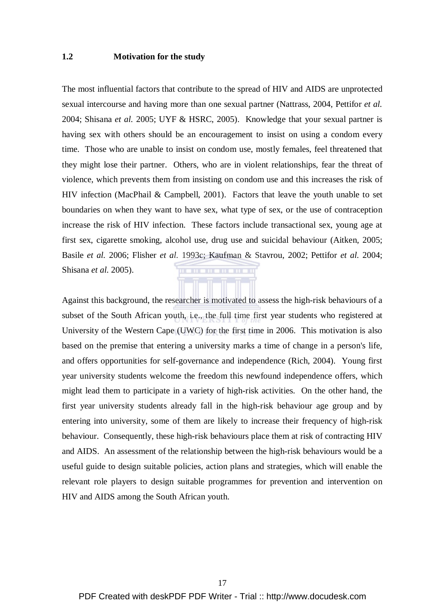### **1.2 Motivation for the study**

The most influential factors that contribute to the spread of HIV and AIDS are unprotected sexual intercourse and having more than one sexual partner (Nattrass, 2004, Pettifor *et al.* 2004; Shisana *et al.* 2005; UYF & HSRC, 2005). Knowledge that your sexual partner is having sex with others should be an encouragement to insist on using a condom every time. Those who are unable to insist on condom use, mostly females, feel threatened that they might lose their partner. Others, who are in violent relationships, fear the threat of violence, which prevents them from insisting on condom use and this increases the risk of HIV infection (MacPhail & Campbell, 2001). Factors that leave the youth unable to set boundaries on when they want to have sex, what type of sex, or the use of contraception increase the risk of HIV infection. These factors include transactional sex, young age at first sex, cigarette smoking, alcohol use, drug use and suicidal behaviour (Aitken, 2005; Basile *et al.* 2006; Flisher *et al.* 1993c; Kaufman & Stavrou, 2002; Pettifor *et al.* 2004; Shisana *et al.* 2005).

Against this background, the researcher is motivated to assess the high-risk behaviours of a subset of the South African youth, i.e., the full time first year students who registered at University of the Western Cape (UWC) for the first time in 2006. This motivation is also based on the premise that entering a university marks a time of change in a person's life, and offers opportunities for self-governance and independence (Rich, 2004). Young first year university students welcome the freedom this newfound independence offers, which might lead them to participate in a variety of high-risk activities. On the other hand, the first year university students already fall in the high-risk behaviour age group and by entering into university, some of them are likely to increase their frequency of high-risk behaviour. Consequently, these high-risk behaviours place them at risk of contracting HIV and AIDS. An assessment of the relationship between the high-risk behaviours would be a useful guide to design suitable policies, action plans and strategies, which will enable the relevant role players to design suitable programmes for prevention and intervention on HIV and AIDS among the South African youth.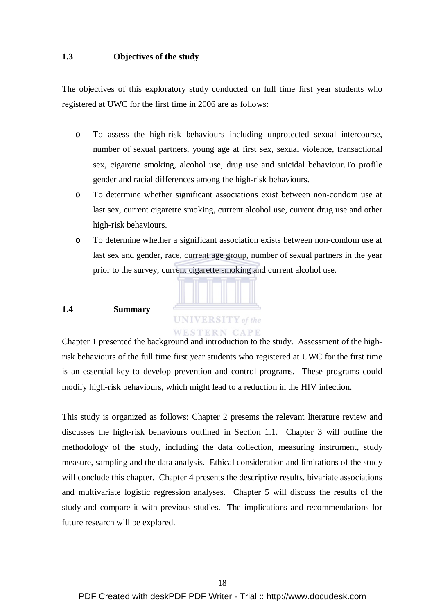### **1.3 Objectives of the study**

The objectives of this exploratory study conducted on full time first year students who registered at UWC for the first time in 2006 are as follows:

- o To assess the high-risk behaviours including unprotected sexual intercourse, number of sexual partners, young age at first sex, sexual violence, transactional sex, cigarette smoking, alcohol use, drug use and suicidal behaviour.To profile gender and racial differences among the high-risk behaviours.
- o To determine whether significant associations exist between non-condom use at last sex, current cigarette smoking, current alcohol use, current drug use and other high-risk behaviours.
- o To determine whether a significant association exists between non-condom use at last sex and gender, race, current age group, number of sexual partners in the year prior to the survey, current cigarette smoking and current alcohol use.



### **1.4 Summary**

Chapter 1 presented the background and introduction to the study. Assessment of the highrisk behaviours of the full time first year students who registered at UWC for the first time is an essential key to develop prevention and control programs. These programs could modify high-risk behaviours, which might lead to a reduction in the HIV infection.

This study is organized as follows: Chapter 2 presents the relevant literature review and discusses the high-risk behaviours outlined in Section 1.1. Chapter 3 will outline the methodology of the study, including the data collection, measuring instrument, study measure, sampling and the data analysis. Ethical consideration and limitations of the study will conclude this chapter. Chapter 4 presents the descriptive results, bivariate associations and multivariate logistic regression analyses. Chapter 5 will discuss the results of the study and compare it with previous studies. The implications and recommendations for future research will be explored.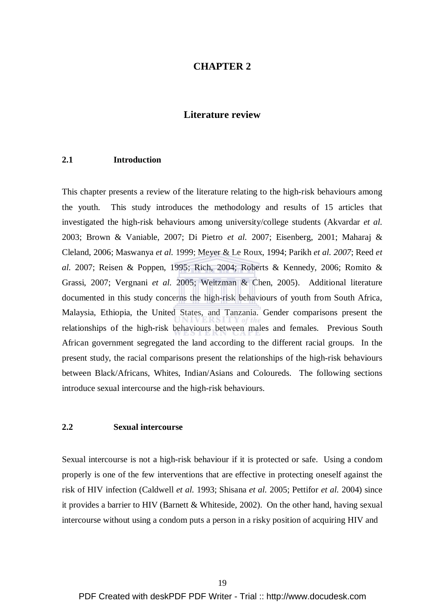### **CHAPTER 2**

### **Literature review**

### **2.1 Introduction**

This chapter presents a review of the literature relating to the high-risk behaviours among the youth. This study introduces the methodology and results of 15 articles that investigated the high-risk behaviours among university/college students (Akvardar *et al.* 2003; Brown & Vaniable, 2007; Di Pietro *et al.* 2007; Eisenberg, 2001; Maharaj & Cleland, 2006; Maswanya *et al.* 1999; Meyer & Le Roux, 1994; Parikh *et al. 2007*; Reed *et al.* 2007; Reisen & Poppen, 1995; Rich, 2004; Roberts & Kennedy, 2006; Romito & Grassi, 2007; Vergnani *et al.* 2005; Weitzman & Chen, 2005). Additional literature documented in this study concerns the high-risk behaviours of youth from South Africa, Malaysia, Ethiopia, the United States, and Tanzania. Gender comparisons present the relationships of the high-risk behaviours between males and females. Previous South African government segregated the land according to the different racial groups. In the present study, the racial comparisons present the relationships of the high-risk behaviours between Black/Africans, Whites, Indian/Asians and Coloureds. The following sections introduce sexual intercourse and the high-risk behaviours.

### **2.2 Sexual intercourse**

Sexual intercourse is not a high-risk behaviour if it is protected or safe. Using a condom properly is one of the few interventions that are effective in protecting oneself against the risk of HIV infection (Caldwell *et al.* 1993; Shisana *et al.* 2005; Pettifor *et al.* 2004) since it provides a barrier to HIV (Barnett & Whiteside, 2002). On the other hand, having sexual intercourse without using a condom puts a person in a risky position of acquiring HIV and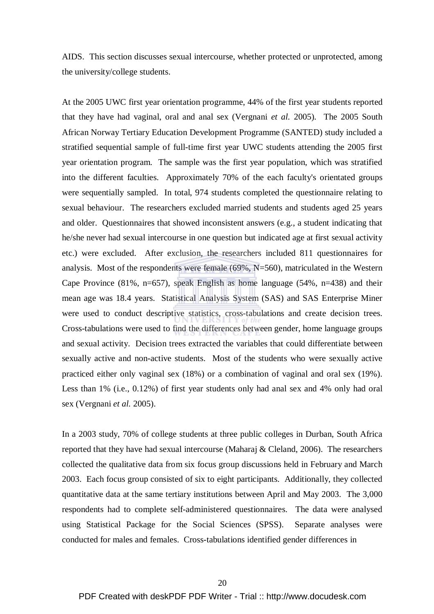AIDS. This section discusses sexual intercourse, whether protected or unprotected, among the university/college students.

At the 2005 UWC first year orientation programme, 44% of the first year students reported that they have had vaginal, oral and anal sex (Vergnani *et al.* 2005). The 2005 South African Norway Tertiary Education Development Programme (SANTED) study included a stratified sequential sample of full-time first year UWC students attending the 2005 first year orientation program. The sample was the first year population, which was stratified into the different faculties. Approximately 70% of the each faculty's orientated groups were sequentially sampled. In total, 974 students completed the questionnaire relating to sexual behaviour. The researchers excluded married students and students aged 25 years and older. Questionnaires that showed inconsistent answers (e.g., a student indicating that he/she never had sexual intercourse in one question but indicated age at first sexual activity etc.) were excluded. After exclusion, the researchers included 811 questionnaires for analysis. Most of the respondents were female (69%, N=560), matriculated in the Western Cape Province  $(81\%, n=657)$ , speak English as home language  $(54\%, n=438)$  and their mean age was 18.4 years. Statistical Analysis System (SAS) and SAS Enterprise Miner were used to conduct descriptive statistics, cross-tabulations and create decision trees. Cross-tabulations were used to find the differences between gender, home language groups and sexual activity. Decision trees extracted the variables that could differentiate between sexually active and non-active students. Most of the students who were sexually active practiced either only vaginal sex (18%) or a combination of vaginal and oral sex (19%). Less than 1% (i.e., 0.12%) of first year students only had anal sex and 4% only had oral sex (Vergnani *et al.* 2005).

In a 2003 study, 70% of college students at three public colleges in Durban, South Africa reported that they have had sexual intercourse (Maharaj & Cleland, 2006). The researchers collected the qualitative data from six focus group discussions held in February and March 2003. Each focus group consisted of six to eight participants. Additionally, they collected quantitative data at the same tertiary institutions between April and May 2003. The 3,000 respondents had to complete self-administered questionnaires. The data were analysed using Statistical Package for the Social Sciences (SPSS). Separate analyses were conducted for males and females. Cross-tabulations identified gender differences in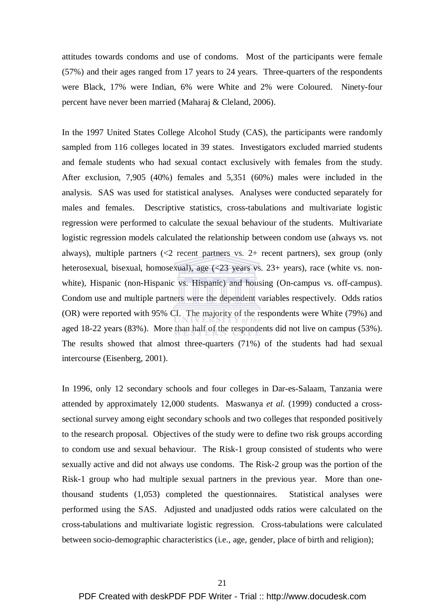attitudes towards condoms and use of condoms. Most of the participants were female (57%) and their ages ranged from 17 years to 24 years. Three-quarters of the respondents were Black, 17% were Indian, 6% were White and 2% were Coloured. Ninety-four percent have never been married (Maharaj & Cleland, 2006).

In the 1997 United States College Alcohol Study (CAS), the participants were randomly sampled from 116 colleges located in 39 states. Investigators excluded married students and female students who had sexual contact exclusively with females from the study. After exclusion, 7,905 (40%) females and 5,351 (60%) males were included in the analysis. SAS was used for statistical analyses. Analyses were conducted separately for males and females. Descriptive statistics, cross-tabulations and multivariate logistic regression were performed to calculate the sexual behaviour of the students. Multivariate logistic regression models calculated the relationship between condom use (always vs. not always), multiple partners  $\langle \langle 2 \rangle$  recent partners vs. 2+ recent partners), sex group (only heterosexual, bisexual, homosexual), age (<23 years vs. 23+ years), race (white vs. nonwhite), Hispanic (non-Hispanic vs. Hispanic) and housing (On-campus vs. off-campus). Condom use and multiple partners were the dependent variables respectively. Odds ratios (OR) were reported with 95% CI. The majority of the respondents were White (79%) and aged 18-22 years (83%). More than half of the respondents did not live on campus (53%). The results showed that almost three-quarters (71%) of the students had had sexual intercourse (Eisenberg, 2001).

In 1996, only 12 secondary schools and four colleges in Dar-es-Salaam, Tanzania were attended by approximately 12,000 students. Maswanya *et al.* (1999) conducted a crosssectional survey among eight secondary schools and two colleges that responded positively to the research proposal. Objectives of the study were to define two risk groups according to condom use and sexual behaviour. The Risk-1 group consisted of students who were sexually active and did not always use condoms. The Risk-2 group was the portion of the Risk-1 group who had multiple sexual partners in the previous year. More than onethousand students (1,053) completed the questionnaires. Statistical analyses were performed using the SAS. Adjusted and unadjusted odds ratios were calculated on the cross-tabulations and multivariate logistic regression. Cross-tabulations were calculated between socio-demographic characteristics (i.e., age, gender, place of birth and religion);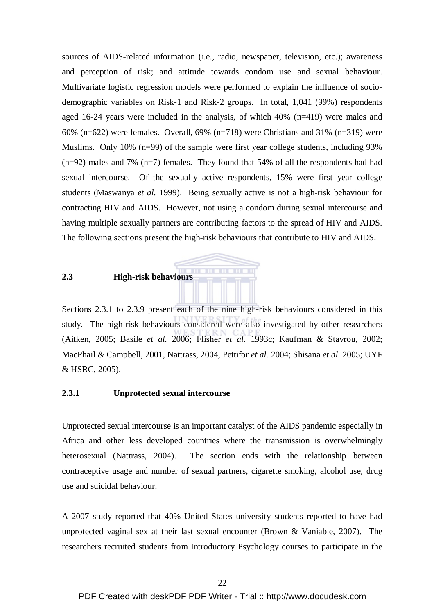sources of AIDS-related information (i.e., radio, newspaper, television, etc.); awareness and perception of risk; and attitude towards condom use and sexual behaviour. Multivariate logistic regression models were performed to explain the influence of sociodemographic variables on Risk-1 and Risk-2 groups. In total, 1,041 (99%) respondents aged 16-24 years were included in the analysis, of which 40% (n=419) were males and 60% (n=622) were females. Overall, 69% (n=718) were Christians and 31% (n=319) were Muslims. Only 10% (n=99) of the sample were first year college students, including 93% (n=92) males and 7% (n=7) females. They found that 54% of all the respondents had had sexual intercourse. Of the sexually active respondents, 15% were first year college students (Maswanya *et al.* 1999). Being sexually active is not a high-risk behaviour for contracting HIV and AIDS. However, not using a condom during sexual intercourse and having multiple sexually partners are contributing factors to the spread of HIV and AIDS. The following sections present the high-risk behaviours that contribute to HIV and AIDS.



Sections 2.3.1 to 2.3.9 present each of the nine high-risk behaviours considered in this study. The high-risk behaviours considered were also investigated by other researchers (Aitken, 2005; Basile *et al.* 2006; Flisher *et al.* 1993c; Kaufman & Stavrou, 2002; MacPhail & Campbell, 2001, Nattrass, 2004, Pettifor *et al.* 2004; Shisana *et al.* 2005; UYF & HSRC, 2005).

### **2.3.1 Unprotected sexual intercourse**

Unprotected sexual intercourse is an important catalyst of the AIDS pandemic especially in Africa and other less developed countries where the transmission is overwhelmingly heterosexual (Nattrass, 2004). The section ends with the relationship between contraceptive usage and number of sexual partners, cigarette smoking, alcohol use, drug use and suicidal behaviour.

A 2007 study reported that 40% United States university students reported to have had unprotected vaginal sex at their last sexual encounter (Brown  $&$  Vaniable, 2007). The researchers recruited students from Introductory Psychology courses to participate in the

### PDF Created with deskPDF PDF Writer - Trial :: http://www.docudesk.com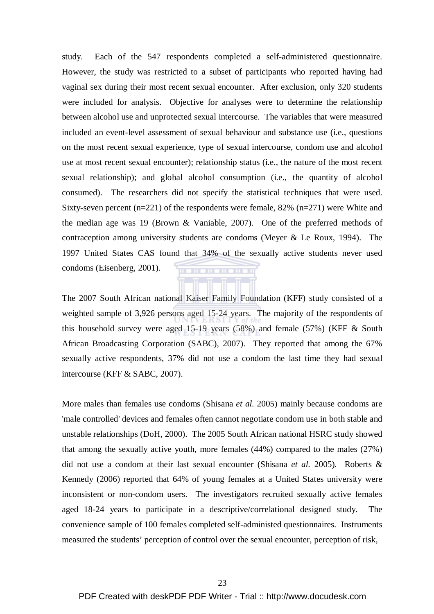study. Each of the 547 respondents completed a self-administered questionnaire. However, the study was restricted to a subset of participants who reported having had vaginal sex during their most recent sexual encounter. After exclusion, only 320 students were included for analysis. Objective for analyses were to determine the relationship between alcohol use and unprotected sexual intercourse. The variables that were measured included an event-level assessment of sexual behaviour and substance use (i.e., questions on the most recent sexual experience, type of sexual intercourse, condom use and alcohol use at most recent sexual encounter); relationship status (i.e., the nature of the most recent sexual relationship); and global alcohol consumption (i.e., the quantity of alcohol consumed). The researchers did not specify the statistical techniques that were used. Sixty-seven percent  $(n=221)$  of the respondents were female, 82%  $(n=271)$  were White and the median age was 19 (Brown & Vaniable, 2007). One of the preferred methods of contraception among university students are condoms (Meyer & Le Roux, 1994). The 1997 United States CAS found that 34% of the sexually active students never used condoms (Eisenberg, 2001). . **. . . . . . . . .** . .

The 2007 South African national Kaiser Family Foundation (KFF) study consisted of a weighted sample of 3,926 persons aged 15-24 years. The majority of the respondents of this household survey were aged 15-19 years (58%) and female (57%) (KFF & South African Broadcasting Corporation (SABC), 2007). They reported that among the 67% sexually active respondents, 37% did not use a condom the last time they had sexual intercourse (KFF & SABC, 2007).

More males than females use condoms (Shisana *et al.* 2005) mainly because condoms are 'male controlled' devices and females often cannot negotiate condom use in both stable and unstable relationships (DoH, 2000). The 2005 South African national HSRC study showed that among the sexually active youth, more females (44%) compared to the males (27%) did not use a condom at their last sexual encounter (Shisana *et al.* 2005). Roberts & Kennedy (2006) reported that 64% of young females at a United States university were inconsistent or non-condom users. The investigators recruited sexually active females aged 18-24 years to participate in a descriptive/correlational designed study. The convenience sample of 100 females completed self-administed questionnaires. Instruments measured the students' perception of control over the sexual encounter, perception of risk,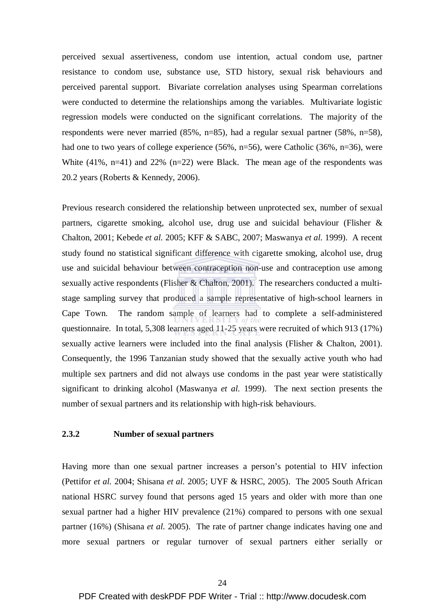perceived sexual assertiveness, condom use intention, actual condom use, partner resistance to condom use, substance use, STD history, sexual risk behaviours and perceived parental support. Bivariate correlation analyses using Spearman correlations were conducted to determine the relationships among the variables. Multivariate logistic regression models were conducted on the significant correlations. The majority of the respondents were never married (85%, n=85), had a regular sexual partner (58%, n=58), had one to two years of college experience (56%, n=56), were Catholic (36%, n=36), were White  $(41\%$ , n=41) and 22% (n=22) were Black. The mean age of the respondents was 20.2 years (Roberts & Kennedy, 2006).

Previous research considered the relationship between unprotected sex, number of sexual partners, cigarette smoking, alcohol use, drug use and suicidal behaviour (Flisher & Chalton, 2001; Kebede *et al.* 2005; KFF & SABC, 2007; Maswanya *et al.* 1999). A recent study found no statistical significant difference with cigarette smoking, alcohol use, drug use and suicidal behaviour between contraception non-use and contraception use among sexually active respondents (Flisher & Chalton, 2001). The researchers conducted a multistage sampling survey that produced a sample representative of high-school learners in Cape Town. The random sample of learners had to complete a self-administered questionnaire. In total, 5,308 learners aged 11-25 years were recruited of which 913 (17%) sexually active learners were included into the final analysis (Flisher & Chalton, 2001). Consequently, the 1996 Tanzanian study showed that the sexually active youth who had multiple sex partners and did not always use condoms in the past year were statistically significant to drinking alcohol (Maswanya *et al.* 1999). The next section presents the number of sexual partners and its relationship with high-risk behaviours.

### **2.3.2 Number of sexual partners**

Having more than one sexual partner increases a person's potential to HIV infection (Pettifor *et al.* 2004; Shisana *et al.* 2005; UYF & HSRC, 2005). The 2005 South African national HSRC survey found that persons aged 15 years and older with more than one sexual partner had a higher HIV prevalence (21%) compared to persons with one sexual partner (16%) (Shisana *et al.* 2005). The rate of partner change indicates having one and more sexual partners or regular turnover of sexual partners either serially or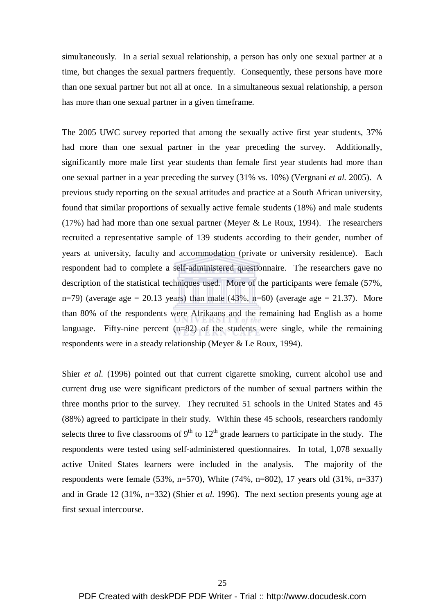simultaneously. In a serial sexual relationship, a person has only one sexual partner at a time, but changes the sexual partners frequently. Consequently, these persons have more than one sexual partner but not all at once. In a simultaneous sexual relationship, a person has more than one sexual partner in a given timeframe.

The 2005 UWC survey reported that among the sexually active first year students, 37% had more than one sexual partner in the year preceding the survey. Additionally, significantly more male first year students than female first year students had more than one sexual partner in a year preceding the survey (31% vs. 10%) (Vergnani *et al.* 2005). A previous study reporting on the sexual attitudes and practice at a South African university, found that similar proportions of sexually active female students (18%) and male students (17%) had had more than one sexual partner (Meyer  $&$  Le Roux, 1994). The researchers recruited a representative sample of 139 students according to their gender, number of years at university, faculty and accommodation (private or university residence). Each respondent had to complete a self-administered questionnaire. The researchers gave no description of the statistical techniques used. More of the participants were female (57%, n=79) (average age = 20.13 years) than male  $(43\%, n=60)$  (average age = 21.37). More than 80% of the respondents were Afrikaans and the remaining had English as a home language. Fifty-nine percent (n=82) of the students were single, while the remaining respondents were in a steady relationship (Meyer & Le Roux, 1994).

Shier *et al.* (1996) pointed out that current cigarette smoking, current alcohol use and current drug use were significant predictors of the number of sexual partners within the three months prior to the survey. They recruited 51 schools in the United States and 45 (88%) agreed to participate in their study. Within these 45 schools, researchers randomly selects three to five classrooms of  $9<sup>th</sup>$  to  $12<sup>th</sup>$  grade learners to participate in the study. The respondents were tested using self-administered questionnaires. In total, 1,078 sexually active United States learners were included in the analysis. The majority of the respondents were female (53%, n=570), White (74%, n=802), 17 years old (31%, n=337) and in Grade 12 (31%, n=332) (Shier *et al.* 1996). The next section presents young age at first sexual intercourse.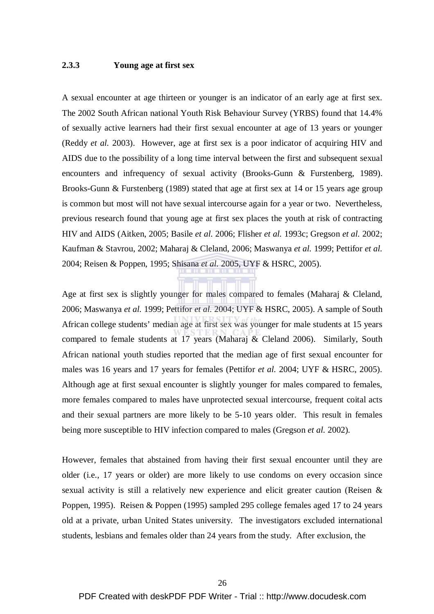### **2.3.3 Young age at first sex**

A sexual encounter at age thirteen or younger is an indicator of an early age at first sex. The 2002 South African national Youth Risk Behaviour Survey (YRBS) found that 14.4% of sexually active learners had their first sexual encounter at age of 13 years or younger (Reddy *et al.* 2003). However, age at first sex is a poor indicator of acquiring HIV and AIDS due to the possibility of a long time interval between the first and subsequent sexual encounters and infrequency of sexual activity (Brooks-Gunn & Furstenberg, 1989). Brooks-Gunn & Furstenberg (1989) stated that age at first sex at 14 or 15 years age group is common but most will not have sexual intercourse again for a year or two. Nevertheless, previous research found that young age at first sex places the youth at risk of contracting HIV and AIDS (Aitken, 2005; Basile *et al.* 2006; Flisher *et al.* 1993c; Gregson *et al.* 2002; Kaufman & Stavrou, 2002; Maharaj & Cleland, 2006; Maswanya *et al.* 1999; Pettifor *et al.*  2004; Reisen & Poppen, 1995; Shisana *et al.* 2005, UYF & HSRC, 2005).

Age at first sex is slightly younger for males compared to females (Maharaj & Cleland, 2006; Maswanya *et al.* 1999; Pettifor *et al.* 2004; UYF & HSRC, 2005). A sample of South African college students' median age at first sex was younger for male students at 15 years compared to female students at 17 years (Maharaj & Cleland 2006). Similarly, South African national youth studies reported that the median age of first sexual encounter for males was 16 years and 17 years for females (Pettifor *et al.* 2004; UYF & HSRC, 2005). Although age at first sexual encounter is slightly younger for males compared to females, more females compared to males have unprotected sexual intercourse, frequent coital acts and their sexual partners are more likely to be 5-10 years older. This result in females being more susceptible to HIV infection compared to males (Gregson *et al.* 2002).

However, females that abstained from having their first sexual encounter until they are older (i.e., 17 years or older) are more likely to use condoms on every occasion since sexual activity is still a relatively new experience and elicit greater caution (Reisen & Poppen, 1995). Reisen & Poppen (1995) sampled 295 college females aged 17 to 24 years old at a private, urban United States university. The investigators excluded international students, lesbians and females older than 24 years from the study. After exclusion, the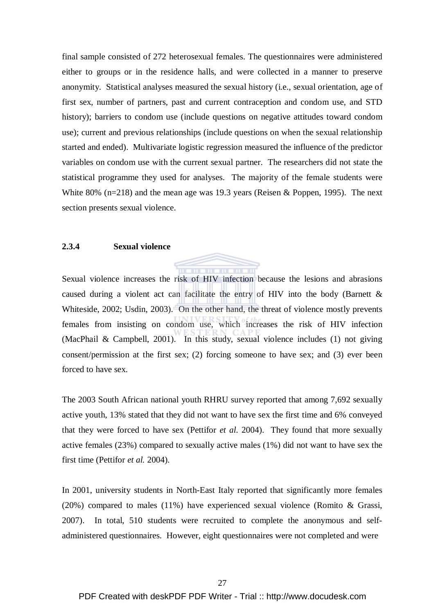final sample consisted of 272 heterosexual females. The questionnaires were administered either to groups or in the residence halls, and were collected in a manner to preserve anonymity. Statistical analyses measured the sexual history (i.e., sexual orientation, age of first sex, number of partners, past and current contraception and condom use, and STD history); barriers to condom use (include questions on negative attitudes toward condom use); current and previous relationships (include questions on when the sexual relationship started and ended). Multivariate logistic regression measured the influence of the predictor variables on condom use with the current sexual partner. The researchers did not state the statistical programme they used for analyses. The majority of the female students were White 80% ( $n=218$ ) and the mean age was 19.3 years (Reisen & Poppen, 1995). The next section presents sexual violence.

### **2.3.4 Sexual violence**

Sexual violence increases the risk of HIV infection because the lesions and abrasions caused during a violent act can facilitate the entry of HIV into the body (Barnett  $\&$ Whiteside, 2002; Usdin, 2003). On the other hand, the threat of violence mostly prevents females from insisting on condom use, which increases the risk of HIV infection (MacPhail & Campbell, 2001). In this study, sexual violence includes (1) not giving consent/permission at the first sex; (2) forcing someone to have sex; and (3) ever been forced to have sex.

The 2003 South African national youth RHRU survey reported that among 7,692 sexually active youth, 13% stated that they did not want to have sex the first time and 6% conveyed that they were forced to have sex (Pettifor *et al.* 2004). They found that more sexually active females (23%) compared to sexually active males (1%) did not want to have sex the first time (Pettifor *et al.* 2004).

In 2001, university students in North-East Italy reported that significantly more females (20%) compared to males (11%) have experienced sexual violence (Romito & Grassi, 2007). In total, 510 students were recruited to complete the anonymous and selfadministered questionnaires. However, eight questionnaires were not completed and were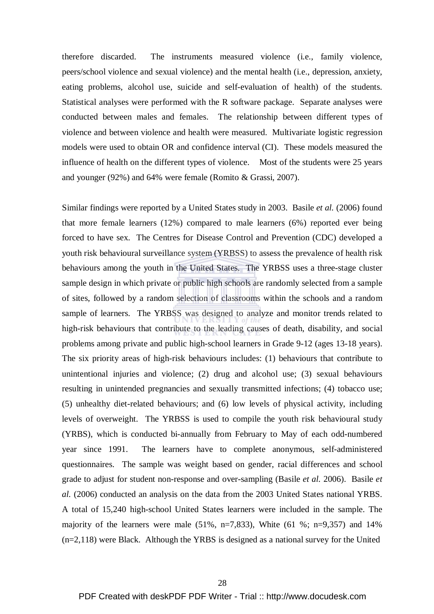therefore discarded. The instruments measured violence (i.e., family violence, peers/school violence and sexual violence) and the mental health (i.e., depression, anxiety, eating problems, alcohol use, suicide and self-evaluation of health) of the students. Statistical analyses were performed with the R software package. Separate analyses were conducted between males and females. The relationship between different types of violence and between violence and health were measured. Multivariate logistic regression models were used to obtain OR and confidence interval (CI). These models measured the influence of health on the different types of violence. Most of the students were 25 years and younger (92%) and 64% were female (Romito & Grassi, 2007).

Similar findings were reported by a United States study in 2003. Basile *et al.* (2006) found that more female learners (12%) compared to male learners (6%) reported ever being forced to have sex. The Centres for Disease Control and Prevention (CDC) developed a youth risk behavioural surveillance system (YRBSS) to assess the prevalence of health risk behaviours among the youth in the United States. The YRBSS uses a three-stage cluster sample design in which private or public high schools are randomly selected from a sample of sites, followed by a random selection of classrooms within the schools and a random sample of learners. The YRBSS was designed to analyze and monitor trends related to high-risk behaviours that contribute to the leading causes of death, disability, and social problems among private and public high-school learners in Grade 9-12 (ages 13-18 years). The six priority areas of high-risk behaviours includes: (1) behaviours that contribute to unintentional injuries and violence; (2) drug and alcohol use; (3) sexual behaviours resulting in unintended pregnancies and sexually transmitted infections; (4) tobacco use; (5) unhealthy diet-related behaviours; and (6) low levels of physical activity, including levels of overweight. The YRBSS is used to compile the youth risk behavioural study (YRBS), which is conducted bi-annually from February to May of each odd-numbered year since 1991. The learners have to complete anonymous, self-administered questionnaires. The sample was weight based on gender, racial differences and school grade to adjust for student non-response and over-sampling (Basile *et al.* 2006). Basile *et al.* (2006) conducted an analysis on the data from the 2003 United States national YRBS. A total of 15,240 high-school United States learners were included in the sample. The majority of the learners were male  $(51\%, n=7,833)$ , White  $(61\%; n=9,357)$  and  $14\%$ (n=2,118) were Black. Although the YRBS is designed as a national survey for the United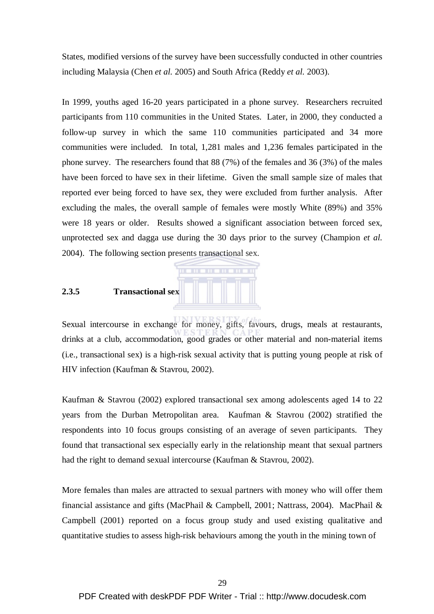States, modified versions of the survey have been successfully conducted in other countries including Malaysia (Chen *et al.* 2005) and South Africa (Reddy *et al.* 2003).

In 1999, youths aged 16-20 years participated in a phone survey. Researchers recruited participants from 110 communities in the United States. Later, in 2000, they conducted a follow-up survey in which the same 110 communities participated and 34 more communities were included. In total, 1,281 males and 1,236 females participated in the phone survey. The researchers found that 88 (7%) of the females and 36 (3%) of the males have been forced to have sex in their lifetime. Given the small sample size of males that reported ever being forced to have sex, they were excluded from further analysis. After excluding the males, the overall sample of females were mostly White (89%) and 35% were 18 years or older. Results showed a significant association between forced sex, unprotected sex and dagga use during the 30 days prior to the survey (Champion *et al.* 2004). The following section presents transactional sex.



### **2.3.5 Transactional sex**

Sexual intercourse in exchange for money, gifts, favours, drugs, meals at restaurants, drinks at a club, accommodation, good grades or other material and non-material items (i.e., transactional sex) is a high-risk sexual activity that is putting young people at risk of HIV infection (Kaufman & Stavrou, 2002).

Kaufman & Stavrou (2002) explored transactional sex among adolescents aged 14 to 22 years from the Durban Metropolitan area. Kaufman & Stavrou (2002) stratified the respondents into 10 focus groups consisting of an average of seven participants. They found that transactional sex especially early in the relationship meant that sexual partners had the right to demand sexual intercourse (Kaufman & Stavrou, 2002).

More females than males are attracted to sexual partners with money who will offer them financial assistance and gifts (MacPhail & Campbell, 2001; Nattrass, 2004). MacPhail & Campbell (2001) reported on a focus group study and used existing qualitative and quantitative studies to assess high-risk behaviours among the youth in the mining town of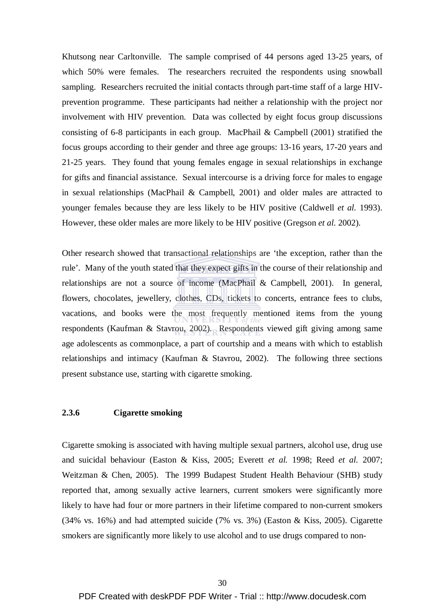Khutsong near Carltonville. The sample comprised of 44 persons aged 13-25 years, of which 50% were females. The researchers recruited the respondents using snowball sampling. Researchers recruited the initial contacts through part-time staff of a large HIVprevention programme. These participants had neither a relationship with the project nor involvement with HIV prevention. Data was collected by eight focus group discussions consisting of 6-8 participants in each group. MacPhail & Campbell (2001) stratified the focus groups according to their gender and three age groups: 13-16 years, 17-20 years and 21-25 years. They found that young females engage in sexual relationships in exchange for gifts and financial assistance. Sexual intercourse is a driving force for males to engage in sexual relationships (MacPhail & Campbell, 2001) and older males are attracted to younger females because they are less likely to be HIV positive (Caldwell *et al.* 1993). However, these older males are more likely to be HIV positive (Gregson *et al.* 2002).

Other research showed that transactional relationships are 'the exception, rather than the rule'. Many of the youth stated that they expect gifts in the course of their relationship and relationships are not a source of income (MacPhail & Campbell, 2001). In general, flowers, chocolates, jewellery, clothes, CDs, tickets to concerts, entrance fees to clubs, vacations, and books were the most frequently mentioned items from the young respondents (Kaufman & Stavrou, 2002). Respondents viewed gift giving among same age adolescents as commonplace, a part of courtship and a means with which to establish relationships and intimacy (Kaufman & Stavrou, 2002). The following three sections present substance use, starting with cigarette smoking.

### **2.3.6 Cigarette smoking**

Cigarette smoking is associated with having multiple sexual partners, alcohol use, drug use and suicidal behaviour (Easton & Kiss, 2005; Everett *et al.* 1998; Reed *et al.* 2007; Weitzman & Chen, 2005). The 1999 Budapest Student Health Behaviour (SHB) study reported that, among sexually active learners, current smokers were significantly more likely to have had four or more partners in their lifetime compared to non-current smokers (34% vs. 16%) and had attempted suicide (7% vs. 3%) (Easton & Kiss, 2005). Cigarette smokers are significantly more likely to use alcohol and to use drugs compared to non-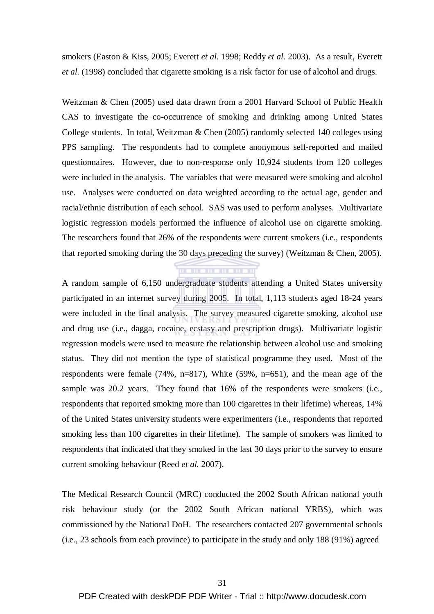smokers (Easton & Kiss, 2005; Everett *et al.* 1998; Reddy *et al.* 2003). As a result, Everett *et al.* (1998) concluded that cigarette smoking is a risk factor for use of alcohol and drugs.

Weitzman & Chen (2005) used data drawn from a 2001 Harvard School of Public Health CAS to investigate the co-occurrence of smoking and drinking among United States College students. In total, Weitzman & Chen (2005) randomly selected 140 colleges using PPS sampling. The respondents had to complete anonymous self-reported and mailed questionnaires. However, due to non-response only 10,924 students from 120 colleges were included in the analysis. The variables that were measured were smoking and alcohol use. Analyses were conducted on data weighted according to the actual age, gender and racial/ethnic distribution of each school. SAS was used to perform analyses. Multivariate logistic regression models performed the influence of alcohol use on cigarette smoking. The researchers found that 26% of the respondents were current smokers (i.e., respondents that reported smoking during the 30 days preceding the survey) (Weitzman & Chen, 2005).

**THE REPORT OF A 49 YO F RD** 

A random sample of 6,150 undergraduate students attending a United States university participated in an internet survey during 2005. In total, 1,113 students aged 18-24 years were included in the final analysis. The survey measured cigarette smoking, alcohol use and drug use (i.e., dagga, cocaine, ecstasy and prescription drugs). Multivariate logistic regression models were used to measure the relationship between alcohol use and smoking status. They did not mention the type of statistical programme they used. Most of the respondents were female (74%, n=817), White (59%, n=651), and the mean age of the sample was 20.2 years. They found that 16% of the respondents were smokers (i.e., respondents that reported smoking more than 100 cigarettes in their lifetime) whereas, 14% of the United States university students were experimenters (i.e., respondents that reported smoking less than 100 cigarettes in their lifetime). The sample of smokers was limited to respondents that indicated that they smoked in the last 30 days prior to the survey to ensure current smoking behaviour (Reed *et al.* 2007).

The Medical Research Council (MRC) conducted the 2002 South African national youth risk behaviour study (or the 2002 South African national YRBS), which was commissioned by the National DoH. The researchers contacted 207 governmental schools (i.e., 23 schools from each province) to participate in the study and only 188 (91%) agreed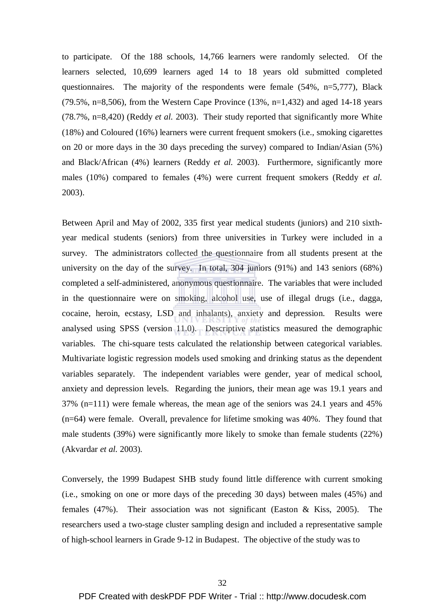to participate. Of the 188 schools, 14,766 learners were randomly selected. Of the learners selected, 10,699 learners aged 14 to 18 years old submitted completed questionnaires. The majority of the respondents were female (54%, n=5,777), Black (79.5%, n=8,506), from the Western Cape Province  $(13\%, n=1,432)$  and aged 14-18 years (78.7%, n=8,420) (Reddy *et al.* 2003). Their study reported that significantly more White (18%) and Coloured (16%) learners were current frequent smokers (i.e., smoking cigarettes on 20 or more days in the 30 days preceding the survey) compared to Indian/Asian (5%) and Black/African (4%) learners (Reddy *et al.* 2003). Furthermore, significantly more males (10%) compared to females (4%) were current frequent smokers (Reddy *et al.*  2003).

Between April and May of 2002, 335 first year medical students (juniors) and 210 sixthyear medical students (seniors) from three universities in Turkey were included in a survey. The administrators collected the questionnaire from all students present at the university on the day of the survey. In total, 304 juniors (91%) and 143 seniors (68%) completed a self-administered, anonymous questionnaire. The variables that were included in the questionnaire were on smoking, alcohol use, use of illegal drugs (i.e., dagga, cocaine, heroin, ecstasy, LSD and inhalants), anxiety and depression. Results were analysed using SPSS (version 11.0). Descriptive statistics measured the demographic variables. The chi-square tests calculated the relationship between categorical variables. Multivariate logistic regression models used smoking and drinking status as the dependent variables separately. The independent variables were gender, year of medical school, anxiety and depression levels. Regarding the juniors, their mean age was 19.1 years and 37% (n=111) were female whereas, the mean age of the seniors was 24.1 years and 45% (n=64) were female. Overall, prevalence for lifetime smoking was 40%. They found that male students (39%) were significantly more likely to smoke than female students (22%) (Akvardar *et al.* 2003).

Conversely, the 1999 Budapest SHB study found little difference with current smoking (i.e., smoking on one or more days of the preceding 30 days) between males (45%) and females (47%). Their association was not significant (Easton & Kiss, 2005). The researchers used a two-stage cluster sampling design and included a representative sample of high-school learners in Grade 9-12 in Budapest. The objective of the study was to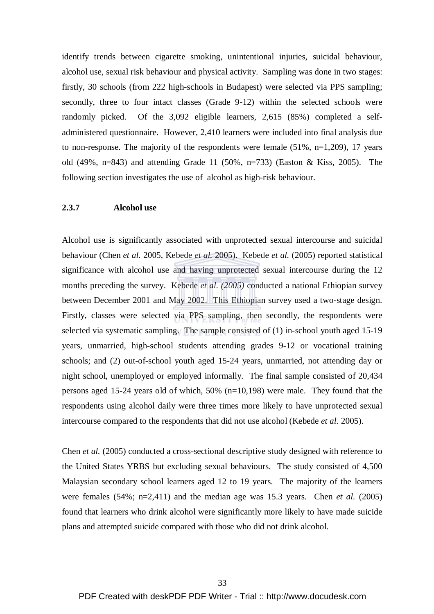identify trends between cigarette smoking, unintentional injuries, suicidal behaviour, alcohol use, sexual risk behaviour and physical activity. Sampling was done in two stages: firstly, 30 schools (from 222 high-schools in Budapest) were selected via PPS sampling; secondly, three to four intact classes (Grade 9-12) within the selected schools were randomly picked. Of the 3,092 eligible learners, 2,615 (85%) completed a selfadministered questionnaire. However, 2,410 learners were included into final analysis due to non-response. The majority of the respondents were female (51%, n=1,209), 17 years old (49%, n=843) and attending Grade 11 (50%, n=733) (Easton & Kiss, 2005). The following section investigates the use of alcohol as high-risk behaviour.

### **2.3.7 Alcohol use**

Alcohol use is significantly associated with unprotected sexual intercourse and suicidal behaviour (Chen *et al.* 2005, Kebede *et al.* 2005). Kebede *et al.* (2005) reported statistical significance with alcohol use and having unprotected sexual intercourse during the 12 months preceding the survey. Kebede *et al. (2005)* conducted a national Ethiopian survey between December 2001 and May 2002. This Ethiopian survey used a two-stage design. Firstly, classes were selected via PPS sampling, then secondly, the respondents were selected via systematic sampling. The sample consisted of (1) in-school youth aged 15-19 years, unmarried, high-school students attending grades 9-12 or vocational training schools; and (2) out-of-school youth aged 15-24 years, unmarried, not attending day or night school, unemployed or employed informally. The final sample consisted of 20,434 persons aged 15-24 years old of which, 50% (n=10,198) were male. They found that the respondents using alcohol daily were three times more likely to have unprotected sexual intercourse compared to the respondents that did not use alcohol (Kebede *et al.* 2005).

Chen *et al.* (2005) conducted a cross-sectional descriptive study designed with reference to the United States YRBS but excluding sexual behaviours. The study consisted of 4,500 Malaysian secondary school learners aged 12 to 19 years. The majority of the learners were females (54%; n=2,411) and the median age was 15.3 years. Chen *et al.* (2005) found that learners who drink alcohol were significantly more likely to have made suicide plans and attempted suicide compared with those who did not drink alcohol.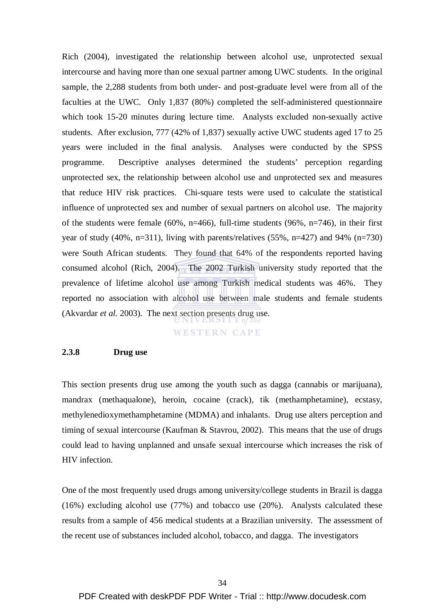Rich (2004), investigated the relationship between alcohol use, unprotected sexual intercourse and having more than one sexual partner among UWC students. In the original sample, the 2,288 students from both under- and post-graduate level were from all of the faculties at the UWC. Only 1,837 (80%) completed the self-administered questionnaire which took 15-20 minutes during lecture time. Analysts excluded non-sexually active students. After exclusion, 777 (42% of 1,837) sexually active UWC students aged 17 to 25 years were included in the final analysis. Analyses were conducted by the SPSS programme. Descriptive analyses determined the students' perception regarding unprotected sex, the relationship between alcohol use and unprotected sex and measures that reduce HIV risk practices. Chi-square tests were used to calculate the statistical influence of unprotected sex and number of sexual partners on alcohol use. The majority of the students were female (60%, n=466), full-time students (96%, n=746), in their first year of study (40%, n=311), living with parents/relatives (55%, n=427) and 94% (n=730) were South African students. They found that 64% of the respondents reported having consumed alcohol (Rich, 2004). The 2002 Turkish university study reported that the prevalence of lifetime alcohol use among Turkish medical students was 46%. They reported no association with alcohol use between male students and female students (Akvardar *et al.* 2003). The next section presents drug use.

**WESTERN CAPE** 

### **2.3.8 Drug use**

This section presents drug use among the youth such as dagga (cannabis or marijuana), mandrax (methaqualone), heroin, cocaine (crack), tik (methamphetamine), ecstasy, methylenedioxymethamphetamine (MDMA) and inhalants. Drug use alters perception and timing of sexual intercourse (Kaufman & Stavrou, 2002). This means that the use of drugs could lead to having unplanned and unsafe sexual intercourse which increases the risk of HIV infection.

One of the most frequently used drugs among university/college students in Brazil is dagga (16%) excluding alcohol use (77%) and tobacco use (20%). Analysts calculated these results from a sample of 456 medical students at a Brazilian university. The assessment of the recent use of substances included alcohol, tobacco, and dagga. The investigators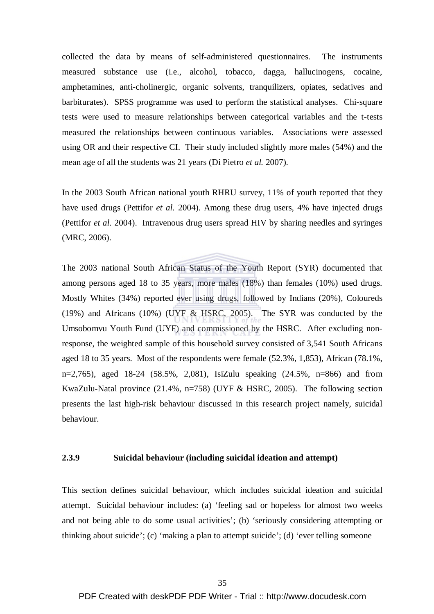collected the data by means of self-administered questionnaires. The instruments measured substance use (i.e., alcohol, tobacco, dagga, hallucinogens, cocaine, amphetamines, anti-cholinergic, organic solvents, tranquilizers, opiates, sedatives and barbiturates). SPSS programme was used to perform the statistical analyses. Chi-square tests were used to measure relationships between categorical variables and the t-tests measured the relationships between continuous variables. Associations were assessed using OR and their respective CI. Their study included slightly more males (54%) and the mean age of all the students was 21 years (Di Pietro *et al.* 2007).

In the 2003 South African national youth RHRU survey, 11% of youth reported that they have used drugs (Pettifor *et al.* 2004). Among these drug users, 4% have injected drugs (Pettifor *et al.* 2004). Intravenous drug users spread HIV by sharing needles and syringes (MRC, 2006).

The 2003 national South African Status of the Youth Report (SYR) documented that among persons aged 18 to 35 years, more males (18%) than females (10%) used drugs. Mostly Whites (34%) reported ever using drugs, followed by Indians (20%), Coloureds (19%) and Africans (10%) (UYF & HSRC, 2005). The SYR was conducted by the Umsobomvu Youth Fund (UYF) and commissioned by the HSRC. After excluding nonresponse, the weighted sample of this household survey consisted of 3,541 South Africans aged 18 to 35 years. Most of the respondents were female (52.3%, 1,853), African (78.1%, n=2,765), aged 18-24 (58.5%, 2,081), IsiZulu speaking (24.5%, n=866) and from KwaZulu-Natal province (21.4%, n=758) (UYF & HSRC, 2005). The following section presents the last high-risk behaviour discussed in this research project namely, suicidal behaviour.

### **2.3.9 Suicidal behaviour (including suicidal ideation and attempt)**

This section defines suicidal behaviour, which includes suicidal ideation and suicidal attempt. Suicidal behaviour includes: (a) 'feeling sad or hopeless for almost two weeks and not being able to do some usual activities'; (b) 'seriously considering attempting or thinking about suicide'; (c) 'making a plan to attempt suicide'; (d) 'ever telling someone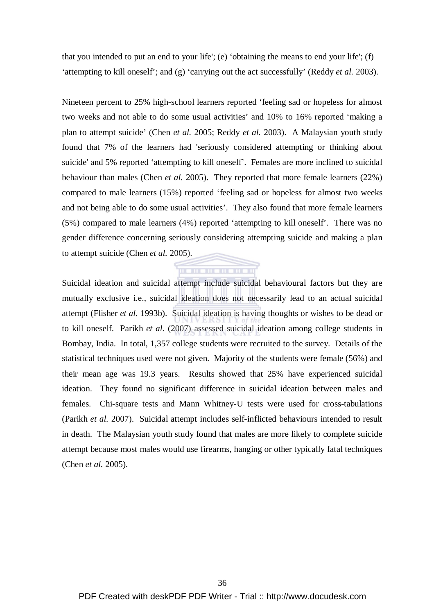that you intended to put an end to your life'; (e) 'obtaining the means to end your life'; (f) 'attempting to kill oneself'; and (g) 'carrying out the act successfully' (Reddy *et al.* 2003).

Nineteen percent to 25% high-school learners reported 'feeling sad or hopeless for almost two weeks and not able to do some usual activities' and 10% to 16% reported 'making a plan to attempt suicide' (Chen *et al.* 2005; Reddy *et al.* 2003). A Malaysian youth study found that 7% of the learners had 'seriously considered attempting or thinking about suicide' and 5% reported 'attempting to kill oneself'. Females are more inclined to suicidal behaviour than males (Chen *et al.* 2005). They reported that more female learners (22%) compared to male learners (15%) reported 'feeling sad or hopeless for almost two weeks and not being able to do some usual activities'. They also found that more female learners (5%) compared to male learners (4%) reported 'attempting to kill oneself'. There was no gender difference concerning seriously considering attempting suicide and making a plan to attempt suicide (Chen *et al.* 2005).

. . . . . . . . . . . .

Suicidal ideation and suicidal attempt include suicidal behavioural factors but they are mutually exclusive i.e., suicidal ideation does not necessarily lead to an actual suicidal attempt (Flisher *et al.* 1993b). Suicidal ideation is having thoughts or wishes to be dead or to kill oneself. Parikh *et al.* (2007) assessed suicidal ideation among college students in Bombay, India. In total, 1,357 college students were recruited to the survey. Details of the statistical techniques used were not given. Majority of the students were female (56%) and their mean age was 19.3 years. Results showed that 25% have experienced suicidal ideation. They found no significant difference in suicidal ideation between males and females. Chi-square tests and Mann Whitney-U tests were used for cross-tabulations (Parikh *et al.* 2007). Suicidal attempt includes self-inflicted behaviours intended to result in death. The Malaysian youth study found that males are more likely to complete suicide attempt because most males would use firearms, hanging or other typically fatal techniques (Chen *et al.* 2005).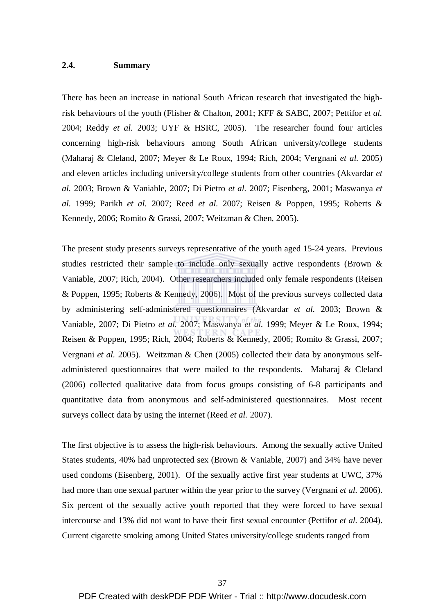#### **2.4. Summary**

There has been an increase in national South African research that investigated the highrisk behaviours of the youth (Flisher & Chalton, 2001; KFF & SABC, 2007; Pettifor *et al.*  2004; Reddy *et al.* 2003; UYF & HSRC, 2005). The researcher found four articles concerning high-risk behaviours among South African university/college students (Maharaj & Cleland, 2007; Meyer & Le Roux, 1994; Rich, 2004; Vergnani *et al.* 2005) and eleven articles including university/college students from other countries (Akvardar *et al.* 2003; Brown & Vaniable, 2007; Di Pietro *et al.* 2007; Eisenberg, 2001; Maswanya *et al.* 1999; Parikh *et al.* 2007; Reed *et al.* 2007; Reisen & Poppen, 1995; Roberts & Kennedy, 2006; Romito & Grassi, 2007; Weitzman & Chen, 2005).

The present study presents surveys representative of the youth aged 15-24 years. Previous studies restricted their sample to include only sexually active respondents (Brown & Vaniable, 2007; Rich, 2004). Other researchers included only female respondents (Reisen & Poppen, 1995; Roberts & Kennedy, 2006). Most of the previous surveys collected data by administering self-administered questionnaires (Akvardar *et al.* 2003; Brown & Vaniable, 2007; Di Pietro *et al.* 2007; Maswanya *et al.* 1999; Meyer & Le Roux, 1994; Reisen & Poppen, 1995; Rich, 2004; Roberts & Kennedy, 2006; Romito & Grassi, 2007; Vergnani *et al.* 2005). Weitzman & Chen (2005) collected their data by anonymous selfadministered questionnaires that were mailed to the respondents. Maharaj & Cleland (2006) collected qualitative data from focus groups consisting of 6-8 participants and quantitative data from anonymous and self-administered questionnaires. Most recent surveys collect data by using the internet (Reed *et al.* 2007).

The first objective is to assess the high-risk behaviours. Among the sexually active United States students, 40% had unprotected sex (Brown & Vaniable, 2007) and 34% have never used condoms (Eisenberg, 2001). Of the sexually active first year students at UWC, 37% had more than one sexual partner within the year prior to the survey (Vergnani *et al.* 2006). Six percent of the sexually active youth reported that they were forced to have sexual intercourse and 13% did not want to have their first sexual encounter (Pettifor *et al.* 2004). Current cigarette smoking among United States university/college students ranged from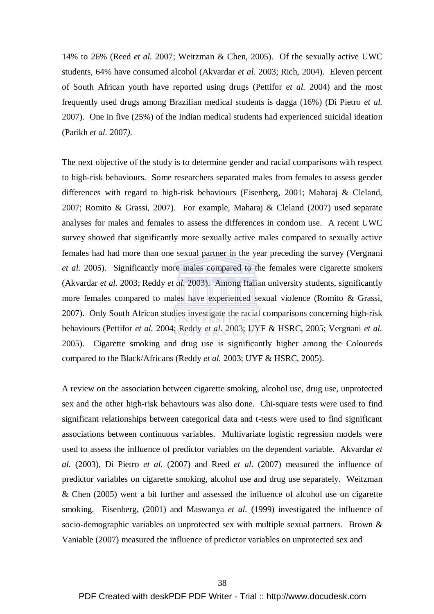14% to 26% (Reed *et al.* 2007; Weitzman & Chen, 2005). Of the sexually active UWC students, 64% have consumed alcohol (Akvardar *et al.* 2003; Rich, 2004). Eleven percent of South African youth have reported using drugs (Pettifor *et al.* 2004) and the most frequently used drugs among Brazilian medical students is dagga (16%) (Di Pietro *et al.*  2007). One in five (25%) of the Indian medical students had experienced suicidal ideation (Parikh *et al.* 2007*)*.

The next objective of the study is to determine gender and racial comparisons with respect to high-risk behaviours. Some researchers separated males from females to assess gender differences with regard to high-risk behaviours (Eisenberg, 2001; Maharaj & Cleland, 2007; Romito & Grassi, 2007). For example, Maharaj & Cleland (2007) used separate analyses for males and females to assess the differences in condom use. A recent UWC survey showed that significantly more sexually active males compared to sexually active females had had more than one sexual partner in the year preceding the survey (Vergnani *et al.* 2005). Significantly more males compared to the females were cigarette smokers (Akvardar *et al.* 2003; Reddy *et al.* 2003). Among Italian university students, significantly more females compared to males have experienced sexual violence (Romito & Grassi, 2007). Only South African studies investigate the racial comparisons concerning high-risk behaviours (Pettifor *et al.* 2004; Reddy *et al.* 2003; UYF & HSRC, 2005; Vergnani *et al.*  2005). Cigarette smoking and drug use is significantly higher among the Coloureds compared to the Black/Africans (Reddy *et al.* 2003; UYF & HSRC, 2005).

A review on the association between cigarette smoking, alcohol use, drug use, unprotected sex and the other high-risk behaviours was also done. Chi-square tests were used to find significant relationships between categorical data and t-tests were used to find significant associations between continuous variables. Multivariate logistic regression models were used to assess the influence of predictor variables on the dependent variable. Akvardar *et al.* (2003), Di Pietro *et al.* (2007) and Reed *et al.* (2007) measured the influence of predictor variables on cigarette smoking, alcohol use and drug use separately. Weitzman & Chen (2005) went a bit further and assessed the influence of alcohol use on cigarette smoking. Eisenberg, (2001) and Maswanya *et al.* (1999) investigated the influence of socio-demographic variables on unprotected sex with multiple sexual partners. Brown & Vaniable (2007) measured the influence of predictor variables on unprotected sex and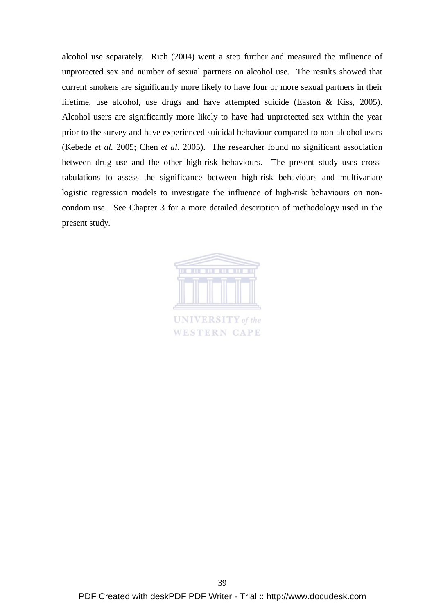alcohol use separately. Rich (2004) went a step further and measured the influence of unprotected sex and number of sexual partners on alcohol use. The results showed that current smokers are significantly more likely to have four or more sexual partners in their lifetime, use alcohol, use drugs and have attempted suicide (Easton & Kiss, 2005). Alcohol users are significantly more likely to have had unprotected sex within the year prior to the survey and have experienced suicidal behaviour compared to non-alcohol users (Kebede *et al.* 2005; Chen *et al.* 2005). The researcher found no significant association between drug use and the other high-risk behaviours. The present study uses crosstabulations to assess the significance between high-risk behaviours and multivariate logistic regression models to investigate the influence of high-risk behaviours on noncondom use. See Chapter 3 for a more detailed description of methodology used in the present study.



**UNIVERSITY** of the **WESTERN CAPE**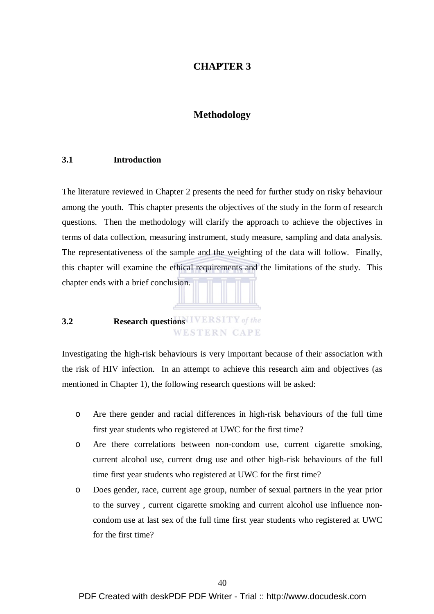# **CHAPTER 3**

# **Methodology**

## **3.1 Introduction**

The literature reviewed in Chapter 2 presents the need for further study on risky behaviour among the youth. This chapter presents the objectives of the study in the form of research questions. Then the methodology will clarify the approach to achieve the objectives in terms of data collection, measuring instrument, study measure, sampling and data analysis. The representativeness of the sample and the weighting of the data will follow. Finally, this chapter will examine the ethical requirements and the limitations of the study. This chapter ends with a brief conclusion.

# **3.2 Research questions IVERSITY** of the **WESTERN CAPE**

Investigating the high-risk behaviours is very important because of their association with the risk of HIV infection. In an attempt to achieve this research aim and objectives (as mentioned in Chapter 1), the following research questions will be asked:

- o Are there gender and racial differences in high-risk behaviours of the full time first year students who registered at UWC for the first time?
- o Are there correlations between non-condom use, current cigarette smoking, current alcohol use, current drug use and other high-risk behaviours of the full time first year students who registered at UWC for the first time?
- o Does gender, race, current age group, number of sexual partners in the year prior to the survey , current cigarette smoking and current alcohol use influence noncondom use at last sex of the full time first year students who registered at UWC for the first time?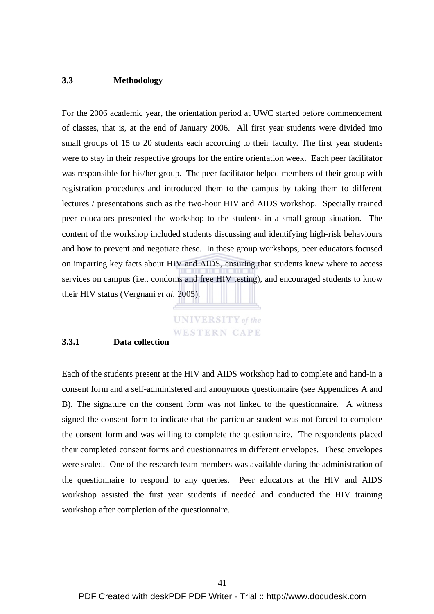# **3.3 Methodology**

For the 2006 academic year, the orientation period at UWC started before commencement of classes, that is, at the end of January 2006. All first year students were divided into small groups of 15 to 20 students each according to their faculty. The first year students were to stay in their respective groups for the entire orientation week. Each peer facilitator was responsible for his/her group. The peer facilitator helped members of their group with registration procedures and introduced them to the campus by taking them to different lectures / presentations such as the two-hour HIV and AIDS workshop. Specially trained peer educators presented the workshop to the students in a small group situation. The content of the workshop included students discussing and identifying high-risk behaviours and how to prevent and negotiate these. In these group workshops, peer educators focused on imparting key facts about HIV and AIDS, ensuring that students knew where to access services on campus (i.e., condoms and free HIV testing), and encouraged students to know their HIV status (Vergnani *et al.* 2005).

# **UNIVERSITY** of the WESTERN CAPE

# **3.3.1 Data collection**

Each of the students present at the HIV and AIDS workshop had to complete and hand-in a consent form and a self-administered and anonymous questionnaire (see Appendices A and B). The signature on the consent form was not linked to the questionnaire. A witness signed the consent form to indicate that the particular student was not forced to complete the consent form and was willing to complete the questionnaire. The respondents placed their completed consent forms and questionnaires in different envelopes. These envelopes were sealed. One of the research team members was available during the administration of the questionnaire to respond to any queries. Peer educators at the HIV and AIDS workshop assisted the first year students if needed and conducted the HIV training workshop after completion of the questionnaire.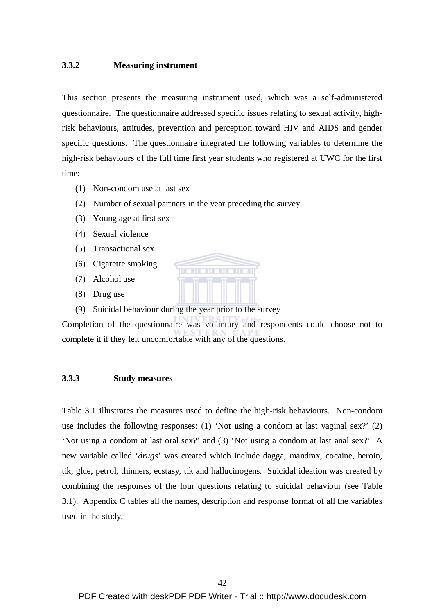#### **3.3.2 Measuring instrument**

This section presents the measuring instrument used, which was a self-administered questionnaire. The questionnaire addressed specific issues relating to sexual activity, highrisk behaviours, attitudes, prevention and perception toward HIV and AIDS and gender specific questions. The questionnaire integrated the following variables to determine the high-risk behaviours of the full time first year students who registered at UWC for the first time:

- (1) Non-condom use at last sex
- (2) Number of sexual partners in the year preceding the survey
- (3) Young age at first sex
- (4) Sexual violence
- (5) Transactional sex
- (6) Cigarette smoking
- (7) Alcohol use
- (8) Drug use
- (9) Suicidal behaviour during the year prior to the survey

Completion of the questionnaire was voluntary and respondents could choose not to complete it if they felt uncomfortable with any of the questions.

## **3.3.3 Study measures**

Table 3.1 illustrates the measures used to define the high-risk behaviours. Non-condom use includes the following responses: (1) 'Not using a condom at last vaginal sex?' (2) 'Not using a condom at last oral sex?' and (3) 'Not using a condom at last anal sex?' A new variable called '*drugs*' was created which include dagga, mandrax, cocaine, heroin, tik, glue, petrol, thinners, ecstasy, tik and hallucinogens. Suicidal ideation was created by combining the responses of the four questions relating to suicidal behaviour (see Table 3.1). Appendix C tables all the names, description and response format of all the variables used in the study.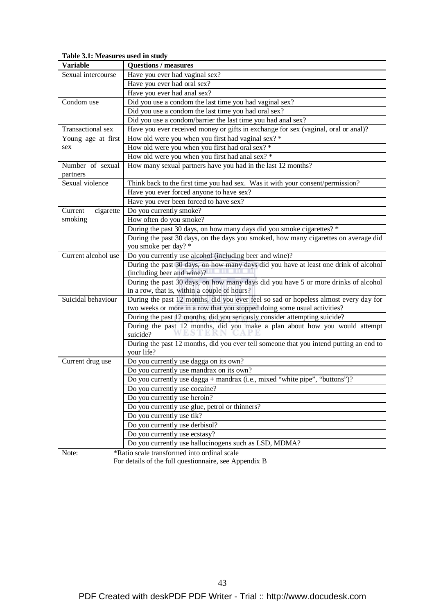| r abic 9.1. Incasures used in study |                                                                                                      |
|-------------------------------------|------------------------------------------------------------------------------------------------------|
| Variable                            | <b>Questions / measures</b>                                                                          |
| Sexual intercourse                  | Have you ever had vaginal sex?                                                                       |
|                                     | Have you ever had oral sex?                                                                          |
|                                     | Have you ever had anal sex?                                                                          |
| Condom use                          | Did you use a condom the last time you had vaginal sex?                                              |
|                                     | Did you use a condom the last time you had oral sex?                                                 |
|                                     | Did you use a condom/barrier the last time you had anal sex?                                         |
| Transactional sex                   | Have you ever received money or gifts in exchange for sex (vaginal, oral or anal)?                   |
| Young age at first                  | How old were you when you first had vaginal sex? *                                                   |
| sex                                 | How old were you when you first had oral sex? *                                                      |
|                                     | How old were you when you first had anal sex? *                                                      |
| Number of sexual                    | How many sexual partners have you had in the last 12 months?                                         |
| partners                            |                                                                                                      |
| Sexual violence                     | Think back to the first time you had sex. Was it with your consent/permission?                       |
|                                     | Have you ever forced anyone to have sex?                                                             |
|                                     | Have you ever been forced to have sex?                                                               |
| Current<br>cigarette                | Do you currently smoke?                                                                              |
| smoking                             | How often do you smoke?                                                                              |
|                                     | During the past 30 days, on how many days did you smoke cigarettes? *                                |
|                                     | During the past 30 days, on the days you smoked, how many cigarettes on average did                  |
|                                     | you smoke per day? *                                                                                 |
| Current alcohol use                 | Do you currently use alcohol (including beer and wine)?                                              |
|                                     | During the past 30 days, on how many days did you have at least one drink of alcohol                 |
|                                     | (including beer and wine)?                                                                           |
|                                     | During the past 30 days, on how many days did you have 5 or more drinks of alcohol                   |
|                                     | in a row, that is, within a couple of hours?                                                         |
| Suicidal behaviour                  | During the past 12 months, did you ever feel so sad or hopeless almost every day for                 |
|                                     | two weeks or more in a row that you stopped doing some usual activities?                             |
|                                     | During the past 12 months, did you seriously consider attempting suicide?                            |
|                                     | During the past 12 months, did you make a plan about how you would attempt                           |
|                                     | suicide?                                                                                             |
|                                     | During the past 12 months, did you ever tell someone that you intend putting an end to<br>your life? |
| Current drug use                    | Do you currently use dagga on its own?                                                               |
|                                     | Do you currently use mandrax on its own?                                                             |
|                                     | Do you currently use dagga + mandrax (i.e., mixed "white pipe", "buttons")?                          |
|                                     | Do you currently use cocaine?                                                                        |
|                                     | Do you currently use heroin?                                                                         |
|                                     |                                                                                                      |
|                                     | Do you currently use glue, petrol or thinners?                                                       |
|                                     | Do you currently use tik?                                                                            |
|                                     | Do you currently use derbisol?                                                                       |
|                                     | Do you currently use ecstasy?                                                                        |
|                                     | Do you currently use hallucinogens such as LSD, MDMA?                                                |
| Note:                               | *Ratio scale transformed into ordinal scale                                                          |

**Table 3.1: Measures used in study** 

For details of the full questionnaire, see Appendix B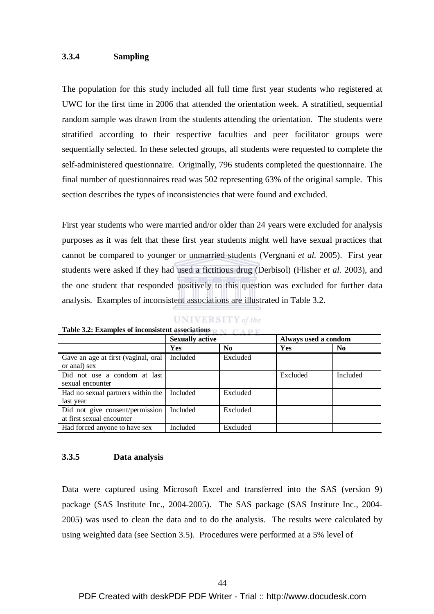#### **3.3.4 Sampling**

The population for this study included all full time first year students who registered at UWC for the first time in 2006 that attended the orientation week. A stratified, sequential random sample was drawn from the students attending the orientation. The students were stratified according to their respective faculties and peer facilitator groups were sequentially selected. In these selected groups, all students were requested to complete the self-administered questionnaire. Originally, 796 students completed the questionnaire. The final number of questionnaires read was 502 representing 63% of the original sample. This section describes the types of inconsistencies that were found and excluded.

First year students who were married and/or older than 24 years were excluded for analysis purposes as it was felt that these first year students might well have sexual practices that cannot be compared to younger or unmarried students (Vergnani *et al.* 2005). First year students were asked if they had used a fictitious drug (Derbisol) (Flisher *et al.* 2003), and the one student that responded positively to this question was excluded for further data analysis. Examples of inconsistent associations are illustrated in Table 3.2.

| JNIVERSITY of the |  |  |  |  |
|-------------------|--|--|--|--|
|                   |  |  |  |  |

|                                                              | <b>Sexually active</b> |                | Always used a condom |                |
|--------------------------------------------------------------|------------------------|----------------|----------------------|----------------|
|                                                              | Yes                    | N <sub>0</sub> | Yes                  | N <sub>0</sub> |
| Gave an age at first (vaginal, oral<br>or anal) sex          | Included               | Excluded       |                      |                |
| Did not use a condom at last<br>sexual encounter             |                        |                | Excluded             | Included       |
| Had no sexual partners within the<br>last year               | Included               | Excluded       |                      |                |
| Did not give consent/permission<br>at first sexual encounter | Included               | Excluded       |                      |                |
| Had forced anyone to have sex                                | <b>Included</b>        | Excluded       |                      |                |

**Table 3.2: Examples of inconsistent associations** 

#### **3.3.5 Data analysis**

Data were captured using Microsoft Excel and transferred into the SAS (version 9) package (SAS Institute Inc., 2004-2005). The SAS package (SAS Institute Inc., 2004- 2005) was used to clean the data and to do the analysis. The results were calculated by using weighted data (see Section 3.5). Procedures were performed at a 5% level of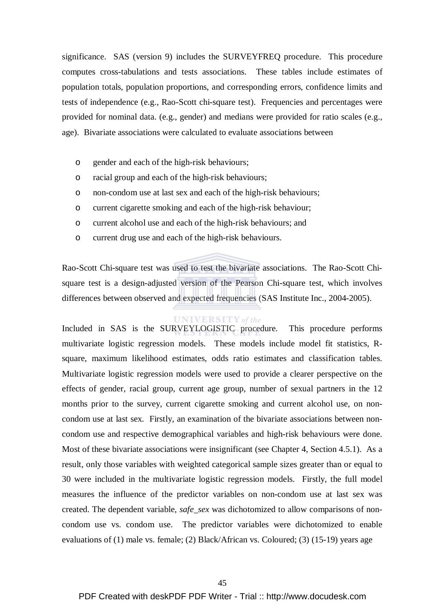significance. SAS (version 9) includes the SURVEYFREQ procedure. This procedure computes cross-tabulations and tests associations. These tables include estimates of population totals, population proportions, and corresponding errors, confidence limits and tests of independence (e.g., Rao-Scott chi-square test). Frequencies and percentages were provided for nominal data. (e.g., gender) and medians were provided for ratio scales (e.g., age). Bivariate associations were calculated to evaluate associations between

- o gender and each of the high-risk behaviours;
- o racial group and each of the high-risk behaviours;
- o non-condom use at last sex and each of the high-risk behaviours;
- o current cigarette smoking and each of the high-risk behaviour;
- o current alcohol use and each of the high-risk behaviours; and
- o current drug use and each of the high-risk behaviours.

Rao-Scott Chi-square test was used to test the bivariate associations. The Rao-Scott Chisquare test is a design-adjusted version of the Pearson Chi-square test, which involves differences between observed and expected frequencies (SAS Institute Inc., 2004-2005).

#### **UNIVERSITY** of the

Included in SAS is the SURVEYLOGISTIC procedure. This procedure performs multivariate logistic regression models. These models include model fit statistics, Rsquare, maximum likelihood estimates, odds ratio estimates and classification tables. Multivariate logistic regression models were used to provide a clearer perspective on the effects of gender, racial group, current age group*,* number of sexual partners in the 12 months prior to the survey, current cigarette smoking and current alcohol use, on noncondom use at last sex. Firstly, an examination of the bivariate associations between noncondom use and respective demographical variables and high-risk behaviours were done. Most of these bivariate associations were insignificant (see Chapter 4, Section 4.5.1). As a result, only those variables with weighted categorical sample sizes greater than or equal to 30 were included in the multivariate logistic regression models. Firstly, the full model measures the influence of the predictor variables on non-condom use at last sex was created. The dependent variable, *safe\_sex* was dichotomized to allow comparisons of noncondom use vs. condom use. The predictor variables were dichotomized to enable evaluations of (1) male vs. female; (2) Black/African vs. Coloured; (3) (15-19) years age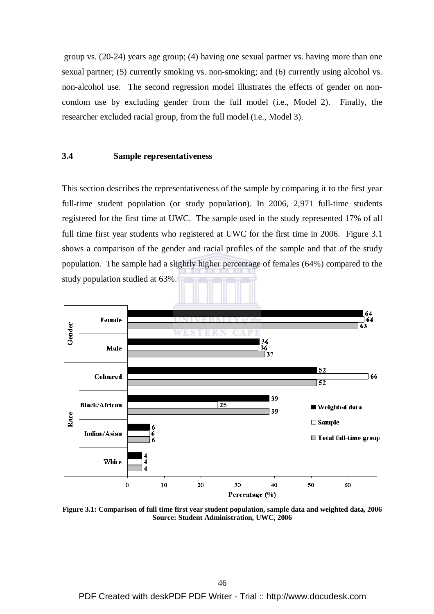group vs. (20-24) years age group; (4) having one sexual partner vs. having more than one sexual partner; (5) currently smoking vs. non-smoking; and (6) currently using alcohol vs. non-alcohol use. The second regression model illustrates the effects of gender on noncondom use by excluding gender from the full model (i.e., Model 2). Finally, the researcher excluded racial group, from the full model (i.e., Model 3).

#### **3.4 Sample representativeness**

This section describes the representativeness of the sample by comparing it to the first year full-time student population (or study population). In 2006, 2,971 full-time students registered for the first time at UWC. The sample used in the study represented 17% of all full time first year students who registered at UWC for the first time in 2006. Figure 3.1 shows a comparison of the gender and racial profiles of the sample and that of the study population. The sample had a slightly higher percentage of females (64%) compared to the study population studied at 63%.



**Figure 3.1: Comparison of full time first year student population, sample data and weighted data, 2006 Source: Student Administration, UWC, 2006**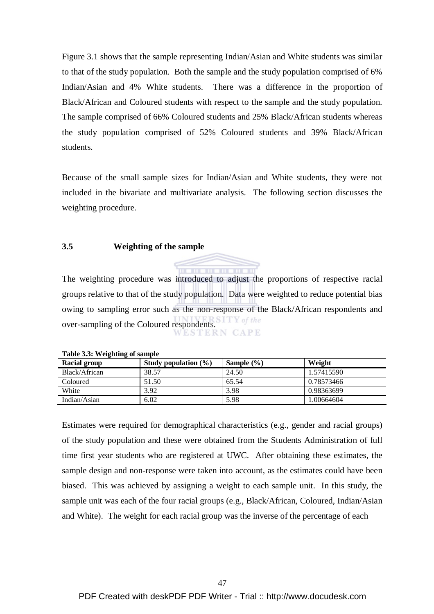Figure 3.1 shows that the sample representing Indian/Asian and White students was similar to that of the study population. Both the sample and the study population comprised of 6% Indian/Asian and 4% White students. There was a difference in the proportion of Black/African and Coloured students with respect to the sample and the study population. The sample comprised of 66% Coloured students and 25% Black/African students whereas the study population comprised of 52% Coloured students and 39% Black/African students.

Because of the small sample sizes for Indian/Asian and White students, they were not included in the bivariate and multivariate analysis. The following section discusses the weighting procedure.

# **3.5 Weighting of the sample**

The weighting procedure was introduced to adjust the proportions of respective racial groups relative to that of the study population. Data were weighted to reduce potential bias owing to sampling error such as the non-response of the Black/African respondents and over-sampling of the Coloured respondents. The of the coloured respondents.

| Twore cicle and engineering or building |                          |                |            |  |  |  |
|-----------------------------------------|--------------------------|----------------|------------|--|--|--|
| <b>Racial group</b>                     | Study population $(\% )$ | Sample $(\% )$ | Weight     |  |  |  |
| Black/African                           | 38.57                    | 24.50          | 1.57415590 |  |  |  |
| Coloured                                | 51.50                    | 65.54          | 0.78573466 |  |  |  |
| White                                   | 3.92                     | 3.98           | 0.98363699 |  |  |  |
| Indian/Asian                            | 6.02                     | 5.98           | .00664604  |  |  |  |

**Table 3.3: Weighting of sample** 

Estimates were required for demographical characteristics (e.g., gender and racial groups) of the study population and these were obtained from the Students Administration of full time first year students who are registered at UWC. After obtaining these estimates, the sample design and non-response were taken into account, as the estimates could have been biased. This was achieved by assigning a weight to each sample unit. In this study, the sample unit was each of the four racial groups (e.g., Black/African, Coloured, Indian/Asian and White). The weight for each racial group was the inverse of the percentage of each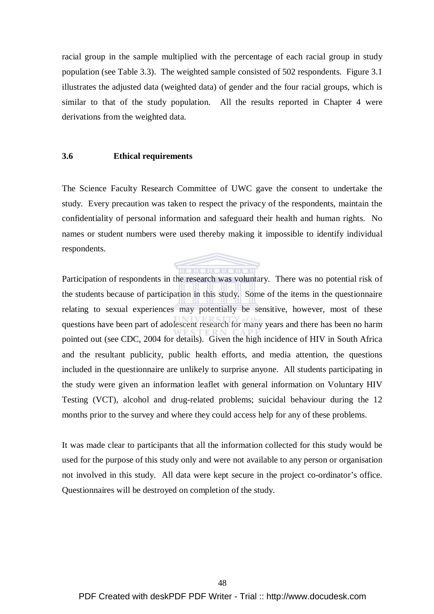racial group in the sample multiplied with the percentage of each racial group in study population (see Table 3.3). The weighted sample consisted of 502 respondents. Figure 3.1 illustrates the adjusted data (weighted data) of gender and the four racial groups, which is similar to that of the study population. All the results reported in Chapter 4 were derivations from the weighted data.

#### **3.6 Ethical requirements**

The Science Faculty Research Committee of UWC gave the consent to undertake the study. Every precaution was taken to respect the privacy of the respondents, maintain the confidentiality of personal information and safeguard their health and human rights. No names or student numbers were used thereby making it impossible to identify individual respondents.

Participation of respondents in the research was voluntary. There was no potential risk of the students because of participation in this study. Some of the items in the questionnaire relating to sexual experiences may potentially be sensitive, however, most of these questions have been part of adolescent research for many years and there has been no harm pointed out (see CDC, 2004 for details). Given the high incidence of HIV in South Africa and the resultant publicity, public health efforts, and media attention, the questions included in the questionnaire are unlikely to surprise anyone. All students participating in the study were given an information leaflet with general information on Voluntary HIV Testing (VCT), alcohol and drug-related problems; suicidal behaviour during the 12 months prior to the survey and where they could access help for any of these problems.

It was made clear to participants that all the information collected for this study would be used for the purpose of this study only and were not available to any person or organisation not involved in this study. All data were kept secure in the project co-ordinator's office. Questionnaires will be destroyed on completion of the study.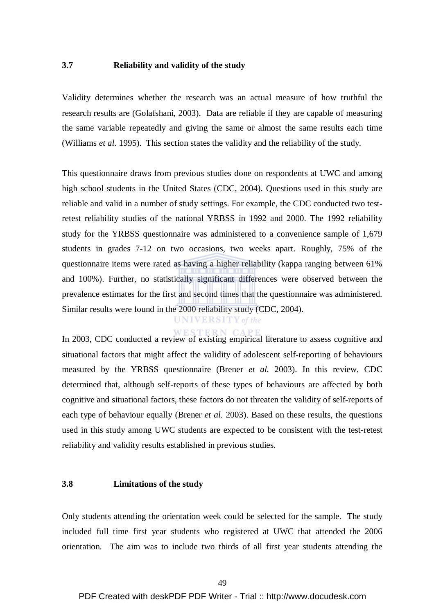#### **3.7 Reliability and validity of the study**

Validity determines whether the research was an actual measure of how truthful the research results are (Golafshani, 2003). Data are reliable if they are capable of measuring the same variable repeatedly and giving the same or almost the same results each time (Williams *et al.* 1995). This section states the validity and the reliability of the study.

This questionnaire draws from previous studies done on respondents at UWC and among high school students in the United States (CDC, 2004). Questions used in this study are reliable and valid in a number of study settings. For example, the CDC conducted two testretest reliability studies of the national YRBSS in 1992 and 2000. The 1992 reliability study for the YRBSS questionnaire was administered to a convenience sample of 1,679 students in grades 7-12 on two occasions, two weeks apart. Roughly, 75% of the questionnaire items were rated as having a higher reliability (kappa ranging between 61% and 100%). Further, no statistically significant differences were observed between the prevalence estimates for the first and second times that the questionnaire was administered. Similar results were found in the 2000 reliability study (CDC, 2004).

# **UNIVERSITY** of the

In 2003, CDC conducted a review of existing empirical literature to assess cognitive and situational factors that might affect the validity of adolescent self-reporting of behaviours measured by the YRBSS questionnaire (Brener *et al.* 2003). In this review, CDC determined that, although self-reports of these types of behaviours are affected by both cognitive and situational factors, these factors do not threaten the validity of self-reports of each type of behaviour equally (Brener *et al.* 2003). Based on these results, the questions used in this study among UWC students are expected to be consistent with the test-retest reliability and validity results established in previous studies.

# **3.8 Limitations of the study**

Only students attending the orientation week could be selected for the sample. The study included full time first year students who registered at UWC that attended the 2006 orientation. The aim was to include two thirds of all first year students attending the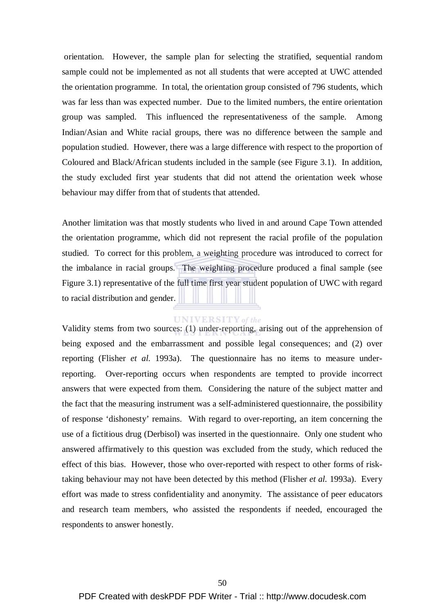orientation. However, the sample plan for selecting the stratified, sequential random sample could not be implemented as not all students that were accepted at UWC attended the orientation programme. In total, the orientation group consisted of 796 students, which was far less than was expected number. Due to the limited numbers, the entire orientation group was sampled. This influenced the representativeness of the sample. Among Indian/Asian and White racial groups, there was no difference between the sample and population studied. However, there was a large difference with respect to the proportion of Coloured and Black/African students included in the sample (see Figure 3.1). In addition, the study excluded first year students that did not attend the orientation week whose behaviour may differ from that of students that attended.

Another limitation was that mostly students who lived in and around Cape Town attended the orientation programme, which did not represent the racial profile of the population studied. To correct for this problem, a weighting procedure was introduced to correct for the imbalance in racial groups. The weighting procedure produced a final sample (see Figure 3.1) representative of the full time first year student population of UWC with regard to racial distribution and gender.

#### **UNIVERSITY** of the

Validity stems from two sources: (1) under-reporting, arising out of the apprehension of being exposed and the embarrassment and possible legal consequences; and (2) over reporting (Flisher *et al.* 1993a). The questionnaire has no items to measure underreporting. Over-reporting occurs when respondents are tempted to provide incorrect answers that were expected from them. Considering the nature of the subject matter and the fact that the measuring instrument was a self-administered questionnaire, the possibility of response 'dishonesty' remains. With regard to over-reporting, an item concerning the use of a fictitious drug (Derbisol) was inserted in the questionnaire. Only one student who answered affirmatively to this question was excluded from the study, which reduced the effect of this bias. However, those who over-reported with respect to other forms of risktaking behaviour may not have been detected by this method (Flisher *et al.* 1993a). Every effort was made to stress confidentiality and anonymity. The assistance of peer educators and research team members, who assisted the respondents if needed, encouraged the respondents to answer honestly.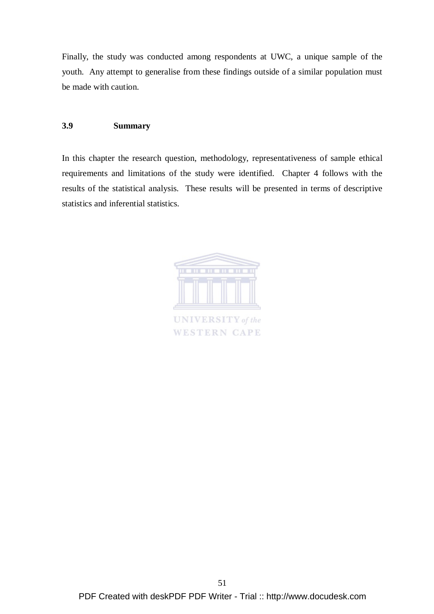Finally, the study was conducted among respondents at UWC, a unique sample of the youth. Any attempt to generalise from these findings outside of a similar population must be made with caution.

# **3.9 Summary**

In this chapter the research question, methodology, representativeness of sample ethical requirements and limitations of the study were identified. Chapter 4 follows with the results of the statistical analysis. These results will be presented in terms of descriptive statistics and inferential statistics.

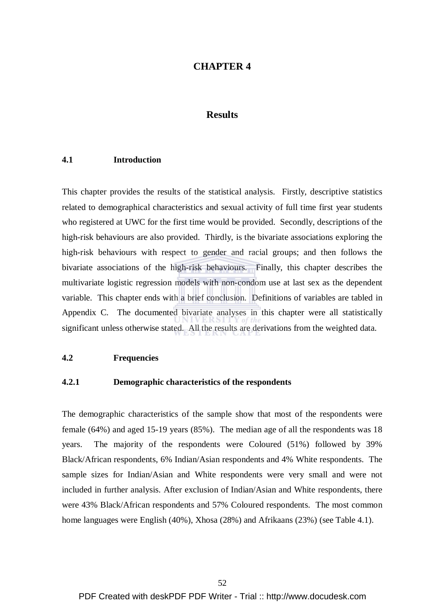# **CHAPTER 4**

# **Results**

## **4.1 Introduction**

This chapter provides the results of the statistical analysis. Firstly, descriptive statistics related to demographical characteristics and sexual activity of full time first year students who registered at UWC for the first time would be provided. Secondly, descriptions of the high-risk behaviours are also provided. Thirdly, is the bivariate associations exploring the high-risk behaviours with respect to gender and racial groups; and then follows the bivariate associations of the high-risk behaviours. Finally, this chapter describes the multivariate logistic regression models with non-condom use at last sex as the dependent variable. This chapter ends with a brief conclusion. Definitions of variables are tabled in Appendix C. The documented bivariate analyses in this chapter were all statistically significant unless otherwise stated. All the results are derivations from the weighted data.

#### **4.2 Frequencies**

# **4.2.1 Demographic characteristics of the respondents**

The demographic characteristics of the sample show that most of the respondents were female (64%) and aged 15-19 years (85%). The median age of all the respondents was 18 years. The majority of the respondents were Coloured (51%) followed by 39% Black/African respondents, 6% Indian/Asian respondents and 4% White respondents. The sample sizes for Indian/Asian and White respondents were very small and were not included in further analysis. After exclusion of Indian/Asian and White respondents, there were 43% Black/African respondents and 57% Coloured respondents. The most common home languages were English (40%), Xhosa (28%) and Afrikaans (23%) (see Table 4.1).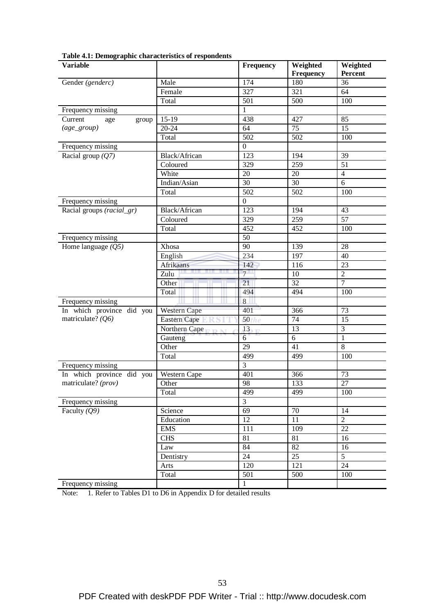| <b>Variable</b>           |                               | Frequency        | Weighted         | Weighted        |
|---------------------------|-------------------------------|------------------|------------------|-----------------|
|                           |                               |                  | Frequency        | <b>Percent</b>  |
| Gender (genderc)          | Male                          | 174              | 180              | $\overline{36}$ |
|                           | Female                        | $\overline{327}$ | $\overline{321}$ | 64              |
|                           | Total                         | 501              | 500              | 100             |
| Frequency missing         |                               | $\mathbf{1}$     |                  |                 |
| Current<br>age<br>group   | $15-19$                       | 438              | 427              | 85              |
| $(age\_group)$            | 20-24                         | 64               | 75               | 15              |
|                           | Total                         | 502              | 502              | 100             |
| Frequency missing         |                               | $\overline{0}$   |                  |                 |
| Racial group $(Q7)$       | Black/African                 | 123              | 194              | $\overline{39}$ |
|                           | Coloured                      | $\overline{329}$ | 259              | 51              |
|                           | White                         | $20\,$           | 20               | $\overline{4}$  |
|                           | Indian/Asian                  | 30               | 30               | $6\,$           |
|                           | Total                         | 502              | 502              | 100             |
| Frequency missing         |                               | $\mathbf{0}$     |                  |                 |
| Racial groups (racial_gr) | Black/African                 | 123              | 194              | 43              |
|                           | Coloured                      | 329              | 259              | $\overline{57}$ |
|                           | Total                         | 452              | 452              | 100             |
| Frequency missing         |                               | $\overline{50}$  |                  |                 |
| Home language $(Q5)$      | Xhosa                         | 90               | 139              | 28              |
|                           | $\overline{\mathrm{English}}$ | 234              | 197              | 40              |
|                           | Afrikaans                     | 142              | 116              | $\overline{23}$ |
|                           | Zulu                          | $7^{\circ}$      | 10               | $\overline{2}$  |
|                           | Other                         | $\overline{21}$  | 32               | $\overline{7}$  |
|                           | Total                         | $\overline{494}$ | 494              | 100             |
| Frequency missing         |                               | $\overline{8}$   |                  |                 |
| In which province did you | Western Cape                  | 401              | 366              | 73              |
| matriculate? $(Q6)$       | Eastern Cape                  | $50$ the         | 74               | 15              |
|                           | Northern Cape                 | 13 <sub>CD</sub> | 13               | $\overline{3}$  |
|                           | Gauteng                       | 6                | 6                | $\mathbf{1}$    |
|                           | Other                         | 29               | 41               | $\overline{8}$  |
|                           | Total                         | 499              | 499              | 100             |
| Frequency missing         |                               | $\overline{3}$   |                  |                 |
| In which province did you | Western Cape                  | 401              | 366              | 73              |
| matriculate? (prov)       | Other                         | 98               | 133              | $\overline{27}$ |
|                           | Total                         | 499              | 499              | 100             |
| Frequency missing         |                               | 3                |                  |                 |
| Faculty $(Q9)$            | Science                       | $\overline{69}$  | $\overline{70}$  | 14              |
|                           | Education                     | 12               | 11               | $\overline{2}$  |
|                           | <b>EMS</b>                    | 111              | 109              | 22              |
|                           |                               |                  |                  |                 |
|                           | CHS                           | 81               | 81               | 16              |
|                           | Law                           | 84               | 82               | 16              |
|                           | Dentistry                     | 24               | 25               | $\overline{5}$  |
|                           | Arts                          | 120              | 121              | $\overline{24}$ |
|                           | Total                         | 501              | 500              | 100             |
| Frequency missing         |                               | $\mathbf{1}$     |                  |                 |

**Table 4.1: Demographic characteristics of respondents** 

Note: 1. Refer to Tables D1 to D6 in Appendix D for detailed results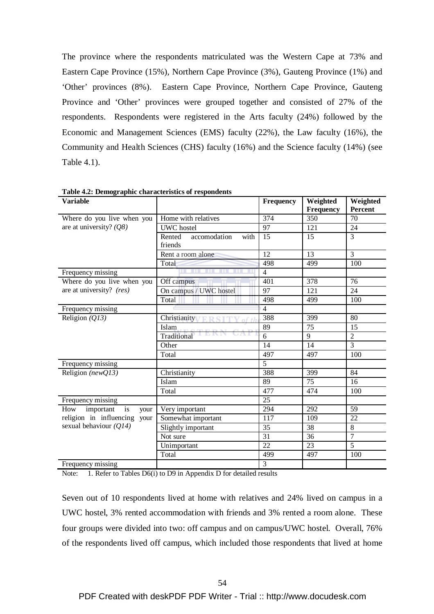The province where the respondents matriculated was the Western Cape at 73% and Eastern Cape Province (15%), Northern Cape Province (3%), Gauteng Province (1%) and 'Other' provinces (8%). Eastern Cape Province, Northern Cape Province, Gauteng Province and 'Other' provinces were grouped together and consisted of 27% of the respondents. Respondents were registered in the Arts faculty (24%) followed by the Economic and Management Sciences (EMS) faculty (22%), the Law faculty (16%), the Community and Health Sciences (CHS) faculty (16%) and the Science faculty (14%) (see Table 4.1).

| <b>Variable</b>                 |                                           | <b>Frequency</b> | Weighted<br>Frequency | Weighted<br><b>Percent</b> |
|---------------------------------|-------------------------------------------|------------------|-----------------------|----------------------------|
| Where do you live when you      | Home with relatives                       | 374              | 350                   | 70                         |
| are at university? $(Q8)$       | <b>UWC</b> hostel                         | 97               | 121                   | 24                         |
|                                 | Rented<br>accomodation<br>with<br>friends | 15               | 15                    | $\overline{3}$             |
|                                 | Rent a room alone                         | $\overline{12}$  | $\overline{13}$       | 3                          |
|                                 | Total                                     | 498              | 499                   | 100                        |
| Frequency missing               |                                           | $\overline{4}$   |                       |                            |
| Where do you live when you      | Off campus                                | 401              | $\overline{378}$      | $\overline{76}$            |
| are at university? (res)        | On campus / UWC hostel                    | $\overline{97}$  | 121                   | $\overline{24}$            |
|                                 | Total                                     | 498              | 499                   | 100                        |
| Frequency missing               |                                           | $\overline{4}$   |                       |                            |
| Religion $(Q13)$                | Christianity                              | 388              | 399                   | 80                         |
|                                 | Islam                                     | 89               | 75                    | 15                         |
|                                 | Traditional                               | 6                | 9                     | $\overline{2}$             |
|                                 | Other                                     | 14               | 14                    | $\overline{3}$             |
|                                 | Total                                     | 497              | 497                   | 100                        |
| Frequency missing               |                                           | $\overline{5}$   |                       |                            |
| Religion (newQ13)               | Christianity                              | 388              | 399                   | 84                         |
|                                 | Islam                                     | 89               | 75                    | 16                         |
|                                 | Total                                     | 477              | 474                   | 100                        |
| Frequency missing               |                                           | $\overline{25}$  |                       |                            |
| How<br>important<br>is<br>your  | Very important                            | 294              | 292                   | 59                         |
| religion in influencing<br>your | Somewhat important                        | 117              | 109                   | $\overline{22}$            |
| sexual behaviour $(Q14)$        | Slightly important                        | 35               | 38                    | 8                          |
|                                 | Not sure                                  | 31               | 36                    | $\overline{7}$             |
|                                 | Unimportant                               | $\overline{22}$  | 23                    | $\overline{5}$             |
|                                 | Total                                     | 499              | 497                   | 100                        |
| Frequency missing               |                                           | $\overline{3}$   |                       |                            |

**Table 4.2: Demographic characteristics of respondents** 

Note: 1. Refer to Tables D6(i) to D9 in Appendix D for detailed results

Seven out of 10 respondents lived at home with relatives and 24% lived on campus in a UWC hostel, 3% rented accommodation with friends and 3% rented a room alone. These four groups were divided into two: off campus and on campus/UWC hostel. Overall, 76% of the respondents lived off campus, which included those respondents that lived at home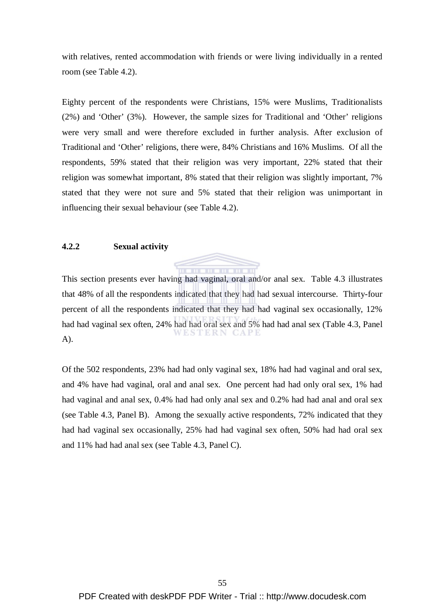with relatives, rented accommodation with friends or were living individually in a rented room (see Table 4.2).

Eighty percent of the respondents were Christians, 15% were Muslims, Traditionalists (2%) and 'Other' (3%). However, the sample sizes for Traditional and 'Other' religions were very small and were therefore excluded in further analysis. After exclusion of Traditional and 'Other' religions, there were, 84% Christians and 16% Muslims. Of all the respondents, 59% stated that their religion was very important, 22% stated that their religion was somewhat important, 8% stated that their religion was slightly important, 7% stated that they were not sure and 5% stated that their religion was unimportant in influencing their sexual behaviour (see Table 4.2).

# **4.2.2 Sexual activity**

This section presents ever having had vaginal, oral and/or anal sex. Table 4.3 illustrates that 48% of all the respondents indicated that they had had sexual intercourse. Thirty-four percent of all the respondents indicated that they had had vaginal sex occasionally, 12% had had vaginal sex often, 24% had had oral sex and 5% had had anal sex (Table 4.3, Panel A).

Of the 502 respondents, 23% had had only vaginal sex, 18% had had vaginal and oral sex, and 4% have had vaginal, oral and anal sex. One percent had had only oral sex, 1% had had vaginal and anal sex, 0.4% had had only anal sex and 0.2% had had anal and oral sex (see Table 4.3, Panel B). Among the sexually active respondents, 72% indicated that they had had vaginal sex occasionally, 25% had had vaginal sex often, 50% had had oral sex and 11% had had anal sex (see Table 4.3, Panel C).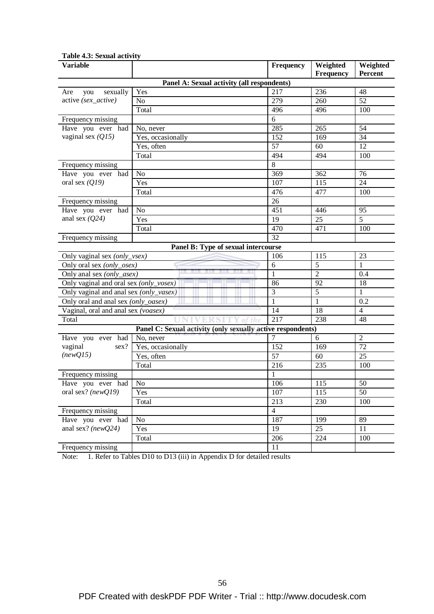| <b>Variable</b>                        |                                                             | <b>Frequency</b> | Weighted       | Weighted       |
|----------------------------------------|-------------------------------------------------------------|------------------|----------------|----------------|
|                                        |                                                             |                  | Frequency      | Percent        |
|                                        | Panel A: Sexual activity (all respondents)                  |                  |                |                |
| sexually<br>Are<br>you                 | Yes                                                         | 217              | 236            | 48             |
| active (sex_active)                    | N <sub>o</sub>                                              | 279              | 260            | 52             |
|                                        | Total                                                       | 496              | 496            | 100            |
| Frequency missing                      |                                                             | 6                |                |                |
| Have you ever had                      | No, never                                                   | 285              | 265            | 54             |
| vaginal sex $(Q15)$                    | Yes, occasionally                                           | 152              | 169            | 34             |
|                                        | Yes, often                                                  | 57               | 60             | 12             |
|                                        | Total                                                       | 494              | 494            | 100            |
| Frequency missing                      |                                                             | $8\,$            |                |                |
| Have you ever had                      | N <sub>o</sub>                                              | 369              | 362            | 76             |
| oral sex $(Q19)$                       | Yes                                                         | 107              | 115            | 24             |
|                                        | Total                                                       | 476              | 477            | 100            |
| Frequency missing                      |                                                             | 26               |                |                |
| Have you ever had                      | No                                                          | 451              | 446            | 95             |
| anal sex $(Q24)$                       | Yes                                                         | 19               | 25             | 5              |
|                                        | Total                                                       | 470              | 471            | 100            |
| Frequency missing                      |                                                             | $\overline{32}$  |                |                |
|                                        | Panel B: Type of sexual intercourse                         |                  |                |                |
| Only vaginal sex (only_vsex)           |                                                             | 106              | 115            | 23             |
| Only oral sex (only_osex)              |                                                             | 6                | 5              | $\mathbf{1}$   |
| Only anal sex (only_asex)              |                                                             | 1                | $\overline{2}$ | 0.4            |
| Only vaginal and oral sex (only_vosex) |                                                             | 86               | 92             | 18             |
| Only vaginal and anal sex (only_vasex) |                                                             | 3                | 5              | 1              |
| Only oral and anal sex (only_oasex)    |                                                             | 1                | 1              | 0.2            |
| Vaginal, oral and anal sex (voasex)    |                                                             | 14               | 18             | $\overline{4}$ |
| Total                                  |                                                             | 217              | 238            | 48             |
|                                        | Panel C: Sexual activity (only sexually active respondents) |                  |                |                |
| Have you ever had                      | No, never                                                   | 7                | $\overline{6}$ | $\overline{2}$ |
| vaginal<br>sex?                        | Yes, occasionally                                           | 152              | 169            | 72             |
| (newQ15)                               | Yes, often                                                  | 57               | 60             | 25             |
|                                        | Total                                                       | $\overline{216}$ | 235            | 100            |
| Frequency missing                      |                                                             | 1                |                |                |
| Have you ever had                      | N <sub>0</sub>                                              | 106              | 115            | 50             |
| oral sex? (newQ19)                     | Yes                                                         | 107              | 115            | 50             |
|                                        | Total                                                       | 213              | 230            | 100            |
| Frequency missing                      |                                                             | $\overline{4}$   |                |                |
| Have you ever had                      | No                                                          | 187              | 199            | 89             |
| anal sex? ( $newQ24$ )                 | Yes                                                         | 19               | 25             | 11             |
|                                        |                                                             |                  |                |                |
|                                        | Total                                                       | 206              | 224            | 100            |
| Frequency missing                      |                                                             | 11               |                |                |

**Table 4.3: Sexual activity** 

Note: 1. Refer to Tables D10 to D13 (iii) in Appendix D for detailed results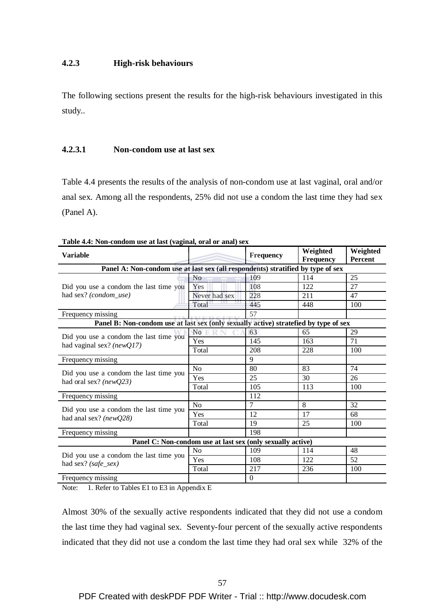## **4.2.3 High-risk behaviours**

The following sections present the results for the high-risk behaviours investigated in this study..

# **4.2.3.1 Non-condom use at last sex**

Table 4.4 presents the results of the analysis of non-condom use at last vaginal, oral and/or anal sex. Among all the respondents, 25% did not use a condom the last time they had sex (Panel A).

| <b>Variable</b>                                                                      |                | <b>Frequency</b> | Weighted<br><b>Frequency</b> | Weighted<br>Percent |  |  |
|--------------------------------------------------------------------------------------|----------------|------------------|------------------------------|---------------------|--|--|
| Panel A: Non-condom use at last sex (all respondents) stratified by type of sex      |                |                  |                              |                     |  |  |
|                                                                                      | N <sub>0</sub> | 109              | 114                          | 25                  |  |  |
| Did you use a condom the last time you                                               | Yes            | 108              | 122                          | 27                  |  |  |
| had sex? (condom_use)                                                                | Never had sex  | 228              | 211                          | 47                  |  |  |
|                                                                                      | Total          | 445              | 448                          | 100                 |  |  |
| Frequency missing                                                                    |                | 57               |                              |                     |  |  |
| Panel B: Non-condom use at last sex (only sexually active) stratefied by type of sex |                |                  |                              |                     |  |  |
| Did you use a condom the last time you                                               | N <sub>0</sub> | 63               | 65                           | 29                  |  |  |
| had vaginal sex? ( $newQ17$ )                                                        | Yes            | 145              | 163                          | 71                  |  |  |
|                                                                                      | Total          | 208              | 228                          | 100                 |  |  |
| Frequency missing                                                                    |                | 9                |                              |                     |  |  |
|                                                                                      | No             | 80               | 83                           | 74                  |  |  |
| Did you use a condom the last time you<br>had oral sex? (newQ23)                     | Yes            | 25               | 30                           | 26                  |  |  |
|                                                                                      | Total          | 105              | 113                          | 100                 |  |  |
| Frequency missing                                                                    |                | 112              |                              |                     |  |  |
|                                                                                      | No             | $\tau$           | 8                            | 32                  |  |  |
| Did you use a condom the last time you<br>had anal sex? (newQ28)                     | Yes            | 12               | 17                           | 68                  |  |  |
|                                                                                      | Total          | 19               | 25                           | 100                 |  |  |
| Frequency missing                                                                    |                | 198              |                              |                     |  |  |
| Panel C: Non-condom use at last sex (only sexually active)                           |                |                  |                              |                     |  |  |
|                                                                                      | N <sub>0</sub> | 109              | 114                          | 48                  |  |  |
| Did you use a condom the last time you<br>had sex? (safe_sex)                        | Yes            | 108              | 122                          | 52                  |  |  |
|                                                                                      | Total          | 217              | 236                          | 100                 |  |  |
| Frequency missing                                                                    |                | $\mathbf{0}$     |                              |                     |  |  |

**Table 4.4: Non-condom use at last (vaginal, oral or anal) sex** 

Note: 1. Refer to Tables E1 to E3 in Appendix E

Almost 30% of the sexually active respondents indicated that they did not use a condom the last time they had vaginal sex. Seventy-four percent of the sexually active respondents indicated that they did not use a condom the last time they had oral sex while 32% of the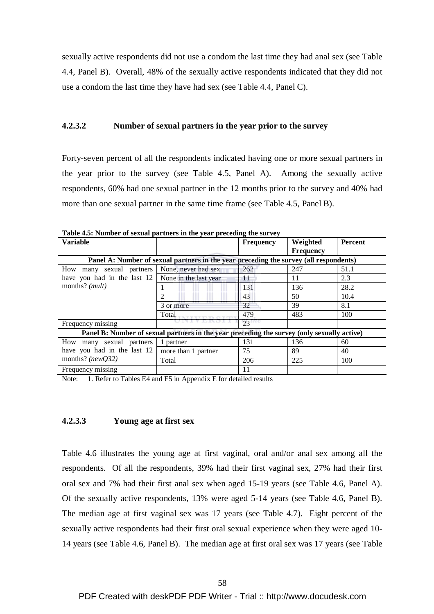sexually active respondents did not use a condom the last time they had anal sex (see Table 4.4, Panel B). Overall, 48% of the sexually active respondents indicated that they did not use a condom the last time they have had sex (see Table 4.4, Panel C).

#### **4.2.3.2 Number of sexual partners in the year prior to the survey**

Forty-seven percent of all the respondents indicated having one or more sexual partners in the year prior to the survey (see Table 4.5, Panel A). Among the sexually active respondents, 60% had one sexual partner in the 12 months prior to the survey and 40% had more than one sexual partner in the same time frame (see Table 4.5, Panel B).

| <b>Variable</b>                                                                       |                                                                                            | <b>Frequency</b> | Weighted<br><b>Frequency</b> | <b>Percent</b> |  |
|---------------------------------------------------------------------------------------|--------------------------------------------------------------------------------------------|------------------|------------------------------|----------------|--|
| Panel A: Number of sexual partners in the year preceding the survey (all respondents) |                                                                                            |                  |                              |                |  |
| How many sexual partners                                                              | None, never had sex                                                                        | 262              | 247                          | 51.1           |  |
| have you had in the last $12$ None in the last year                                   |                                                                                            | 11               | 11                           | 2.3            |  |
| months? ( <i>mult</i> )                                                               |                                                                                            | 131              | 136                          | 28.2           |  |
|                                                                                       |                                                                                            | 43               | 50                           | 10.4           |  |
|                                                                                       | 3 or more                                                                                  | 32               | 39                           | 8.1            |  |
|                                                                                       | Total                                                                                      | 479              | 483                          | 100            |  |
| Frequency missing                                                                     |                                                                                            | $23 -$           |                              |                |  |
|                                                                                       | Panel B: Number of sexual partners in the year preceding the survey (only sexually active) |                  |                              |                |  |
| How many sexual partners                                                              | 1 partner                                                                                  | 131              | 136                          | 60             |  |
| have you had in the last 12                                                           | more than 1 partner                                                                        | 75               | 89                           | 40             |  |
| months? ( $newQ32$ )                                                                  | Total                                                                                      | 206              | 225                          | 100            |  |
| Frequency missing                                                                     |                                                                                            | 11               |                              |                |  |

**Table 4.5: Number of sexual partners in the year preceding the survey** 

Note: 1. Refer to Tables E4 and E5 in Appendix E for detailed results

#### **4.2.3.3 Young age at first sex**

Table 4.6 illustrates the young age at first vaginal, oral and/or anal sex among all the respondents. Of all the respondents, 39% had their first vaginal sex, 27% had their first oral sex and 7% had their first anal sex when aged 15-19 years (see Table 4.6, Panel A). Of the sexually active respondents, 13% were aged 5-14 years (see Table 4.6, Panel B). The median age at first vaginal sex was 17 years (see Table 4.7). Eight percent of the sexually active respondents had their first oral sexual experience when they were aged 10- 14 years (see Table 4.6, Panel B). The median age at first oral sex was 17 years (see Table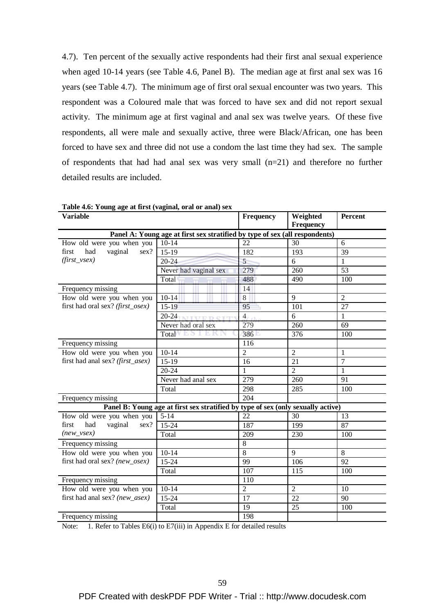4.7). Ten percent of the sexually active respondents had their first anal sexual experience when aged 10-14 years (see Table 4.6, Panel B). The median age at first anal sex was 16 years (see Table 4.7). The minimum age of first oral sexual encounter was two years. This respondent was a Coloured male that was forced to have sex and did not report sexual activity. The minimum age at first vaginal and anal sex was twelve years. Of these five respondents, all were male and sexually active, three were Black/African, one has been forced to have sex and three did not use a condom the last time they had sex. The sample of respondents that had had anal sex was very small (n=21) and therefore no further detailed results are included.

| <b>Variable</b>                  |                                                                                  | Frequency        | Weighted<br>Frequency | Percent         |
|----------------------------------|----------------------------------------------------------------------------------|------------------|-----------------------|-----------------|
|                                  | Panel A: Young age at first sex stratified by type of sex (all respondents)      |                  |                       |                 |
| How old were you when you        | $10 - 14$                                                                        | 22               | 30                    | 6               |
| vaginal<br>had<br>sex?<br>first  | $15-19$                                                                          | 182              | 193                   | 39              |
| $(first\_vsex)$                  | $20 - 24$                                                                        | 5                | 6                     | $\mathbf{1}$    |
|                                  | Never had vaginal sex                                                            | 279              | 260                   | 53              |
|                                  | Total                                                                            | 488              | 490                   | 100             |
| Frequency missing                |                                                                                  | 14               |                       |                 |
| How old were you when you        | $10-14$                                                                          | 8                | 9                     | $\overline{2}$  |
| first had oral sex? (first_osex) | $15-19$                                                                          | 95               | 101                   | 27              |
|                                  | $20 - 24$<br><b>NIVERSIT</b>                                                     | 4 <sub>1</sub>   | 6                     | $\mathbf{1}$    |
|                                  | Never had oral sex                                                               | 279              | 260                   | $\overline{69}$ |
|                                  | ESTERN<br>Total                                                                  | 386              | 376                   | 100             |
| Frequency missing                |                                                                                  | 116              |                       |                 |
| How old were you when you        | $10 - 14$                                                                        | $\overline{2}$   | $\overline{2}$        | 1               |
| first had anal sex? (first_asex) | $15-19$                                                                          | 16               | 21                    | $\overline{7}$  |
|                                  | $20 - 24$                                                                        | $\mathbf{1}$     | $\overline{2}$        | $\mathbf{1}$    |
|                                  | Never had anal sex                                                               | $\overline{279}$ | 260                   | 91              |
|                                  | Total                                                                            | 298              | 285                   | 100             |
| Frequency missing                |                                                                                  | 204              |                       |                 |
|                                  | Panel B: Young age at first sex stratified by type of sex (only sexually active) |                  |                       |                 |
| How old were you when you        | $5-14$                                                                           | 22               | $\overline{30}$       | $\overline{13}$ |
| vaginal<br>had<br>sex?<br>first  | $15 - 24$                                                                        | 187              | 199                   | $\overline{87}$ |
| $(new_vsex)$                     | Total                                                                            | 209              | 230                   | 100             |
| Frequency missing                |                                                                                  | 8                |                       |                 |
| How old were you when you        | $10-14$                                                                          | $\overline{8}$   | $\overline{9}$        | $\overline{8}$  |
| first had oral sex? (new_osex)   | $15 - 24$                                                                        | 99               | 106                   | $\overline{92}$ |
|                                  | Total                                                                            | 107              | 115                   | 100             |
| Frequency missing                |                                                                                  | 110              |                       |                 |
| How old were you when you        | $10-14$                                                                          | $\overline{2}$   | $\overline{2}$        | 10              |
| first had anal sex? (new_asex)   | $15 - 24$                                                                        | 17               | 22                    | 90              |
|                                  | Total                                                                            | 19               | 25                    | 100             |
| Frequency missing                |                                                                                  | 198              |                       |                 |

**Table 4.6: Young age at first (vaginal, oral or anal) sex** 

Note: 1. Refer to Tables E6(i) to E7(iii) in Appendix E for detailed results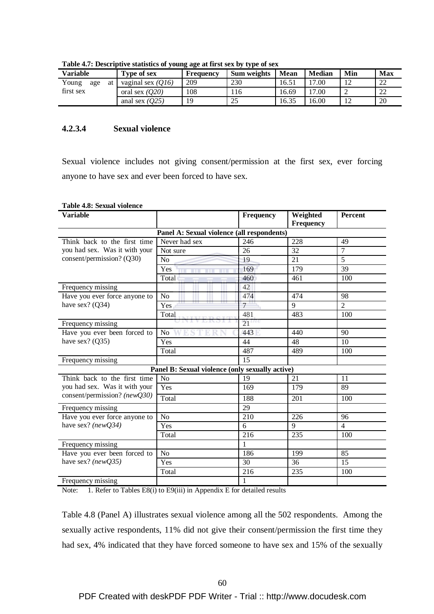| <b>Variable</b>    | <b>Type of sex</b>    | Frequency | Sum weights | <b>Mean</b> | <b>Median</b> | Min | <b>Max</b> |
|--------------------|-----------------------|-----------|-------------|-------------|---------------|-----|------------|
| Young<br>at<br>age | vaginal sex $(0.016)$ | 209       | 230         | 16.51       | 17.00         |     | ാ<br>LL    |
| first sex          | oral sex $(0.20)$     | 108       | 116         | 6.69        | 17.00         |     | $\cap$     |
|                    | anal sex $(0.25)$     | 19        | 25          | 16.35       | 16.00         | 12  | 20         |

**Table 4.7: Descriptive statistics of young age at first sex by type of sex** 

# **4.2.3.4 Sexual violence**

Sexual violence includes not giving consent/permission at the first sex, ever forcing anyone to have sex and ever been forced to have sex.

| <b>Variable</b>               |                                                 | Frequency      | Weighted<br><b>Frequency</b> | Percent         |
|-------------------------------|-------------------------------------------------|----------------|------------------------------|-----------------|
|                               | Panel A: Sexual violence (all respondents)      |                |                              |                 |
| Think back to the first time  | Never had sex                                   | 246            | $\overline{228}$             | 49              |
| you had sex. Was it with your | Not sure                                        | 26             | 32                           | 7               |
| consent/permission? (Q30)     | N <sub>o</sub>                                  | 19             | 21                           | $\overline{5}$  |
|                               | Yes                                             | 169            | 179                          | 39              |
|                               | Total                                           | 460            | 461                          | 100             |
| Frequency missing             |                                                 | 42             |                              |                 |
| Have you ever force anyone to | N <sub>o</sub>                                  | 474            | 474                          | 98              |
| have sex? $(Q34)$             | Yes.                                            | $\overline{7}$ | 9                            | $\overline{2}$  |
|                               | Total                                           | 481            | 483                          | 100             |
| Frequency missing             |                                                 | 21             |                              |                 |
| Have you ever been forced to  | N <sub>o</sub>                                  | 443            | 440                          | 90              |
| have sex? $(Q35)$             | Yes                                             | 44             | 48                           | 10              |
|                               | Total                                           | 487            | 489                          | 100             |
| Frequency missing             |                                                 | 15             |                              |                 |
|                               | Panel B: Sexual violence (only sexually active) |                |                              |                 |
| Think back to the first time  | N <sub>o</sub>                                  | 19             | 21                           | 11              |
| you had sex. Was it with your | Yes                                             | 169            | 179                          | 89              |
| consent/permission? (newQ30)  | Total                                           | 188            | 201                          | 100             |
| Frequency missing             |                                                 | 29             |                              |                 |
| Have you ever force anyone to | N <sub>o</sub>                                  | 210            | 226                          | 96              |
| have sex? ( $newQ34$ )        | Yes                                             | 6              | 9                            | $\overline{4}$  |
|                               | Total                                           | 216            | 235                          | 100             |
| Frequency missing             |                                                 | 1              |                              |                 |
| Have you ever been forced to  | N <sub>o</sub>                                  | 186            | 199                          | 85              |
| have sex? ( $newQ35$ )        | Yes                                             | 30             | 36                           | $\overline{15}$ |
|                               | Total                                           | 216            | 235                          | 100             |
| Frequency missing             |                                                 | $\mathbf{1}$   |                              |                 |

| Table 4.8: Sexual violence |  |  |
|----------------------------|--|--|
|----------------------------|--|--|

Note: 1. Refer to Tables E8(i) to E9(iii) in Appendix E for detailed results

Table 4.8 (Panel A) illustrates sexual violence among all the 502 respondents. Among the sexually active respondents, 11% did not give their consent/permission the first time they had sex, 4% indicated that they have forced someone to have sex and 15% of the sexually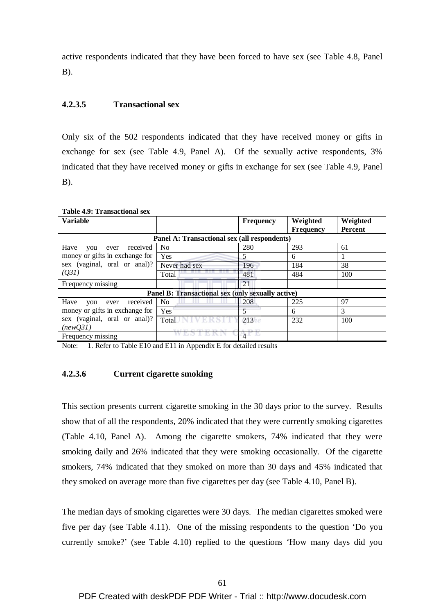active respondents indicated that they have been forced to have sex (see Table 4.8, Panel B).

#### **4.2.3.5 Transactional sex**

Only six of the 502 respondents indicated that they have received money or gifts in exchange for sex (see Table 4.9, Panel A). Of the sexually active respondents, 3% indicated that they have received money or gifts in exchange for sex (see Table 4.9, Panel  $B$ ).

| таріс 7.7. ттанізаснопаг эсл    |                                                          |                      |                  |          |
|---------------------------------|----------------------------------------------------------|----------------------|------------------|----------|
| <b>Variable</b>                 |                                                          | <b>Frequency</b>     | Weighted         | Weighted |
|                                 |                                                          |                      | <b>Frequency</b> | Percent  |
|                                 | Panel A: Transactional sex (all respondents)             |                      |                  |          |
| received<br>Have<br>you<br>ever | N <sub>0</sub>                                           | 280                  | 293              | 61       |
| money or gifts in exchange for  | <b>Yes</b>                                               | 5                    | 6                |          |
| sex (vaginal, oral or anal)?    | Never had sex                                            | 196                  | 184              | 38       |
| (Q31)                           | <b>Total</b>                                             | 481                  | 484              | 100      |
| Frequency missing               |                                                          | 21                   |                  |          |
|                                 | <b>Panel B: Transactional sex (only sexually active)</b> |                      |                  |          |
| received<br>Have<br>ever<br>you | N <sub>o</sub>                                           | 208                  | 225              | 97       |
| money or gifts in exchange for  | Yes                                                      | 5                    | 6                | 3        |
| sex (vaginal, oral or anal)?    | Total                                                    | 213                  | 232              | 100      |
| (newQ31)                        |                                                          | <b>Service Party</b> |                  |          |
| Frequency missing               |                                                          |                      |                  |          |

**Table 4.9: Transactional sex** 

Note: 1. Refer to Table E10 and E11 in Appendix E for detailed results

# **4.2.3.6 Current cigarette smoking**

This section presents current cigarette smoking in the 30 days prior to the survey. Results show that of all the respondents, 20% indicated that they were currently smoking cigarettes (Table 4.10, Panel A). Among the cigarette smokers, 74% indicated that they were smoking daily and 26% indicated that they were smoking occasionally. Of the cigarette smokers, 74% indicated that they smoked on more than 30 days and 45% indicated that they smoked on average more than five cigarettes per day (see Table 4.10, Panel B).

The median days of smoking cigarettes were 30 days. The median cigarettes smoked were five per day (see Table 4.11). One of the missing respondents to the question 'Do you currently smoke?' (see Table 4.10) replied to the questions 'How many days did you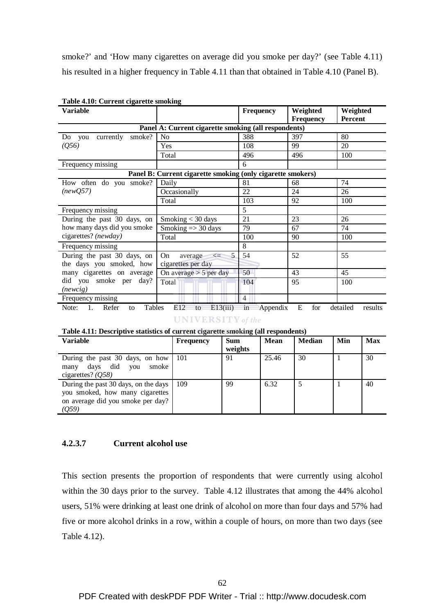smoke?' and 'How many cigarettes on average did you smoke per day?' (see Table 4.11) his resulted in a higher frequency in Table 4.11 than that obtained in Table 4.10 (Panel B).

| <b>Variable</b>               |                                                                                                                                                                                                                                                                                                                                                                                                                                                                                                            | <b>Frequency</b> | Weighted | Weighted<br>Percent |
|-------------------------------|------------------------------------------------------------------------------------------------------------------------------------------------------------------------------------------------------------------------------------------------------------------------------------------------------------------------------------------------------------------------------------------------------------------------------------------------------------------------------------------------------------|------------------|----------|---------------------|
|                               |                                                                                                                                                                                                                                                                                                                                                                                                                                                                                                            |                  |          |                     |
| smoke?<br>currently<br>Do you | No                                                                                                                                                                                                                                                                                                                                                                                                                                                                                                         | 388              | 397      | 80                  |
| (Q56)                         | Yes                                                                                                                                                                                                                                                                                                                                                                                                                                                                                                        | 108              | 99       | 20                  |
|                               | Total                                                                                                                                                                                                                                                                                                                                                                                                                                                                                                      | 496              | 496      | 100                 |
| Frequency missing             | <b>Frequency</b><br>Panel A: Current cigarette smoking (all respondents)<br>6<br>Panel B: Current cigarette smoking (only cigarette smokers)<br>Daily<br>81<br>68<br>22<br>Occasionally<br>24<br>103<br>92<br>Total<br>5<br>Smoking $<$ 30 days<br>21<br>23<br>Smoking $\Rightarrow$ 30 days<br>79<br>67<br>Total<br>90<br>100<br>8<br>54<br>52<br>On<br>average $\leq$ 5<br>cigarettes per day<br>50<br>On average $>$ 5 per day<br>43<br>Total<br>104<br>95<br>$\overline{4}$<br>Tables<br>E<br>Appendix |                  |          |                     |
|                               |                                                                                                                                                                                                                                                                                                                                                                                                                                                                                                            |                  |          |                     |
| How often do you smoke?       |                                                                                                                                                                                                                                                                                                                                                                                                                                                                                                            |                  |          | 74                  |
| (newQ57)                      |                                                                                                                                                                                                                                                                                                                                                                                                                                                                                                            |                  |          | 26                  |
|                               |                                                                                                                                                                                                                                                                                                                                                                                                                                                                                                            |                  |          | 100                 |
| Frequency missing             |                                                                                                                                                                                                                                                                                                                                                                                                                                                                                                            |                  |          |                     |
| During the past 30 days, on   |                                                                                                                                                                                                                                                                                                                                                                                                                                                                                                            |                  |          | 26                  |
| how many days did you smoke   |                                                                                                                                                                                                                                                                                                                                                                                                                                                                                                            |                  |          | 74                  |
| cigarettes? (newday)          |                                                                                                                                                                                                                                                                                                                                                                                                                                                                                                            |                  |          | 100                 |
| Frequency missing             |                                                                                                                                                                                                                                                                                                                                                                                                                                                                                                            |                  |          |                     |
| During the past 30 days, on   |                                                                                                                                                                                                                                                                                                                                                                                                                                                                                                            |                  |          | 55                  |
| the days you smoked, how      |                                                                                                                                                                                                                                                                                                                                                                                                                                                                                                            |                  |          |                     |
| many cigarettes on average    |                                                                                                                                                                                                                                                                                                                                                                                                                                                                                                            |                  |          | 45                  |
| did you smoke per day?        |                                                                                                                                                                                                                                                                                                                                                                                                                                                                                                            |                  |          | 100                 |
| (newcig)                      |                                                                                                                                                                                                                                                                                                                                                                                                                                                                                                            |                  |          |                     |
| Frequency missing             |                                                                                                                                                                                                                                                                                                                                                                                                                                                                                                            |                  |          |                     |
| Refer<br>Note:<br>1.<br>to    | E <sub>12</sub><br>E13(iii)<br>to                                                                                                                                                                                                                                                                                                                                                                                                                                                                          | in               | for      | detailed<br>results |

**Table 4.10: Current cigarette smoking** 

**UNIVERSITY** of the

**Table 4.11: Descriptive statistics of current cigarette smoking (all respondents)** 

| <b>Variable</b>                      | <b>Frequency</b> | <b>Sum</b> | <b>Mean</b> | <b>Median</b> | Min | <b>Max</b> |
|--------------------------------------|------------------|------------|-------------|---------------|-----|------------|
|                                      |                  | weights    |             |               |     |            |
| During the past 30 days, on how      | 101              | 91         | 25.46       | 30            |     | 30         |
| did<br>smoke<br>days<br>vou<br>many  |                  |            |             |               |     |            |
| cigarettes? $(Q58)$                  |                  |            |             |               |     |            |
| During the past 30 days, on the days | 109              | 99         | 6.32        |               |     | 40         |
| you smoked, how many cigarettes      |                  |            |             |               |     |            |
| on average did you smoke per day?    |                  |            |             |               |     |            |
| (Q59)                                |                  |            |             |               |     |            |

# **4.2.3.7 Current alcohol use**

This section presents the proportion of respondents that were currently using alcohol within the 30 days prior to the survey. Table 4.12 illustrates that among the 44% alcohol users, 51% were drinking at least one drink of alcohol on more than four days and 57% had five or more alcohol drinks in a row, within a couple of hours, on more than two days (see Table 4.12).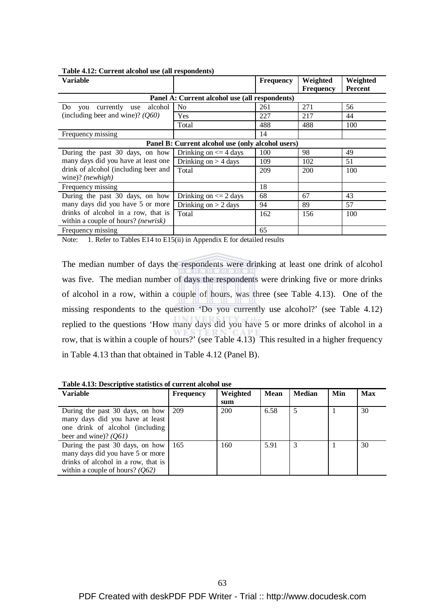**Table 4.12: Current alcohol use (all respondents)** 

| Variable                                     |                                                   | <b>Frequency</b> | Weighted         | Weighted<br><b>Percent</b> |
|----------------------------------------------|---------------------------------------------------|------------------|------------------|----------------------------|
|                                              |                                                   |                  | <b>Frequency</b> |                            |
|                                              | Panel A: Current alcohol use (all respondents)    |                  |                  |                            |
| alcohol<br>Do<br>currently use<br>you        | N <sub>0</sub>                                    | 261              | 271              | 56                         |
| (including beer and wine)? $(Q60)$           | Yes                                               | 227              | 217              | 44                         |
|                                              | Total                                             | 488              | 488              | 100                        |
| Frequency missing                            |                                                   | 14               |                  |                            |
|                                              | Panel B: Current alcohol use (only alcohol users) |                  |                  |                            |
| During the past 30 days, on how              | Drinking on $\leq$ 4 days                         | 100              | 98               | 49                         |
| many days did you have at least one          | Drinking on $>$ 4 days                            | 109              | 102              | 51                         |
| drink of alcohol (including beer and         | Total                                             | 209              | 200              | 100                        |
| wine)? (newhigh)                             |                                                   |                  |                  |                            |
| Frequency missing                            |                                                   | 18               |                  |                            |
| During the past 30 days, on how              | Drinking on $\leq$ 2 days                         | 68               | 67               | 43                         |
| many days did you have 5 or more             | Drinking on $> 2$ days                            | 94               | 89               | 57                         |
| drinks of alcohol in a row, that is          | Total                                             | 162              | 156              | 100                        |
| within a couple of hours? ( <i>newrisk</i> ) |                                                   |                  |                  |                            |
| Frequency missing                            |                                                   | 65               |                  |                            |

Note: 1. Refer to Tables E14 to E15(ii) in Appendix E for detailed results

The median number of days the respondents were drinking at least one drink of alcohol was five. The median number of days the respondents were drinking five or more drinks of alcohol in a row, within a couple of hours, was three (see Table 4.13). One of the missing respondents to the question 'Do you currently use alcohol?' (see Table 4.12) replied to the questions 'How many days did you have 5 or more drinks of alcohol in a row, that is within a couple of hours?' (see Table 4.13) This resulted in a higher frequency in Table 4.13 than that obtained in Table 4.12 (Panel B).

| <b>Variable</b>                     | <b>Frequency</b> | Weighted | <b>Mean</b> | <b>Median</b> | Min | <b>Max</b> |
|-------------------------------------|------------------|----------|-------------|---------------|-----|------------|
|                                     |                  | sum      |             |               |     |            |
| During the past 30 days, on how     | 209              | 200      | 6.58        | 5             |     | 30         |
| many days did you have at least     |                  |          |             |               |     |            |
| one drink of alcohol (including     |                  |          |             |               |     |            |
| beer and wine)? $(Q61)$             |                  |          |             |               |     |            |
| During the past 30 days, on how     | 165              | 160      | 5.91        |               |     | 30         |
| many days did you have 5 or more    |                  |          |             |               |     |            |
| drinks of alcohol in a row, that is |                  |          |             |               |     |            |
| within a couple of hours? $(0.62)$  |                  |          |             |               |     |            |

**Table 4.13: Descriptive statistics of current alcohol use**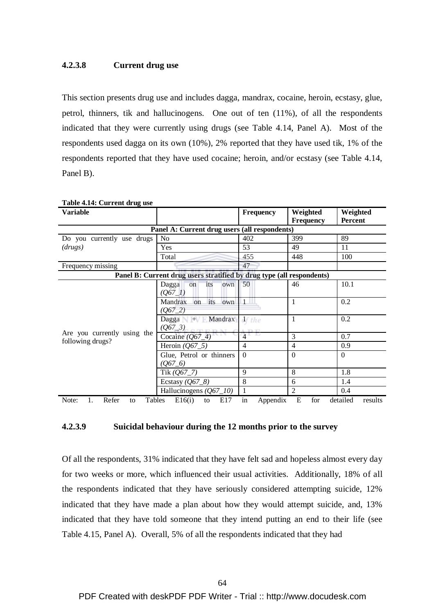#### **4.2.3.8 Current drug use**

This section presents drug use and includes dagga, mandrax, cocaine, heroin, ecstasy, glue, petrol, thinners, tik and hallucinogens. One out of ten (11%), of all the respondents indicated that they were currently using drugs (see Table 4.14, Panel A). Most of the respondents used dagga on its own (10%), 2% reported that they have used tik, 1% of the respondents reported that they have used cocaine; heroin, and/or ecstasy (see Table 4.14, Panel B).

| <b>Variable</b>                      |                                                                       | <b>Frequency</b>       | Weighted         | Weighted            |
|--------------------------------------|-----------------------------------------------------------------------|------------------------|------------------|---------------------|
|                                      |                                                                       |                        | <b>Frequency</b> | Percent             |
|                                      | Panel A: Current drug users (all respondents)                         |                        |                  |                     |
| Do you currently use drugs           | N <sub>o</sub>                                                        | 402                    | 399              | 89                  |
| (drugs)                              | Yes                                                                   | 53                     | 49               | 11                  |
|                                      | Total                                                                 | 455                    | 448              | 100                 |
| Frequency missing                    |                                                                       | 47                     |                  |                     |
|                                      | Panel B: Current drug users stratified by drug type (all respondents) |                        |                  |                     |
|                                      | Dagga<br><i>its</i><br>own<br>on<br>$(Q67_1)$                         | 50                     | 46               | 10.1                |
|                                      | its<br>Mandrax<br>on<br>own<br>(Q672)                                 | $\overline{1}$         | 1                | 0.2                 |
|                                      | $Dagga + Mandrax$<br>$(Q67 - 3)$                                      | of the<br><b>SOUTH</b> | $\mathbf{1}$     | 0.2                 |
| Are you currently using the          | Cocaine $(Q67_4)$                                                     |                        | 3                | 0.7                 |
| following drugs?                     | Heroin $(Q67-5)$                                                      | $\overline{4}$         | $\overline{4}$   | 0.9                 |
|                                      | Glue, Petrol or thinners<br>$(Q67_6)$                                 | $\Omega$               | $\Omega$         | $\Omega$            |
|                                      | Tik $(Q67 - 7)$                                                       | 9                      | 8                | 1.8                 |
|                                      | Ecstasy $(Q67-8)$                                                     | 8                      | 6                | 1.4                 |
|                                      | Hallucinogens (Q67_10)                                                | $\mathbf{1}$           | 2                | 0.4                 |
| Refer<br>Tables<br>Note:<br>1.<br>to | E16(i)<br>E17<br>to                                                   | in<br>Appendix         | for<br>E         | detailed<br>results |

**Table 4.14: Current drug use** 

# **4.2.3.9 Suicidal behaviour during the 12 months prior to the survey**

Of all the respondents, 31% indicated that they have felt sad and hopeless almost every day for two weeks or more, which influenced their usual activities. Additionally, 18% of all the respondents indicated that they have seriously considered attempting suicide, 12% indicated that they have made a plan about how they would attempt suicide, and, 13% indicated that they have told someone that they intend putting an end to their life (see Table 4.15, Panel A). Overall, 5% of all the respondents indicated that they had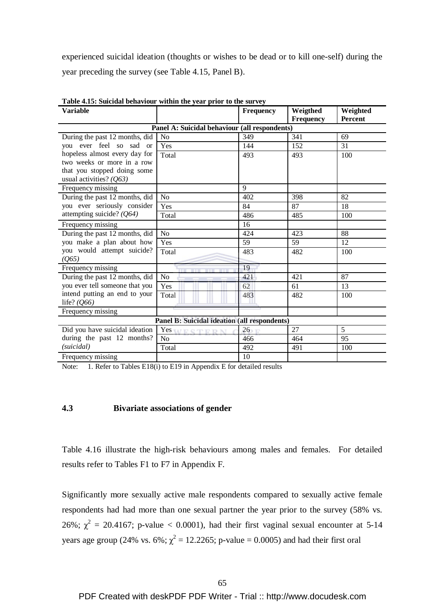experienced suicidal ideation (thoughts or wishes to be dead or to kill one-self) during the year preceding the survey (see Table 4.15, Panel B).

| <b>Variable</b>                |                                               | Frequency | Weigthed<br><b>Frequency</b> | Weighted<br>Percent |
|--------------------------------|-----------------------------------------------|-----------|------------------------------|---------------------|
|                                | Panel A: Suicidal behaviour (all respondents) |           |                              |                     |
| During the past 12 months, did | N <sub>o</sub>                                | 349       | 341                          | 69                  |
| you ever feel so sad or        | Yes                                           | 144       | 152                          | 31                  |
| hopeless almost every day for  | Total                                         | 493       | 493                          | 100                 |
| two weeks or more in a row     |                                               |           |                              |                     |
| that you stopped doing some    |                                               |           |                              |                     |
| usual activities? $(Q63)$      |                                               |           |                              |                     |
| Frequency missing              |                                               | 9         |                              |                     |
| During the past 12 months, did | N <sub>o</sub>                                | 402       | 398                          | 82                  |
| you ever seriously consider    | Yes                                           | 84        | 87                           | 18                  |
| attempting suicide? (Q64)      | Total                                         | 486       | 485                          | 100                 |
| Frequency missing              |                                               | 16        |                              |                     |
| During the past 12 months, did | N <sub>o</sub>                                | 424       | 423                          | 88                  |
| you make a plan about how      | Yes                                           | 59        | 59                           | 12                  |
| you would attempt suicide?     | Total                                         | 483       | 482                          | 100                 |
| (Q65)                          |                                               |           |                              |                     |
| Frequency missing              | <b>TITLE</b>                                  | 19        |                              |                     |
| During the past 12 months, did | N <sub>o</sub>                                | 421       | 421                          | 87                  |
| you ever tell someone that you | Yes                                           | 62        | 61                           | 13                  |
| intend putting an end to your  | Total                                         | 483       | 482                          | 100                 |
| life? $(Q66)$                  |                                               |           |                              |                     |
| Frequency missing              |                                               |           |                              |                     |
|                                | Panel B: Suicidal ideation (all respondents)  |           |                              |                     |
| Did you have suicidal ideation | Yes WESTERN                                   | $26 -$    | 27                           | 5                   |
| during the past 12 months?     | No                                            | 466       | 464                          | 95                  |
| (suicidal)                     | Total                                         | 492       | 491                          | 100                 |
| Frequency missing              |                                               | 10        |                              |                     |

**Table 4.15: Suicidal behaviour within the year prior to the survey** 

Note: 1. Refer to Tables E18(i) to E19 in Appendix E for detailed results

# **4.3 Bivariate associations of gender**

Table 4.16 illustrate the high-risk behaviours among males and females. For detailed results refer to Tables F1 to F7 in Appendix F.

Significantly more sexually active male respondents compared to sexually active female respondents had had more than one sexual partner the year prior to the survey (58% vs. 26%;  $\chi^2$  = 20.4167; p-value < 0.0001), had their first vaginal sexual encounter at 5-14 years age group (24% vs. 6%;  $\chi^2 = 12.2265$ ; p-value = 0.0005) and had their first oral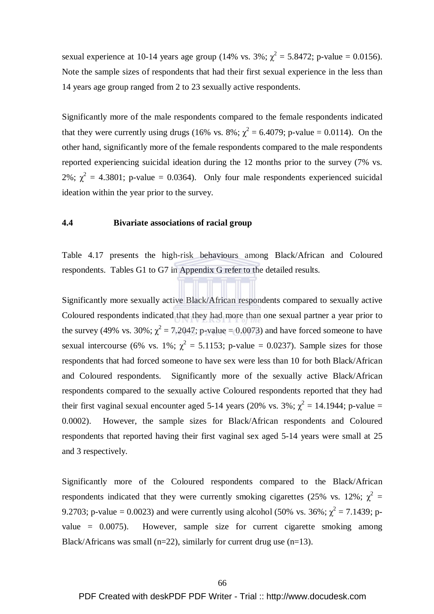sexual experience at 10-14 years age group (14% vs. 3%;  $\chi^2 = 5.8472$ ; p-value = 0.0156). Note the sample sizes of respondents that had their first sexual experience in the less than 14 years age group ranged from 2 to 23 sexually active respondents.

Significantly more of the male respondents compared to the female respondents indicated that they were currently using drugs (16% vs. 8%;  $\chi^2 = 6.4079$ ; p-value = 0.0114). On the other hand, significantly more of the female respondents compared to the male respondents reported experiencing suicidal ideation during the 12 months prior to the survey (7% vs. 2%;  $\chi^2$  = 4.3801; p-value = 0.0364). Only four male respondents experienced suicidal ideation within the year prior to the survey.

#### **4.4 Bivariate associations of racial group**

Table 4.17 presents the high-risk behaviours among Black/African and Coloured respondents. Tables G1 to G7 in Appendix G refer to the detailed results.

Significantly more sexually active Black/African respondents compared to sexually active Coloured respondents indicated that they had more than one sexual partner a year prior to the survey (49% vs. 30%;  $\chi^2 = 7.2047$ ; p-value = 0.0073) and have forced someone to have sexual intercourse (6% vs. 1%;  $\chi^2 = 5.1153$ ; p-value = 0.0237). Sample sizes for those respondents that had forced someone to have sex were less than 10 for both Black/African and Coloured respondents. Significantly more of the sexually active Black/African respondents compared to the sexually active Coloured respondents reported that they had their first vaginal sexual encounter aged 5-14 years (20% vs. 3%;  $\chi^2 = 14.1944$ ; p-value = 0.0002). However, the sample sizes for Black/African respondents and Coloured respondents that reported having their first vaginal sex aged 5-14 years were small at 25 and 3 respectively.

Significantly more of the Coloured respondents compared to the Black/African respondents indicated that they were currently smoking cigarettes (25% vs. 12%;  $\chi^2$  = 9.2703; p-value = 0.0023) and were currently using alcohol (50% vs. 36%;  $\chi^2 = 7.1439$ ; pvalue = 0.0075). However, sample size for current cigarette smoking among Black/Africans was small ( $n=22$ ), similarly for current drug use ( $n=13$ ).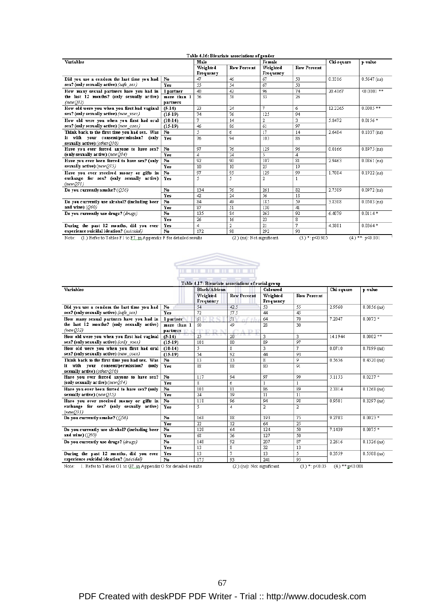|                                                                           |                         |                       | Table 4.16: Bivariate associations of gender |                       |                    |            |                      |
|---------------------------------------------------------------------------|-------------------------|-----------------------|----------------------------------------------|-----------------------|--------------------|------------|----------------------|
| Variables                                                                 |                         | Male                  |                                              | Female                |                    | Chi-square | p-value              |
|                                                                           |                         | Weighted<br>Frequency | <b>Row Percent</b>                           | Weighted<br>Frequency | <b>Row Percent</b> |            |                      |
| Did you use a condom the last time you had                                | No                      | 47                    | 46                                           | 67                    | 50                 | 0.3316     | $0.5647$ (ns)        |
| sex? (only sexually active) (safe sex)                                    | Yes                     | 55                    | 54                                           | 67                    | 50                 |            |                      |
| How many sexual partners have you had in                                  | l partner               | 40                    | 42                                           | 96                    | 74                 | 20.4167    | <0.0001 **           |
| the last 12 months? (only sexually active)<br>(new Q32)                   | more than 1<br>partners | 56                    | 58                                           | 33                    | 26                 |            |                      |
| How old were you when you first had vaginal                               | $(5-14)$                | 23                    | 24                                           | 7                     | ń                  | 12.2265    | $0.0005**$           |
| sex? (only sexually active) (new vsex)                                    | $(15-19)$               | 74                    | 76                                           | 125                   | 94                 |            |                      |
| How old were you when you first had oral                                  | $(10-14)$               | 7                     | 14                                           | 2                     | 3                  | 5.8472     | $0.0156*$            |
| sex? (only sexually active) (new osex)                                    | $(15-19)$               | 46                    | 86                                           | 61                    | 97                 |            |                      |
| Think back to the first time you had sex. Was                             | No                      | 5.                    | 6                                            | 17                    | 14                 | 2.6484     | $0.1037$ (ns)        |
| it with your consent/permission?<br>(only<br>sexually active) (other Q30) | Yes                     | 76                    | 94                                           | 103                   | 86                 |            |                      |
| Have you ever forced anyone to have sex?                                  | No                      | 97                    | 76                                           | 129                   | 96                 | 0.0166     | $0.8975$ (ns)        |
| (only sexually active) (new $(34)$                                        | Yes                     | 4                     | 24                                           | 5.                    | 4                  |            |                      |
| Have you ever been forced to have sex? (only                              | No                      | 92                    | 90                                           | 107                   | 81                 | 2.9463     | $0.0861$ (ns)        |
| sexually active) (new (035)                                               | Yes                     | 10                    | 10                                           | 25                    | 19                 |            |                      |
| Have you ever received money or gifts in                                  | No                      | 97                    | 95                                           | 129                   | 99                 | 1.7004     | $0.1922$ (ns)        |
| exchange for sex? (only sexually active)<br>(newQ31)                      | Yes                     | 5.                    | 5                                            | $\overline{2}$        |                    |            |                      |
| Do you currently smoke? $(0.056)$                                         | $\mathbf{N}$ o          | 134                   | 76                                           | 261                   | 82                 | 2.7509     | $0.0972$ (ns)        |
|                                                                           | Yes                     | 42                    | 24                                           | 56                    | 18                 |            |                      |
| Do you currently use alcohol? (including beer                             | No                      | 84                    | 49                                           | 185                   | 59                 | 3.8308     | $0.0503$ (ns)        |
| and wine) $($ $($ $060)$                                                  | Yes                     | 87                    | 51                                           | 130                   | 41                 |            |                      |
| Do you currently use drugs? (drugs)                                       | No                      | 135                   | 84                                           | 263                   | 92                 | 6.4079     | $0.0114*$            |
|                                                                           | Yes                     | 26                    | 16                                           | 23                    | 8                  |            |                      |
| During the past 12 months, did you ever                                   | Yes                     | 4                     | 2                                            | $\overline{21}$       | 7                  | 4.3801     | $0.0364*$            |
| experience suicidal ideation? (suicidal)                                  | No                      | 172                   | 98                                           | 292                   | 93                 |            |                      |
| Note: (1.) Refer to Tables F1 to F7, in Appendix F for detailed results   |                         |                       | (2.) (ns): Not significant                   |                       | $(3.)$ *: p<0.905  |            | $(4.)$ **: $p<0.001$ |





| <b>Variables</b>                                                           |                | <b>Black/African</b>  |                    | Coloured              |                    | Chi-square | p-value       |
|----------------------------------------------------------------------------|----------------|-----------------------|--------------------|-----------------------|--------------------|------------|---------------|
|                                                                            |                | Weighted<br>Frequency | <b>Row Percent</b> | Weighted<br>Frequency | <b>Row Percent</b> |            |               |
| Did you use a condom the last time you had                                 | No             | 54                    | 42.5               | 53                    | 55                 | 2.9560     | $0.0856$ (ns) |
| sex? (only sexually active) (safe sex)                                     | Yes            | 72                    | 57.5               | 44                    | 45                 |            |               |
| How many sexual partners have you had in                                   | l partner      | 61                    | 51                 | 64                    | 70                 | 7.2047     | $0.0073*$     |
| the last 12 months? (only sexually active)                                 | more than 1    | 60                    | 49                 | 28                    | 30                 |            |               |
| (new Q32)                                                                  | partners       |                       |                    |                       |                    |            |               |
| How old were you when you first had vaginal                                | $(5-14)$       | 25                    | 20                 | 3                     | 3                  | 14.1944    | $0.0002**$    |
| sex? (only sexually active) (only vsex)                                    | $(15-19)$      | 101                   | 80                 | 89                    | 97                 |            |               |
| How old were you when you first had oral                                   | $(10-14)$      | 5.                    | 8                  | 3                     | 7                  | 0.0710     | $0.7899$ (ns) |
| sex? (only sexually active) (new osex)                                     | $(15-19)$      | 54                    | 92                 | 44                    | 93                 |            |               |
| Think back to the first time you had sex. Was                              | No             | 13                    | 13                 | 8                     | 9                  | 0.5656     | $0.4520$ (ns) |
| it with your consent/permission?<br>(only<br>sexually active) (other (230) | Yes            | 88                    | 88                 | 80                    | 91                 |            |               |
| Have you ever forced anyone to have sex?                                   | No             | 117                   | 94                 | 97                    | 99                 | 5.1153     | $0.0237*$     |
| (only sexually active) (new $Q34$ )                                        | Yes            | 8                     | 6                  |                       |                    |            |               |
| Have you ever been forced to have sex? (only                               | No             | 101                   | 81                 | 86                    | 89                 | 2.3314     | $0.1268$ (ns) |
| sexually active) (new $(035)$                                              | Yes            | 24                    | 19                 | 11                    | 11                 |            |               |
| Have you ever received money or gifts in                                   | $\mathbf{N_0}$ | 118                   | 96                 | 94                    | 98                 | 0.9501     | $0.3297$ (ns) |
| exchange for sex? (only sexually active)<br>(new Q31)                      | Yes            | 5.                    | 4                  | 2                     | $\overline{a}$     |            |               |
| Do you currently smoke? $(0.056)$                                          | No             | 168                   | 88                 | 193                   | 75                 | 9.2703     | $0.0023*$     |
|                                                                            | Yes            | 22                    | 12                 | 64                    | 25                 |            |               |
| Do you currently use alcohol? (including beer                              | No             | 120                   | 64                 | 124                   | 50                 | 7.1439     | $0.0075*$     |
| and wine) $(060)$                                                          | Yes            | 68                    | 36                 | 127                   | 50                 |            |               |
| Do you currently use drugs? (drugs)                                        | No             | 148                   | 92                 | 207                   | 87                 | 2.2616     | $0.1326$ (ns) |
|                                                                            | Yes            | 13                    | 8                  | 32                    | 13                 |            |               |
| During the past 12 months, did you ever                                    | Yes            | 13                    | 7                  | 13                    | 5                  | 0.3559     | $0.5508$ (ns) |
| experience suicidal ideation? (suicidal)                                   | No             | 175                   | 93                 | 241                   | 95                 |            |               |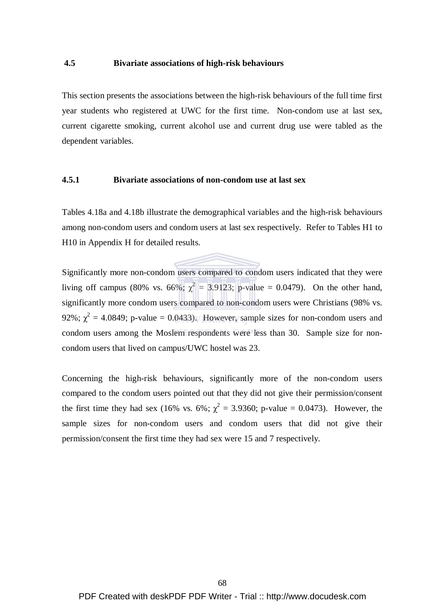## **4.5 Bivariate associations of high-risk behaviours**

This section presents the associations between the high-risk behaviours of the full time first year students who registered at UWC for the first time. Non-condom use at last sex*,*  current cigarette smoking, current alcohol use and current drug use were tabled as the dependent variables.

## **4.5.1 Bivariate associations of non-condom use at last sex**

Tables 4.18a and 4.18b illustrate the demographical variables and the high-risk behaviours among non-condom users and condom users at last sex respectively. Refer to Tables H1 to H10 in Appendix H for detailed results.

Significantly more non-condom users compared to condom users indicated that they were living off campus (80% vs. 66%;  $\chi^2 = 3.9123$ ; p-value = 0.0479). On the other hand, significantly more condom users compared to non-condom users were Christians (98% vs. 92%;  $\chi^2$  = 4.0849; p-value = 0.0433). However, sample sizes for non-condom users and condom users among the Moslem respondents were less than 30. Sample size for noncondom users that lived on campus/UWC hostel was 23.

Concerning the high-risk behaviours, significantly more of the non-condom users compared to the condom users pointed out that they did not give their permission/consent the first time they had sex (16% vs. 6%;  $\chi^2 = 3.9360$ ; p-value = 0.0473). However, the sample sizes for non-condom users and condom users that did not give their permission/consent the first time they had sex were 15 and 7 respectively.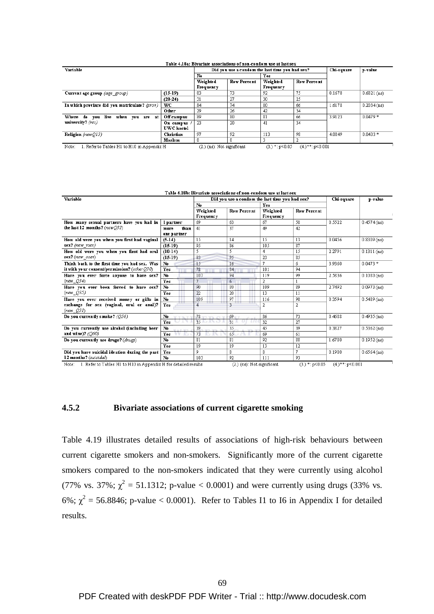|                                                     |                   |                              | Table 4.18a: Bivariate associations of non-condom use at last sex |                    |                    |            |               |
|-----------------------------------------------------|-------------------|------------------------------|-------------------------------------------------------------------|--------------------|--------------------|------------|---------------|
| Variable                                            |                   |                              | Did you use a condom the last time you had sex?                   |                    |                    | Chi-square | p-value       |
|                                                     |                   | No                           |                                                                   | Yes                |                    |            |               |
|                                                     |                   | Weighted                     | <b>Row Percent</b>                                                | Weighted           | <b>Row Percent</b> |            |               |
|                                                     |                   | Frequency                    |                                                                   | Frequency          |                    |            |               |
| Current age group (age_group)                       | $(15-19)$         | 83                           | 73                                                                | 92                 | 75                 | 0.1678     | $0.6821$ (ns) |
|                                                     | $(20-24)$         | 31                           | 27                                                                | 30                 | 25                 |            |               |
| In which province did you matriculate? (prov)       | WC.               | 84                           | 74                                                                | 80                 | 66                 | 1.6178     | $0.2034$ (ns) |
|                                                     | Other             | 29                           | 26                                                                | 42                 | 34                 |            |               |
| Where do you live when you are at                   | Off campus        | 89                           | 80                                                                | 81                 | 66                 | 3.9123     | $0.0479*$     |
| university? (res)                                   | On campus         | 23                           | 20                                                                | 41                 | 34                 |            |               |
|                                                     | <b>UWC</b> hostel |                              |                                                                   |                    |                    |            |               |
| <b>Religion</b> (new $Q13$ )                        | Christian         | 97                           | 92                                                                | 113                | 98                 | 4.0849     | $0.0433*$     |
|                                                     | Moslem            | 8                            | ۰                                                                 |                    |                    |            |               |
| Note:<br>1. Refer to Tables H1 to H10 in Appendix H |                   | $(2.)$ (ns): Not significant |                                                                   | $(3.)$ *: $p<0.05$ | $(4.)$ **: p<0.001 |            |               |

| Variable                                               |                             | Did you use a condom the last time you had sex? |                    |                       | Chi-square         | p-value |               |
|--------------------------------------------------------|-----------------------------|-------------------------------------------------|--------------------|-----------------------|--------------------|---------|---------------|
|                                                        |                             | No                                              |                    | Yes                   |                    |         |               |
|                                                        |                             | Weighted<br><b>Frequency</b>                    | <b>Row Percent</b> | Weighted<br>Frequency | <b>Row Percent</b> |         |               |
| How many sexual partners have you had in               | l partner                   | 69                                              | 63                 | 67                    | 58                 | 0.5522  | $0.4574$ (ns) |
| the last 12 months? (new $Q32$ )                       | than<br>more<br>one partner | 41                                              | 37                 | 49                    | 42                 |         |               |
| How old were you when you first had vaginal            | $(5-14)$                    | 15                                              | 14                 | 15                    | 13                 | 0.0456  | $0.8309$ (ns) |
| sex? (new vsex)                                        | $(15-19)$                   | 95                                              | 86                 | 105                   | 87                 |         |               |
| How old were you when you first had oral               | $(10-14)$                   | 5                                               | 5                  | 4                     | 15                 | 2.2791  | $0.1311$ (ns) |
| sex? (new osex)                                        | $(15-19)$                   | 83                                              | 95                 | 23                    | 85                 |         |               |
| Think back to the first time you had sex. Was          | No                          | 15                                              | 16                 | 7                     | 6                  | 3.9360  | $0.0473*$     |
| it with your consent/permission? (other $Q3Q$ )        | Yes                         | 78                                              | 84                 | 101                   | 94                 |         |               |
| Have you ever force anyone to have sex?                | No                          | 107                                             | 94                 | 119                   | 99                 | 2.5836  | $0.1080$ (ns) |
| (new_Q34)                                              | Yes                         | 7                                               | 6                  | $\overline{a}$        |                    |         |               |
| Have you ever been forced to have sex?                 | No                          | 90                                              | 80                 | 109                   | 89                 | 2.7492  | $0.0973$ (ns) |
| (new Q35)                                              | Yes                         | 22                                              | 20                 | 13                    | 11                 |         |               |
| Have you ever received money or gifts in               | No                          | 109                                             | 97                 | 116                   | 98                 | 0.3594  | $0.5489$ (ns) |
| exchange for sex (vaginal, oral or anal)?<br>(new_Q31) | Yes                         | $\Delta$                                        | 3                  | 2                     | 2                  |         |               |
| Do you currently smoke? $(0.56)$                       | No                          | 78                                              | 69                 | 86                    | 73                 | 0.4688  | $0.4935$ (ns) |
|                                                        | Yes                         | 35 L. L.                                        | 31                 | 32                    | 27                 |         |               |
| Do you currently use alcohol (including beer           | No                          | 39                                              | 35                 | 45                    | 39                 | 0.3827  | $0.5362$ (ns) |
| and wine)? $(060)$                                     | Yes                         | 73                                              | 65                 | 69                    | 61                 |         |               |
| Do you currently use drugs? (drugs)                    | No                          | 81                                              | 81                 | 92                    | 88                 | 1.6780  | $0.1952$ (ns) |
|                                                        | Yes                         | 19                                              | 19                 | 13                    | 12                 |         |               |
| Did you have suicidal ideation during the past         | Yes                         | 9                                               | 8                  | 8                     | 7                  | 0.1980  | $0.6564$ (ns) |
| 12 months? (suicidal)                                  | No                          | 103                                             | 92                 | 111                   | 93                 |         |               |

# **4.5.2 Bivariate associations of current cigarette smoking**

Table 4.19 illustrates detailed results of associations of high-risk behaviours between current cigarette smokers and non-smokers. Significantly more of the current cigarette smokers compared to the non-smokers indicated that they were currently using alcohol (77% vs. 37%;  $\chi^2 = 51.1312$ ; p-value < 0.0001) and were currently using drugs (33% vs. 6%;  $\chi^2$  = 56.8846; p-value < 0.0001). Refer to Tables I1 to I6 in Appendix I for detailed results.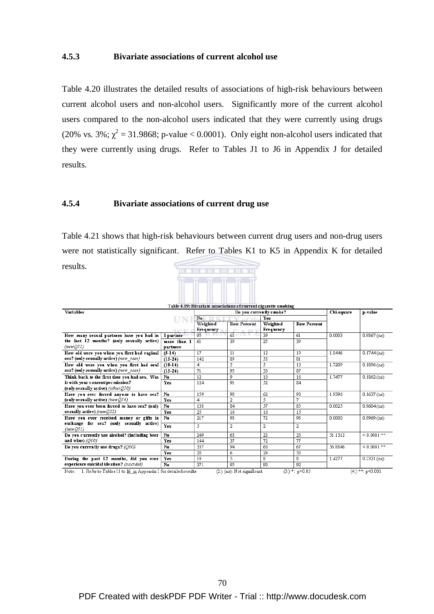## **4.5.3 Bivariate associations of current alcohol use**

Table 4.20 illustrates the detailed results of associations of high-risk behaviours between current alcohol users and non-alcohol users. Significantly more of the current alcohol users compared to the non-alcohol users indicated that they were currently using drugs (20% vs. 3%;  $\chi^2 = 31.9868$ ; p-value < 0.0001). Only eight non-alcohol users indicated that they were currently using drugs. Refer to Tables J1 to J6 in Appendix J for detailed results.

# **4.5.4 Bivariate associations of current drug use**

Table 4.21 shows that high-risk behaviours between current drug users and non-drug users were not statistically significant. Refer to Tables K1 to K5 in Appendix K for detailed <u>manananan</u> results.

| Table 4.19: Bivariate associations of current cigarette smoking<br>Variables        |                         |                       | Do you currently smoke?              | Chi-square                   | p-value            |         |               |
|-------------------------------------------------------------------------------------|-------------------------|-----------------------|--------------------------------------|------------------------------|--------------------|---------|---------------|
|                                                                                     |                         | Yes<br>No             |                                      |                              |                    |         |               |
|                                                                                     |                         | Weighted<br>Frequency | <b>Row Percent</b><br><b>CAMPACK</b> | Weighted<br><b>Frequency</b> | <b>Row Percent</b> |         |               |
| How many sexual partners have you had in                                            | l partner               | 95                    | 61                                   | 39                           | 61                 | 0.0003  | $0.9867$ (ns) |
| the last 12 months? (only sexually active)<br>(new Q32)                             | more than I<br>partners | 61                    | 39                                   | 25                           | 39                 |         |               |
| How old were you when you first had vaginal                                         | $(5-14)$                | 17                    | 11                                   | 12                           | 19                 | 1.8446  | $0.1744$ (ns) |
| sex? (only sexually active) (new_vsex)                                              | $(15-24)$               | 142                   | 89                                   | 53                           | 81                 |         |               |
| How old were you when you first had oral                                            | $(10-14)$               | 4                     | 5                                    | 5                            | 13                 | 1.7209  | $0.1896$ (ns) |
| sex? (only sexually active) (new osex)                                              | $(15-24)$               | 71                    | 95                                   | 33                           | 87                 |         |               |
| Think back to the first time you had sex. Was                                       | No                      | 12                    | 9                                    | 10                           | 16                 | 1.7477  | $0.1862$ (ns) |
| it with your consent/permission?<br>(only sexually active) (other Q30)              | Yes                     | 124                   | 91                                   | 52                           | 84                 |         |               |
| Have you ever forced anyone to have sex?                                            | $N_0$                   | 159                   | 98                                   | 62                           | 93                 | 1.9396  | $0.1637$ (ns) |
| (only sexually active) (new $(0.34)$                                                | Yes                     | 4                     | $\overline{a}$                       | 5                            | 7                  |         |               |
| Have you ever been forced to have sex? (only                                        | $N_0$                   | 138                   | 84                                   | 57                           | 85                 | 0.0025  | $0.9604$ (ns) |
| sexually active) (new Q35)                                                          | Yes                     | $\overline{25}$       | 16                                   | 10                           | 15                 |         |               |
| Have you ever received money or gifts in                                            | $N_0$                   | 217                   | 98                                   | 72                           | 98                 | 0.0000  | $0.9969$ (ns) |
| exchange for sex? (only sexually active)<br>(newQ31)                                | Yes                     | 5.                    | $\overline{2}$                       | 2                            | $\overline{2}$     |         |               |
| Do you currently use alcohol? (including beer                                       | $N_0$                   | 249                   | 63                                   | 22                           | 23                 | 51.1312 | $< 0.0001$ ** |
| and wine) $(060)$                                                                   | Yes                     | 144                   | 37                                   | $\overline{72}$              | 77                 |         |               |
| Do you currently use drugs? (060)                                                   | No                      | 337                   | 94                                   | 60                           | 67                 | 56.8846 | $< 0.0001$ ** |
|                                                                                     | Yes                     | 20                    | 6                                    | 29                           | 33                 |         |               |
| During the past 12 months, did you ever<br>experience suicidal ideation? (suicidal) | Yes                     | 19                    | 5                                    | 8                            | 8                  | 1.4277  | $0.2321$ (ns) |
|                                                                                     | No                      | 371                   | 95                                   | 90                           | 92                 |         |               |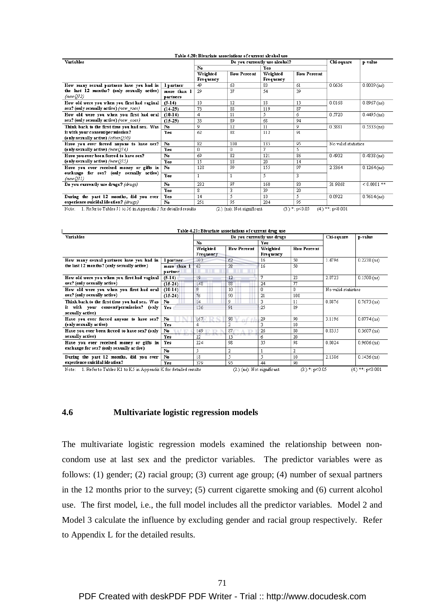| Variables                                                                             |             | Do you currently use alcohol? |                    |                              |                    | Chi-square          | p-value       |
|---------------------------------------------------------------------------------------|-------------|-------------------------------|--------------------|------------------------------|--------------------|---------------------|---------------|
|                                                                                       |             | N <sub>0</sub><br>Yes         |                    |                              |                    |                     |               |
|                                                                                       |             | Weighted<br>Frequency         | <b>Row Percent</b> | Weighted<br><b>Frequency</b> | <b>Row Percent</b> |                     |               |
| How many sexual partners have you had in                                              | l partner   | 49                            | 63                 | 83                           | 61                 | 0.0636              | $0.8009$ (ns) |
| the last 12 months? (only sexually active)                                            | more than 1 | 29                            | 37                 | 54                           | 39                 |                     |               |
| (newQ32)                                                                              | partners    |                               |                    |                              |                    |                     |               |
| How old were you when you first had vaginal<br>sex? (only sexually active) (new vsex) | $(5-14)$    | 10                            | 12                 | 18                           | 13                 | 0.0168              | $0.8967$ (ns) |
|                                                                                       | $(14-25)$   | 73                            | 88                 | 119                          | 87                 |                     |               |
| How old were you when you first had oral<br>sex? (only sexually active) (new osex)    | $(10-14)$   | 4                             | 11                 | 5                            | 6                  | 0.5720              | $0.4495$ (ns) |
|                                                                                       | $(15-25)$   | 33                            | 89                 | 68                           | 94                 |                     |               |
| Think back to the first time you had sex. Was                                         | No          | 9                             | 12                 | 11                           | 9                  | 0.3881              | $0.5333$ (ns) |
| it with your consent/permission?                                                      | Yes         | 62                            | 88                 | 112                          | 91                 |                     |               |
| (only sexually active) $\{otherQ30\}$                                                 |             |                               |                    |                              |                    |                     |               |
| Have you ever forced anyone to have sex?                                              | No          | 82                            | 100                | 135                          | 95                 | No valid statistics |               |
| (only sexually active) (new $Q34$ )                                                   | Yes         | 0                             | 0                  | 7                            | 5                  |                     |               |
| Have you ever been forced to have sex?                                                | No          | 69                            | 82                 | 121                          | 86                 | 0.4902              | $0.4838$ (ns) |
| (only sexually active) $(newQ35)$                                                     | Yes         | 15                            | 18                 | 20                           | 14                 |                     |               |
| Have you ever received money or gifts in                                              | No          | 128                           | 99                 | 155                          | 97                 | 2.3364              | $0.1264$ (ns) |
| exchange for sex? (only sexually active)<br>(new Q31)                                 | Yes         |                               |                    | 5                            | 3                  |                     |               |
| Do you currently use drugs? (drugs)                                                   | No          | 232                           | 97                 | 160                          | 80                 | 31.9868             | $< 0.0001$ ** |
|                                                                                       | Yes         | 8                             | 3                  | 39                           | 20                 |                     |               |
| During the past 12 months, did you ever<br>experience suicidal ideation? (drugs)      | Yes         | 14                            | 5                  | 10                           | 5                  | 0.0922              | $0.7614$ (ns) |
|                                                                                       | No          | 251                           | 95                 | 204                          | 95                 |                     |               |

| <b>Variables</b>                                                                       |             | Table 4.21: Bivariate associations of current drug use<br>Do you currently use drugs |                |                       |                    | Chi-square          | p-value       |
|----------------------------------------------------------------------------------------|-------------|--------------------------------------------------------------------------------------|----------------|-----------------------|--------------------|---------------------|---------------|
|                                                                                        |             | No<br>Yes                                                                            |                |                       |                    |                     |               |
|                                                                                        |             | Weighted<br>Frequency                                                                | Row Percent    | Weighted<br>Frequency | <b>Row Percent</b> |                     |               |
| How many sexual partners have you had in<br>the last 12 months? (only sexually active) | l partner   | 103                                                                                  | 62             | 16                    | 50                 | 1.4796              | $0.2238$ (ns) |
|                                                                                        | more than 1 | 63                                                                                   | 38             | 16                    | 50                 |                     |               |
|                                                                                        | partner     |                                                                                      |                |                       |                    |                     |               |
| How old were you when you first had vaginal<br>sex? (only sexually active)             | $(5-14)$    | 19                                                                                   | 12             | 7                     | 23                 | 2.0723              | $0.1500$ (ns) |
|                                                                                        | $(15-24)$   | 148                                                                                  | 88             | 24                    | 77                 |                     |               |
| How old were you when you first had oral                                               | $(10-14)$   | 9                                                                                    | 10             | 0                     | n.                 | No valid statistics |               |
| sex? (only sexually active)                                                            | $(15-24)$   | 76                                                                                   | 90             | 21                    | 100                |                     |               |
| Think back to the first time you had sex. Was                                          | No          | 14                                                                                   | 9              | 3                     | 11                 | 0.0876              | $0.7673$ (ns) |
| with your consent/permission? (only<br>it.<br>sexually active)                         | Yes         | 136                                                                                  | 91             | 25                    | 89                 |                     |               |
| Have you ever forced anyone to have sex?                                               | No          | 167                                                                                  | 98             | 29                    | 90                 | 3.1196              | $0.0774$ (ns) |
| (only sexually active)                                                                 | Yes         |                                                                                      | $\overline{2}$ | 3                     | 10                 |                     |               |
| Have you ever been forced to have sex? (only<br>sexually active)                       | No          | 149                                                                                  | 87             | 26                    | 80                 | 0.8355              | $0.3607$ (ns) |
|                                                                                        | Yes         | 22                                                                                   | 13             | 6                     | 20                 |                     |               |
| Have you ever received money or gifts in<br>exchange for sex? (only sexually active)   | Yes         | 224                                                                                  | 98             | 35                    | 98                 | 0.0024              | $0.9606$ (ns) |
|                                                                                        | No          | 5                                                                                    | 2              |                       | 2                  |                     |               |
| During the past 12 months, did you ever<br>experience suicidal ideation?               | No          | 18                                                                                   | 5              | 5                     | 10                 | 2.1386              | $0.1436$ (ns) |
|                                                                                        | Yes         | 379                                                                                  | 95             | 44                    | 90                 |                     |               |

**4.6 Multivariate logistic regression models** 

The multivariate logistic regression models examined the relationship between noncondom use at last sex and the predictor variables. The predictor variables were as follows: (1) gender; (2) racial group; (3) current age group; (4) number of sexual partners in the 12 months prior to the survey; (5) current cigarette smoking and (6) current alcohol use. The first model, i.e., the full model includes all the predictor variables. Model 2 and Model 3 calculate the influence by excluding gender and racial group respectively. Refer to Appendix L for the detailed results.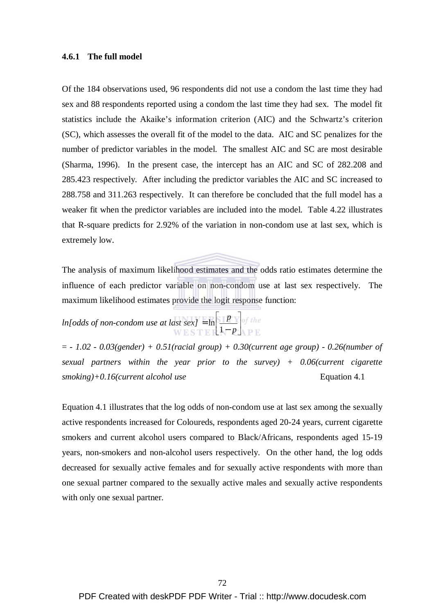#### **4.6.1 The full model**

Of the 184 observations used, 96 respondents did not use a condom the last time they had sex and 88 respondents reported using a condom the last time they had sex. The model fit statistics include the Akaike's information criterion (AIC) and the Schwartz's criterion (SC), which assesses the overall fit of the model to the data. AIC and SC penalizes for the number of predictor variables in the model. The smallest AIC and SC are most desirable (Sharma, 1996). In the present case, the intercept has an AIC and SC of 282.208 and 285.423 respectively. After including the predictor variables the AIC and SC increased to 288.758 and 311.263 respectively. It can therefore be concluded that the full model has a weaker fit when the predictor variables are included into the model. Table 4.22 illustrates that R-square predicts for 2.92% of the variation in non-condom use at last sex, which is extremely low.

The analysis of maximum likelihood estimates and the odds ratio estimates determine the influence of each predictor variable on non-condom use at last sex respectively. The maximum likelihood estimates provide the logit response function:

*ln*[odds of non-condom use at last sex] =  $\ln\left|\frac{P}{1\right|}$ J 7 r L F − = *p p* 1  $\ln \left| \frac{P}{1} \right|$ 

= *- 1.02 - 0.03(gender) + 0.51(racial group) + 0.30(current age group) - 0.26(number of sexual partners within the year prior to the survey) + 0.06(current cigarette smoking)+0.16(current alcohol use* Equation 4.1

Equation 4.1 illustrates that the log odds of non-condom use at last sex among the sexually active respondents increased for Coloureds, respondents aged 20-24 years*,* current cigarette smokers and current alcohol users compared to Black/Africans, respondents aged 15-19 years, non-smokers and non-alcohol users respectively. On the other hand, the log odds decreased for sexually active females and for sexually active respondents with more than one sexual partner compared to the sexually active males and sexually active respondents with only one sexual partner*.*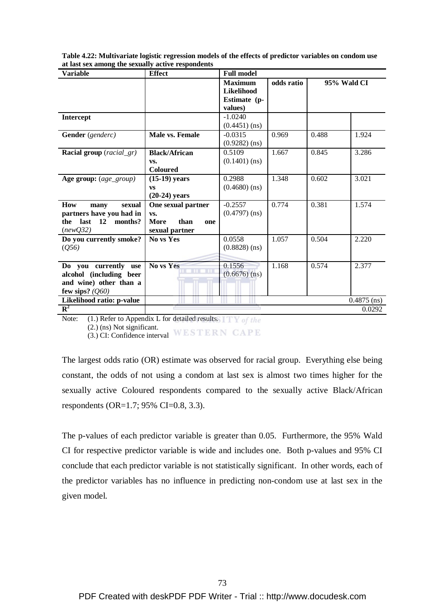| <b>Variable</b>                                                                                   | <b>Effect</b>                                                      | <b>Full model</b>                                              |            |       |               |
|---------------------------------------------------------------------------------------------------|--------------------------------------------------------------------|----------------------------------------------------------------|------------|-------|---------------|
|                                                                                                   |                                                                    | <b>Maximum</b><br><b>Likelihood</b><br>Estimate (p-<br>values) | odds ratio |       | 95% Wald CI   |
| Intercept                                                                                         |                                                                    | $-1.0240$<br>$(0.4451)$ (ns)                                   |            |       |               |
| Gender (genderc)                                                                                  | Male vs. Female                                                    | $-0.0315$<br>$(0.9282)$ (ns)                                   | 0.969      | 0.488 | 1.924         |
| <b>Racial group</b> (racial_gr)                                                                   | <b>Black/African</b><br>VS.<br><b>Coloured</b>                     | 0.5109<br>$(0.1401)$ (ns)                                      | 1.667      | 0.845 | 3.286         |
| Age group: (age_group)                                                                            | $(15-19)$ years<br><b>VS</b><br>$(20-24)$ years                    | 0.2988<br>$(0.4680)$ (ns)                                      | 1.348      | 0.602 | 3.021         |
| <b>How</b><br>sexual<br>many<br>partners have you had in<br>the last 12 months?<br>(newQ32)       | One sexual partner<br>VS.<br>than<br>More<br>one<br>sexual partner | $-0.2557$<br>$(0.4797)$ (ns)                                   | 0.774      | 0.381 | 1.574         |
| Do you currently smoke?<br>(Q56)                                                                  | No vs Yes                                                          | 0.0558<br>$(0.8828)$ (ns)                                      | 1.057      | 0.504 | 2.220         |
| Do you currently<br>use<br>alcohol (including beer<br>and wine) other than a<br>few sips? $(Q60)$ | <b>No vs Yes</b>                                                   | 0.1556<br>$(0.6676)$ (ns)                                      | 1.168      | 0.574 | 2.377         |
| Likelihood ratio: p-value                                                                         |                                                                    |                                                                |            |       | $0.4875$ (ns) |
| $\mathbf{R}^2$                                                                                    |                                                                    |                                                                |            |       | 0.0292        |

**Table 4.22: Multivariate logistic regression models of the effects of predictor variables on condom use at last sex among the sexually active respondents** 

Note: (1.) Refer to Appendix L for detailed results.  $\Box$  of the (2.) (ns) Not significant. (3.) CI: Confidence interval WESTERN CAPE

The largest odds ratio (OR) estimate was observed for racial group. Everything else being constant, the odds of not using a condom at last sex is almost two times higher for the sexually active Coloured respondents compared to the sexually active Black/African respondents (OR=1.7; 95% CI=0.8, 3.3).

The p-values of each predictor variable is greater than 0.05. Furthermore, the 95% Wald CI for respective predictor variable is wide and includes one. Both p-values and 95% CI conclude that each predictor variable is not statistically significant. In other words, each of the predictor variables has no influence in predicting non-condom use at last sex in the given model.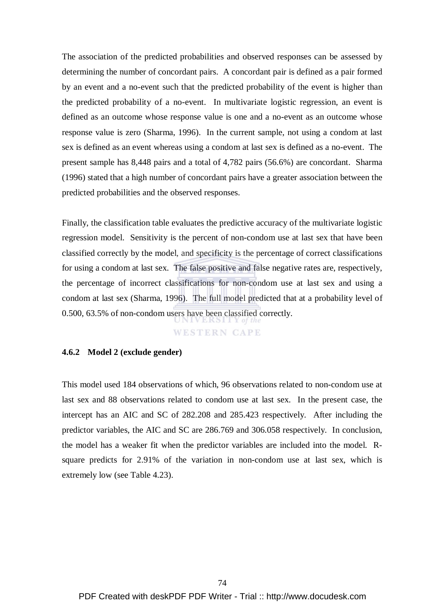The association of the predicted probabilities and observed responses can be assessed by determining the number of concordant pairs. A concordant pair is defined as a pair formed by an event and a no-event such that the predicted probability of the event is higher than the predicted probability of a no-event. In multivariate logistic regression, an event is defined as an outcome whose response value is one and a no-event as an outcome whose response value is zero (Sharma, 1996). In the current sample, not using a condom at last sex is defined as an event whereas using a condom at last sex is defined as a no-event. The present sample has 8,448 pairs and a total of 4,782 pairs (56.6%) are concordant. Sharma (1996) stated that a high number of concordant pairs have a greater association between the predicted probabilities and the observed responses.

Finally, the classification table evaluates the predictive accuracy of the multivariate logistic regression model. Sensitivity is the percent of non-condom use at last sex that have been classified correctly by the model, and specificity is the percentage of correct classifications for using a condom at last sex. The false positive and false negative rates are, respectively, the percentage of incorrect classifications for non-condom use at last sex and using a condom at last sex (Sharma, 1996). The full model predicted that at a probability level of 0.500, 63.5% of non-condom users have been classified correctly.

# **WESTERN CAPE**

#### **4.6.2 Model 2 (exclude gender)**

This model used 184 observations of which, 96 observations related to non-condom use at last sex and 88 observations related to condom use at last sex. In the present case, the intercept has an AIC and SC of 282.208 and 285.423 respectively. After including the predictor variables, the AIC and SC are 286.769 and 306.058 respectively. In conclusion, the model has a weaker fit when the predictor variables are included into the model. Rsquare predicts for 2.91% of the variation in non-condom use at last sex, which is extremely low (see Table 4.23).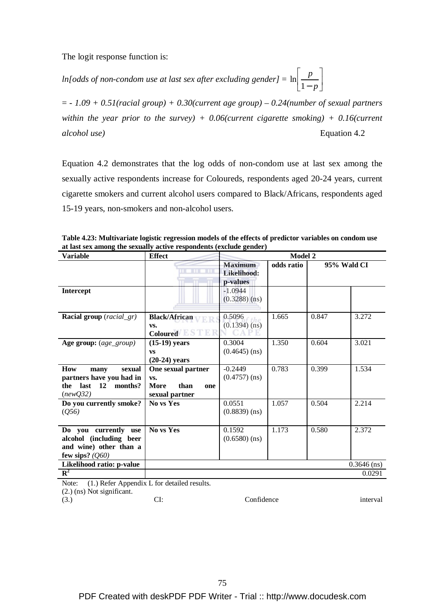The logit response function is:

*ln*[odds of non-condom use at last sex after excluding gender] =  $\ln\left|\frac{P}{1-\epsilon}\right|$  $\rfloor$ ⅂  $\mathsf{L}$ L Γ − *p p* 1 ln

= *- 1.09 + 0.51(racial group) + 0.30(current age group) – 0.24(number of sexual partners within the year prior to the survey) + 0.06(current cigarette smoking) + 0.16(current alcohol use)* Equation 4.2

Equation 4.2 demonstrates that the log odds of non-condom use at last sex among the sexually active respondents increase for Coloureds, respondents aged 20-24 years*,* current cigarette smokers and current alcohol users compared to Black/Africans, respondents aged 15-19 years, non-smokers and non-alcohol users.

| <b>Variable</b>                                                                                     | <b>Effect</b>                                                      |                                           | <b>Model 2</b> |             |               |
|-----------------------------------------------------------------------------------------------------|--------------------------------------------------------------------|-------------------------------------------|----------------|-------------|---------------|
|                                                                                                     | <b>THE ILL</b>                                                     | <b>Maximum</b><br>Likelihood:<br>p-values | odds ratio     | 95% Wald CI |               |
| <b>Intercept</b>                                                                                    |                                                                    | $-1.0944$<br>$(0.3288)$ (ns)              |                |             |               |
| Racial group (racial_gr)                                                                            | <b>Black/African</b><br>VS.<br><b>Coloured ESTER</b>               | 0.5096<br>$(0.1394)$ (ns)                 | 1.665          | 0.847       | 3.272         |
| Age group: (age_group)                                                                              | $(15-19)$ years<br><b>VS</b><br>$(20-24)$ years                    | 0.3004<br>$(0.4645)$ (ns)                 | 1.350          | 0.604       | 3.021         |
| <b>How</b><br>sexual<br>many<br>partners have you had in<br>$last$ 12<br>months?<br>the<br>(newQ32) | One sexual partner<br>VS.<br>than<br>More<br>one<br>sexual partner | $-0.2449$<br>$(0.4757)$ (ns)              | 0.783          | 0.399       | 1.534         |
| Do you currently smoke?<br>(Q56)                                                                    | No vs Yes                                                          | 0.0551<br>$(0.8839)$ (ns)                 | 1.057          | 0.504       | 2.214         |
| Do you currently use<br>alcohol (including beer<br>and wine) other than a<br>few sips? $(Q60)$      | No vs Yes                                                          | 0.1592<br>$(0.6580)$ (ns)                 | 1.173          | 0.580       | 2.372         |
| Likelihood ratio: p-value                                                                           |                                                                    |                                           |                |             | $0.3646$ (ns) |
| $\mathbf{R}^2$                                                                                      |                                                                    |                                           |                |             | 0.0291        |

**Table 4.23: Multivariate logistic regression models of the effects of predictor variables on condom use at last sex among the sexually active respondents (exclude gender)** 

Note: (1.) Refer Appendix L for detailed results.

(2.) (ns) Not significant.

(3.) CI: Confidence interval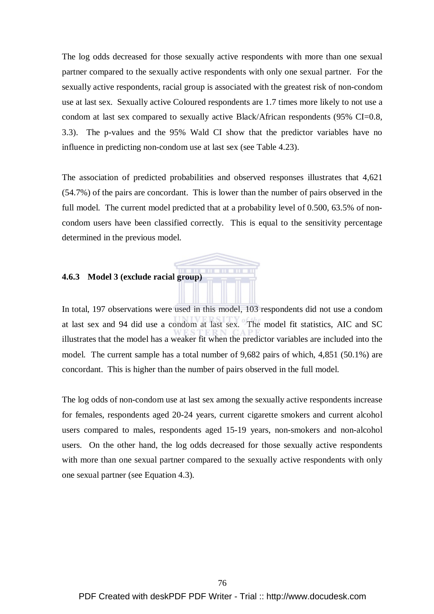The log odds decreased for those sexually active respondents with more than one sexual partner compared to the sexually active respondents with only one sexual partner*.* For the sexually active respondents, racial group is associated with the greatest risk of non-condom use at last sex. Sexually active Coloured respondents are 1.7 times more likely to not use a condom at last sex compared to sexually active Black/African respondents (95% CI=0.8, 3.3). The p-values and the 95% Wald CI show that the predictor variables have no influence in predicting non-condom use at last sex (see Table 4.23).

The association of predicted probabilities and observed responses illustrates that 4,621 (54.7%) of the pairs are concordant. This is lower than the number of pairs observed in the full model. The current model predicted that at a probability level of 0.500, 63.5% of noncondom users have been classified correctly. This is equal to the sensitivity percentage determined in the previous model.

# **4.6.3 Model 3 (exclude racial group)**

In total, 197 observations were used in this model, 103 respondents did not use a condom at last sex and 94 did use a condom at last sex. The model fit statistics, AIC and SC illustrates that the model has a weaker fit when the predictor variables are included into the model. The current sample has a total number of 9,682 pairs of which, 4,851 (50.1%) are concordant. This is higher than the number of pairs observed in the full model.

The log odds of non-condom use at last sex among the sexually active respondents increase for females, respondents aged 20-24 years*,* current cigarette smokers and current alcohol users compared to males, respondents aged 15-19 years, non-smokers and non-alcohol users. On the other hand, the log odds decreased for those sexually active respondents with more than one sexual partner compared to the sexually active respondents with only one sexual partner (see Equation 4.3)*.*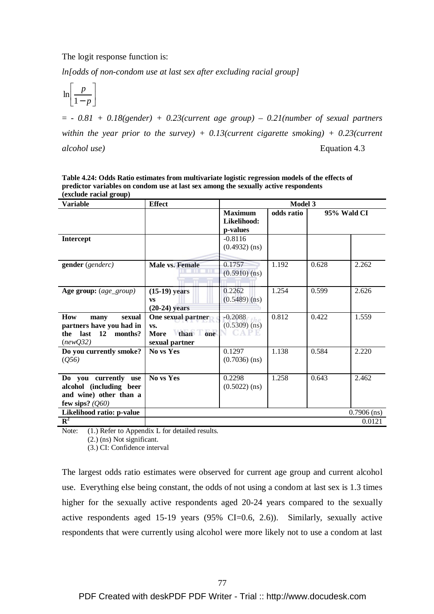The logit response function is:

*ln[odds of non-condom use at last sex after excluding racial group]* 

$$
\ln\left[\frac{p}{1-p}\right]
$$

 $= -0.81 + 0.18$ (gender) + 0.23(current age group) – 0.21(number of sexual partners *within the year prior to the survey) + 0.13(current cigarette smoking) + 0.23(current alcohol use)* Equation 4.3

Variable **Effect** Model 3 **Maximum odds ratio 95% Wald CI Likelihood: p-values Intercept**  $-0.8116$ (0.4932) (ns) **gender** (*genderc*) **Male vs. Female**  $\boxed{0.1757}$ 1.192 0.628 2.262 (0.5910) (ns) **Age group:** (*age\_group)* **(15-19) years**  0.2262 1.254 0.599 2.626 (0.5489) (ns) **vs (20-24) years How many sexual One sexual partner**  0.812 0.422 1.559 -0.2088 **partners have you had in**  (0.5309) (ns) **vs. the last 12 months? More than one**  CAPE (*newQ32)* **sexual partner Do you currently smoke? No vs Yes 0.1297** 1.138 0.584 2.220 (0.7036) (ns) (*Q56)* **No vs Yes 0.2298** 1.258 0.643 2.462 **Do you currently use alcohol (including beer**  (0.5022) (ns) **and wine) other than a few sips?** *(Q60)* **Likelihood ratio: p-value** 0.7906 (ns)  ${\bf R}^2$ 0.0121

**Table 4.24: Odds Ratio estimates from multivariate logistic regression models of the effects of predictor variables on condom use at last sex among the sexually active respondents (exclude racial group)** 

Note: (1.) Refer to Appendix L for detailed results.

(2.) (ns) Not significant.

(3.) CI: Confidence interval

The largest odds ratio estimates were observed for current age group and current alcohol use. Everything else being constant, the odds of not using a condom at last sex is 1.3 times higher for the sexually active respondents aged 20-24 years compared to the sexually active respondents aged 15-19 years (95% CI=0.6, 2.6)). Similarly, sexually active respondents that were currently using alcohol were more likely not to use a condom at last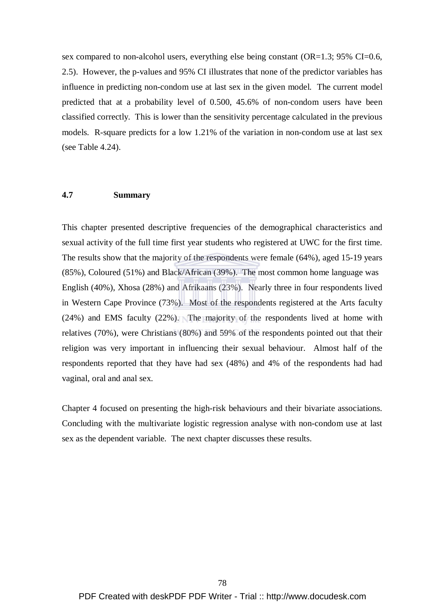sex compared to non-alcohol users, everything else being constant (OR=1.3; 95% CI=0.6, 2.5). However, the p-values and 95% CI illustrates that none of the predictor variables has influence in predicting non-condom use at last sex in the given model. The current model predicted that at a probability level of 0.500, 45.6% of non-condom users have been classified correctly. This is lower than the sensitivity percentage calculated in the previous models. R-square predicts for a low 1.21% of the variation in non-condom use at last sex (see Table 4.24).

# **4.7 Summary**

This chapter presented descriptive frequencies of the demographical characteristics and sexual activity of the full time first year students who registered at UWC for the first time. The results show that the majority of the respondents were female (64%), aged 15-19 years (85%), Coloured (51%) and Black/African (39%). The most common home language was English (40%), Xhosa (28%) and Afrikaans (23%). Nearly three in four respondents lived in Western Cape Province (73%). Most of the respondents registered at the Arts faculty (24%) and EMS faculty (22%). The majority of the respondents lived at home with relatives (70%), were Christians (80%) and 59% of the respondents pointed out that their religion was very important in influencing their sexual behaviour. Almost half of the respondents reported that they have had sex (48%) and 4% of the respondents had had vaginal, oral and anal sex.

Chapter 4 focused on presenting the high-risk behaviours and their bivariate associations. Concluding with the multivariate logistic regression analyse with non-condom use at last sex as the dependent variable. The next chapter discusses these results.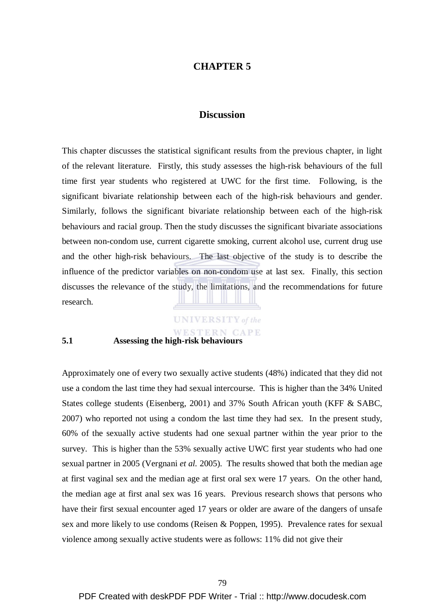# **CHAPTER 5**

# **Discussion**

This chapter discusses the statistical significant results from the previous chapter, in light of the relevant literature. Firstly, this study assesses the high-risk behaviours of the full time first year students who registered at UWC for the first time. Following, is the significant bivariate relationship between each of the high-risk behaviours and gender. Similarly, follows the significant bivariate relationship between each of the high-risk behaviours and racial group. Then the study discusses the significant bivariate associations between non-condom use, current cigarette smoking, current alcohol use, current drug use and the other high-risk behaviours. The last objective of the study is to describe the influence of the predictor variables on non-condom use at last sex. Finally, this section discusses the relevance of the study, the limitations, and the recommendations for future research.

> **UNIVERSITY** of the WESTERN CAPE

#### **5.1 Assessing the high-risk behaviours**

Approximately one of every two sexually active students (48%) indicated that they did not use a condom the last time they had sexual intercourse. This is higher than the 34% United States college students (Eisenberg, 2001) and 37% South African youth (KFF & SABC, 2007) who reported not using a condom the last time they had sex. In the present study, 60% of the sexually active students had one sexual partner within the year prior to the survey. This is higher than the 53% sexually active UWC first year students who had one sexual partner in 2005 (Vergnani *et al.* 2005). The results showed that both the median age at first vaginal sex and the median age at first oral sex were 17 years. On the other hand, the median age at first anal sex was 16 years. Previous research shows that persons who have their first sexual encounter aged 17 years or older are aware of the dangers of unsafe sex and more likely to use condoms (Reisen & Poppen, 1995). Prevalence rates for sexual violence among sexually active students were as follows: 11% did not give their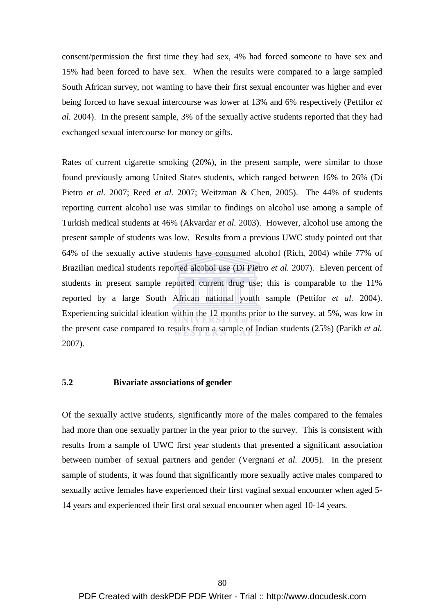consent/permission the first time they had sex, 4% had forced someone to have sex and 15% had been forced to have sex. When the results were compared to a large sampled South African survey, not wanting to have their first sexual encounter was higher and ever being forced to have sexual intercourse was lower at 13% and 6% respectively (Pettifor *et al.* 2004). In the present sample, 3% of the sexually active students reported that they had exchanged sexual intercourse for money or gifts.

Rates of current cigarette smoking (20%), in the present sample, were similar to those found previously among United States students, which ranged between 16% to 26% (Di Pietro *et al.* 2007; Reed *et al.* 2007; Weitzman & Chen, 2005). The 44% of students reporting current alcohol use was similar to findings on alcohol use among a sample of Turkish medical students at 46% (Akvardar *et al.* 2003). However, alcohol use among the present sample of students was low. Results from a previous UWC study pointed out that 64% of the sexually active students have consumed alcohol (Rich, 2004) while 77% of Brazilian medical students reported alcohol use (Di Pietro *et al.* 2007). Eleven percent of students in present sample reported current drug use; this is comparable to the 11% reported by a large South African national youth sample (Pettifor *et al.* 2004). Experiencing suicidal ideation within the 12 months prior to the survey, at 5%, was low in the present case compared to results from a sample of Indian students (25%) (Parikh *et al.*  2007).

# **5.2 Bivariate associations of gender**

Of the sexually active students, significantly more of the males compared to the females had more than one sexually partner in the year prior to the survey. This is consistent with results from a sample of UWC first year students that presented a significant association between number of sexual partners and gender (Vergnani *et al.* 2005). In the present sample of students, it was found that significantly more sexually active males compared to sexually active females have experienced their first vaginal sexual encounter when aged 5- 14 years and experienced their first oral sexual encounter when aged 10-14 years.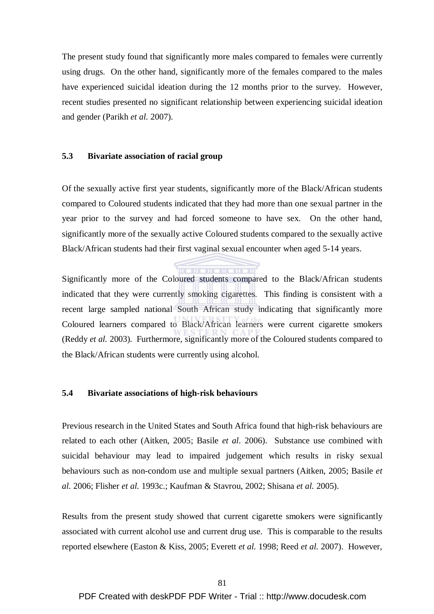The present study found that significantly more males compared to females were currently using drugs. On the other hand, significantly more of the females compared to the males have experienced suicidal ideation during the 12 months prior to the survey. However, recent studies presented no significant relationship between experiencing suicidal ideation and gender (Parikh *et al.* 2007).

# **5.3 Bivariate association of racial group**

Of the sexually active first year students, significantly more of the Black/African students compared to Coloured students indicated that they had more than one sexual partner in the year prior to the survey and had forced someone to have sex. On the other hand, significantly more of the sexually active Coloured students compared to the sexually active Black/African students had their first vaginal sexual encounter when aged 5-14 years.

Significantly more of the Coloured students compared to the Black/African students indicated that they were currently smoking cigarettes. This finding is consistent with a recent large sampled national South African study indicating that significantly more Coloured learners compared to Black/African learners were current cigarette smokers (Reddy *et al.* 2003). Furthermore, significantly more of the Coloured students compared to the Black/African students were currently using alcohol.

#### **5.4 Bivariate associations of high-risk behaviours**

Previous research in the United States and South Africa found that high-risk behaviours are related to each other (Aitken, 2005; Basile *et al.* 2006). Substance use combined with suicidal behaviour may lead to impaired judgement which results in risky sexual behaviours such as non-condom use and multiple sexual partners (Aitken, 2005; Basile *et al.* 2006; Flisher *et al.* 1993c.; Kaufman & Stavrou, 2002; Shisana *et al.* 2005).

Results from the present study showed that current cigarette smokers were significantly associated with current alcohol use and current drug use. This is comparable to the results reported elsewhere (Easton & Kiss, 2005; Everett *et al.* 1998; Reed *et al.* 2007). However,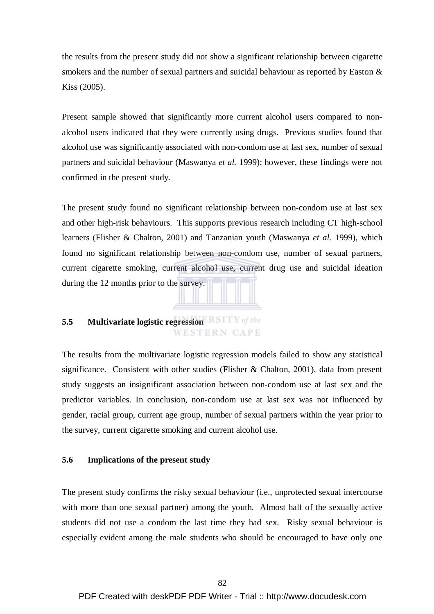the results from the present study did not show a significant relationship between cigarette smokers and the number of sexual partners and suicidal behaviour as reported by Easton & Kiss (2005).

Present sample showed that significantly more current alcohol users compared to nonalcohol users indicated that they were currently using drugs. Previous studies found that alcohol use was significantly associated with non-condom use at last sex, number of sexual partners and suicidal behaviour (Maswanya *et al.* 1999); however, these findings were not confirmed in the present study.

The present study found no significant relationship between non-condom use at last sex and other high-risk behaviours. This supports previous research including CT high-school learners (Flisher & Chalton, 2001) and Tanzanian youth (Maswanya *et al.* 1999), which found no significant relationship between non-condom use, number of sexual partners, current cigarette smoking, current alcohol use, current drug use and suicidal ideation during the 12 months prior to the survey.

# **5.5 Multivariate logistic regression**  WESTERN CAPE

The results from the multivariate logistic regression models failed to show any statistical significance. Consistent with other studies (Flisher & Chalton, 2001), data from present study suggests an insignificant association between non-condom use at last sex and the predictor variables. In conclusion, non-condom use at last sex was not influenced by gender, racial group, current age group, number of sexual partners within the year prior to the survey, current cigarette smoking and current alcohol use.

#### **5.6 Implications of the present study**

The present study confirms the risky sexual behaviour (i.e., unprotected sexual intercourse with more than one sexual partner) among the youth. Almost half of the sexually active students did not use a condom the last time they had sex. Risky sexual behaviour is especially evident among the male students who should be encouraged to have only one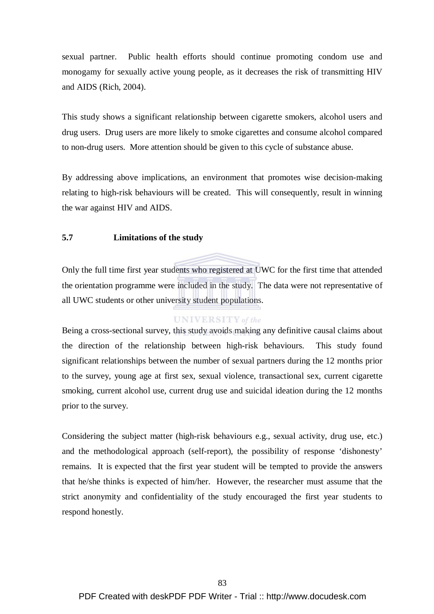sexual partner. Public health efforts should continue promoting condom use and monogamy for sexually active young people, as it decreases the risk of transmitting HIV and AIDS (Rich, 2004).

This study shows a significant relationship between cigarette smokers, alcohol users and drug users. Drug users are more likely to smoke cigarettes and consume alcohol compared to non-drug users. More attention should be given to this cycle of substance abuse.

By addressing above implications, an environment that promotes wise decision-making relating to high-risk behaviours will be created. This will consequently, result in winning the war against HIV and AIDS.

# **5.7 Limitations of the study**

Only the full time first year students who registered at UWC for the first time that attended the orientation programme were included in the study. The data were not representative of all UWC students or other university student populations.

# **UNIVERSITY** of the

Being a cross-sectional survey, this study avoids making any definitive causal claims about the direction of the relationship between high-risk behaviours. This study found significant relationships between the number of sexual partners during the 12 months prior to the survey, young age at first sex, sexual violence, transactional sex, current cigarette smoking, current alcohol use, current drug use and suicidal ideation during the 12 months prior to the survey.

Considering the subject matter (high-risk behaviours e.g., sexual activity, drug use, etc.) and the methodological approach (self-report), the possibility of response 'dishonesty' remains. It is expected that the first year student will be tempted to provide the answers that he/she thinks is expected of him/her. However, the researcher must assume that the strict anonymity and confidentiality of the study encouraged the first year students to respond honestly.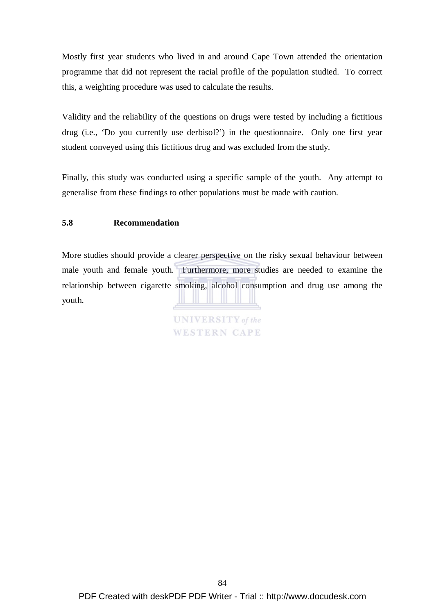Mostly first year students who lived in and around Cape Town attended the orientation programme that did not represent the racial profile of the population studied. To correct this, a weighting procedure was used to calculate the results.

Validity and the reliability of the questions on drugs were tested by including a fictitious drug (i.e., 'Do you currently use derbisol?') in the questionnaire. Only one first year student conveyed using this fictitious drug and was excluded from the study.

Finally, this study was conducted using a specific sample of the youth. Any attempt to generalise from these findings to other populations must be made with caution.

# **5.8 Recommendation**

More studies should provide a clearer perspective on the risky sexual behaviour between male youth and female youth. Furthermore, more studies are needed to examine the relationship between cigarette smoking, alcohol consumption and drug use among the youth.

> **UNIVERSITY** of the **WESTERN CAPE**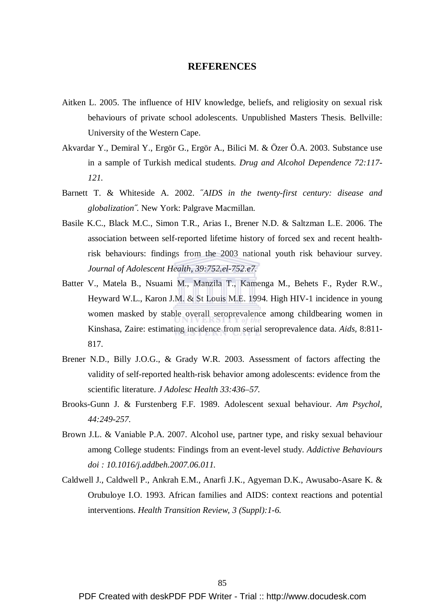### **REFERENCES**

- Aitken L. 2005. The influence of HIV knowledge, beliefs, and religiosity on sexual risk behaviours of private school adolescents. Unpublished Masters Thesis. Bellville: University of the Western Cape.
- Akvardar Y., Demiral Y., Ergör G., Ergör A., Bilici M. & Özer Ö.A. 2003. Substance use in a sample of Turkish medical students. *Drug and Alcohol Dependence 72:117- 121.*
- Barnett T. & Whiteside A. 2002. ˝*AIDS in the twenty-first century: disease and globalization˝*. New York: Palgrave Macmillan.
- Basile K.C., Black M.C., Simon T.R., Arias I., Brener N.D. & Saltzman L.E. 2006. The association between self-reported lifetime history of forced sex and recent healthrisk behaviours: findings from the 2003 national youth risk behaviour survey. *Journal of Adolescent Health, 39:752.el-752.e7.*
- Batter V., Matela B., Nsuami M., Manzila T., Kamenga M., Behets F., Ryder R.W., Heyward W.L., Karon J.M. & St Louis M.E. 1994. High HIV-1 incidence in young women masked by stable overall seroprevalence among childbearing women in Kinshasa, Zaire: estimating incidence from serial seroprevalence data. *Aids,* 8:811- 817.
- Brener N.D., Billy J.O.G., & Grady W.R. 2003. Assessment of factors affecting the validity of self-reported health-risk behavior among adolescents: evidence from the scientific literature. *J Adolesc Health 33:436–57.*
- Brooks-Gunn J. & Furstenberg F.F. 1989. Adolescent sexual behaviour. *Am Psychol, 44:249-257.*
- Brown J.L. & Vaniable P.A. 2007. Alcohol use, partner type, and risky sexual behaviour among College students: Findings from an event-level study. *Addictive Behaviours doi : 10.1016/j.addbeh.2007.06.011.*
- Caldwell J., Caldwell P., Ankrah E.M., Anarfi J.K., Agyeman D.K., Awusabo-Asare K. & Orubuloye I.O. 1993. African families and AIDS: context reactions and potential interventions. *Health Transition Review, 3 (Suppl):1-6.*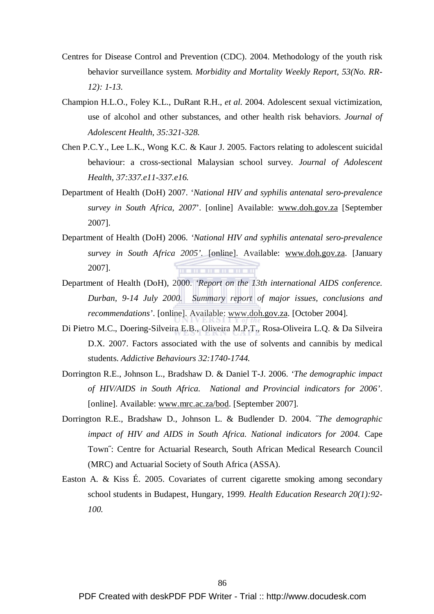- Centres for Disease Control and Prevention (CDC). 2004. Methodology of the youth risk behavior surveillance system. *Morbidity and Mortality Weekly Report, 53(No. RR-12): 1-13.*
- Champion H.L.O., Foley K.L., DuRant R.H., *et al*. 2004. Adolescent sexual victimization, use of alcohol and other substances, and other health risk behaviors. *Journal of Adolescent Health, 35:321-328.*
- Chen P.C.Y., Lee L.K., Wong K.C. & Kaur J. 2005. Factors relating to adolescent suicidal behaviour: a cross-sectional Malaysian school survey. *Journal of Adolescent Health, 37:337.e11-337.e16.*
- Department of Health (DoH) 2007. '*National HIV and syphilis antenatal sero-prevalence survey in South Africa, 2007*'. [online] Available: www.doh.gov.za [September 2007].
- Department of Health (DoH) 2006. *'National HIV and syphilis antenatal sero-prevalence survey in South Africa 2005'.* [online]. Available: www.doh.gov.za. [January 2007]. . . . . . . . . . . .
- Department of Health (DoH), 2000. *'Report on the 13th international AIDS conference. Durban, 9-14 July 2000. Summary report of major issues, conclusions and recommendations'*. [online]. Available: www.doh.gov.za. [October 2004].
- Di Pietro M.C., Doering-Silveira E.B., Oliveira M.P.T., Rosa-Oliveira L.Q. & Da Silveira D.X. 2007. Factors associated with the use of solvents and cannibis by medical students. *Addictive Behaviours 32:1740-1744.*
- Dorrington R.E., Johnson L., Bradshaw D. & Daniel T-J. 2006. *'The demographic impact of HIV/AIDS in South Africa. National and Provincial indicators for 2006'*. [online]. Available: www.mrc.ac.za/bod. [September 2007].
- Dorrington R.E., Bradshaw D., Johnson L. & Budlender D. 2004. ˝*The demographic impact of HIV and AIDS in South Africa. National indicators for 2004.* Cape Town˝: Centre for Actuarial Research, South African Medical Research Council (MRC) and Actuarial Society of South Africa (ASSA).
- Easton A. & Kiss É. 2005. Covariates of current cigarette smoking among secondary school students in Budapest, Hungary, 1999*. Health Education Research 20(1):92- 100.*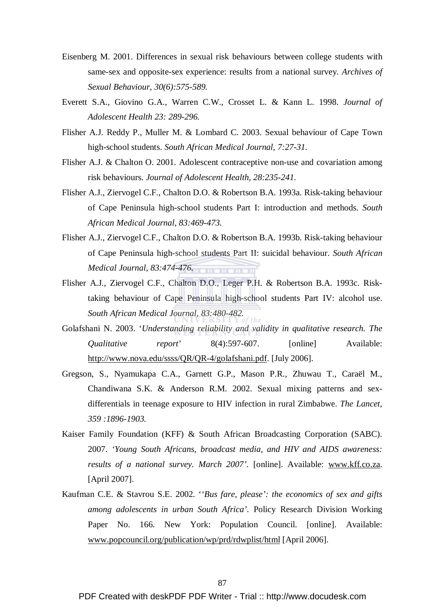- Eisenberg M. 2001. Differences in sexual risk behaviours between college students with same-sex and opposite-sex experience: results from a national survey. *Archives of Sexual Behaviour, 30(6):575-589.*
- Everett S.A., Giovino G.A., Warren C.W., Crosset L. & Kann L. 1998. *Journal of Adolescent Health 23: 289-296.*
- Flisher A.J. Reddy P., Muller M. & Lombard C. 2003. Sexual behaviour of Cape Town high-school students. *South African Medical Journal, 7:27-31.*
- Flisher A.J. & Chalton O. 2001. Adolescent contraceptive non-use and covariation among risk behaviours. *Journal of Adolescent Health, 28:235-241.*
- Flisher A.J., Ziervogel C.F., Chalton D.O. & Robertson B.A. 1993a. Risk-taking behaviour of Cape Peninsula high-school students Part I: introduction and methods. *South African Medical Journal, 83:469-473.*
- Flisher A.J., Ziervogel C.F., Chalton D.O. & Robertson B.A. 1993b. Risk-taking behaviour of Cape Peninsula high-school students Part II: suicidal behaviour. *South African Medical Journal, 83:474-476.*
- Flisher A.J., Ziervogel C.F., Chalton D.O., Leger P.H. & Robertson B.A. 1993c. Risktaking behaviour of Cape Peninsula high-school students Part IV: alcohol use. *South African Medical Journal, 83:480-482.*
- Golafshani N. 2003. '*Understanding reliability and validity in qualitative research. The Qualitative report*' 8(4):597-607. [online] Available: http://www.nova.edu/ssss/QR/QR-4/golafshani.pdf. [July 2006].
- Gregson, S., Nyamukapa C.A., Garnett G.P., Mason P.R., Zhuwau T., Caraël M., Chandiwana S.K. & Anderson R.M. 2002. Sexual mixing patterns and sexdifferentials in teenage exposure to HIV infection in rural Zimbabwe. *The Lancet, 359 :1896-1903.*
- Kaiser Family Foundation (KFF) & South African Broadcasting Corporation (SABC). 2007. *'Young South Africans, broadcast media, and HIV and AIDS awareness: results of a national survey. March 2007'.* [online]. Available: www.kff.co.za. [April 2007].
- Kaufman C.E. & Stavrou S.E. 2002. '*'Bus fare, please': the economics of sex and gifts among adolescents in urban South Africa'.* Policy Research Division Working Paper No. 166. New York: Population Council. [online]. Available: www.popcouncil.org/publication/wp/prd/rdwplist/html [April 2006].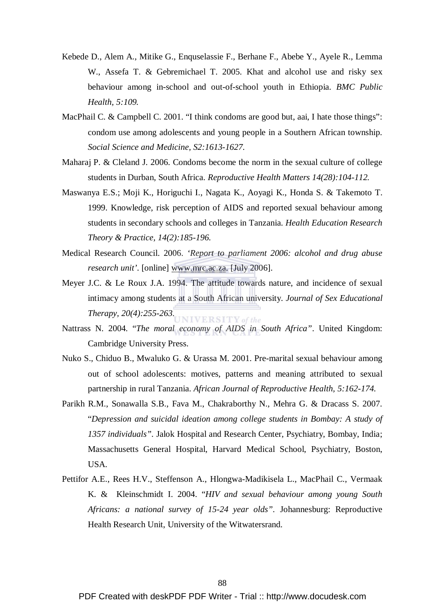- Kebede D., Alem A., Mitike G., Enquselassie F., Berhane F., Abebe Y., Ayele R., Lemma W., Assefa T. & Gebremichael T. 2005. Khat and alcohol use and risky sex behaviour among in-school and out-of-school youth in Ethiopia. *BMC Public Health, 5:109.*
- MacPhail C. & Campbell C. 2001. "I think condoms are good but, aai, I hate those things": condom use among adolescents and young people in a Southern African township. *Social Science and Medicine, S2:1613-1627.*
- Maharaj P. & Cleland J. 2006. Condoms become the norm in the sexual culture of college students in Durban, South Africa. *Reproductive Health Matters 14(28):104-112.*
- Maswanya E.S.; Moji K., Horiguchi I., Nagata K., Aoyagi K., Honda S. & Takemoto T. 1999. Knowledge, risk perception of AIDS and reported sexual behaviour among students in secondary schools and colleges in Tanzania. *Health Education Research Theory & Practice, 14(2):185-196.*
- Medical Research Council. 2006. *'Report to parliament 2006: alcohol and drug abuse research unit'.* [online] www.mrc.ac.za. [July 2006].
- Meyer J.C. & Le Roux J.A. 1994. The attitude towards nature, and incidence of sexual intimacy among students at a South African university. *Journal of Sex Educational Therapy, 20(4):255-263.*  **NIVERSITY** of the
- Nattrass N. 2004. "*The moral economy of AIDS in South Africa"*. United Kingdom: Cambridge University Press.
- Nuko S., Chiduo B., Mwaluko G. & Urassa M. 2001. Pre-marital sexual behaviour among out of school adolescents: motives, patterns and meaning attributed to sexual partnership in rural Tanzania. *African Journal of Reproductive Health, 5:162-174.*
- Parikh R.M., Sonawalla S.B., Fava M., Chakraborthy N., Mehra G. & Dracass S. 2007. "*Depression and suicidal ideation among college students in Bombay: A study of 1357 individuals".* Jalok Hospital and Research Center, Psychiatry, Bombay, India; Massachusetts General Hospital, Harvard Medical School, Psychiatry, Boston, USA.
- Pettifor A.E., Rees H.V., Steffenson A., Hlongwa-Madikisela L., MacPhail C., Vermaak K. & Kleinschmidt I. 2004. "*HIV and sexual behaviour among young South Africans: a national survey of 15-24 year olds".* Johannesburg: Reproductive Health Research Unit, University of the Witwatersrand.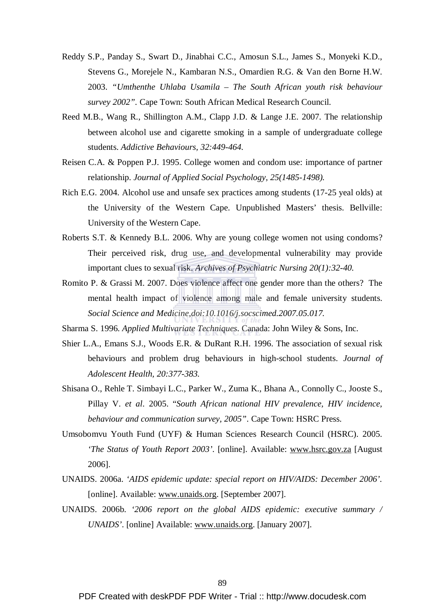- Reddy S.P., Panday S., Swart D., Jinabhai C.C., Amosun S.L., James S., Monyeki K.D., Stevens G., Morejele N., Kambaran N.S., Omardien R.G. & Van den Borne H.W. 2003. *"Umthenthe Uhlaba Usamila – The South African youth risk behaviour survey 2002".* Cape Town: South African Medical Research Council.
- Reed M.B., Wang R., Shillington A.M., Clapp J.D. & Lange J.E. 2007. The relationship between alcohol use and cigarette smoking in a sample of undergraduate college students. *Addictive Behaviours, 32:449-464.*
- Reisen C.A. & Poppen P.J. 1995. College women and condom use: importance of partner relationship. *Journal of Applied Social Psychology, 25(1485-1498).*
- Rich E.G. 2004. Alcohol use and unsafe sex practices among students (17-25 yeal olds) at the University of the Western Cape. Unpublished Masters' thesis. Bellville: University of the Western Cape.
- Roberts S.T. & Kennedy B.L. 2006. Why are young college women not using condoms? Their perceived risk, drug use, and developmental vulnerability may provide important clues to sexual risk. *Archives of Psychiatric Nursing 20(1):32-40.*
- Romito P. & Grassi M. 2007. Does violence affect one gender more than the others? The mental health impact of violence among male and female university students. *Social Science and Medicine,doi:10.1016/j.socscimed.2007.05.017.*
- Sharma S. 1996. *Applied Multivariate Techniques*. Canada: John Wiley & Sons, Inc.
- Shier L.A., Emans S.J., Woods E.R. & DuRant R.H. 1996. The association of sexual risk behaviours and problem drug behaviours in high-school students. *Journal of Adolescent Health, 20:377-383.*
- Shisana O., Rehle T. Simbayi L.C., Parker W., Zuma K., Bhana A., Connolly C., Jooste S., Pillay V. *et al*. 2005. "*South African national HIV prevalence, HIV incidence, behaviour and communication survey, 2005"*. Cape Town: HSRC Press.
- Umsobomvu Youth Fund (UYF) & Human Sciences Research Council (HSRC). 2005. *'The Status of Youth Report 2003'*. [online]. Available: www.hsrc.gov.za [August 2006].
- UNAIDS. 2006a. *'AIDS epidemic update: special report on HIV/AIDS: December 2006'.* [online]. Available: www.unaids.org. [September 2007].
- UNAIDS. 2006b. *'2006 report on the global AIDS epidemic: executive summary / UNAIDS'.* [online] Available: www.unaids.org. [January 2007].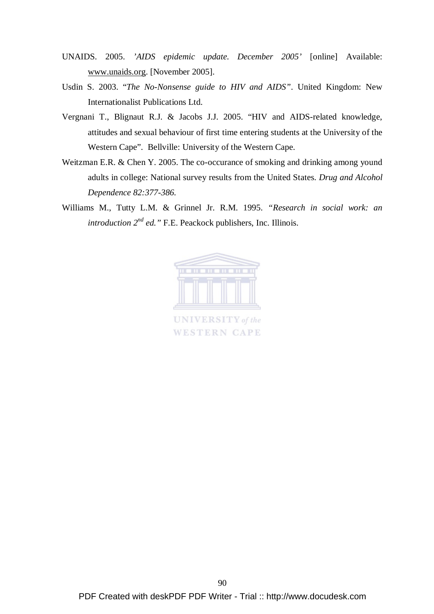- UNAIDS. 2005. *'AIDS epidemic update. December 2005'* [online] Available: www.unaids.org. [November 2005].
- Usdin S. 2003. "*The No-Nonsense guide to HIV and AIDS"*. United Kingdom: New Internationalist Publications Ltd.
- Vergnani T., Blignaut R.J. & Jacobs J.J. 2005. "HIV and AIDS-related knowledge, attitudes and sexual behaviour of first time entering students at the University of the Western Cape". Bellville: University of the Western Cape.
- Weitzman E.R. & Chen Y. 2005. The co-occurance of smoking and drinking among yound adults in college: National survey results from the United States. *Drug and Alcohol Dependence 82:377-386.*
- Williams M., Tutty L.M. & Grinnel Jr. R.M. 1995. *"Research in social work: an introduction*  $2^{nd}$  *ed.* " F.E. Peackock publishers, Inc. Illinois.



**UNIVERSITY** of the **WESTERN CAPE**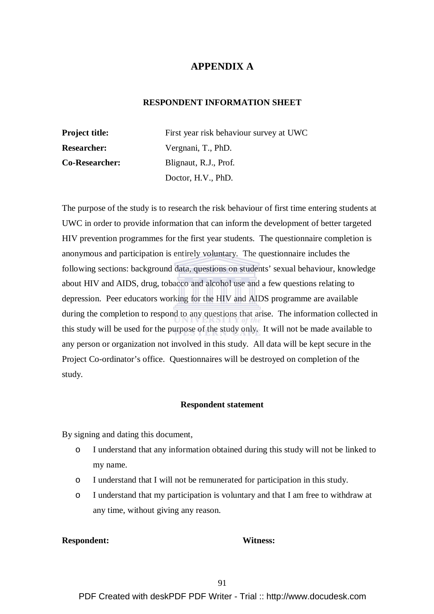# **APPENDIX A**

#### **RESPONDENT INFORMATION SHEET**

| <b>Project title:</b> | First year risk behaviour survey at UWC |
|-----------------------|-----------------------------------------|
| <b>Researcher:</b>    | Vergnani, T., PhD.                      |
| <b>Co-Researcher:</b> | Blignaut, R.J., Prof.                   |
|                       | Doctor, H.V., PhD.                      |

The purpose of the study is to research the risk behaviour of first time entering students at UWC in order to provide information that can inform the development of better targeted HIV prevention programmes for the first year students. The questionnaire completion is anonymous and participation is entirely voluntary. The questionnaire includes the following sections: background data, questions on students' sexual behaviour, knowledge about HIV and AIDS, drug, tobacco and alcohol use and a few questions relating to depression. Peer educators working for the HIV and AIDS programme are available during the completion to respond to any questions that arise. The information collected in this study will be used for the purpose of the study only. It will not be made available to any person or organization not involved in this study. All data will be kept secure in the Project Co-ordinator's office. Questionnaires will be destroyed on completion of the study.

### **Respondent statement**

By signing and dating this document,

- o I understand that any information obtained during this study will not be linked to my name.
- o I understand that I will not be remunerated for participation in this study.
- o I understand that my participation is voluntary and that I am free to withdraw at any time, without giving any reason.

**Respondent: Witness:**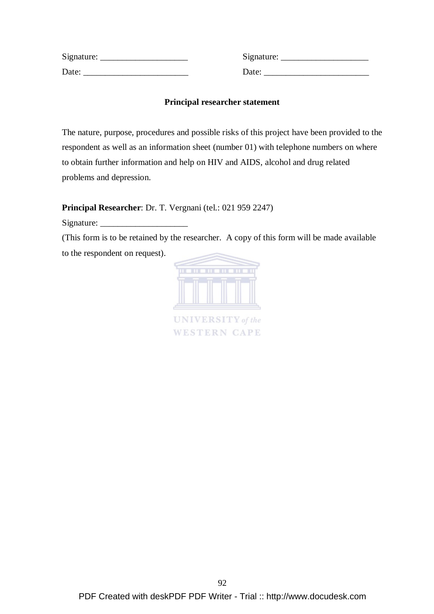| Signature: | Signature: |
|------------|------------|
| Date:      | Date:      |

# **Principal researcher statement**

The nature, purpose, procedures and possible risks of this project have been provided to the respondent as well as an information sheet (number 01) with telephone numbers on where to obtain further information and help on HIV and AIDS, alcohol and drug related problems and depression.

**Principal Researcher**: Dr. T. Vergnani (tel.: 021 959 2247)

Signature: \_\_\_\_\_\_\_\_\_\_\_\_\_\_\_\_\_\_\_\_

(This form is to be retained by the researcher. A copy of this form will be made available to the respondent on request).



**WESTERN CAPE**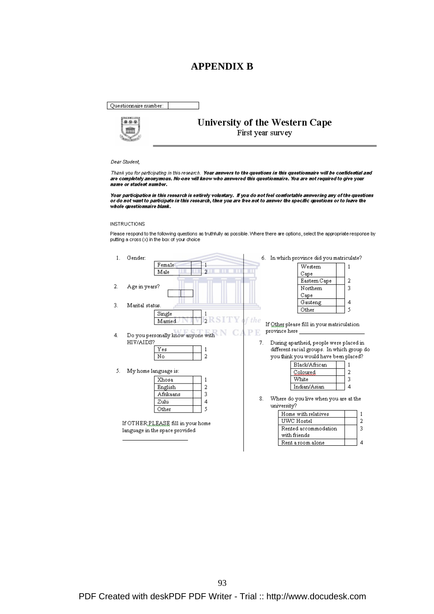# **APPENDIX B**

Questionnaire number:



# University of the Western Cape First year survey

#### Dear Student,

Thank you for participating in this research. Your auswers to the questions in this questionnaire will be confidential and<br>are completely anonymous. No one will know who auswered this questionnaire. You are not required to

Your participation in this research is entirely voluntary. If you do not feel comfortable answering any of the questions<br>or do not want to participate in this research, then you are free not to answer the specific question

#### **INSTRUCTIONS**

Please respond to the following questions as truthfully as possible. Where there are options, select the appropriate response by<br>putting a cross (x) in the box of your choice

| 1. | Gender:              |                                    |              |     |               | 6. In which province did you matriculate?  |   |   |
|----|----------------------|------------------------------------|--------------|-----|---------------|--------------------------------------------|---|---|
|    |                      | Female                             |              |     |               | Western                                    |   |   |
|    |                      | Male                               | <sup>2</sup> |     |               | Cape                                       |   |   |
|    |                      |                                    |              |     |               | Eastern Cape                               | 2 |   |
| 2. | Age in years?        |                                    |              |     |               | Northern                                   | ٩ |   |
|    |                      |                                    |              |     |               | Cape                                       |   |   |
| 3. | Marital status.      |                                    |              |     |               | Gauteng                                    | 4 |   |
|    |                      |                                    |              |     |               | Other                                      | 5 |   |
|    |                      | Single<br>Married                  |              | the |               |                                            |   |   |
|    |                      |                                    |              |     |               | If Other please fill in your matriculation |   |   |
| 4. |                      | Do you personally know anyone with |              |     | province here |                                            |   |   |
|    | HIV/AIDS?            |                                    |              | 7.  |               | During apartheid, people were placed in    |   |   |
|    |                      | Yes                                |              |     |               | different racial groups. In which group do |   |   |
|    |                      | Νo                                 | 2            |     |               | you think you would have been placed?      |   |   |
|    |                      |                                    |              |     |               | Black/African                              |   |   |
| 5. | My home language is: |                                    |              |     |               | Coloured                                   | 2 |   |
|    |                      | Xhosa                              |              |     |               | White                                      | 3 |   |
|    |                      | English                            | 2            |     |               | Indian/Asian                               | 4 |   |
|    |                      | Afrikaans                          | 3            |     |               |                                            |   |   |
|    |                      | Zulu                               | 4            | 8.  |               | Where do you live when you are at the      |   |   |
|    |                      | Other                              | 5            |     | university?   |                                            |   |   |
|    |                      |                                    |              |     |               | Home with relatives                        |   |   |
|    |                      | If OTHER; PLEASE fill in your home |              |     | UWC Hostel    |                                            |   | 2 |
|    |                      | language in the space provided     |              |     |               | Rented accommodation                       |   | 3 |
|    |                      |                                    |              |     | with friends  |                                            |   |   |
|    |                      |                                    |              |     |               | Rent a room alone                          |   | 4 |
|    |                      |                                    |              |     |               |                                            |   |   |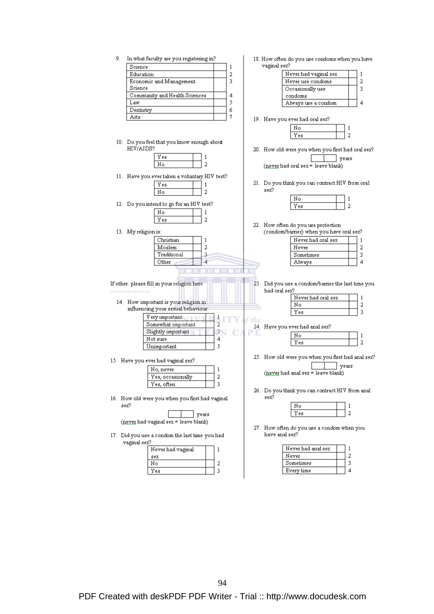9. In what faculty are you registering in? 18. How often do you use condoms when you have vaginal sex? Science  $\,1\,$ Education  $\overline{2}$ Never had vaginal sex  $\mathbf{1}$ Economic and Management 3 Never use condoms  $\sqrt{2}$ Science Occasionally use  $\sqrt{3}$ Community and Health Sciences  $\boldsymbol{\Delta}$  $\verb|condoms|$ 5  $\overline{Law}$  $\overline{4}$ Always use a condom Dentistry 6 Arts 7 19. Have you ever had oral sex? No  $\overline{1}$  $\overline{\text{Yes}}$  $\overline{2}$ 10. Do you feel that you know enough about HIV/AIDS? 20. How old were you when you first had oral sex? Yes  $\overline{1}$  $\Box$  years  $\overline{\phantom{a}}$ No  $\overline{2}$ (never had oral sex = leave blank) 11. Have you ever taken a voluntary HIV test? 21. Do you think you can contract HIV from oral Yes -1 sex? No  $\overline{2}$ No  $\mathbf{1}$ 12. Do you intend to go for an HIV test?  $\overline{2}$ Yes No  $\mathbf{1}$  $Yes$  $\overline{2}$ 22. How often do you use protection 13. My religion is: (condom/barrier) when you have oral sex? Christian Never had oral sex  $\overline{1}$  $\mathbf{1}$ Moslem  $\overline{2}$ Never  $\sqrt{2}$  $\overline{3}$ Traditional 3 Sometimes Other  $\overline{4}$ Always  $\overline{4}$ Did you use a condom/barrier the last time you If other: please fill in your religion here 23. had oral sex? Never had oral sex  $\mathbf{1}$ 14. How important is your religion in No  $\overline{2}$ influencing your sexual behaviour:  $Yes$  $\overline{3}$ Very important Somewhat important  $\frac{1}{2}$ 24. Have you ever had anal sex? Slightly important  $3<sub>1</sub>$  $C$ PE No  $\overline{1}$ Not sure  $\overline{4}$  $\overline{Y}$ es  $\overline{2}$ Unimportant 5 25. How old were you when you first had anal sex? 15. Have you ever had vaginal sex? years No, never  $\mathbf{1}$  $(new$  had anal sex = leave blank) Yes, occasionally  $\overline{a}$ -3 Yes, often 26. Do you think you can contract HIV from anal sex? 16. How old were you when you first had vaginal sex?  $\overline{N_0}$  $\overline{1}$  $\overline{Yes}$  $\overline{2}$  $\Box$  years (never had vaginal sex = leave blank) 27. How often do you use a condom when you 17. Did you use a condom the last time you had have anal sex? vaginal sex? Never had anal sex Never had vaginal  $\mathbf{1}$  $\mathbf{1}$ Never -2  $sex$ Sometimes  $\overline{3}$  $\overline{a}$ No

 $\overline{3}$ 

Every time

 $\overline{4}$ 

 $\overline{Yes}$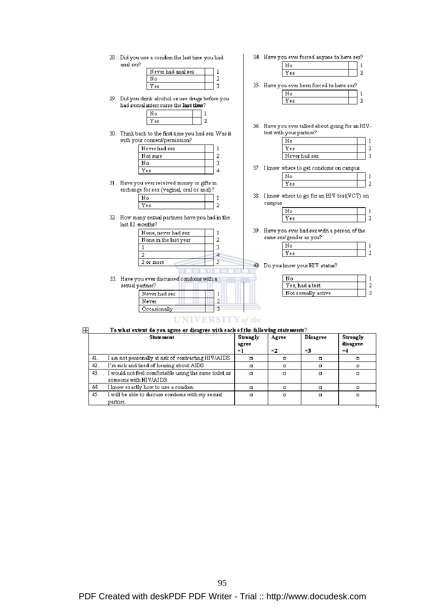| 28. Did you use a condom the last time you had       |   | 34. Have you ever forced anyone to have sex?     |   |
|------------------------------------------------------|---|--------------------------------------------------|---|
| anal sex?                                            |   | No<br>1                                          |   |
| Never had anal sex                                   | 1 | 2<br>Yes                                         |   |
| N٥                                                   | 2 |                                                  |   |
| Yes                                                  | 3 | 35. Have you ever been forced to have sex?       |   |
|                                                      |   | No<br>1                                          |   |
| 29. Did you drink alcohol or use drugs before you.   |   | $\overline{2}$<br>Yes                            |   |
| had sexual intercourse the last time?                |   |                                                  |   |
| N٥<br>1                                              |   |                                                  |   |
| 2<br>Yes                                             |   |                                                  |   |
|                                                      |   | 36. Have you ever talked about going for an HIV- |   |
| 30. Think back to the first time you had sex. Was it |   | test with your partner?                          |   |
| with your consent/permission?                        |   | No                                               | 1 |
| Never had sex                                        | 1 | Yes                                              | 2 |
| Not sure                                             | 2 | Never had sex                                    | 3 |
| No                                                   | 3 |                                                  |   |
| Yes                                                  | 4 | 37. I know where to get condoms on campus        |   |
|                                                      |   | No                                               |   |
| 31. Have you ever received money or gifts in         |   | Yes                                              | 2 |
| exchange for sex (vaginal, oral or anal)?            |   |                                                  |   |
| Nο                                                   | 1 | 38. I know where to go for an HIV test(VCT) on   |   |
| Yes                                                  | 2 | campus                                           |   |
|                                                      |   | Nο                                               |   |
| 32. How many sexual partners have you had in the     |   | Yes                                              | 2 |
| last 12 months?                                      |   |                                                  |   |
| None, never had sex<br>1                             |   | 39. Have you ever had sex with a person of the   |   |
| 2<br>None in the last year                           |   | same sex/gender as you?                          |   |
| 1                                                    | 3 | No                                               |   |
| 2                                                    | 4 | Yes                                              | 2 |
| 3 or more                                            | 5 |                                                  |   |
|                                                      |   | 40. Do you know your HIV status?                 |   |
| 33. Have you ever discussed condoms with a           |   | No                                               |   |
| sexual partner?                                      |   | Yes, had a test                                  | 2 |
|                                                      |   |                                                  | 3 |
| Never had sex                                        | 1 | Not sexually active                              |   |
| Never                                                | 2 |                                                  |   |
| Occasionally                                         | 3 |                                                  |   |
| <b>UNIVERSITY</b> of the                             |   |                                                  |   |
|                                                      |   |                                                  |   |

| l++ | To what extent do you agree or disagree with each of the following statements? |                |            |
|-----|--------------------------------------------------------------------------------|----------------|------------|
|     | State ment                                                                     | Strongly Agree | l Disagree |

| Strongly<br>agree                                   | Agree                                                     | <b>Disagree</b> | Strongly<br>disagree |
|-----------------------------------------------------|-----------------------------------------------------------|-----------------|----------------------|
| $=$ 1                                               | $=2$                                                      | $=3$            | $=4$                 |
| □                                                   |                                                           |                 | □                    |
| □                                                   | □                                                         |                 | ▫                    |
| $\Box$                                              | $\Box$                                                    |                 | $\Box$               |
| □                                                   |                                                           |                 | □                    |
| $\Box$                                              | о                                                         |                 | □                    |
| I am not personally at risk of contracting HIV/AIDS | 43. I would not feel comfortable using the same toilet as |                 |                      |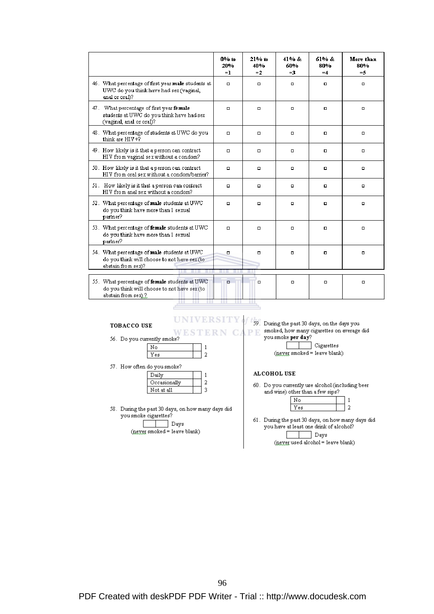|                                                                                                                      | $0%$ to<br>20%<br>$=1$ | 21% to<br>40%<br>$=2$ | 41% &<br>60%<br>$=3$ | 61% &<br>80%<br>$=4$ | More than<br>80%<br>$=5$ |
|----------------------------------------------------------------------------------------------------------------------|------------------------|-----------------------|----------------------|----------------------|--------------------------|
| 46. What percentage of first year male students at<br>UWC do you think have had sex (vaginal,<br>anal or oral)?      | $\Box$                 | $\Box$                | о                    |                      | $\Box$                   |
| 47. What percentage of first year female<br>students at UWC do you think have had sex<br>(vaginal, anal or oral)?    | $\Box$                 | $\Box$                | $\Box$               | $\Box$               | $\Box$                   |
| 48. What percentage of students at UWC do you<br>think are HIV+?                                                     | $\Box$                 | $\Box$                | α                    | $\Box$               | $\Box$                   |
| 49. How likely is it that a person can contract<br>HIV from vaginal sex without a condom?                            | $\Box$                 | $\Box$                | $\Box$               | $\Box$               | $\Box$                   |
| 50. How likely is it that a person can contract<br>HIV from oral sex without a condom/barrier?                       | $\Box$                 | $\Box$                | $\Box$               | $\Box$               | $\Box$                   |
| 51. How likely is it that a person can contract<br>HIV from anal sex without a condom?                               | $\Box$                 | $\Box$                | σ                    | σ                    | α                        |
| 52. What percentage of male students at UWC<br>do you think have more than 1 sexual<br>partner?                      | $\Box$                 | $\Box$                | п                    | $\Box$               | $\Box$                   |
| 53. What percentage of female students at UWC<br>do you think have more than 1 sexual<br>partner?                    | $\Box$                 | $\Box$                | $\Box$               | $\Box$               | $\Box$                   |
| 54. What percentage of male students at UWC<br>do you think will choose to not have sex (to<br>abstain from sex)?    | $\Box$                 | $\Box$                | $\Box$               | $\Box$               | $\Box$                   |
| 55. What percentage of female students at UWC<br>do you think will choose to not have sex (to<br>abstain from sex).? | $\Box$                 | $\Box$                | □                    | □                    | $\Box$                   |

#### TOBACCO USE

# **ERSIT**

56. Do you currently smoke?

 $N<sub>o</sub>$ 

 $\sqrt{Y}$ es



57. How often do you smoke?

| ailv         |  |
|--------------|--|
| Occasionally |  |
| Not at all   |  |

Ū

58. During the past 30 days, on how many days did you smoke cigarettes? Days

(never smoked = leave blank)

59. During the past 30 days, on the days you smoked, how many cigarettes on average did you smoke per day?

Cigarettes  $n = 1$  (never smoked = 1eave blank)

#### ALCOHOL USE

60. Do you currently use alcohol (including beer<br>and wine) other than a few sips?

% 61. During the past 30 days, on how many days did you have at least one drink of alcohol?  $\boxed{\phantom{1}}$  Days (never used alcohol = leave blank)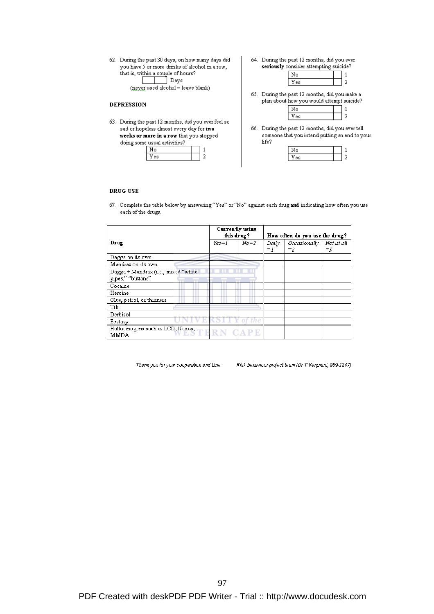62. During the past 30 days, on how many days did you have 5 or more drinks of alcohol in a row, that is, within a couple of hours?  $\Box$  Days (never used alcohol = leave blank)

#### **DEPRESSION**

63. During the past 12 months, did you ever feel so sad or hopeless almost every day for two weeks or more in a row that you stopped doing some usual activities?

64. During the past 12 months, did you ever seriously consider attempting suicide?



65. During the past 12 months, did you make a plan about how you would attempt suicide?  $N<sub>o</sub>$ ┱ 11

66. During the past 12 months, did you ever tell someone that you intend putting an end to your life?

| ٠   |  |
|-----|--|
| - 1 |  |

#### DRUG USE

67. Complete the table below by answering "Yes" or "No" against each drug and indicating how often you use each of the drugs.

|                                                                                      | Currently using<br>this drug? |        | How often do you use the drug? |                      |                     |  |
|--------------------------------------------------------------------------------------|-------------------------------|--------|--------------------------------|----------------------|---------------------|--|
| Drug                                                                                 | $Yes = 1$                     | $No=2$ | Daily<br>$=$ $\Gamma$          | Occasionally<br>$=2$ | Not at all<br>$=$ 3 |  |
| Dagga on its own                                                                     |                               |        |                                |                      |                     |  |
| Mandrax on its own                                                                   |                               |        |                                |                      |                     |  |
| Dagga + Mandrax (i.e., mixed "white<br>pipes," "buttons"<br><b>Contract Contract</b> |                               |        |                                |                      |                     |  |
| Cocaine                                                                              |                               |        |                                |                      |                     |  |
| Heroine                                                                              |                               |        |                                |                      |                     |  |
| Glue, petrol, or thinners                                                            |                               |        |                                |                      |                     |  |
| Tik                                                                                  |                               |        |                                |                      |                     |  |
| Derbisol                                                                             |                               |        |                                |                      |                     |  |
| Ecstasy                                                                              |                               |        |                                |                      |                     |  |
| Hallucinogens such as LCD, Nexus, THRN<br>MMDA                                       |                               |        |                                |                      |                     |  |

Thank you for your cooperation and time.

Risk behaviour project team (Dr T Vergnani, 959-2247)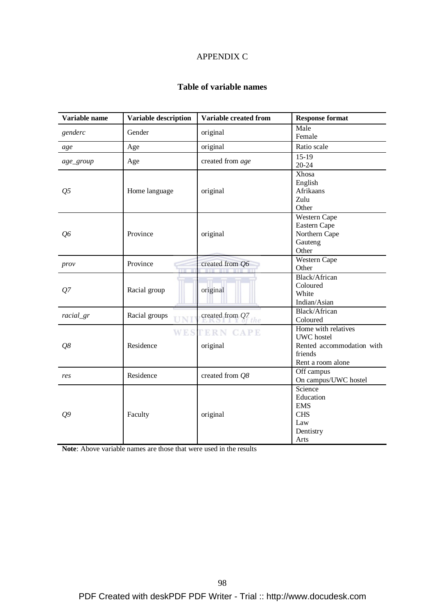# APPENDIX C

# **Table of variable names**

| Variable name<br>Variable description |               | <b>Variable created from</b>    | <b>Response format</b>                                                                                |
|---------------------------------------|---------------|---------------------------------|-------------------------------------------------------------------------------------------------------|
| genderc                               | Gender        | original                        | Male<br>Female                                                                                        |
| age                                   | Age           | original                        | Ratio scale                                                                                           |
| age_group                             | Age           | created from age                | $15-19$<br>$20 - 24$                                                                                  |
| Q <sub>5</sub>                        | Home language | original                        | Xhosa<br>English<br>Afrikaans<br>Zulu<br>Other                                                        |
| Q6                                    | Province      | original                        | Western Cape<br>Eastern Cape<br>Northern Cape<br>Gauteng<br>Other                                     |
| prov                                  | Province      | created from Q6                 | Western Cape<br>Other                                                                                 |
| Q7                                    | Racial group  | original                        | Black/African<br>Coloured<br>White<br>Indian/Asian                                                    |
| racial_gr                             | Racial groups | created from $Q7$               | Black/African<br>Coloured                                                                             |
| Q8                                    | Residence     | <b>WESTERN CAPE</b><br>original | Home with relatives<br><b>UWC</b> hostel<br>Rented accommodation with<br>friends<br>Rent a room alone |
| res                                   | Residence     | created from Q8                 | Off campus<br>On campus/UWC hostel                                                                    |
| $Q^{\prime}$                          | Faculty       | original                        | Science<br>Education<br><b>EMS</b><br><b>CHS</b><br>Law<br>Dentistry<br>Arts                          |

**Note**: Above variable names are those that were used in the results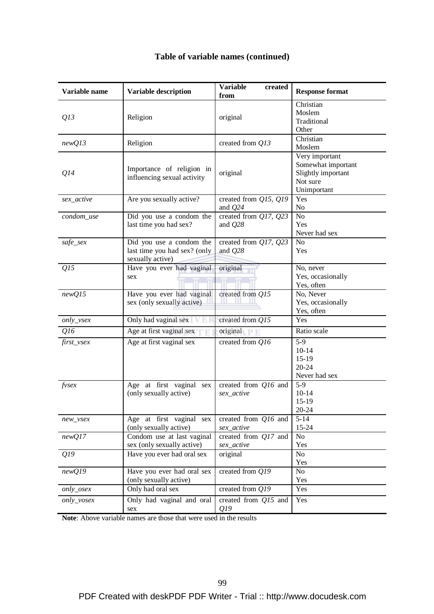| Variable name | <b>Variable description</b>                                                  | <b>Variable</b><br>created<br>from | <b>Response format</b>                                                                |
|---------------|------------------------------------------------------------------------------|------------------------------------|---------------------------------------------------------------------------------------|
| Q13           | Religion                                                                     | original                           | Christian<br>Moslem<br>Traditional<br>Other                                           |
| newQ13        | Religion                                                                     | created from Q13                   | Christian<br>Moslem                                                                   |
| Q14           | Importance of religion in<br>influencing sexual activity                     | original                           | Very important<br>Somewhat important<br>Slightly important<br>Not sure<br>Unimportant |
| sex_active    | Are you sexually active?                                                     | created from Q15, Q19<br>and $Q24$ | Yes<br>N <sub>o</sub>                                                                 |
| condom_use    | Did you use a condom the<br>last time you had sex?                           | created from Q17, Q23<br>and $Q28$ | No<br>Yes<br>Never had sex                                                            |
| safe_sex      | Did you use a condom the<br>last time you had sex? (only<br>sexually active) | created from Q17, Q23<br>and $Q28$ | N <sub>o</sub><br>Yes                                                                 |
| Q15           | Have you ever had vaginal<br>sex                                             | original                           | No, never<br>Yes, occasionally<br>Yes, often                                          |
| newQ15        | Have you ever had vaginal<br>sex (only sexually active)                      | created from Q15                   | No, Never<br>Yes, occasionally<br>Yes, often                                          |
| $only\_vsex$  | Only had vaginal sex                                                         | created from Q15                   | Yes                                                                                   |
| Q16           | Age at first vaginal sex                                                     | original<br>РE                     | Ratio scale                                                                           |
| first_vsex    | Age at first vaginal sex                                                     | created from Q16                   | $5-9$<br>$10 - 14$<br>$15-19$<br>$20 - 24$<br>Never had sex                           |
| fvsex         | Age at first vaginal sex<br>(only sexually active)                           | created from Q16 and<br>sex_active | $5-9$<br>$10 - 14$<br>$15-19$<br>$20 - 24$                                            |
| new_vsex      | Age at first vaginal sex<br>(only sexually active)                           | created from Q16 and<br>sex_active | $5 - 14$<br>15-24                                                                     |
| newQ17        | Condom use at last vaginal<br>sex (only sexually active)                     | created from Q17 and<br>sex_active | No<br>Yes                                                                             |
| Q19           | Have you ever had oral sex                                                   | original                           | No<br>Yes                                                                             |
| newQ19        | Have you ever had oral sex<br>(only sexually active)                         | created from Q19                   | No<br>Yes                                                                             |
| only_osex     | Only had oral sex                                                            | created from Q19                   | Yes                                                                                   |
| only_vosex    | Only had vaginal and oral<br>sex                                             | created from Q15 and<br>Q19        | Yes                                                                                   |

**Note**: Above variable names are those that were used in the results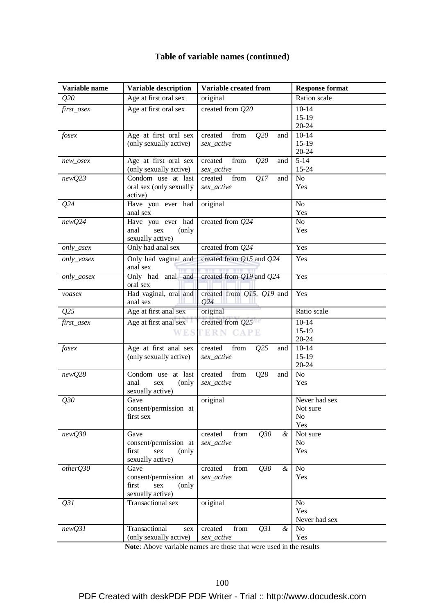| Variable name | Variable description                                                       | Variable created from                        | <b>Response format</b>                             |
|---------------|----------------------------------------------------------------------------|----------------------------------------------|----------------------------------------------------|
| Q20           | Age at first oral sex                                                      | original                                     | Ration scale                                       |
| first_osex    | Age at first oral sex                                                      | created from Q20                             | $10 - 14$<br>$15-19$<br>$20 - 24$                  |
| fosex         | Age at first oral sex<br>(only sexually active)                            | created<br>from<br>Q20<br>and<br>sex_active  | $10 - 14$<br>$15-19$<br>$20 - 24$                  |
| new_osex      | Age at first oral sex<br>(only sexually active)                            | created<br>from<br>Q20<br>and<br>sex_active  | $5 - 14$<br>15-24                                  |
| newQ23        | Condom use at last<br>oral sex (only sexually<br>active)                   | Q17<br>created<br>from<br>and<br>sex_active  | No<br>Yes                                          |
| Q24           | Have you ever had<br>anal sex                                              | original                                     | N <sub>o</sub><br>Yes                              |
| newQ24        | Have you ever had<br>anal<br>sex<br>(only<br>sexually active)              | created from Q24                             | No<br>Yes                                          |
| only_asex     | Only had anal sex                                                          | created from Q24                             | Yes                                                |
| only_vasex    | Only had vaginal and<br>anal sex                                           | created from Q15 and Q24                     | Yes                                                |
| only_aosex    | Only had anal and<br>oral sex                                              | created from Q19 and Q24                     | Yes                                                |
| voasex        | Had vaginal, oral and<br>anal sex                                          | created from Q15, Q19 and<br>024             | Yes                                                |
| Q25           | Age at first anal sex                                                      | original                                     | Ratio scale                                        |
| first_asex    | Age at first anal sex<br><b>WES</b>                                        | created from Q25<br><b>TERN CAPE</b>         | $10 - 14$<br>15-19<br>$20 - 24$                    |
| fasex         | Age at first anal sex<br>(only sexually active)                            | from<br>Q25<br>created<br>and<br>sex_active  | $10 - 14$<br>$15-19$<br>$20 - 24$                  |
| newQ28        | Condom use at last<br>anal<br>sex<br>(only)<br>sexually active)            | Q28<br>created<br>from<br>and<br>sex_active  | N <sub>o</sub><br>Yes                              |
| Q30           | Gave<br>consent/permission at<br>first sex                                 | original                                     | Never had sex<br>Not sure<br>N <sub>o</sub><br>Yes |
| newQ30        | Gave<br>consent/permission at<br>first<br>(only<br>sex<br>sexually active) | Q30<br>from<br>created<br>&<br>$sex\_active$ | Not sure<br>N <sub>o</sub><br>Yes                  |
| otherQ30      | Gave<br>consent/permission at<br>first<br>(only<br>sex<br>sexually active) | from<br>Q30<br>created<br>&<br>sex_active    | N <sub>o</sub><br>Yes                              |
| Q31           | Transactional sex                                                          | original                                     | N <sub>o</sub><br>Yes<br>Never had sex             |
| newQ31        | Transactional<br>sex<br>(only sexually active)                             | Q31<br>from<br>created<br>&<br>sex_active    | No<br>Yes                                          |

**Note**: Above variable names are those that were used in the results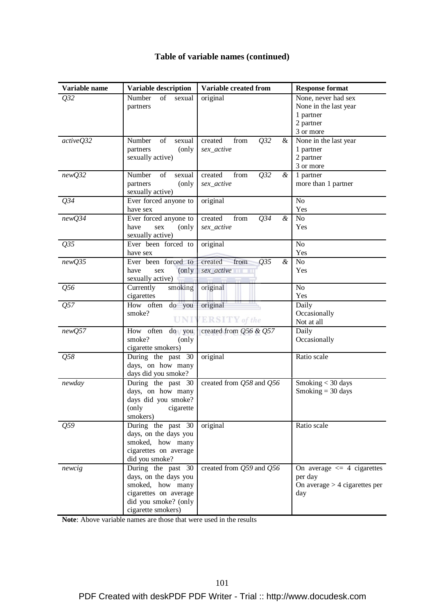| Variable name | <b>Variable description</b>                | Variable created from        | <b>Response format</b>          |
|---------------|--------------------------------------------|------------------------------|---------------------------------|
| Q32           | $\overline{\text{of}}$<br>Number<br>sexual | original                     | None, never had sex             |
|               | partners                                   |                              | None in the last year           |
|               |                                            |                              | 1 partner                       |
|               |                                            |                              | 2 partner                       |
|               |                                            |                              | 3 or more                       |
| activeQ32     | Number<br>of<br>sexual                     | Q32<br>from<br>created<br>&  | None in the last year           |
|               | (only<br>partners                          | sex_active                   | 1 partner                       |
|               | sexually active)                           |                              | 2 partner                       |
|               |                                            |                              | 3 or more                       |
| newQ32        | Number<br>of<br>sexual                     | Q32<br>created<br>from<br>&  | 1 partner                       |
|               | partners<br>(only                          | sex_active                   | more than 1 partner             |
|               | sexually active)                           |                              |                                 |
| Q34           | Ever forced anyone to                      | original                     | N <sub>o</sub>                  |
|               | have sex                                   |                              | Yes                             |
| newQ34        | Ever forced anyone to                      | Q34<br>created<br>from<br>&  | N <sub>o</sub>                  |
|               | have<br>sex<br>(only                       | sex_active                   | Yes                             |
|               | sexually active)                           |                              |                                 |
| Q35           | Ever been forced to                        | original                     | N <sub>o</sub>                  |
|               | have sex                                   |                              | Yes                             |
| newQ35        | Ever been forced to                        | Q35<br>created<br>from<br>&  | N <sub>o</sub>                  |
|               | have<br>sex<br>(only                       | sex_active                   | Yes                             |
|               | sexually active)                           |                              |                                 |
| Q56           | Currently<br>smoking                       | original                     | N <sub>o</sub>                  |
|               | cigarettes                                 |                              | Yes                             |
| Q57           | How often<br>do you                        | original                     | Daily                           |
|               | smoke?                                     |                              | Occasionally                    |
|               | UNIV                                       | <b>ERSITY</b> of the         | Not at all                      |
| newQ57        | How often<br>do you                        | created from $Q56 \& Q57$    | Daily                           |
|               | smoke?<br>(only                            |                              | Occasionally                    |
|               | cigarette smokers)                         |                              |                                 |
| Q58           | During the past 30                         | original                     | Ratio scale                     |
|               | days, on how many                          |                              |                                 |
|               | days did you smoke?                        |                              |                                 |
| newday        | During the past 30                         | created from Q58 and Q56     | Smoking $<$ 30 days             |
|               | days, on how many                          |                              | Smoking $=$ 30 days             |
|               | days did you smoke?                        |                              |                                 |
|               | (only cigarette                            |                              |                                 |
|               | smokers)                                   |                              |                                 |
| Q59           | During the past 30                         | original                     | Ratio scale                     |
|               | days, on the days you                      |                              |                                 |
|               | smoked, how many                           |                              |                                 |
|               | cigarettes on average                      |                              |                                 |
|               | did you smoke?                             |                              |                                 |
| newcig        | During the past $30$                       | created from $Q59$ and $Q56$ | On average $\leq$ 4 cigarettes  |
|               | days, on the days you                      |                              | per day                         |
|               | smoked, how many                           |                              | On average $>$ 4 cigarettes per |
|               | cigarettes on average                      |                              | day                             |
|               | did you smoke? (only                       |                              |                                 |
|               | cigarette smokers)                         |                              |                                 |

**Note**: Above variable names are those that were used in the results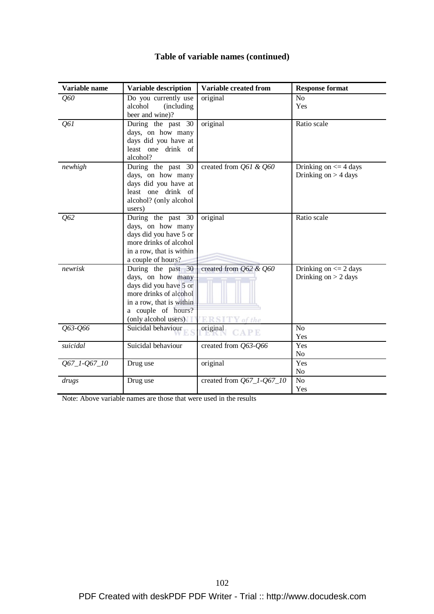| Variable name | <b>Variable description</b> | Variable created from         | <b>Response format</b>    |
|---------------|-----------------------------|-------------------------------|---------------------------|
| Q60           | Do you currently use        | original                      | N <sub>o</sub>            |
|               | alcohol<br>(including       |                               | Yes                       |
|               | beer and wine)?             |                               |                           |
| Q61           | During the past 30          | original                      | Ratio scale               |
|               | days, on how many           |                               |                           |
|               | days did you have at        |                               |                           |
|               | least one drink of          |                               |                           |
|               | alcohol?                    |                               |                           |
| newhigh       | During the past 30          | created from $Q61 & Q60$      | Drinking on $\leq$ 4 days |
|               | days, on how many           |                               | Drinking on $>$ 4 days    |
|               | days did you have at        |                               |                           |
|               | least one drink of          |                               |                           |
|               | alcohol? (only alcohol      |                               |                           |
|               | users)                      |                               |                           |
| Q62           | During the past 30          | original                      | Ratio scale               |
|               | days, on how many           |                               |                           |
|               | days did you have 5 or      |                               |                           |
|               | more drinks of alcohol      |                               |                           |
|               | in a row, that is within    |                               |                           |
|               | a couple of hours?          |                               |                           |
| newrisk       | During the past 30          | created from $Q62 \& Q60$     | Drinking on $\leq$ 2 days |
|               | days, on how many           |                               | Drinking on $> 2$ days    |
|               | days did you have 5 or      |                               |                           |
|               | more drinks of alcohol      |                               |                           |
|               | in a row, that is within    |                               |                           |
|               | a couple of hours?          |                               |                           |
|               | (only alcohol users)        | <b>ERSITY</b> of the          |                           |
| Q63-Q66       | Suicidal behaviour          | original<br><b>CAPE</b>       | N <sub>o</sub>            |
|               |                             |                               | Yes                       |
| suicidal      | Suicidal behaviour          | created from Q63-Q66          | Yes                       |
|               |                             |                               | No                        |
| Q67_1-Q67_10  | Drug use                    | original                      | Yes                       |
|               |                             |                               | N <sub>o</sub>            |
| drugs         | Drug use                    | created from $Q67\_1-Q67\_10$ | N <sub>o</sub>            |
|               |                             |                               | Yes                       |

Note: Above variable names are those that were used in the results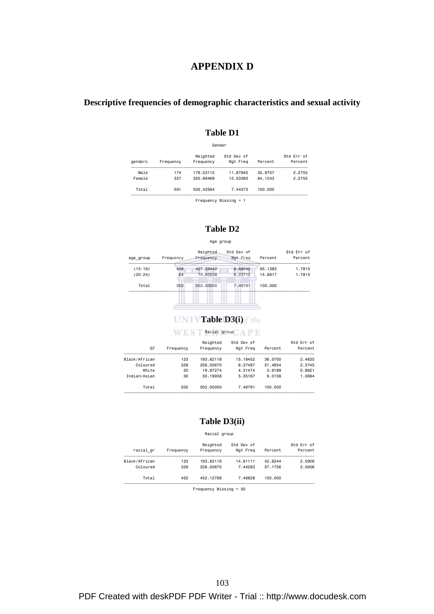# **APPENDIX D**

# **Descriptive frequencies of demographic characteristics and sexual activity**

# **Table D1**

| Frequency | Weighted<br>Frequency | Std Dev of<br>Wgt Freq | Percent  | Std Err of<br>Percent |
|-----------|-----------------------|------------------------|----------|-----------------------|
| 174       | 179.53115             | 11.87845               | 35,8757  | 2.2755                |
| 327       | 320,89469             | 12,03260               | 64, 1243 | 2.2755                |
| 501       | 500.42584             | 7.44573                | 100,000  |                       |
|           |                       |                        | Gender   |                       |

Frequency Missing = 1

# **Table D2**

#### Age group

| age group | Frequency | Weighted<br>Frequency | Std Dev of<br>Wgt Freq | Percent | Std Err of<br>Percent |
|-----------|-----------|-----------------------|------------------------|---------|-----------------------|
| $(15-19)$ | 438       | 427.39442             | 9.89542                | 85.1383 | 1.7815                |
| $(20-24)$ | 64        | 74.60558              | 9.22712                | 14,8617 | 1.7815                |
| Total     | 502       | 502,00000             | 7.46791                | 100,000 |                       |
|           |           |                       |                        |         |                       |
|           |           |                       |                        |         |                       |

## **UNIVTable D3(i)** *f* the

#### **Racial group CAPE**

| $Q$ 7         | Frequency | Weighted<br>Frequency | Std Dev of<br>Wat Frea | Percent | Std Err of<br>Percent |
|---------------|-----------|-----------------------|------------------------|---------|-----------------------|
| Black/African | 123       | 193.62118             | 15.18452               | 38.5700 | 2.4635                |
| Coloured      | 329       | 258,50670             | 8.37487                | 51.4954 | 2.3745                |
| White         | 20        | 19.67274              | 4.31474                | 3.9189  | 0.8621                |
| Indian/Asian  | 30        | 30.19938              | 5.35167                | 6.0158  | 1.0694                |
| Total         | 502       | 502,00000             | 7.46791                | 100,000 |                       |

### **Table D3(ii)**

Racial group

| racial gr     | Frequency | Weighted<br>Frequency | Std Dev of<br>Wat Frea | Percent | Std Err of<br>Percent |
|---------------|-----------|-----------------------|------------------------|---------|-----------------------|
| Black/African | 123       | 193.62118             | 14.91111               | 42.8244 | 2.5906                |
| Coloured      | 329       | 258,50670             | 7.44283                | 57.1756 | 2.5906                |
| Total         | 452       | 452.12788             | 7.46828                | 100,000 |                       |

Frequency Missing = 50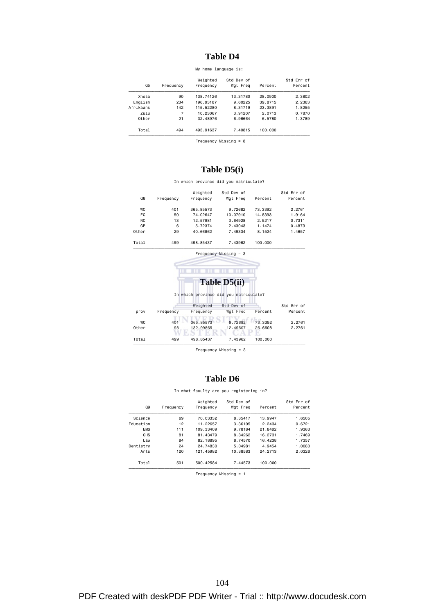# **Table D4**

My home language is:

| Frequency | Weighted<br>Frequency                          | Std Dev of<br>Wgt Freq | Percent | Std Err of<br>Percent |
|-----------|------------------------------------------------|------------------------|---------|-----------------------|
| 90        | 138,74126                                      | 13.31780               | 28,0900 | 2.3802                |
| 234       | 196.93187                                      | 9.60225                | 39.8715 | 2.2363                |
| 142       | 115.52280                                      | 8.31719                | 23.3891 | 1.8255                |
| 7         | 10.23067                                       | 3.91207                | 2.0713  | 0.7870                |
| 21        | 32.48976                                       | 6.96664                | 6.5780  | 1.3789                |
| 494       | 493.91637                                      | 7.40815                | 100,000 |                       |
| Xhosa     | English<br>Afrikaans<br>Zulu<br>Other<br>Total |                        |         |                       |

Frequency Missing = 8

### **Table D5(i)**

In which province did you matriculate?

| Std Err of<br>Percent | Percent | Std Dev of<br>Wgt Freq                 | Weighted<br>Frequency | Frequency | Q <sub>6</sub> |
|-----------------------|---------|----------------------------------------|-----------------------|-----------|----------------|
| 2.2761                | 73.3392 | 9.72682                                | 365,85573             | 401       | WC             |
| 1.9164                | 14.8393 | 10.07910                               | 74.02647              | 50        | EC             |
| 0.7311                | 2.5217  | 3.64928                                | 12,57981              | 13        | <b>NC</b>      |
| 0.4873                | 1.1474  | 2.43043                                | 5.72374               | 6         | GP             |
| 1.4657                | 8.1524  | 7.49334                                | 40.66862              | 29        | Other          |
|                       | 100,000 | 7.43962                                | 498.85437             | 499       | Total          |
|                       |         | $Frequency$ Missing = 3                |                       |           |                |
|                       |         |                                        |                       |           |                |
|                       |         | Table D5(ii)                           |                       |           |                |
|                       |         | In which province did you matriculate? |                       |           |                |
| Std Err of            |         | Std Dev of                             | Weighted              |           |                |
| Percent               | Percent | Wgt Freg                               | Frequency             | Frequency | prov           |
| 2.2761                | 73.3392 | 9.72682                                | 365.85573             | 401       | <b>WC</b>      |
| 2.2761                | 26,6608 | 12.49607                               | 132,99865             | 98        | Other          |

Frequency Missing = 3

#### **Table D6**

In what faculty are you registering in?

| Q9         | Frequency | Weighted<br>Frequency | Std Dev of<br>Wat Frea | Percent  | Std Err of<br>Percent |
|------------|-----------|-----------------------|------------------------|----------|-----------------------|
| Science    | 69        | 70.03332              | 8.35417                | 13.9947  | 1.6505                |
| Education  | 12        | 11.22657              | 3.36105                | 2.2434   | 0.6721                |
| <b>EMS</b> | 111       | 109.33409             | 9.78184                | 21,8482  | 1.9363                |
| CHS        | 81        | 81.43479              | 8.84262                | 16.2731  | 1.7469                |
| Law        | 84        | 82.18895              | 8.74570                | 16.4238  | 1.7357                |
| Dentistry  | 24        | 24.74830              | 5.04981                | 4.9454   | 1,0080                |
| Arts       | 120       | 121.45982             | 10.38583               | 24, 2713 | 2.0326                |
| Total      | 501       | 500.42584             | 7.44573                | 100,000  |                       |

Frequency Missing = 1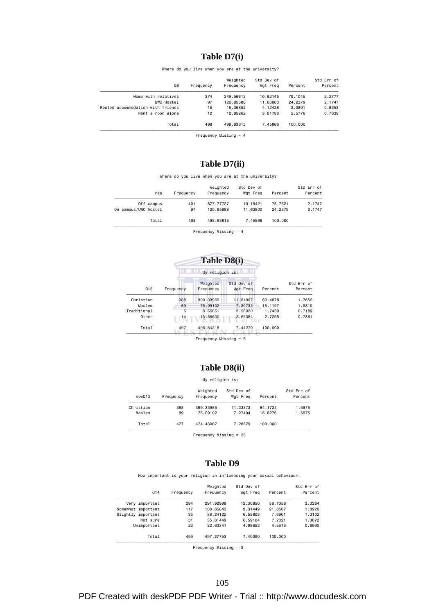# **Table D7(i)**

Where do you live when you are at the university?

|                                   |           | Weighted  | Std Dev of |          | Std Err of |
|-----------------------------------|-----------|-----------|------------|----------|------------|
| Q8                                | Frequency | Frequency | Wat Frea   | Percent  | Percent    |
| Home with relatives               | 374       | 349.56613 | 10.62145   | 70.1045  | 2.2777     |
| UWC Hostel                        | 97        | 120.85888 | 11,63800   | 24, 2379 | 2.1747     |
| Rented accommodation with friends | 15        | 15.35852  | 4.12428    | 3,0801   | 0.8253     |
| Rent a room alone                 | 12        | 12.85262  | 3.81786    | 2.5776   | 0.7639     |
| Total                             | 498       | 498.63615 | 7.45866    | 100,000  |            |
|                                   |           |           |            |          |            |

Frequency Missing = 4

# **Table D7(ii)**

Where do you live when you are at the university?

|                      | res   | Frequency | Weighted<br>Frequency | Std Dev of<br>Wat Frea | Percent  | Std Err of<br>Percent |
|----------------------|-------|-----------|-----------------------|------------------------|----------|-----------------------|
| Off campus           |       | 401       | 377.77727             | 10.19421               | 75.7621  | 2.1747                |
| On campus/UWC hostel |       | 97        | 120,85888             | 11,63800               | 24, 2379 | 2.1747                |
|                      | Total | 498       | 498,63615             | 7.45866                | 100,000  |                       |

Frequency Missing = 4



Frequency Missing = 5

# **Table D8(ii)**

#### My religion is:

| Std Err of<br>Percent | Percent | Std Dev of<br>Wat Frea | Weighted<br>Frequency | Frequency | newQ13    |
|-----------------------|---------|------------------------|-----------------------|-----------|-----------|
| 1.5975                | 84.1724 | 11.23373               | 399.33965             | 388       | Christian |
| 1.5975                | 15.8276 | 7.27494                | 75.09102              | 89        | Moslem    |
|                       | 100.000 | 7.28879                | 474.43067             | 477       | Total     |

Frequency Missing = 25

#### **Table D9**

How important is your religion in influencing your sexual behaviour:

| Q14                | Frequency | Weighted<br>Frequency | Std Dev of<br>Wat Frea | Percent | Std Err of<br>Percent |
|--------------------|-----------|-----------------------|------------------------|---------|-----------------------|
| Very important     | 294       | 291.92999             | 12.30850               | 58.7056 | 2.3264                |
| Somewhat important | 117       | 108,65843             | 9.31449                | 21.8507 | 1.8920                |
| Slightly important | 35        | 38,24122              | 6.58603                | 7.6901  | 1.3102                |
| Not sure           | 31        | 35,81449              | 6.59164                | 7.2021  | 1.3072                |
| Unimportant        | 22        | 22.63341              | 4.98652                | 4.5515  | 0.9990                |
| Total              | 499       | 497.27753             | 7.40090                | 100,000 |                       |

Frequency Missing = 3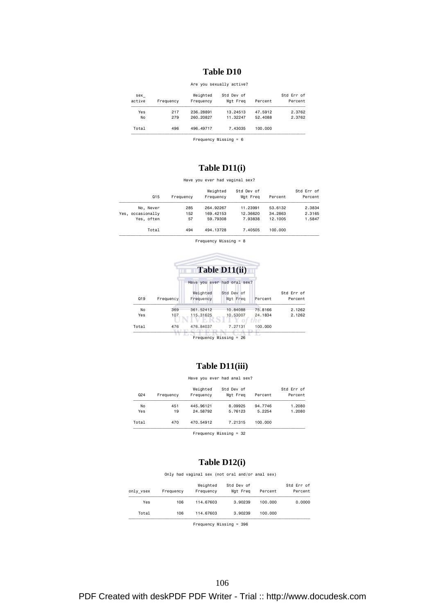# **Table D10**

Are you sexually active?

| sex<br>active | Frequency | Weighted<br>Frequency | Std Dev of<br>Wgt Freg  | Percent | Std Err of<br>Percent |
|---------------|-----------|-----------------------|-------------------------|---------|-----------------------|
| Yes           | 217       | 236, 28891            | 13.24513                | 47.5912 | 2.3762                |
| No            | 279       | 260.20827             | 11.32247                | 52.4088 | 2.3762                |
| Total         | 496       | 496.49717             | 7.43035                 | 100,000 |                       |
|               |           |                       | Frequency Missing = $6$ |         |                       |

**Table D11(i)** 

Have you ever had vaginal sex?

| Std Err of<br>Percent | Percent | Std Dev of<br>Wat Frea | Weighted<br>Frequency | Frequency | Q15               |
|-----------------------|---------|------------------------|-----------------------|-----------|-------------------|
| 2.3834                | 53.6132 | 11,23991               | 264.92267             | 285       | No, Never         |
| 2.3165                | 34,2863 | 12,36620               | 169.42153             | 152       | Yes, occasionally |
| 1.5847                | 12,1005 | 7.93838                | 59,79308              | 57        | Yes, often        |
|                       | 100,000 | 7.40505                | 494, 13728            | 494       | Total             |

Frequency Missing = 8

 $\overline{\phantom{a}}$   $\overline{\phantom{a}}$   $\overline{\phantom{a}}$   $\overline{\phantom{a}}$   $\overline{\phantom{a}}$   $\overline{\phantom{a}}$   $\overline{\phantom{a}}$   $\overline{\phantom{a}}$   $\overline{\phantom{a}}$   $\overline{\phantom{a}}$   $\overline{\phantom{a}}$   $\overline{\phantom{a}}$   $\overline{\phantom{a}}$   $\overline{\phantom{a}}$   $\overline{\phantom{a}}$   $\overline{\phantom{a}}$   $\overline{\phantom{a}}$   $\overline{\phantom{a}}$   $\overline{\$ 

|            |         | Table D11(ii)               |           |           |       |
|------------|---------|-----------------------------|-----------|-----------|-------|
|            |         | Have you ever had oral sex? |           |           |       |
| Std Err of |         | Std Dev of                  | Weighted  |           |       |
| Percent    | Percent | Wgt Freq                    | Frequency | Frequency | Q19   |
| 2.1262     | 75,8166 | 10.84088                    | 361.52412 | 369       | No    |
| 2.1262     | 24.1834 | 10.53007                    | 115,31625 | 107       | Yes   |
|            | 100,000 | 7.27131                     | 476.84037 | 476       | Total |

# **Table D11(iii)**

Have you ever had anal sex?

| Std Err of<br>Percent | Percent | Std Dev of<br>Wgt Freg | Weighted<br>Frequency | Frequency | Q24   |
|-----------------------|---------|------------------------|-----------------------|-----------|-------|
| 1,2080                | 94.7746 | 8.09925                | 445.96121             | 451       | No    |
| 1,2080                | 5.2254  | 5.76123                | 24.58792              | 19        | Yes   |
|                       | 100,000 | 7.21315                | 470.54912             | 470       | Total |

Frequency Missing = 32

#### **Table D12(i)**

Only had vaginal sex (not oral and/or anal sex)

| Std Err of<br>Percent | Percent | Std Dev of<br>Wgt Freq | Weighted<br>Frequency     | Frequency | only vsex |
|-----------------------|---------|------------------------|---------------------------|-----------|-----------|
| 0.0000                | 100,000 | 3,90239                | 114,67603                 | 106       | Yes       |
|                       | 100,000 | 3,90239                | 114.67603                 | 106       | Total     |
|                       |         |                        | Frequency Missing = $396$ |           |           |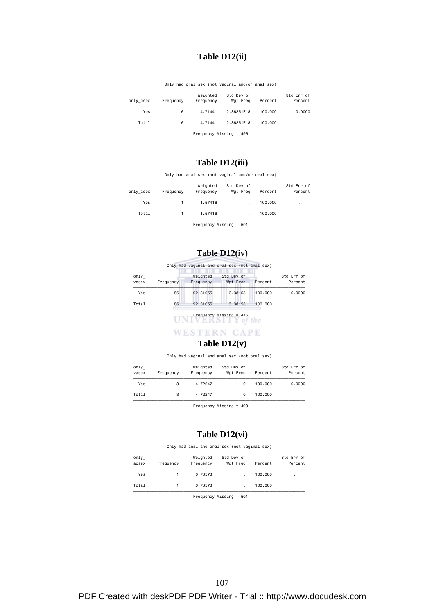# **Table D12(ii)**

Only had oral sex (not vaginal and/or anal sex)

| Percent |            | Weighted | Frequency                                      | only osex |
|---------|------------|----------|------------------------------------------------|-----------|
| 100,000 |            | 4.71441  | 6                                              | Yes       |
| 100,000 | 2.86251E-8 | 4.71441  | 6                                              | Total     |
|         |            |          | Std Dev of<br>Frequency Wgt Freq<br>2.86251E-8 |           |

Frequency Missing = 496

# **Table D12(iii)**

Only had anal sex (not vaginal and/or oral sex)

| Std Err of<br>Percent | Percent | Std Dev of<br>Wgt Freg | Weighted<br>Frequency | Frequency | only asex |
|-----------------------|---------|------------------------|-----------------------|-----------|-----------|
|                       | 100,000 |                        | 1.57416               |           | Yes       |
|                       | 100,000 |                        | 1.57416               |           | Total     |

Frequency Missing = 501

#### **Table D12(iv)**  Only had vaginal and oral sex (not anal sex) only\_ Weighted Std Dev of Std Err of **Vgt Freq**  $\gamma$  , and the symplection of the symplection of the symplection of the symplection of the symplection of the symplection of the symplection of the symplection of the symplection of the symplection of the symplection of t Yes 86 92.31055 3.38158 100.000 0.0000 Total 86 92.31055 3.38158 100.000

 $\overline{\phantom{a}}$   $\overline{\phantom{a}}$   $\overline{\phantom{a}}$   $\overline{\phantom{a}}$   $\overline{\phantom{a}}$   $\overline{\phantom{a}}$   $\overline{\phantom{a}}$   $\overline{\phantom{a}}$   $\overline{\phantom{a}}$   $\overline{\phantom{a}}$   $\overline{\phantom{a}}$   $\overline{\phantom{a}}$   $\overline{\phantom{a}}$   $\overline{\phantom{a}}$   $\overline{\phantom{a}}$   $\overline{\phantom{a}}$   $\overline{\phantom{a}}$   $\overline{\phantom{a}}$   $\overline{\$ 

# **WESTERN CAPE**

#### **Table D12(v)**

Only had vaginal and anal sex (not oral sex)

| Std Err of<br>Percent | Percent | Std Dev of<br>Wgt Freg | Weighted<br>Frequency | Frequency | $only_$<br>vasex |
|-----------------------|---------|------------------------|-----------------------|-----------|------------------|
| 0.0000                | 100,000 | 0                      | 4.72247               | 3         | Yes              |
|                       | 100,000 | 0                      | 4.72247               | 3         | Total            |

Frequency Missing = 499

### **Table D12(vi)**

Only had anal and oral sex (not vaginal sex)

| only<br>aosex |       | Frequency | Weighted<br>Frequency | Std Dev of<br>Wgt Freg    | Percent | Std Err of<br>Percent |
|---------------|-------|-----------|-----------------------|---------------------------|---------|-----------------------|
|               | Yes   |           | 0.78573               | $\cdot$                   | 100,000 |                       |
|               | Total |           | 0.78573               | $\cdot$                   | 100,000 |                       |
|               |       |           |                       | Frequency Missing = $501$ |         |                       |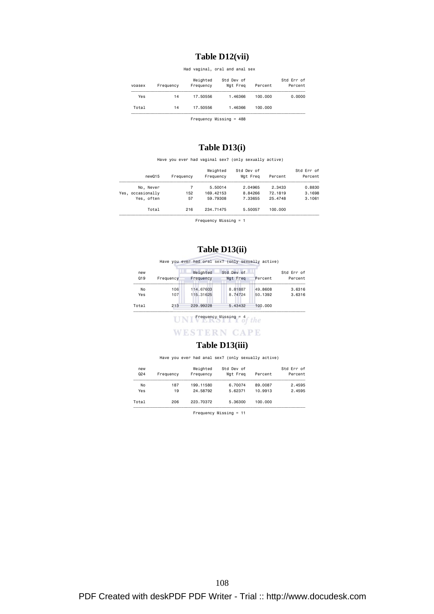# **Table D12(vii)**

Had vaginal, oral and anal sex

| Std Err of<br>Percent | Percent | Std Dev of<br>Wgt Freg | Weighted<br>Frequency | Frequency | voasex |
|-----------------------|---------|------------------------|-----------------------|-----------|--------|
| 0.0000                | 100,000 | 1,46366                | 17.50556              | 14        | Yes    |
|                       | 100,000 | 1,46366                | 17.50556              | 14        | Total  |

Frequency Missing = 488

### **Table D13(i)**

#### Have you ever had vaginal sex? (only sexually active)

| newQ15            | Frequency | Weighted<br>Frequency | Std Dev of<br>Wgt Freq | Percent | Std Err of<br>Percent |
|-------------------|-----------|-----------------------|------------------------|---------|-----------------------|
| No, Never         |           | 5.50014               | 2.04965                | 2.3433  | 0.8830                |
| Yes, occasionally | 152       | 169,42153             | 8.84266                | 72.1819 | 3.1698                |
| Yes, often        | 57        | 59,79308              | 7.33655                | 25,4748 | 3.1061                |
| Total             | 216       | 234,71475             | 5.50057                | 100,000 |                       |

Frequency Missing = 1

### **Table D13(ii)**

|                       |         | Have you ever had oral sex? (only sexually active) |                       |           |            |
|-----------------------|---------|----------------------------------------------------|-----------------------|-----------|------------|
| Std Err of<br>Percent | Percent | Std Dev of<br>Wgt Freg                             | Weighted<br>Frequency | Frequency | new<br>Q19 |
| 3.6316                | 49,8608 | 8.81887                                            | 114,67603             | 106       | No         |
| 3.6316                | 50.1392 | 8.74724                                            | 115,31625             | 107       | Yes        |
|                       | 100,000 | 5.43432                                            | 229.99228             | 213       | Total      |
|                       |         |                                                    |                       |           |            |

# UNI Frequency Missing =  $4$  the

**WESTERN CAPE** 

#### **Table D13(iii)**

#### Have you ever had anal sex? (only sexually active)

| Frequency | Weighted<br>Frequency | Std Dev of<br>Wgt Freg | Percent | Std Err of<br>Percent |
|-----------|-----------------------|------------------------|---------|-----------------------|
| 187       | 199,11580             | 6.70074                | 89,0087 | 2.4595                |
| 19        | 24.58792              | 5.62371                | 10.9913 | 2.4595                |
| 206       | 223,70372             | 5.36300                | 100,000 |                       |
|           |                       |                        |         |                       |

Frequency Missing = 11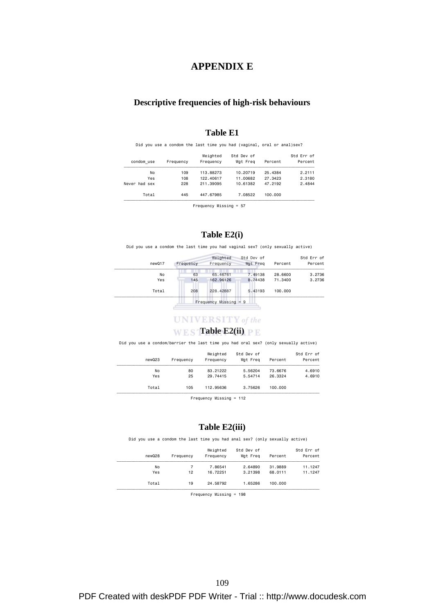# **APPENDIX E**

### **Descriptive frequencies of high-risk behaviours**

### **Table E1**

Did you use a condom the last time you had (vaginal, oral or anal)sex?

| Frequency | Weighted<br>Frequency | Std Dev of<br>Wgt Freg | Percent | Std Err of<br>Percent |
|-----------|-----------------------|------------------------|---------|-----------------------|
| 109       | 113,88273             | 10,20719               | 25,4384 | 2.2111                |
| 108       | 122,40617             | 11,00682               | 27.3423 | 2.3180                |
| 228       | 211.39095             | 10.61382               | 47.2192 | 2.4844                |
| 445       | 447.67985             | 7.08522                | 100,000 |                       |
|           |                       |                        |         |                       |

Frequency Missing = 57

### **Table E2(i)**

Did you use a condom the last time you had vaginal sex? (only sexually active)

| newQ17    | Frequency | Weighted<br>Frequency   | Std Dev of<br>Wgt Freq | Percent            | Std Err of<br>Percent |
|-----------|-----------|-------------------------|------------------------|--------------------|-----------------------|
| No<br>Yes | 63<br>145 | 65.46761<br>162,96126   | 7.49138<br>8.74438     | 28,6600<br>71,3400 | 3.2736<br>3.2736      |
| Total     | 208       | 228,42887               | 5,43193                | 100,000            |                       |
|           |           | Frequency Missing $= 9$ |                        |                    |                       |

# **UNIVERSITY** of the

### **WESTAble E2(ii)** PE

Did you use a condom/barrier the last time you had oral sex? (only sexually active)

| newQ23 | Frequency | Weighted<br>Frequency | Std Dev of<br>Wgt Freg | Percent | Std Err of<br>Percent |
|--------|-----------|-----------------------|------------------------|---------|-----------------------|
| No     | 80        | 83.21222              | 5.56204                | 73.6676 | 4.6910                |
| Yes    | 25        | 29,74415              | 5.54714                | 26.3324 | 4.6910                |
| Total  | 105       | 112.95636             | 3,75626                | 100,000 |                       |

Frequency Missing = 112

### **Table E2(iii)**

Did you use a condom the last time you had anal sex? (only sexually active)

| Frequency | Weighted<br>Frequency | Std Dev of<br>Wgt Freg | Percent | Std Err of<br>Percent |
|-----------|-----------------------|------------------------|---------|-----------------------|
|           | 7.86541               | 2.64890                | 31,9889 | 11,1247               |
| 12        | 16,72251              | 3.21398                | 68,0111 | 11.1247               |
| 19        | 24.58792              | 1.65286                | 100,000 |                       |
|           |                       |                        |         |                       |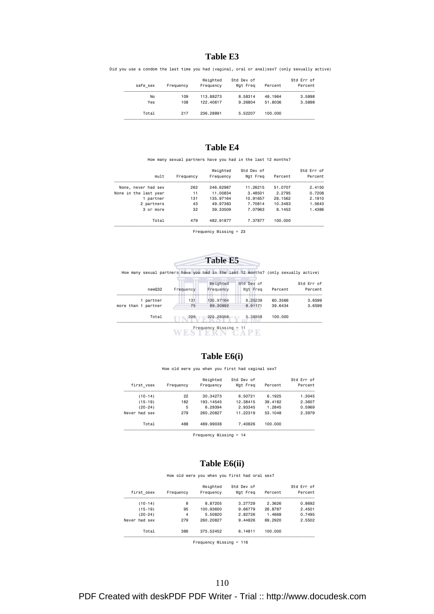## **Table E3**

Did you use a condom the last time you had (vaginal, oral or anal)sex? (only sexually active)

| safe sex | Frequency | Weighted<br>Frequency | Std Dev of<br>Wat Frea | Percent | Std Err of<br>Percent |
|----------|-----------|-----------------------|------------------------|---------|-----------------------|
| No       | 109       | 113,88273             | 8,58314                | 48.1964 | 3.5898                |
| Yes      | 108       | 122,40617             | 9,26804                | 51,8036 | 3.5898                |
| Total    | 217       | 236,28891             | 5.52207                | 100,000 |                       |

### **Table E4**

How many sexual partners have you had in the last 12 months?

| mult                  | Frequency | Weighted<br>Frequency | Std Dev of<br>Wat Frea | Percent | Std Err of<br>Percent |
|-----------------------|-----------|-----------------------|------------------------|---------|-----------------------|
| None, never had sex   | 262       | 246.62987             | 11,26215               | 51,0707 | 2.4150                |
| None in the last year | 11        | 11.00834              | 3.48501                | 2.2795  | 0.7208                |
| 1 partner             | 131       | 135.97164             | 10.91657               | 28.1562 | 2,1910                |
| 2 partners            | 43        | 49.97383              | 7.70814                | 10.3483 | 1.5643                |
| 3 or more             | 32        | 39.33509              | 7.07963                | 8.1453  | 1.4386                |
| Total                 | 479       | 482.91877             | 7.37877                | 100,000 |                       |

Frequency Missing = 23



### **Table E6(i)**

How old were you when you first had vaginal sex?

| first vsex    | Frequency | Weighted<br>Frequency | Std Dev of<br>Wgt Freg | Percent | Std Err of<br>Percent |
|---------------|-----------|-----------------------|------------------------|---------|-----------------------|
| (10-14)       | 22        | 30.34273              | 6.50721                | 6.1925  | 1.3045                |
| $(15-19)$     | 182       | 193.14545             | 12.38415               | 39,4182 | 2.3607                |
| $(20-24)$     | 5         | 6.29394               | 2.93345                | 1.2845  | 0.5969                |
| Never had sex | 279       | 260.20827             | 11.22319               | 53.1048 | 2.3979                |
| Total         | 488       | 489.99038             | 7.40826                | 100,000 |                       |

Frequency Missing = 14

### **Table E6(ii)**

How old were you when you first had oral sex?

| first osex    | Frequency | Weighted<br>Frequency | Std Dev of<br>Wgt Freg | Percent | Std Err of<br>Percent |
|---------------|-----------|-----------------------|------------------------|---------|-----------------------|
| (10-14)       | 8         | 8.87205               | 3,27729                | 2.3626  | 0.8692                |
| (15-19)       | 95        | 100.93600             | 9.66779                | 26.8787 | 2.4501                |
| $(20-24)$     | 4         | 5,50820               | 2.82726                | 1.4668  | 0.7495                |
| Never had sex | 279       | 260.20827             | 9.44826                | 69,2920 | 2.5502                |
| Total         | 386       | 375.52452             | 6.14811                | 100,000 |                       |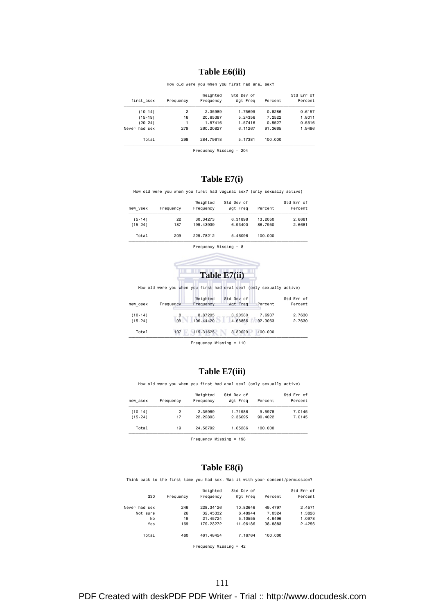### **Table E6(iii)**

How old were you when you first had anal sex?

|               |           | Weighted  | Std Dev of |         | Std Err of |
|---------------|-----------|-----------|------------|---------|------------|
| first asex    | Frequency | Frequency | Wgt Freg   | Percent | Percent    |
| (10-14)       | 2         | 2.35989   | 1.75699    | 0.8286  | 0.6157     |
| $(15-19)$     | 16        | 20.65387  | 5.24356    | 7.2522  | 1.8011     |
| $(20-24)$     |           | 1.57416   | 1.57416    | 0.5527  | 0.5516     |
| Never had sex | 279       | 260,20827 | 6.11267    | 91,3665 | 1.9486     |
| Total         | 298       | 284,79618 | 5.17381    | 100,000 |            |
|               |           |           |            |         |            |

Frequency Missing = 204

### **Table E7(i)**

How old were you when you first had vaginal sex? (only sexually active)

| new vsex  | Frequency | Weighted<br>Frequency | Std Dev of<br>Wat Frea | Percent | Std Err of<br>Percent |
|-----------|-----------|-----------------------|------------------------|---------|-----------------------|
| $(5-14)$  | 22        | 30.34273              | 6,31898                | 13,2050 | 2.6681                |
| $(15-24)$ | 187       | 199.43939             | 6,93400                | 86.7950 | 2.6681                |
| Total     | 209       | 229.78212             | 5.46096                | 100,000 |                       |
|           |           |                       |                        |         |                       |

 Frequency Missing = 8 **Table E7(ii)**  How old were you when you first had oral sex? (only sexually active) Weighted Std Dev of Std Err of new\_osex Frequency Frequency Wgt Freq Percent Percent ƒƒƒƒƒƒƒƒƒƒƒƒƒƒƒƒƒƒƒƒƒƒƒƒƒƒƒƒƒƒƒƒƒƒƒƒƒƒƒƒƒƒƒƒƒƒƒƒƒƒƒƒƒƒƒƒƒƒƒƒƒƒƒƒƒƒƒƒƒƒƒƒƒƒƒ (10-14) 8 8.87205 3.20580 7.6937 2.7630 (15-24) 99 106.44420 4.68866 92.3063 2.7630 Total 107 115.31625 3.80029 100.000

Frequency Missing = 110

 $\overline{\phantom{a}}$   $\overline{\phantom{a}}$   $\overline{\phantom{a}}$   $\overline{\phantom{a}}$   $\overline{\phantom{a}}$   $\overline{\phantom{a}}$   $\overline{\phantom{a}}$   $\overline{\phantom{a}}$   $\overline{\phantom{a}}$   $\overline{\phantom{a}}$   $\overline{\phantom{a}}$   $\overline{\phantom{a}}$   $\overline{\phantom{a}}$   $\overline{\phantom{a}}$   $\overline{\phantom{a}}$   $\overline{\phantom{a}}$   $\overline{\phantom{a}}$   $\overline{\phantom{a}}$   $\overline{\$ 

### **Table E7(iii)**

How old were you when you first had anal sex? (only sexually active)

| new asex  | Frequency   | Weighted<br>Frequency | Std Dev of<br>Wat Frea | Percent | Std Err of<br>Percent |
|-----------|-------------|-----------------------|------------------------|---------|-----------------------|
| $(10-14)$ | 2           | 2.35989               | 1,71986                | 9.5978  | 7.0145                |
| $(15-24)$ | 17          | 22,22803              | 2.36695                | 90.4022 | 7.0145                |
|           | Total<br>19 | 24.58792              | 1.65286                | 100,000 |                       |

Frequency Missing = 198

# **Table E8(i)**

Think back to the first time you had sex. Was it with your consent/permission?

| Q30           | Frequency | Weighted<br>Frequency | Std Dev of<br>Wgt Freq | Percent | Std Err of<br>Percent |
|---------------|-----------|-----------------------|------------------------|---------|-----------------------|
| Never had sex | 246       | 228,34126             | 10.82646               | 49.4797 | 2.4571                |
| Not sure      | 26        | 32,45332              | 6.48944                | 7.0324  | 1.3826                |
| No            | 19        | 21.45724              | 5.10555                | 4.6496  | 1.0978                |
| Yes           | 169       | 179.23272             | 11.96186               | 38,8383 | 2.4256                |
| Total         | 460       | 461.48454             | 7.16764                | 100,000 |                       |
|               |           |                       |                        |         |                       |

Frequency Missing = 42

PDF Created with deskPDF PDF Writer - Trial :: http://www.docudesk.com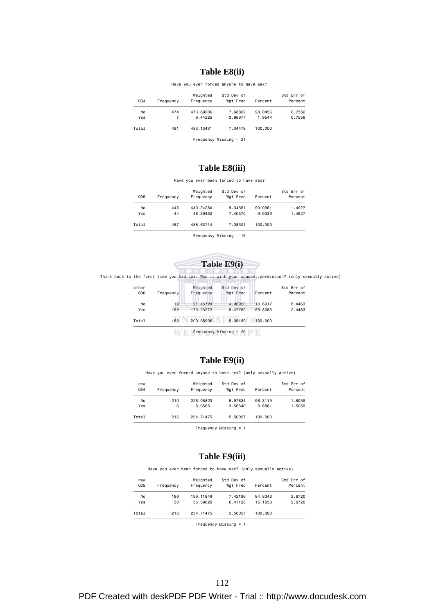## **Table E8(ii)**

Have you ever forced anyone to have sex?

| Q34   | Frequency | Weighted<br>Frequency | Std Dev of<br>Wgt Freg   | Percent | Std Err of<br>Percent |
|-------|-----------|-----------------------|--------------------------|---------|-----------------------|
| No    | 474       | 473.69206             | 7.68862                  | 98.0456 | 0.7556                |
| Yes   |           | 9.44225               | 3.66977                  | 1.9544  | 0.7556                |
| Total | 481       | 483.13431             | 7.34478                  | 100,000 |                       |
|       |           |                       | Frequency Missing $= 21$ |         |                       |

**Table E8(iii)** 

Have you ever been forced to have sex?

| Frequency | Weighted<br>Frequency | Std Dev of<br>Wgt Freg | Percent | Std Err of<br>Percent |
|-----------|-----------------------|------------------------|---------|-----------------------|
| 443       | 440.24284             | 9.34561                | 90.0961 | 1.4927                |
| 44        | 48.39430              | 7.40570                | 9.9039  | 1.4927                |
| 487       | 488.63714             | 7.38301                | 100,000 |                       |
|           |                       |                        |         |                       |

Frequency Missing = 15

|            |           |           | Table E9(i) |         |                                                                                                       |  |
|------------|-----------|-----------|-------------|---------|-------------------------------------------------------------------------------------------------------|--|
|            |           |           |             |         | Think back to the first time you had sex. Was it with your consent/permission? (only sexually active) |  |
| other      |           | Weighted  | Std Dev of  |         | Std Err of                                                                                            |  |
| <b>Q30</b> | Frequency | Frequency | Wgt Freq    | Percent | Percent                                                                                               |  |
| No         | 19        | 21,45724  | 4.96923     | 10.6917 | 2.4463                                                                                                |  |
| Yes        | 169       | 179.23272 | 6.47762     | 89,3083 | 2.4463                                                                                                |  |
| Total      | 188       | 200.68996 | 5.05182     | 100,000 |                                                                                                       |  |

ƒƒƒƒƒƒƒƒƒƒƒƒƒƒƒƒƒƒƒƒƒƒƒƒƒƒƒƒƒƒƒƒƒƒƒƒƒƒƒƒƒƒƒƒƒƒƒƒƒƒƒƒƒƒƒƒƒƒƒƒƒƒƒƒƒƒƒƒƒƒƒƒ Frequency Missing = 29

### **Table E9(ii)**

Have you ever forced anyone to have sex? (only sexually active)

| Std Err of<br>Percent | Percent | Std Dev of<br>Wgt Freg | Weighted<br>Frequency | Frequency | new<br>Q34 |
|-----------------------|---------|------------------------|-----------------------|-----------|------------|
| 1.5059                | 96,3119 | 5.97834                | 226,05823             | 210       | No         |
| 1.5059                | 3.6881  | 3.56640                | 8.65651               | 6         | Yes        |
|                       | 100,000 | 5.50057                | 234.71475             | 216       | Total      |

Frequency Missing = 1

### **Table E9(iii)**

Have you ever been forced to have sex? (only sexually active)

| Percent | Wgt Freg | Weighted<br>Frequency | Frequency | new<br>Q35 |
|---------|----------|-----------------------|-----------|------------|
| 84.8342 | 7.42196  | 199, 11849            | 186       | No         |
| 15,1658 | 6.41128  | 35.59626              | 30        | Yes        |
| 100,000 | 5.50057  | 234,71475             | 216       | Total      |
|         |          |                       |           |            |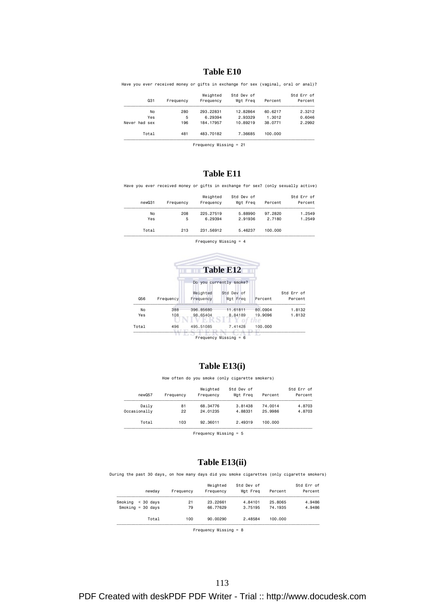# **Table E10**

Have you ever received money or gifts in exchange for sex (vaginal, oral or anal)?

| Q31           | Frequency | Weighted<br>Frequency | Std Dev of<br>Wat Frea | Percent | Std Err of<br>Percent |
|---------------|-----------|-----------------------|------------------------|---------|-----------------------|
| No            | 280       | 293,22831             | 12.82864               | 60.6217 | 2.3212                |
| Yes           | 5         | 6.29394               | 2.93329                | 1.3012  | 0.6046                |
| Never had sex | 196       | 184.17957             | 10.89219               | 38,0771 | 2.2992                |
| Total         | 481       | 483,70182             | 7.36685                | 100,000 |                       |
|               |           |                       |                        |         |                       |

Frequency Missing = 21

# **Table E11**

Have you ever received money or gifts in exchange for sex? (only sexually active)

| Std Err of<br>Percent | Percent | Std Dev of<br>Wgt Freg | Weighted<br>Frequency | Frequency | newQ31 |
|-----------------------|---------|------------------------|-----------------------|-----------|--------|
| .2549                 | 97.2820 | 5.88990                | 225,27519             | 208       | No     |
| .2549                 | 2.7180  | 2.91936                | 6.29394               | 5         | Yes    |
|                       | 100,000 | 5.46237                | 231,56912             | 213       | Total  |

Frequency Missing = 4

 $\overline{\phantom{a}}$  , we can construct the state of the state of the state of the state of the state of the state of the state of the state of the state of the state of the state of the state of the state of the state of the stat



Frequency Missing = 6

### **Table E13(i)**

How often do you smoke (only cigarette smokers)

| Std Err of<br>Percent | Percent | Std Dev of<br>Wat Frea | Weighted<br>Frequency | Frequency | newQ57       |
|-----------------------|---------|------------------------|-----------------------|-----------|--------------|
| 4.8703                | 74.0014 | 3.81438                | 68,34776              | 81        | Daily        |
| 4.8703                | 25.9986 | 4.88331                | 24,01235              | 22        | Occasionally |
|                       | 100,000 | 2.49319                | 92.36011              | 103       | Total        |

Frequency Missing = 5

### **Table E13(ii)**

During the past 30 days, on how many days did you smoke cigarettes (only cigarette smokers)

| Frequency | Weighted<br>Frequency | Std Dev of<br>Wgt Freg | Percent | Std Err of<br>Percent |
|-----------|-----------------------|------------------------|---------|-----------------------|
| 21        | 23,22661              | 4.84101                | 25,8065 | 4.9486                |
| 79        | 66.77629              | 3,75195                | 74.1935 | 4.9486                |
| 100       | 90,00290              | 2.48584                | 100,000 |                       |
|           |                       |                        |         |                       |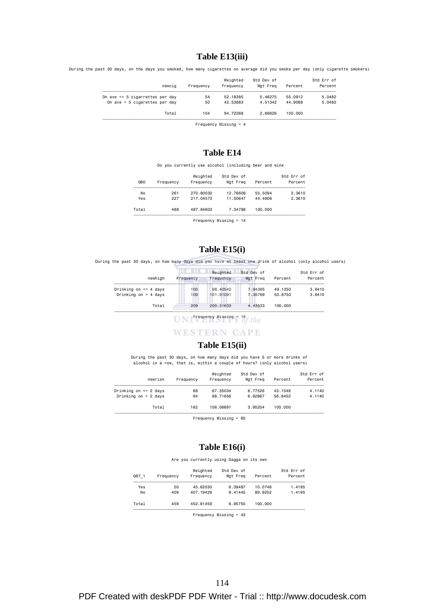## **Table E13(iii)**

During the past 30 days, on the days you smoked, how many cigarettes on average did you smoke per day (only cigarette smokers)

| newcia                              | Frequency | Weighted<br>Frequency | Std Dev of<br>Wat Frea | Percent | Std Err of<br>Percent |
|-------------------------------------|-----------|-----------------------|------------------------|---------|-----------------------|
| On ave $\leq$ 5 cigarrettes per day | 54        | 52.18385              | 5.46275                | 55,0912 | 5.0482                |
| On ave $>$ 5 cigarettes per day     | 50        | 42.53883              | 4.51342                | 44.9088 | 5.0482                |
| Total                               | 104       | 94.72268              | 2.66626                | 100,000 |                       |
|                                     |           |                       |                        |         |                       |

Frequency Missing = 4

### **Table E14**

Do you currently use alcohol (including beer and wine

| Q60   | Frequency | Weighted<br>Frequency | Std Dev of<br>Wat Frea | Percent | Std Err of<br>Percent |
|-------|-----------|-----------------------|------------------------|---------|-----------------------|
| No    | 261       | 270,80030             | 12,76608               | 55.5094 | 2.3610                |
| Yes   | 227       | 217,04573             | 11,50647               | 44,4906 | 2.3610                |
| Total | 488       | 487.84603             | 7.34788                | 100,000 |                       |

Frequency Missing = 14

### **Table E15(i)**

During the past 30 days, on how many days did you have at least one drink of alcohol (only alcohol users)

|                           |           | Weighted  | Std Dev of |         | Std Err of |
|---------------------------|-----------|-----------|------------|---------|------------|
| newhigh                   | Frequency | Frequency | Wat Frea   | Percent | Percent    |
| Drinking on $\leq$ 4 days | 100       | 98,40542  | 7.84365    | 49.1250 | 3.6410     |
| Drinking on $>$ 4 days    | 109       | 101.91091 | 7.38769    | 50.8750 | 3.6410     |
| Total                     | 209       | 200.31633 | 4.43533    | 100,000 |            |

# **The Frequency Missing = 18**

 $\tilde{\tilde{}}$   $\tilde{\tilde{}}$   $\tilde{\tilde{}}$   $\tilde{\tilde{}}$   $\tilde{\tilde{}}$   $\tilde{\tilde{}}$   $\tilde{\tilde{}}$   $\tilde{\tilde{}}$   $\tilde{\tilde{}}$   $\tilde{\tilde{}}$   $\tilde{\tilde{}}$   $\tilde{\tilde{}}$   $\tilde{\tilde{}}$   $\tilde{\tilde{}}$   $\tilde{\tilde{}}$   $\tilde{\tilde{}}$   $\tilde{\tilde{}}$   $\tilde{\tilde{}}$   $\tilde{\tilde{}}$   $\tilde{\tilde{}}$ 

**WESTERN CAPE** 

### **Table E15(ii)**

During the past 30 days, on how many days did you have 5 or more drinks of alcohol in a row, that is, within a couple of hours? (only alcohol users)

| newrisk                   | Frequency | Weighted<br>Frequency | Std Dev of<br>Wat Frea | Percent | Std Err of<br>Percent |
|---------------------------|-----------|-----------------------|------------------------|---------|-----------------------|
| Drinking on $\leq$ 2 days | 68        | 67.35034              | 6.77526                | 43.1548 | 4.1140                |
| Drinking on $> 2$ days    | 94        | 88.71656              | 6.62867                | 56.8452 | 4.1140                |
| Total                     | 162       | 156.06691             | 3.95204                | 100,000 |                       |
|                           |           |                       |                        |         |                       |

Frequency Missing = 65

### **Table E16(i)**

Are you currently using Dagga on its own

| Q67 1 | Frequency | Weighted<br>Frequency | Std Dev of<br>Wgt Freq | Percent | Std Err of<br>Percent |
|-------|-----------|-----------------------|------------------------|---------|-----------------------|
| Yes   | 50        | 45.62030              | 6.39487                | 10.0748 | 1.4195                |
| No    | 409       | 407.19429             | 9.41445                | 89.9252 | 1.4195                |
| Total | 459       | 452,81459             | 6.95750                | 100,000 |                       |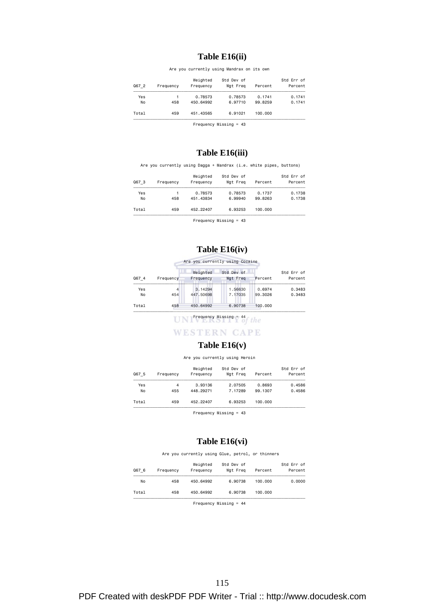## **Table E16(ii)**

Are you currently using Mandrax on its own

| Frequency | Weighted<br>Frequency | Std Dev of<br>Wgt Freg | Percent | Std Err of<br>Percent |
|-----------|-----------------------|------------------------|---------|-----------------------|
|           | 0.78573               | 0.78573                | 0.1741  | 0.1741                |
| 458       | 450.64992             | 6.97710                | 99.8259 | 0.1741                |
| 459       | 451,43565             | 6.91021                | 100,000 |                       |
|           |                       |                        |         |                       |

Frequency Missing = 43

### **Table E16(iii)**

Are you currently using Dagga + Mandrax (i.e. white pipes, buttons)

| Q67 3 | Frequency | Weighted<br>Frequency | Std Dev of<br>Wat Frea | Percent | Std Err of<br>Percent |
|-------|-----------|-----------------------|------------------------|---------|-----------------------|
| Yes   |           | 0.78573               | 0.78573                | 0.1737  | 0.1738                |
| No    | 458       | 451.43834             | 6.99940                | 99.8263 | 0.1738                |
| Total | 459       | 452.22407             | 6.93253                | 100,000 |                       |

Frequency Missing = 43

| Std Err of |         | Std Dev of | Weighted  |           |       |
|------------|---------|------------|-----------|-----------|-------|
| Percent    | Percent | Wgt Freg   | Frequency | Frequency | Q67 4 |
| 0.3483     | 0.6974  | 1.56630    | 3.14294   | 4         | Yes   |
| 0.3483     | 99,3026 | 7.17035    | 447,50698 | 454       | No    |
|            | 100,000 | 6.90738    | 450.64992 | 458       | Total |

### **Table E16(iv)**

**WESTERN CAPE** 

### **Table E16(v)**

### Are you currently using Heroin

| Std Err of<br>Percent | Percent | Std Dev of<br>Wgt Freg | Weighted<br>Frequency | Frequency | Q67 5 |
|-----------------------|---------|------------------------|-----------------------|-----------|-------|
| 0.4586                | 0.8693  | 2.07505                | 3.93136               | 4         | Yes   |
| 0.4586                | 99.1307 | 7.17289                | 448.29271             | 455       | No    |
|                       | 100,000 | 6.93253                | 452,22407             | 459       | Total |

Frequency Missing = 43

### **Table E16(vi)**

Are you currently using Glue, petrol, or thinners

| Std Err of<br>Percent | Percent | Std Dev of<br>Wgt Freg | Weighted<br>Frequency | Frequency | Q67 6 |
|-----------------------|---------|------------------------|-----------------------|-----------|-------|
| 0.0000                | 100,000 | 6,90738                | 450.64992             | 458       | No    |
|                       | 100,000 | 6,90738                | 450.64992             | 458       | Total |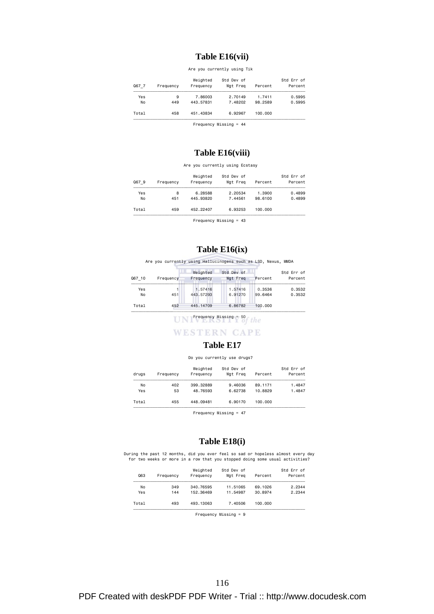### **Table E16(vii)**

Are you currently using Tik

| Std Err of<br>Percent | Percent | Std Dev of<br>Wgt Freg | Weighted<br>Frequency | Frequency | Q67 7 |
|-----------------------|---------|------------------------|-----------------------|-----------|-------|
| 0.5995                | 1.7411  | 2.70149                | 7.86003               | 9         | Yes   |
| 0.5995                | 98.2589 | 7.48202                | 443.57831             | 449       | No    |
|                       | 100,000 | 6.92967                | 451.43834             | 458       | Total |

Frequency Missing = 44

### **Table E16(viii)**

#### Are you currently using Ecstasy

| Frequency | Weighted<br>Frequency | Std Dev of<br>Wgt Freg | Percent | Std Err of<br>Percent |
|-----------|-----------------------|------------------------|---------|-----------------------|
| 8         | 6.28588               | 2.20534                | 1.3900  | 0.4899                |
| 451       | 445.93820             | 7.44561                | 98.6100 | 0.4899                |
| 459       | 452.22407             | 6.93253                | 100,000 |                       |
|           |                       |                        |         |                       |

Frequency Missing = 43

### **Table E16(ix)**

|        |           | Are you currently using Hallucinogens such as LSD, Nexus, MMDA |                        |         |                       |
|--------|-----------|----------------------------------------------------------------|------------------------|---------|-----------------------|
| Q67 10 | Frequency | Weighted<br>Frequency                                          | Std Dev of<br>Wat Frea | Percent | Std Err of<br>Percent |
| Yes    |           | 1.57416                                                        | 1.57416                | 0.3536  | 0.3532                |
| No     | 451       | 443.57293                                                      | 6.91270                | 99.6464 | 0.3532                |

 Total 452 445.14709 6.86782 100.000  $\overline{f}$   $\overline{f}$   $\overline{f}$   $\overline{f}$   $\overline{f}$   $\overline{f}$   $\overline{f}$   $\overline{f}$   $\overline{f}$   $\overline{f}$   $\overline{f}$   $\overline{f}$   $\overline{f}$   $\overline{f}$   $\overline{f}$   $\overline{f}$   $\overline{f}$   $\overline{f}$   $\overline{f}$   $\overline{f}$   $\overline{f}$   $\overline{f}$   $\overline{f}$   $\overline{f}$   $\overline{$ Frequency Missing = 50

**WESTERN CAPE** 

### **Table E17**

### Do you currently use drugs?

| druas | Frequency | Weighted<br>Frequency | Std Dev of<br>Wgt Freg | Percent | Std Err of<br>Percent |
|-------|-----------|-----------------------|------------------------|---------|-----------------------|
| No    | 402       | 399.32889             | 9,46036                | 89.1171 | 1.4847                |
| Yes   | 53        | 48.76593              | 6.62738                | 10.8829 | 1.4847                |
| Total | 455       | 448,09481             | 6.90170                | 100,000 |                       |

Frequency Missing = 47

### **Table E18(i)**

During the past 12 months, did you ever feel so sad or hopeless almost every day for two weeks or more in a row that you stopped doing some usual activities?

| Frequency | Frequency  | Wgt Freg | Percent | Percent |
|-----------|------------|----------|---------|---------|
| 349       | 340.76595  | 11.51065 | 69.1026 | 2.2344  |
| 144       | 152,36469  | 11.54987 | 30.8974 | 2.2344  |
| 493       | 493, 13063 | 7.40506  | 100,000 |         |
|           |            |          |         |         |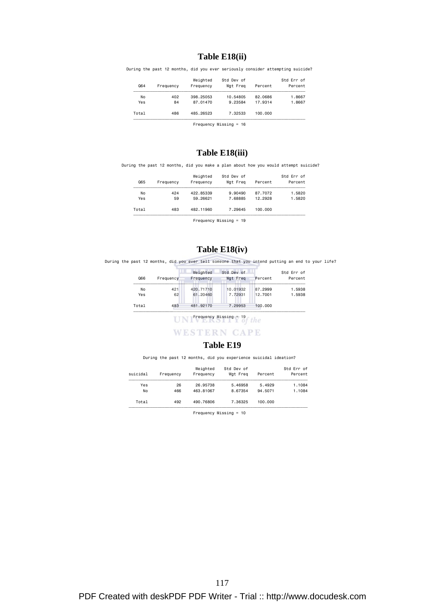## **Table E18(ii)**

During the past 12 months, did you ever seriously consider attempting suicide?

| Frequency | Weighted<br>Frequency | Std Dev of<br>Wgt Freg | Percent | Std Err of<br>Percent |
|-----------|-----------------------|------------------------|---------|-----------------------|
| 402       | 398, 25053            | 10.54805               | 82.0686 | 1.8667                |
| 84        | 87.01470              | 9.23584                | 17.9314 | 1.8667                |
| 486       | 485.26523             | 7.32533                | 100,000 |                       |
|           |                       |                        |         |                       |

Frequency Missing = 16

### **Table E18(iii)**

During the past 12 months, did you make a plan about how you would attempt suicide?

| Q65   |     | Weighted<br>Frequency | Std Dev of<br>Wgt Freg | Percent | Std Err of<br>Percent |
|-------|-----|-----------------------|------------------------|---------|-----------------------|
| No    | 424 | 422,85339             | 9.90490                | 87,7072 | 1.5820                |
| Yes   | 59  | 59.26621              | 7.68885                | 12,2928 | 1.5820                |
| Total | 483 | 482,11960             | 7.29645                | 100,000 |                       |
|       |     | Frequency             |                        |         |                       |

Frequency Missing = 19

### **Table E18(iv)**

During the past 12 months, did you ever tell someone that you intend putting an end to your life?

| Std Err of<br>Percent | Percent | Std Dev of<br>Wat Frea | Weighted<br>Frequency | Frequency | Q66   |
|-----------------------|---------|------------------------|-----------------------|-----------|-------|
| 1.5938                | 87.2999 | 10.01932               | 420,71710             | 421       | No    |
| 1.5938                | 12,7001 | 7.72931                | 61,20460              | 62        | Yes   |
|                       | 100,000 | 7.29953                | 481,92170             | 483       | Total |

# $\frac{1}{\sqrt{1-\frac{1}{\sqrt{1-\frac{1}{\sqrt{1-\frac{1}{\sqrt{1-\frac{1}{\sqrt{1-\frac{1}{\sqrt{1-\frac{1}{\sqrt{1-\frac{1}{\sqrt{1-\frac{1}{\sqrt{1-\frac{1}{\sqrt{1-\frac{1}{\sqrt{1-\frac{1}{\sqrt{1-\frac{1}{\sqrt{1-\frac{1}{\sqrt{1-\frac{1}{\sqrt{1-\frac{1}{\sqrt{1-\frac{1}{\sqrt{1-\frac{1}{\sqrt{1-\frac{1}{\sqrt{1-\frac{1}{\sqrt{1-\frac{1}{\sqrt{1-\frac{1}{\sqrt{1-\frac{1}{\sqrt{1-\frac{1}{\sqrt{1-\frac{1$

**WESTERN CAPE** 

### **Table E19**

During the past 12 months, did you experience suicidal ideation?

| Std Err of<br>Percent | Percent | Std Dev of<br>Wat Frea | Weighted<br>Frequency | Frequency | suicidal |
|-----------------------|---------|------------------------|-----------------------|-----------|----------|
| 1.1084                | 5.4929  | 5.46958                | 26,95738              | 26        | Yes      |
| 1.1084                | 94.5071 | 8.67354                | 463,81067             | 466       | No       |
|                       | 100,000 | 7.36325                | 490.76806             | 492       | Total    |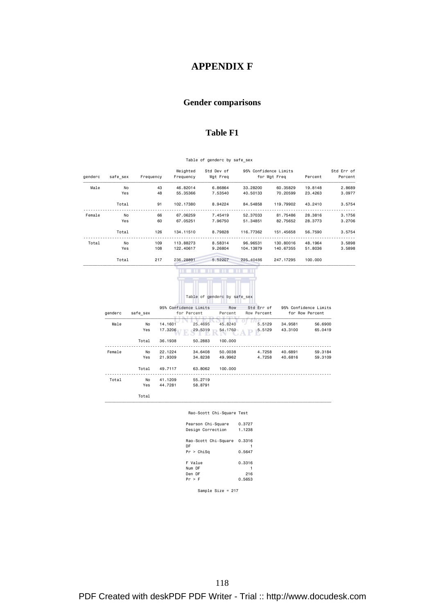# **APPENDIX F**

# **Gender comparisons**

# **Table F1**

|  |  | Table of genderc by safe sex |  |
|--|--|------------------------------|--|
|  |  |                              |  |

|         |          |           | Weighted   | Std Dev of |            | 95% Confidence Limits |         | Std Err of |
|---------|----------|-----------|------------|------------|------------|-----------------------|---------|------------|
| aenderc | safe sex | Frequency | Frequency  | Wat Frea   |            | for Wgt Freq          | Percent | Percent    |
| Male    | No       | 43        | 46,82014   | 6.86864    | 33,28200   | 60.35829              | 19,8148 | 2.8689     |
|         | Yes      | 48        | 55,35366   | 7.53540    | 40.50133   | 70.20599              | 23,4263 | 3.0977     |
|         | Total    | 91        | 102.17380  | 8.94224    | 84.54858   | 119,79902             | 43,2410 | 3.5754     |
| Female  | No       | 66        | 67,06259   | 7.45419    | 52,37033   | 81,75486              | 28,3816 | 3.1756     |
|         | Yes      | 60        | 67.05251   | 7.96750    | 51.34851   | 82.75652              | 28,3773 | 3.2706     |
|         | Total    | 126       | 134, 11510 | 8.79828    | 116.77362  | 151.45658             | 56,7590 | 3.5754     |
| Total   | No       | 109       | 113,88273  | 8.58314    | 96.96531   | 130,80016             | 48.1964 | 3.5898     |
|         | Yes      | 108       | 122,40617  | 9.26804    | 104, 13879 | 140.67355             | 51,8036 | 3.5898     |
|         | Total    | 217       | 236,28891  | 5.52207    | 225,40486  | 247.17295             | 100,000 |            |
|         |          |           |            |            |            |                       |         |            |



|         |          |         | Table of genderc by safe sex         |                |                           |         |                                          |
|---------|----------|---------|--------------------------------------|----------------|---------------------------|---------|------------------------------------------|
| genderc | safe sex |         | 95% Confidence Limits<br>for Percent | Row<br>Percent | Std Err of<br>Row Percent |         | 95% Confidence Limits<br>for Row Percent |
| Male    | No       | 14,1601 | 25,4695                              | 45.8240        | 5.5129                    | 34,9581 | 56,6900                                  |
|         | Yes      | 17,3206 | 29,5319                              | 54,1760        | 5.5129                    | 43,3100 | 65,0419                                  |
|         | Total    | 36.1938 | 50,2883                              | 100,000        |                           |         |                                          |
| Female  | No       | 22.1224 | 34,6408                              | 50,0038        | 4.7258                    | 40.6891 | 59.3184                                  |
|         | Yes      | 21,9309 | 34,8238                              | 49,9962        | 4.7258                    | 40.6816 | 59,3109                                  |
|         | Total    | 49.7117 | 63,8062                              | 100,000        |                           |         |                                          |
| Total   | No       | 41.1209 | 55,2719                              |                |                           |         |                                          |
|         | Yes      | 44.7281 | 58,8791                              |                |                           |         |                                          |

Rao-Scott Chi-Square Test

 $\overline{\phantom{a}}$   $\overline{\phantom{a}}$   $\overline{\phantom{a}}$   $\overline{\phantom{a}}$   $\overline{\phantom{a}}$   $\overline{\phantom{a}}$   $\overline{\phantom{a}}$   $\overline{\phantom{a}}$   $\overline{\phantom{a}}$   $\overline{\phantom{a}}$   $\overline{\phantom{a}}$   $\overline{\phantom{a}}$   $\overline{\phantom{a}}$   $\overline{\phantom{a}}$   $\overline{\phantom{a}}$   $\overline{\phantom{a}}$   $\overline{\phantom{a}}$   $\overline{\phantom{a}}$   $\overline{\$ 

Total

| Pearson Chi-Square<br>Design Correction  | 0.3727<br>1.1238 |
|------------------------------------------|------------------|
| Rao-Scott Chi-Square<br>DF<br>Pr > Chisq | 0.3316<br>0.5647 |
| F Value                                  | 0.3316           |
| Num DF                                   |                  |
| Den DF<br>Pr > F                         | 216<br>0.5653    |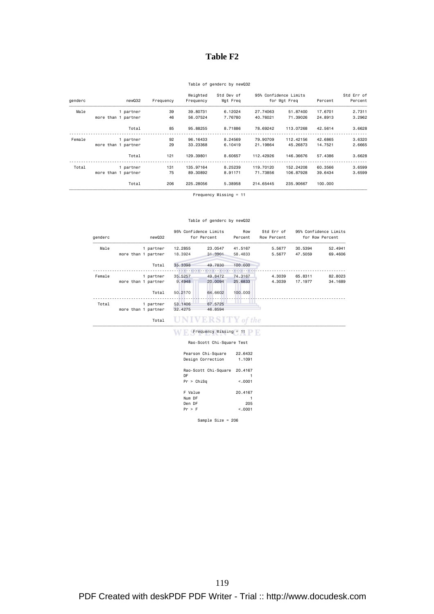# **Table F2**

### Table of genderc by newQ32

| genderc | newQ32              | Frequency | Weighted<br>Frequency | Std Dev of<br>Wgt Freg |           | 95% Confidence Limits<br>for Wgt Freq | Percent | Std Err of<br>Percent |
|---------|---------------------|-----------|-----------------------|------------------------|-----------|---------------------------------------|---------|-----------------------|
| Male    | 1 partner           | 39        | 39,80731              | 6.12024                | 27,74063  | 51,87400                              | 17,6701 | 2.7311                |
|         | more than 1 partner | 46        | 56.07524              | 7.76780                | 40.76021  | 71,39026                              | 24,8913 | 3.2962                |
|         | Total               | 85        | 95.88255              | 8,71886                | 78.69242  | 113,07268                             | 42.5614 | 3.6628                |
| Female  | 1 partner           | 92        | 96, 16433             | 8,24569                | 79,90709  | 112,42156                             | 42.6865 | 3.6320                |
|         | more than 1 partner | 29        | 33,23368              | 6.10419                | 21.19864  | 45,26873                              | 14.7521 | 2.6665                |
|         | Total               | 121       | 129.39801             | 8.60657                | 112.42926 | 146.36676                             | 57.4386 | 3.6628                |
| Total   | 1 partner           | 131       | 135,97164             | 8.25239                | 119,70120 | 152,24208                             | 60.3566 | 3.6599                |
|         | more than 1 partner | 75        | 89,30892              | 8.91171                | 71.73856  | 106,87928                             | 39.6434 | 3.6599                |
|         | Total               | 206       | 225,28056             | 5.38958                | 214.65445 | 235,90667                             | 100,000 |                       |

Frequency Missing = 11

#### Table of genderc by newQ32

| genderc | newQ32              |         | 95% Confidence Limits<br>for Percent | Row<br>Percent | Std Err of<br>Row Percent |         | 95% Confidence Limits<br>for Row Percent |
|---------|---------------------|---------|--------------------------------------|----------------|---------------------------|---------|------------------------------------------|
| Male    | 1 partner           | 12.2855 | 23.0547                              | 41.5167        | 5.5677                    | 30.5394 | 52.4941                                  |
|         | more than 1 partner | 18.3924 | 31,3901                              | 58,4833        | 5.5677                    | 47.5059 | 69,4606                                  |
|         | Total               | 35.3398 | 49,7830                              | 100,000        |                           |         |                                          |
| Female  | 1 partner           | 35.5257 | 49.8472                              | 74.3167        | 4.3039                    | 65,8311 | 82.8023                                  |
|         | more than 1 partner | 9.4948  | 20,0094                              | 25,6833        | 4.3039                    | 17.1977 | 34,1689                                  |
|         | Total               | 50,2170 | 64.6602                              | 100,000        |                           |         |                                          |
| Total   | 1 partner           | 53.1406 | 67.5725                              |                |                           |         |                                          |
|         | more than 1 partner | 32.4275 | 46.8594                              |                |                           |         |                                          |
|         | Total               |         | NIVERSITY of the                     |                |                           |         |                                          |

 $\blacksquare$   $\blacksquare$   $\blacksquare$   $\blacksquare$   $\blacksquare$   $\blacksquare$   $\blacksquare$   $\blacksquare$   $\blacksquare$   $\blacksquare$   $\blacksquare$   $\blacksquare$   $\blacksquare$   $\blacksquare$   $\blacksquare$   $\blacksquare$   $\blacksquare$   $\blacksquare$   $\blacksquare$   $\blacksquare$   $\blacksquare$   $\blacksquare$   $\blacksquare$   $\blacksquare$   $\blacksquare$   $\blacksquare$   $\blacksquare$   $\blacksquare$   $\blacksquare$   $\blacksquare$   $\blacksquare$   $\blacks$ 

#### Rao-Scott Chi-Square Test

| Pearson Chi-Square   | 22.6432  |
|----------------------|----------|
| Design Correction    | 1.1091   |
|                      |          |
| Rao-Scott Chi-Square | 20.4167  |
| DF                   |          |
| Pr > Chisq           | < 0.001  |
|                      |          |
| F Value              | 20.4167  |
| Num DF               |          |
| Den DF               | 205      |
| Pr > F               | < 0.0001 |
|                      |          |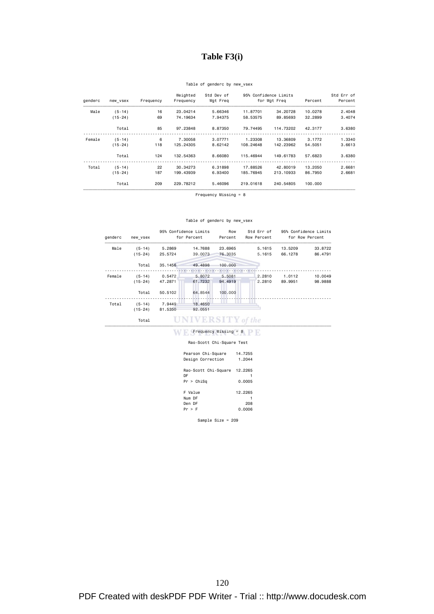# **Table F3(i)**

### Table of genderc by new\_vsex

| Std Err of<br>Percent | Percent | 95% Confidence Limits<br>for Wgt Freq |           | Std Dev of<br>Wgt Freq | Weighted<br>Frequency | Frequency | new vsex    | genderc |
|-----------------------|---------|---------------------------------------|-----------|------------------------|-----------------------|-----------|-------------|---------|
| 2.4048                | 10.0278 | 34,20728                              | 11,87701  | 5.66346                | 23,04214              | 16        | $(5-14)$    | Male    |
| 3.4074                | 32,2899 | 89.85693                              | 58.53575  | 7.94375                | 74,19634              | 69        | $(15-24)$   |         |
| 3.6380                | 42.3177 | 114,73202                             | 79.74495  | 8.87350                | 97.23848              | 85        | Total       |         |
| 1.3340                | 3.1772  | 13,36809                              | 1,23308   | 3.07771                | 7.30058               | 6         | $(5-14)$    | Female  |
| 3.6613                | 54,5051 | 142,23962                             | 108,24648 | 8.62142                | 125,24305             | 118       | $(15 - 24)$ |         |
| 3.6380                | 57.6823 | 149,61783                             | 115,46944 | 8,66080                | 132,54363             | 124       | Total       |         |
| 2.6681                | 13,2050 | 42,80019                              | 17,88526  | 6.31898                | 30.34273              | 22        | $(5-14)$    | Total   |
| 2.6681                | 86.7950 | 213, 10933                            | 185,76945 | 6,93400                | 199,43939             | 187       | $(15-24)$   |         |
|                       | 100,000 | 240.54805                             | 219,01618 | 5.46096                | 229,78212             | 209       | Total       |         |

Frequency Missing = 8

#### Table of genderc by new\_vsex

| genderc | new vsex  |         | 95% Confidence Limits<br>for Percent | Row<br>Percent          | Std Err of<br>Row Percent |         | 95% Confidence Limits<br>for Row Percent |
|---------|-----------|---------|--------------------------------------|-------------------------|---------------------------|---------|------------------------------------------|
| Male    | $(5-14)$  | 5.2869  | 14.7688                              | 23.6965                 | 5.1615                    | 13.5209 | 33.8722                                  |
|         | $(15-24)$ | 25.5724 | 39.0073                              | 76,3035                 | 5.1615                    | 66.1278 | 86.4791                                  |
|         | Total     | 35.1456 | 49,4898                              | 100,000                 |                           |         |                                          |
| Female  | $(5-14)$  | 0.5472  | 5.8072                               | 5.5081                  | 2.2810                    | 1.0112  | 10.0049                                  |
|         | $(15-24)$ | 47.2871 | 61.7232                              | 94,4919                 | 2.2810                    | 89,9951 | 98.9888                                  |
|         | Total     | 50.5102 | 64,8544                              | 100,000                 |                           |         |                                          |
| Total   | $(5-14)$  | 7.9449  | 18.4650                              |                         |                           |         |                                          |
|         | $(15-24)$ | 81.5350 | 92.0551                              |                         |                           |         |                                          |
|         | Total     |         | <b>UNIVERSITY</b> of the             |                         |                           |         |                                          |
|         |           |         |                                      | $Frequency Missing = 8$ |                           |         |                                          |

Rao-Scott Chi-Square Test

| $\frac{1}{2}$        |         |
|----------------------|---------|
| Pearson Chi-Square   | 14.7255 |
| Design Correction    | 1.2044  |
| Rao-Scott Chi-Square | 12.2265 |
| DF                   |         |
| Pr > Chisq           | 0.0005  |
| F Value              | 12.2265 |
| Num DF               |         |
| Den DF               | 208     |
| Pr > F               | 0.0006  |
|                      |         |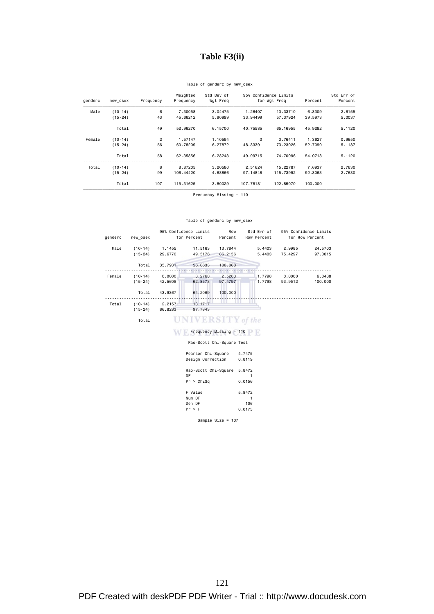# **Table F3(ii)**

### Table of genderc by new\_osex

| Std Err of |         |              | 95% Confidence Limits | Std Dev of | Weighted  |                |           |         |
|------------|---------|--------------|-----------------------|------------|-----------|----------------|-----------|---------|
| Percent    | Percent | for Wgt Freq |                       | Wgt Freq   | Frequency | Frequency      | new osex  | genderc |
| 2.6155     | 6,3309  | 13,33710     | 1.26407               | 3.04475    | 7.30058   | 6              | $(10-14)$ | Male    |
| 5.0037     | 39,5973 | 57.37924     | 33.94499              | 5.90999    | 45.66212  | 43             | $(15-24)$ |         |
| 5.1120     | 45.9282 | 65, 16955    | 40.75585              | 6.15700    | 52,96270  | 49             | Total     |         |
| 0.9650     | 1.3627  | 3.76411      | $\mathbf 0$           | 1.10594    | 1.57147   | $\overline{2}$ | $(10-14)$ | Female  |
| 5.1187     | 52,7090 | 73,23026     | 48,33391              | 6.27872    | 60.78209  | 56             | $(15-24)$ |         |
| 5.1120     | 54,0718 | 74,70996     | 49.99715              | 6.23243    | 62.35356  | 58             | Total     |         |
| 2.7630     | 7.6937  | 15,22787     | 2.51624               | 3,20580    | 8.87205   | 8              | $(10-14)$ | Total   |
| 2.7630     | 92,3063 | 115,73992    | 97.14848              | 4.68866    | 106,44420 | 99             | $(15-24)$ |         |
|            | 100,000 | 122,85070    | 107.78181             | 3,80029    | 115,31625 | 107            | Total     |         |

Frequency Missing = 110

#### Table of genderc by new\_osex

| $(10-14)$ | 1.1455  | 11.5163 | 13.7844 | 5.4403 | 2.9985                   | 24.5703 |
|-----------|---------|---------|---------|--------|--------------------------|---------|
| $(15-24)$ | 29,6770 | 49.5176 | 86,2156 | 5.4403 | 75.4297                  | 97.0015 |
| Total     | 35.7931 | 56,0633 | 100,000 |        |                          |         |
| $(10-14)$ | 0.0000  | 3.2760  | 2.5203  | 1.7798 | 0.0000                   | 6.0488  |
| $(15-24)$ | 42.5608 | 62.8573 | 97.4797 | 1,7798 | 93.9512                  | 100.000 |
| Total     | 43,9367 | 64,2069 | 100,000 |        |                          |         |
| $(10-14)$ | 2.2157  | 13.1717 |         |        |                          |         |
| $(15-24)$ | 86.8283 | 97.7843 |         |        |                          |         |
| Total     |         |         |         |        |                          |         |
|           |         |         |         |        | <b>UNIVERSITY</b> of the |         |

#### Rao-Scott Chi-Square Test

| Pearson Chi-Square   | 4.7475 |
|----------------------|--------|
| Design Correction    | 0.8119 |
|                      |        |
| Rao-Scott Chi-Square | 5.8472 |
| DF                   |        |
| Pr > Chisq           | 0.0156 |
|                      |        |
| F Value              | 5.8472 |
| Num DF               |        |
| Den DF               | 106    |
| Pr > F               | 0.0173 |
|                      |        |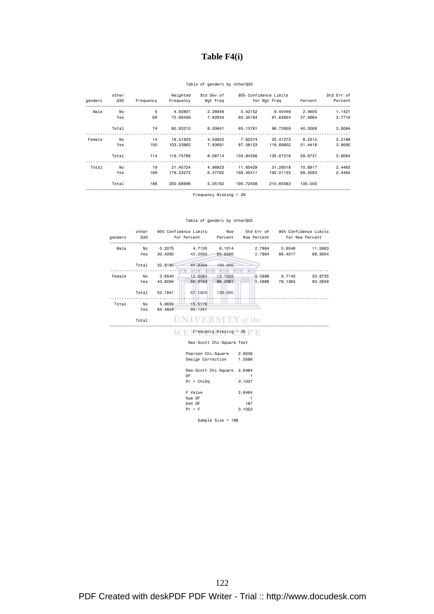# **Table F4(i)**

### Table of genderc by otherQ30

| Std Err of |         |              | 95% Confidence Limits | Std Dev of | Weighted  |           | other      |         |
|------------|---------|--------------|-----------------------|------------|-----------|-----------|------------|---------|
| Percent    | Percent | for Wgt Freq |                       | Wgt Freq   | Frequency | Frequency | <b>Q30</b> | genderc |
| 1.1421     | 2.4605  | 9.45449      | 0.42152               | 2.28946    | 4.93801   | 5         | No         | Male    |
| 3.7716     | 37.8664 | 91.63654     | 60.35164              | 7.92934    | 75.99409  | 69        | Yes        |         |
| 3.8064     | 40.3269 | 96.72659     | 65.13761              | 8.00641    | 80.93210  | 74        | Total      |         |
| 2.2189     | 8.2312  | 25,41273     | 7.62574               | 4.50822    | 16,51923  | 14        | No         | Female  |
| 3.8690     | 51.4418 | 118,89602    | 87.58123              | 7.93691    | 103.23862 | 100       | Yes        |         |
| 3,8064     | 59.6731 | 135,67216    | 103.84356             | 8.06714    | 119,75786 | 114       | Total      |         |
| 2.4463     | 10.6917 | 31,26018     | 11.65429              | 4.96923    | 21,45724  | 19        | No         | Total   |
| 2.4463     | 89,3083 | 192,01133    | 166,45411             | 6.47762    | 179,23272 | 169       | Yes        |         |
|            | 100,000 | 210.65583    | 190.72408             | 5.05182    | 200,68996 | 188       | Total      |         |

Frequency Missing = 29

### Table of genderc by otherQ30

| genderc | other<br>Q30 |         | 95% Confidence Limits<br>for Percent | Row<br>Percent                    | Std Err of<br>Row Percent |         | 95% Confidence Limits<br>for Row Percent |
|---------|--------------|---------|--------------------------------------|-----------------------------------|---------------------------|---------|------------------------------------------|
| Male    | No           | 0.2075  | 4.7135                               | 6.1014                            | 2.7864                    | 0.6046  | 11.5983                                  |
|         | Yes          | 30.4260 | 45.3069                              | 93.8986                           | 2.7864                    | 88.4017 | 99.3954                                  |
|         | Total        | 32.8180 | 47.8359                              | 100,000                           |                           |         |                                          |
| Female  | No           | 3.8540  | 12.6084                              | 13.7939                           | 3.5888                    | 6.7142  | 20.8735                                  |
|         | Yes          | 43.8094 | 59,0743                              | 86,2061                           | 3.5888                    | 79.1265 | 93.2858                                  |
|         | Total        | 52.1641 | 67.1820                              | 100.000                           |                           |         |                                          |
| Total   | No           | 5.8659  | 15.5176                              |                                   |                           |         |                                          |
|         | Yes          | 84.4824 | 94.1341                              |                                   |                           |         |                                          |
|         | Total        |         | <b>UNIVERSITY</b> of the             |                                   |                           |         |                                          |
|         |              |         |                                      | Frequency Missing = 29            |                           |         |                                          |
|         |              |         |                                      | Rao-Scott Chi-Square Test         |                           |         |                                          |
|         |              |         | Pearson Chi-Square                   |                                   | 2.8036                    |         |                                          |
|         |              |         |                                      | <b>Dealer Occupation - 4 OFOC</b> |                           |         |                                          |

| Pearson Chi-Square<br>Design Correction | 2.8036<br>1.0586 |
|-----------------------------------------|------------------|
| Rao-Scott Chi-Square<br>DF              | 2.6484           |
| Pr > Chisq                              | 0.1037           |
| F Value                                 | 2.6484           |
| Num DF                                  |                  |
| Den DF                                  | 187              |
| Pr > F                                  | 0.1053           |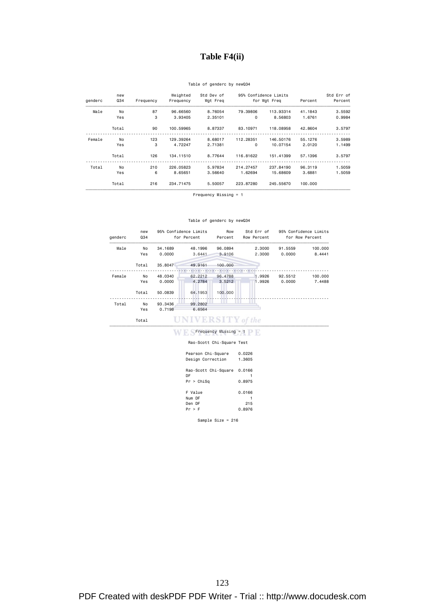# **Table F4(ii)**

### Table of genderc by newQ34

| Std Err of<br>Percent | Percent | 95% Confidence Limits<br>for Wgt Freq |            | Std Dev of<br>Wgt Freq | Weighted<br>Frequency | Frequency | new<br>Q34 | genderc |
|-----------------------|---------|---------------------------------------|------------|------------------------|-----------------------|-----------|------------|---------|
| 3.5592                | 41.1843 | 113.93314                             | 79,39806   | 8.76054                | 96,66560              | 87        |            | Male    |
|                       |         |                                       |            |                        |                       |           | No         |         |
| 0.9984                | 1.6761  | 8,56803                               | 0          | 2.35101                | 3.93405               | 3         | Yes        |         |
| 3.5797                | 42.8604 | 118,08958                             | 83, 10971  | 8.87337                | 100.59965             | 90        | Total      |         |
| 3.5989                | 55.1276 | 146,50176                             | 112,28351  | 8.68017                | 129,39264             | 123       | No         | Female  |
| 1.1499                | 2.0120  | 10.07154                              | 0          | 2.71381                | 4.72247               | 3         | Yes        |         |
| 3.5797                | 57.1396 | 151,41399                             | 116,81622  | 8.77644                | 134,11510             | 126       | Total      |         |
| 1.5059                | 96,3119 | 237,84190                             | 214, 27457 | 5.97834                | 226,05823             | 210       | No         | Total   |
| 1,5059                | 3.6881  | 15,68609                              | 1.62694    | 3.56640                | 8.65651               | 6         | Yes        |         |
|                       | 100,000 | 245.55670                             | 223,87280  | 5.50057                | 234,71475             | 216       | Total      |         |

Frequency Missing = 1

### Table of genderc by newQ34

| No<br>Yes<br>Total<br>No<br>Yes | 34,1689<br>0.0000<br>35.8047<br>48,0340 | 48.1996<br>3.6441<br>49,9161<br>62.2212 | 96.0894<br>3.9106<br>100,000<br>96.4788 | 2.3000<br>2,3000 | 91.5559<br>0.0000                                   | 100.000 |
|---------------------------------|-----------------------------------------|-----------------------------------------|-----------------------------------------|------------------|-----------------------------------------------------|---------|
|                                 |                                         |                                         |                                         |                  |                                                     | 8.4441  |
|                                 |                                         |                                         |                                         |                  |                                                     |         |
|                                 |                                         |                                         |                                         |                  |                                                     |         |
|                                 |                                         |                                         |                                         | 1.9926           | 92.5512                                             | 100.000 |
|                                 | 0.0000                                  | 4.2784                                  | 3.5212                                  | 1.9926           | 0.0000                                              | 7.4488  |
| Total                           |                                         | 64.1953                                 | 100,000                                 |                  |                                                     |         |
| No                              |                                         | 99,2802                                 |                                         |                  |                                                     |         |
| Yes                             | 0.7198                                  | 6.6564                                  |                                         |                  |                                                     |         |
| Total                           |                                         |                                         |                                         |                  |                                                     |         |
|                                 |                                         | 50.0839<br>93,3436                      |                                         |                  | <b>UNIVERSITY</b> of the<br>Frequency Missing $= 1$ |         |

### Rao-Scott Chi-Square Test

| Pearson Chi-Square<br>Design Correction  | 0.0226<br>1.3605        |
|------------------------------------------|-------------------------|
| Rao-Scott Chi-Square<br>DF<br>Pr > Chisq | 0.0166<br>0.8975        |
| F Value<br>Num DF<br>Den DF<br>Pr > F    | 0.0166<br>215<br>0.8976 |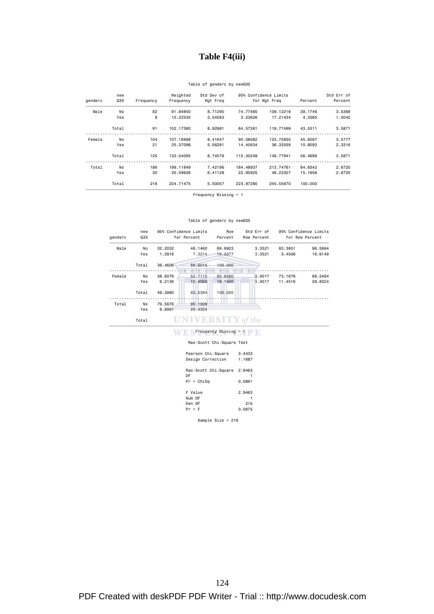# **Table F4(iii)**

### Table of genderc by newQ35

| Std Err of<br>Percent | Percent  | for Wgt Freq | 95% Confidence Limits | Std Dev of<br>Wgt Freq | Weighted<br>Frequency | Frequency | new<br>Q35 | genderc |
|-----------------------|----------|--------------|-----------------------|------------------------|-----------------------|-----------|------------|---------|
| 3.5369                | 39, 1746 | 109.12216    | 74.77485              | 8.71290                | 91.94850              | 82        | No         | Male    |
| 1.5042                | 4.3565   | 17,21434     | 3.23626               | 3.54583                | 10.22530              | 9         | Yes        |         |
| 3.5871                | 43.5311  | 119,77499    | 84,57261              | 8.92981                | 102.17380             | 91        | Total      |         |
| 3.5777                | 45.6597  | 123.75935    | 90.58062              | 8.41647                | 107.16998             | 104       | No         | Female  |
| 2.3316                | 10,8093  | 36.33559     | 14,40634              | 5.56281                | 25,37096              | 21        | Yes        |         |
| 3.5871                | 56,4689  | 149,77941    | 115,30249             | 8.74579                | 132.54095             | 125       | Total      |         |
| 2.6720                | 84.8342  | 213,74761    | 184,48937             | 7.42196                | 199,11849             | 186       | No         | Total   |
| 2.6720                | 15,1658  | 48,23327     | 22.95925              | 6.41128                | 35,59626              | 30        | Yes        |         |
|                       | 100,000  | 245.55670    | 223,87280             | 5.50057                | 234,71475             | 216       | Total      |         |

Frequency Missing = 1

### Table of genderc by newQ35

| genderc | new<br>Q35 |         | 95% Confidence Limits<br>Row<br>for Percent<br>Percent<br>46.1460<br>89,9923 |                           | Std Err of<br>Row Percent |         | 95% Confidence Limits<br>for Row Percent |
|---------|------------|---------|------------------------------------------------------------------------------|---------------------------|---------------------------|---------|------------------------------------------|
| Male    | No         | 32,2032 |                                                                              |                           | 3.3521                    | 83.3851 | 96.5994                                  |
|         | Yes        | 1.3916  | 7.3214                                                                       | 10.0077                   | 3.3521                    | 3.4006  | 16.6149                                  |
|         | Total      | 36,4606 | 50.6015                                                                      | 100,000                   |                           |         |                                          |
| Female  | No         | 38,6079 | 52.7115                                                                      | 80.8580                   | 3.9017                    | 73.1676 | 88.5484                                  |
|         | Yes        | 6.2136  | 15,4050                                                                      | 19.1420                   | 3.9017                    | 11.4516 | 26.8324                                  |
|         | Total      | 49.3985 | 63.5394                                                                      | 100.000                   |                           |         |                                          |
| Total   | No         | 79.5676 | 90,1009                                                                      |                           |                           |         |                                          |
|         | Yes        | 9.8991  | 20.4324                                                                      |                           |                           |         |                                          |
|         | Total      |         |                                                                              | <b>VERSITY</b> of the     |                           |         |                                          |
|         |            |         |                                                                              | Frequency Missing $= 1$   |                           |         |                                          |
|         |            |         |                                                                              | Rao-Scott Chi-Square Test |                           |         |                                          |
|         |            |         |                                                                              | .                         |                           |         |                                          |

| Pearson Chi-Square<br>Design Correction | 3,4433<br>1.1687 |
|-----------------------------------------|------------------|
| Rao-Scott Chi-Square<br>DF              | 2.9463           |
| Pr > Chisq                              | 0.0861           |
| F Value                                 | 2.9463           |
| Num DF                                  |                  |
| Den DF                                  | 215              |
| Pr > F                                  | 0.0875           |
|                                         |                  |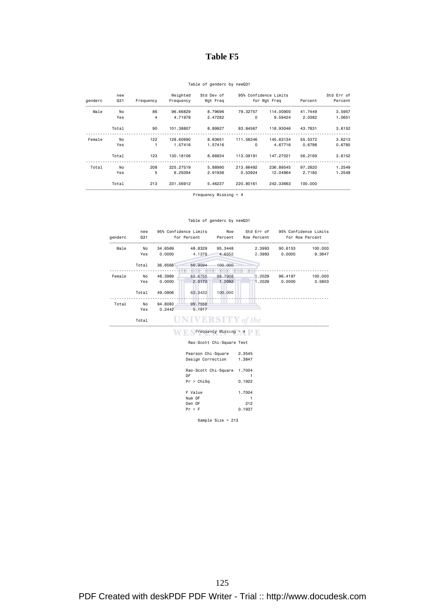# **Table F5**

### Table of genderc by newQ31

| Std Err of<br>Percent | Percent | for Wgt Freg | 95% Confidence Limits | Std Dev of<br>Wgt Freq | Weighted<br>Frequency | Frequency | new<br>031 | genderc |
|-----------------------|---------|--------------|-----------------------|------------------------|-----------------------|-----------|------------|---------|
|                       |         |              |                       |                        |                       |           |            |         |
| 3.5957                | 41.7449 | 114,00900    | 79.32757              | 8.79696                | 96.66829              | 86        | No         | Male    |
| 1.0651                | 2.0382  | 9.59424      | 0                     | 2.47282                | 4.71978               | 4         | Yes        |         |
| 3.6152                | 43.7831 | 118,93046    | 83.84567              | 8.89927                | 101,38807             | 90        | Total      |         |
| 3.6213                | 55.5372 | 145,63134    | 111.58246             | 8.63651                | 128,60690             | 122       | No         | Female  |
| 0.6785                | 0.6798  | 4.67716      | 0                     | 1.57416                | 1.57416               | 1.        | Yes        |         |
| 3.6152                | 56.2169 | 147.27021    | 113,09191             | 8.66934                | 130,18106             | 123       | Total      |         |
| 1.2549                | 97.2820 | 236,88545    | 213,66492             | 5.88990                | 225,27519             | 208       | No         | Total   |
| 1.2549                | 2.7180  | 12.04864     | 0.53924               | 2.91936                | 6.29394               | 5         | Yes        |         |
|                       | 100,000 | 242,33663    | 220,80161             | 5.46237                | 231,56912             | 213       | Total      |         |

Frequency Missing = 4

### Table of genderc by newQ31

| genderc | new<br>Q31 |         | 95% Confidence Limits<br>for Percent | Row<br>Percent            | Std Err of<br>Row Percent |         | 95% Confidence Limits<br>for Row Percent |  |  |  |  |
|---------|------------|---------|--------------------------------------|---------------------------|---------------------------|---------|------------------------------------------|--|--|--|--|
| Male    | No         | 34,6569 | 48.8329                              | 95.3448                   | 2.3993                    | 90.6153 | 100.000                                  |  |  |  |  |
|         | Yes        | 0.0000  | 4.1378                               | 4.6552                    | 2.3993                    | 0.0000  | 9.3847                                   |  |  |  |  |
|         | Total      | 36.6568 | 50,9094                              | 100,000                   |                           |         |                                          |  |  |  |  |
| Female  | No         | 48,3989 | 62.6755                              | 98.7908                   | 1.2029                    | 96.4197 | 100.000                                  |  |  |  |  |
|         | Yes        | 0.0000  | 2.0173                               | 1.2092                    | 1.2029                    | 0.0000  | 3.5803                                   |  |  |  |  |
|         | Total      | 49.0906 | 63,3432                              | 100,000                   |                           |         |                                          |  |  |  |  |
| Total   | No         | 94,8083 | 99.7558                              |                           |                           |         |                                          |  |  |  |  |
|         | Yes        | 0.2442  | 5.1917                               |                           |                           |         |                                          |  |  |  |  |
|         | Total      |         | <b>UNIVERSITY</b> of the             |                           |                           |         |                                          |  |  |  |  |
|         |            |         |                                      | $Frequency$ Missing = 4   |                           |         |                                          |  |  |  |  |
|         |            |         |                                      | Rao-Scott Chi-Square Test |                           |         |                                          |  |  |  |  |
|         |            |         | Pearson Chi-Square                   |                           | 2.3545                    |         |                                          |  |  |  |  |
|         |            |         | Design Correction                    |                           | 1.3847                    |         |                                          |  |  |  |  |

| DF      | Rao-Scott Chi-Square<br>1.7004 |
|---------|--------------------------------|
|         | Pr > Chisq<br>0.1922           |
| F Value | 1.7004                         |
| Num DF  |                                |
| Den DF  | 212                            |
| Pr > F  | 0.1937                         |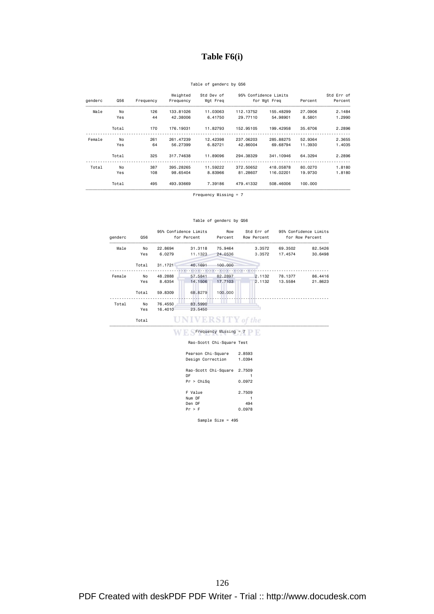# **Table F6(i)**

### Table of genderc by Q56

| Std Err of<br>Percent | Percent | for Wgt Freq | 95% Confidence Limits | Std Dev of<br>Wgt Freq | Weighted<br>Frequency | Frequency | Q56   | genderc |
|-----------------------|---------|--------------|-----------------------|------------------------|-----------------------|-----------|-------|---------|
| 2.1484                | 27,0906 | 155,48299    | 112, 13752            | 11,03063               | 133,81026             | 126       | No    | Male    |
| 1.2990                | 8.5801  | 54,98901     | 29,77110              | 6.41750                | 42,38006              | 44        | Yes   |         |
| 2.2896                | 35,6706 | 199,42958    | 152.95105             | 11,82793               | 176,19031             | 170       | Total |         |
| 2.3655                | 52,9364 | 285.88275    | 237,06203             | 12,42398               | 261,47239             | 261       | No    | Female  |
| 1.4035                | 11,3930 | 69.68794     | 42.86004              | 6.82721                | 56.27399              | 64        | Yes   |         |
| 2.2896                | 64.3294 | 341,10946    | 294.38329             | 11,89096               | 317.74638             | 325       | Total |         |
| 1.8180                | 80.0270 | 418,05878    | 372.50652             | 11.59222               | 395,28265             | 387       | No    | Total   |
| 1.8180                | 19,9730 | 116,02201    | 81.28607              | 8.83966                | 98.65404              | 108       | Yes   |         |
|                       | 100,000 | 508,46006    | 479.41332             | 7.39186                | 493.93669             | 495       | Total |         |

Frequency Missing = 7

#### Table of genderc by Q56

| 22.8694<br>No<br>Yes<br>6.0279<br>31.1721<br>Total<br>No<br>48.2888<br>Yes<br>8.6354 | 31,3118<br>11.1323<br>40.1691<br>57.5841<br>14,1506 | 75.9464<br>24,0536<br>100,000<br>82.2897<br>17,7103 | 3.3572<br>3.3572<br>2.1132<br>2.1132 | 69,3502<br>17.4574<br>78.1377                         | 82.5426 |
|--------------------------------------------------------------------------------------|-----------------------------------------------------|-----------------------------------------------------|--------------------------------------|-------------------------------------------------------|---------|
|                                                                                      |                                                     |                                                     |                                      |                                                       | 30.6498 |
|                                                                                      |                                                     |                                                     |                                      |                                                       |         |
|                                                                                      |                                                     |                                                     |                                      |                                                       | 86.4416 |
|                                                                                      |                                                     |                                                     |                                      |                                                       |         |
|                                                                                      |                                                     |                                                     |                                      |                                                       |         |
|                                                                                      |                                                     |                                                     |                                      | 13.5584                                               | 21.8623 |
| Total<br>59,8309                                                                     | 68.8279                                             | 100,000                                             |                                      |                                                       |         |
| 76,4550                                                                              | 83,5990                                             |                                                     |                                      |                                                       |         |
| 16,4010                                                                              | 23.5450                                             |                                                     |                                      |                                                       |         |
|                                                                                      |                                                     |                                                     |                                      |                                                       |         |
|                                                                                      | No<br>Yes<br>Total                                  |                                                     |                                      | <b>UNIVERSITY</b> of the<br>$Frequency$ Missing = $7$ |         |

#### Rao-Scott Chi-Square Test

| Pearson Chi-Square   | 2.8593 |
|----------------------|--------|
| Design Correction    | 1.0394 |
|                      |        |
| Rao-Scott Chi-Square | 2.7509 |
| DF                   |        |
| Pr > Chisq           | 0.0972 |
|                      |        |
| F Value              | 2.7509 |
| Num DF               |        |
| Den DF               | 494    |
| Pr > F               | 0.0978 |
|                      |        |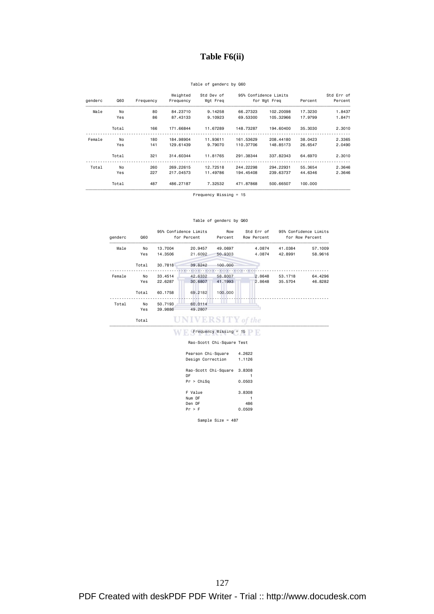# **Table F6(ii)**

### Table of genderc by Q60

| Std Err of<br>Percent | Percent | for Wgt Freq | 95% Confidence Limits | Std Dev of<br>Wgt Freq | Weighted<br>Frequency | Frequency | Q60   | genderc |
|-----------------------|---------|--------------|-----------------------|------------------------|-----------------------|-----------|-------|---------|
| 1.8437                | 17.3230 | 102.20098    | 66.27323              | 9.14258                | 84,23710              | 80        | No    | Male    |
| 1.8471                | 17,9799 | 105.32966    | 69.53300              | 9.10923                | 87,43133              | 86        | Yes   |         |
| 2,3010                | 35,3030 | 194,60400    | 148.73287             | 11.67289               | 171.66844             | 166       | Total |         |
| 2.3365                | 38,0423 | 208,44180    | 161.53629             | 11,93611               | 184,98904             | 180       | No    | Female  |
| 2,0490                | 26.6547 | 148,85173    | 110,37706             | 9.79070                | 129,61439             | 141       | Yes   |         |
| 2,3010                | 64,6970 | 337,82343    | 291.38344             | 11,81765               | 314,60344             | 321       | Total |         |
| 2.3646                | 55.3654 | 294,22931    | 244,22298             | 12.72518               | 269,22615             | 260       | No    | Total   |
| 2.3646                | 44.6346 | 239,63737    | 194,45408             | 11,49786               | 217,04573             | 227       | Yes   |         |
|                       | 100,000 | 500.66507    | 471.87868             | 7.32532                | 486,27187             | 487       | Total |         |

Frequency Missing = 15

#### Table of genderc by Q60

| genderc | Q60   |         | 95% Confidence Limits<br>for Percent | Row<br>Percent       | Std Err of<br>Row Percent | 95% Confidence Limits | for Row Percent |
|---------|-------|---------|--------------------------------------|----------------------|---------------------------|-----------------------|-----------------|
| Male    | No    | 13,7004 | 20,9457                              | 49,0697              | 4.0874                    | 41.0384               | 57,1009         |
|         | Yes   | 14,3506 | 21.6092                              | 50,9303              | 4.0874                    | 42,8991               | 58.9616         |
|         | Total | 30.7818 | 39,8242                              | 100,000              |                           |                       |                 |
| Female  | No    | 33,4514 | 42.6332                              | 58.8007              | 2.8648                    | 53.1718               | 64.4296         |
|         | Yes   | 22.6287 | 30.6807                              | 41.1993              | 2.8648                    | 35.5704               | 46.8282         |
|         | Total | 60.1758 | 69,2182                              | 100,000              |                           |                       |                 |
| Total   | No    | 50.7193 | 60.0114                              |                      |                           |                       |                 |
|         | Yes   | 39,9886 | 49.2807                              |                      |                           |                       |                 |
|         | Total |         |                                      | <b>ERSITY</b> of the |                           |                       |                 |

### Frequency Missing = 15

### Rao-Scott Chi-Square Test

| Pearson Chi-Square<br>Design Correction  | 4.2622<br>1.1126        |
|------------------------------------------|-------------------------|
| Rao-Scott Chi-Square<br>DF<br>Pr > Chisq | 3.8308<br>0.0503        |
| F Value<br>Num DF<br>Den DF<br>Pr > F    | 3,8308<br>486<br>0.0509 |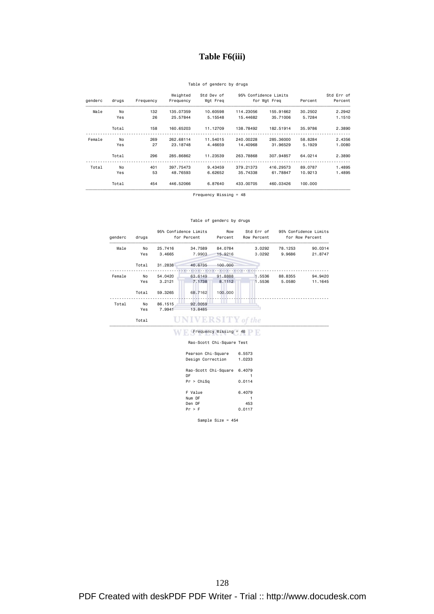# **Table F6(iii)**

### Table of genderc by drugs

| Std Err of<br>Percent | Percent | for Wgt Freq | 95% Confidence Limits | Std Dev of<br>Wgt Freq | Weighted<br>Frequency | Frequency | drugs | genderc |
|-----------------------|---------|--------------|-----------------------|------------------------|-----------------------|-----------|-------|---------|
|                       |         |              |                       |                        |                       |           |       |         |
| 2.2942                | 30.2502 | 155,91662    | 114,23056             | 10.60598               | 135,07359             | 132       | No    | Male    |
| 1.1510                | 5.7284  | 35,71006     | 15,44682              | 5.15548                | 25.57844              | 26        | Yes   |         |
| 2,3890                | 35.9786 | 182.51914    | 138,78492             | 11.12709               | 160.65203             | 158       | Total |         |
| 2.4356                | 58,8284 | 285,36000    | 240,00228             | 11.54015               | 262,68114             | 269       | No    | Female  |
| 1,0080                | 5.1929  | 31,96529     | 14,40968              | 4,46659                | 23.18748              | 27        | Yes   |         |
| 2,3890                | 64.0214 | 307.94857    | 263,78868             | 11.23539               | 285,86862             | 296       | Total |         |
| 1.4895                | 89,0787 | 416,29573    | 379.21373             | 9.43459                | 397,75473             | 401       | No    | Total   |
| 1.4895                | 10.9213 | 61.78847     | 35.74338              | 6.62652                | 48.76593              | 53        | Yes   |         |
|                       | 100,000 | 460,03426    | 433,00705             | 6.87640                | 446,52066             | 454       | Total |         |

Frequency Missing = 48

#### Table of genderc by drugs

| genderc | drugs |         | 95% Confidence Limits<br>for Percent | Row<br>Percent            | Std Err of<br>Row Percent |         | 95% Confidence Limits<br>for Row Percent |
|---------|-------|---------|--------------------------------------|---------------------------|---------------------------|---------|------------------------------------------|
| Male    | No    | 25,7416 | 34.7589                              | 84.0784                   | 3.0292                    | 78.1253 | 90.0314                                  |
|         | Yes   | 3.4665  | 7.9903                               | 15.9216                   | 3.0292                    | 9.9686  | 21.8747                                  |
|         | Total | 31.2838 | 40.6735                              | 100,000                   |                           |         |                                          |
| Female  | No    | 54,0420 | 63.6149                              | 91.8888                   | 1.5536                    | 88.8355 | 94.9420                                  |
|         | Yes   | 3.2121  | 7.1738                               | 8.1112                    | 1.5536                    | 5.0580  | 11.1645                                  |
|         | Total | 59,3265 | 68,7162                              | 100,000                   |                           |         |                                          |
| Total   | No    | 86.1515 | 92,0059                              |                           |                           |         |                                          |
|         | Yes   | 7.9941  | 13.8485                              |                           |                           |         |                                          |
|         | Total |         | <b>UNIVERSITY</b> of the             |                           |                           |         |                                          |
|         |       |         |                                      | Frequency Missing = 48    |                           |         |                                          |
|         |       |         |                                      | Rao-Scott Chi-Square Test |                           |         |                                          |

| Pearson Chi-Square<br>Design Correction  | 6.5573<br>1.0233        |
|------------------------------------------|-------------------------|
| Rao-Scott Chi-Square<br>DF<br>Pr > Chisq | 6.4079<br>0.0114        |
| F Value<br>Num DF<br>Den DF<br>Pr > F    | 6,4079<br>453<br>0.0117 |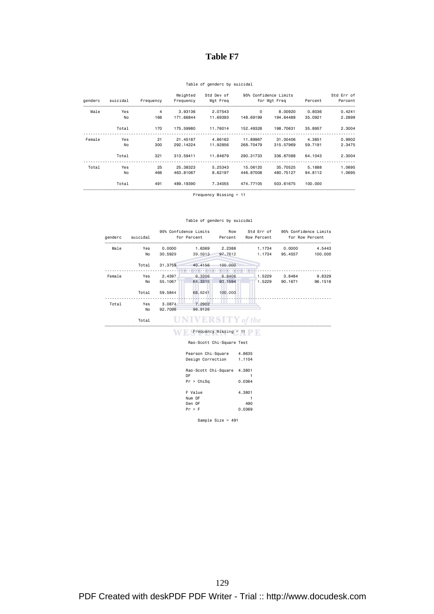# **Table F7**

### Table of genderc by suicidal

| Std Err of<br>Percent | Percent | for Wgt Freq | 95% Confidence Limits | Std Dev of<br>Wgt Freq | Weighted<br>Frequency | Frequency | suicidal | genderc |
|-----------------------|---------|--------------|-----------------------|------------------------|-----------------------|-----------|----------|---------|
| 0.4241                | 0.8036  | 8,00920      | $\mathbf 0$           | 2.07543                | 3.93136               | 4         | Yes      | Male    |
| 2.2899                | 35,0921 | 194,64488    | 148,69199             | 11.69393               | 171.66844             | 166       | No       |         |
| 2.3004                | 35.8957 | 198,70631    | 152,49328             | 11,76014               | 175,59980             | 170       | Total    |         |
| 0.9902                | 4.3851  | 31,00406     | 11,89967              | 4.86162                | 21,45187              | 21        | Yes      | Female  |
| 2.3475                | 59.7191 | 315,57969    | 268,70479             | 11,92856               | 292.14224             | 300       | No       |         |
| 2.3004                | 64,1043 | 336,87088    | 290.31733             | 11,84679               | 313,59411             | 321       | Total    |         |
| 1.0695                | 5.1888  | 35,70525     | 15,06120              | 5.25343                | 25,38323              | 25        | Yes      | Total   |
| 1.0695                | 94.8112 | 480.75127    | 446,87008             | 8.62197                | 463,81067             | 466       | No       |         |
|                       | 100,000 | 503,61675    | 474,77105             | 7.34055                | 489, 19390            | 491       | Total    |         |

Frequency Missing = 11

#### Table of genderc by suicidal

| genderc | suicidal |         | 95% Confidence Limits<br>for Percent | Row<br>Percent           | Std Err of<br>Row Percent |         | 95% Confidence Limits<br>for Row Percent |
|---------|----------|---------|--------------------------------------|--------------------------|---------------------------|---------|------------------------------------------|
| Male    | Yes      | 0.0000  | 1.6369                               | 2.2388                   | 1.1734                    | 0.0000  | 4.5443                                   |
|         | No       | 30.5929 | 39.5913                              | 97.7612                  | 1.1734                    | 95.4557 | 100.000                                  |
|         | Total    | 31,3759 | 40.4156                              | 100,000                  |                           |         |                                          |
| Female  | Yes      | 2.4397  | 6.3306                               | 6.8406                   | 1.5229                    | 3.8484  | 9.8329                                   |
|         | No       | 55,1067 | 64,3315                              | 93.1594                  | 1.5229                    | 90.1671 | 96.1516                                  |
|         | Total    | 59.5844 | 68,6241                              | 100,000                  |                           |         |                                          |
| Total   | Yes      | 3,0874  | 7.2902                               |                          |                           |         |                                          |
|         | No       | 92.7098 | 96.9126                              |                          |                           |         |                                          |
|         | Total    |         | <b>UNIVERSITY</b> of the             |                          |                           |         |                                          |
|         |          |         |                                      | $Frequency$ Missing = 11 |                           |         |                                          |

### Rao-Scott Chi-Square Test

| Pearson Chi-Square<br>Design Correction  | 4.8635<br>1.1104        |
|------------------------------------------|-------------------------|
| Rao-Scott Chi-Square<br>DF<br>Pr > Chisq | 4.3801<br>0.0364        |
| F Value<br>Num DF<br>Den DF<br>Pr > F    | 4.3801<br>490<br>0.0369 |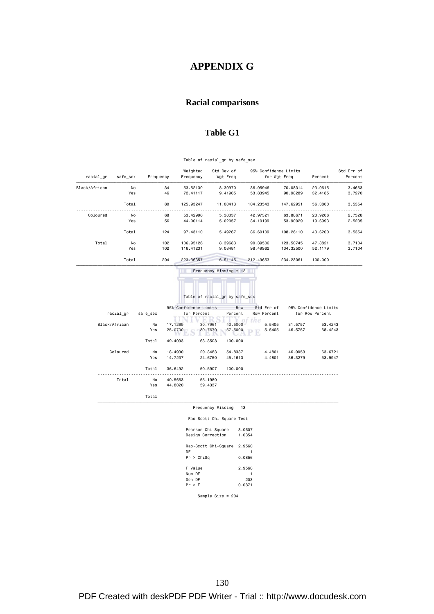# **APPENDIX G**

# **Racial comparisons**

# **Table G1**

#### Table of racial\_gr by safe\_sex

|               |               |           |         | Weighted                             | Std Dev of     | 95% Confidence Limits     |              |                                          | Std Err of |
|---------------|---------------|-----------|---------|--------------------------------------|----------------|---------------------------|--------------|------------------------------------------|------------|
| racial gr     | safe_sex      | Frequency |         | Frequency                            | Wgt Freq       |                           | for Wgt Freq | Percent                                  | Percent    |
| Black/African | <b>No</b>     |           | 34      | 53.52130                             | 8.39970        | 36.95946                  | 70.08314     | 23.9615                                  | 3.4663     |
|               | Yes           |           | 46      | 72.41117                             | 9.41905        | 53.83945                  | 90.98289     | 32.4185                                  | 3.7270     |
|               | Total         |           | 80      | 125.93247                            | 11.00413       | 104.23543                 | 147.62951    | 56.3800                                  | 3.5354     |
| Coloured      | No            |           | 68      | 53.42996                             | 5.30337        | 42.97321                  | 63.88671     | 23.9206                                  | 2.7528     |
|               | Yes           |           | 56      | 44.00114                             | 5.02057        | 34.10199                  | 53.90029     | 19.6993                                  | 2.5235     |
|               | Total         |           | 124     | 97.43110                             | 5.49267        | 86.60109                  | 108.26110    | 43.6200                                  | 3.5354     |
| Total         | <b>No</b>     |           | 102     | 106.95126                            | 8.39683        | 90.39506                  | 123.50745    | 47.8821                                  | 3.7104     |
|               | Yes           |           | 102     | 116.41231                            | 9.08481        | 98.49962                  | 134.32500    | 52.1179                                  | 3.7104     |
|               | Total         |           | 204     | 223.36357                            | 5.51145        | 212.49653                 | 234.23061    | 100.000                                  |            |
|               | racial gr     |           |         |                                      |                |                           |              |                                          |            |
|               |               |           |         | 95% Confidence Limits<br>for Percent | Row<br>Percent | Std Err of<br>Row Percent |              | 95% Confidence Limits<br>for Row Percent |            |
|               |               | safe sex  |         |                                      |                | uwe                       |              |                                          |            |
|               | Black/African | No        | 17.1269 | 30.7961                              | 42,5000        | 5.5405                    | 31.5757      | 53.4243                                  |            |
|               |               | Yes       | 25.0700 | 39.7670                              | 57.5000        | 5.5405                    | 46.5757      | 68.4243                                  |            |
|               |               | Total     | 49.4093 | 63.3508                              | 100.000        |                           |              |                                          |            |
|               | Coloured      | No        | 18.4930 | 29.3483                              | 54.8387        | 4.4801                    | 46.0053      | 63.6721                                  |            |
|               |               | Yes       | 14.7237 | 24.6750                              | 45.1613        | 4.4801                    | 36.3279      | 53.9947                                  |            |
|               |               | Total     | 36.6492 | 50.5907                              | 100.000        |                           |              |                                          |            |
|               | Total         | No        | 40.5663 | 55.1980                              |                |                           |              |                                          |            |
|               |               | Yes       | 44.8020 | 59.4337                              |                |                           |              |                                          |            |

ƒƒƒƒƒƒƒƒƒƒƒƒƒƒƒƒƒƒƒƒƒƒƒƒƒƒƒƒƒƒƒƒƒƒƒƒƒƒƒƒƒƒƒƒƒƒƒƒƒƒƒƒƒƒƒƒƒƒƒƒƒƒƒƒƒƒƒƒƒƒƒƒƒƒƒƒƒƒƒƒƒƒƒƒƒƒƒƒƒƒƒƒƒƒƒƒƒƒƒƒƒ

| Rao-Scott Chi-Square Test                |                         |
|------------------------------------------|-------------------------|
| Pearson Chi-Square<br>Design Correction  | 3,0607<br>1.0354        |
| Rao-Scott Chi-Square<br>DF<br>Pr > Chisq | 2.9560<br>0.0856        |
| F Value<br>Num DF<br>Den DF<br>Pr > F    | 2.9560<br>203<br>0.0871 |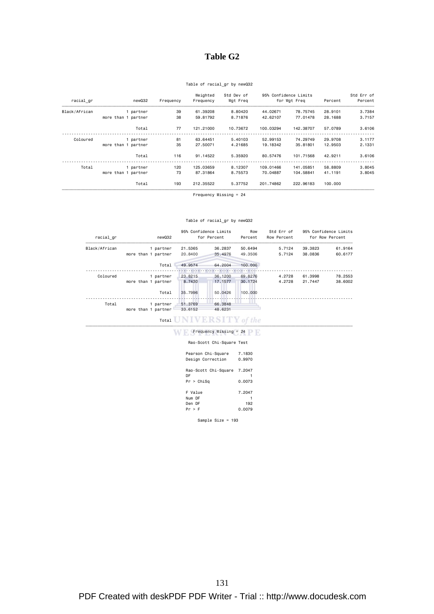# **Table G2**

### Table of racial\_gr by newQ32

|                     |        | Weighted  | Std Dev of |           |           |                                       | Std Err of<br>Percent |
|---------------------|--------|-----------|------------|-----------|-----------|---------------------------------------|-----------------------|
|                     |        |           |            |           |           |                                       |                       |
| 1 partner           | 39     | 61.39208  | 8.80420    | 44.02671  | 78.75745  | 28,9101                               | 3.7384                |
| more than 1 partner | 38     | 59,81792  | 8.71876    | 42.62107  | 77.01478  | 28,1688                               | 3.7157                |
| Total               | 77     | 121,21000 | 10.73672   | 100.03294 | 142,38707 | 57.0789                               | 3.6106                |
| 1 partner           | 81     | 63.64451  | 5,40103    | 52,99153  | 74.29749  | 29,9708                               | 3.1177                |
| more than 1 partner | 35     | 27,50071  | 4.21685    | 19,18342  | 35,81801  | 12,9503                               | 2.1331                |
| Total               | 116    | 91.14522  | 5.35920    | 80.57476  | 101.71568 | 42.9211                               | 3.6106                |
| 1 partner           | 120    | 125,03659 | 8.12307    | 109.01466 | 141,05851 | 58,8809                               | 3.8045                |
| more than 1 partner | 73     | 87.31864  | 8.75573    | 70.04887  | 104,58841 | 41.1191                               | 3.8045                |
| Total               | 193    | 212.35522 | 5.37752    | 201.74862 | 222,96183 | 100,000                               |                       |
|                     | newQ32 | Frequency | Frequency  | Wgt Freg  |           | 95% Confidence Limits<br>for Wgt Freq | Percent               |

Frequency Missing = 24

#### Table of racial\_gr by newQ32

| racial gr     | newQ32              | 95% Confidence Limits<br>for Percent |          | Row<br>Percent | Std Err of<br>Row Percent | 95% Confidence Limits<br>for Row Percent |         |
|---------------|---------------------|--------------------------------------|----------|----------------|---------------------------|------------------------------------------|---------|
| Black/African | 1 partner           | 21,5365                              | 36,2837  | 50.6494        | 5.7124                    | 39,3823                                  | 61,9164 |
|               | more than 1 partner | 20,8400                              | 35,4976  | 49,3506        | 5.7124                    | 38,0836                                  | 60.6177 |
|               | Total               | 49.9574                              | 64,2004  | 100,000        |                           |                                          |         |
| Coloured      | 1 partner           | 23,8215                              | 36,1200  | 69,8276        | 4.2728                    | 61,3998                                  | 78,2553 |
|               | more than 1 partner | 8.7430                               | 17, 1577 | 30.1724        | 4.2728                    | 21,7447                                  | 38,6002 |
|               | Total               | 35.7996                              | 50,0426  | 100,000        |                           |                                          |         |
| Total         | 1 partner           | 51,3769                              | 66.3848  |                |                           |                                          |         |
|               | more than 1 partner | 33.6152                              | 48,6231  |                |                           |                                          |         |

 $$$
j \in \mathcal{J} \{ \text{Total} \} \tag{7} \begin{minipage}{0} \begin{tabular}{c} \hline \multicolumn{1}{c}{\textbf{Total}} \\ \multicolumn{1}{c}{\textbf{Total}} \\ \hline \multicolumn{1}{c}{\textbf{Frequency}} \\ \multicolumn{1}{c}{\textbf{Frequency}} \\ \hline \multicolumn{1}{c}{\textbf{Frequency}} \\ \multicolumn{1}{c}{\textbf{Message}} \\ \multicolumn{1}{c}{\textbf{Frequency}} \\ \multicolumn{1}{c}{\textbf{Message}} \\ \multicolumn{1}{c}{\textbf{Frequency}} \\ \multicolumn{1}{c}{\textbf{Message}} \\ \multicolumn{
$$$ 

| $r$ requency missing = 24<br>WESTERNIVALD |
|-------------------------------------------|
| Rao-Scott Chi-Square Test                 |

| Pearson Chi-Square<br>Design Correction | 7.1830<br>0.9970 |
|-----------------------------------------|------------------|
| Rao-Scott Chi-Square<br>DF              | 7.2047           |
| Pr > Chisq                              | 0.0073           |
| F Value                                 | 7.2047           |
| Num DF                                  |                  |
| Den DF                                  | 192              |
| Pr > F                                  | 0.0079           |
|                                         |                  |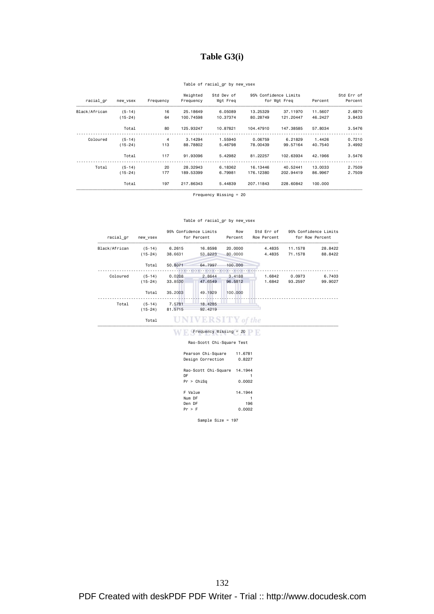# **Table G3(i)**

### Table of racial\_gr by new\_vsex

| Std Err of |         |           | 95% Confidence Limits | Std Dev of | Weighted  |           |           |               |
|------------|---------|-----------|-----------------------|------------|-----------|-----------|-----------|---------------|
| Percent    | Percent |           | for Wgt Freq          |            | Frequency | Frequency | new vsex  | racial gr     |
| 2.6870     | 11,5607 | 37,11970  | 13,25329              | 6.05089    | 25,18649  | 16        | $(5-14)$  | Black/African |
| 3.8433     | 46.2427 | 121.20447 | 80.28749              | 10.37374   | 100.74598 | 64        | $(15-24)$ |               |
| 3.5476     | 57,8034 | 147.38585 | 104,47910             | 10.87821   | 125.93247 | 80        | Total     |               |
| 0.7210     | 1.4426  | 6.21829   | 0.06759               | 1.55940    | 3.14294   | 4         | $(5-14)$  | Coloured      |
| 3.4992     | 40.7540 | 99.57164  | 78,00439              | 5.46798    | 88,78802  | 113       | $(15-24)$ |               |
| 3.5476     | 42.1966 | 102.63934 | 81.22257              | 5.42982    | 91,93096  | 117       | Total     |               |
| 2,7509     | 13,0033 | 40.52441  | 16.13446              | 6.18362    | 28,32943  | 20        | $(5-14)$  | Total         |
| 2,7509     | 86.9967 | 202.94419 | 176, 12380            | 6.79981    | 189,53399 | 177       | (15-24)   |               |
|            | 100,000 | 228,60842 | 207.11843             | 5.44839    | 217,86343 | 197       | Total     |               |

Frequency Missing = 20

### Table of racial\_gr by new\_vsex

| racial gr     | new vsex  |         | 95% Confidence Limits<br>for Percent | Row<br>Percent | Std Err of<br>Row Percent |          | 95% Confidence Limits<br>for Row Percent |
|---------------|-----------|---------|--------------------------------------|----------------|---------------------------|----------|------------------------------------------|
| Black/African | $(5-14)$  | 6.2615  | 16.8598                              | 20,0000        | 4.4835                    | 11, 1578 | 28.8422                                  |
|               | $(15-24)$ | 38.6631 | 53.8223                              | 80,0000        | 4.4835                    | 71, 1578 | 88.8422                                  |
|               | Total     | 50,8071 | 64,7997                              | 100,000        |                           |          |                                          |
| Coloured      | $(5-14)$  | 0.0208  | 2.8644                               | 3.4188         | 1.6842                    | 0.0973   | 6.7403                                   |
|               | $(15-24)$ | 33.8530 | 47.6549                              | 96.5812        | 1.6842                    | 93.2597  | 99.9027                                  |
|               | Total     | 35.2003 | 49.1929                              | 100.000        |                           |          |                                          |
| Total         | $(5-14)$  | 7.5781  | 18,4285                              |                |                           |          |                                          |
|               | $(15-24)$ | 81.5715 | 92.4219                              |                |                           |          |                                          |
|               | Total     |         | <b>UNIVERSITY</b> of the             |                |                           |          |                                          |
|               |           |         | Frequency Missing = 20               |                |                           |          |                                          |
|               |           |         | Rao-Scott Chi-Square Test            |                |                           |          |                                          |

| Pearson Chi-Square   | 11.6781 |
|----------------------|---------|
| Design Correction    | 0.8227  |
| Rao-Scott Chi-Square | 14.1944 |
| DF                   |         |
| Pr > Chisq           | 0.0002  |
| F Value              | 14.1944 |
| Num DF               |         |
| Den DF               | 196     |
| Pr > F               | 0.0002  |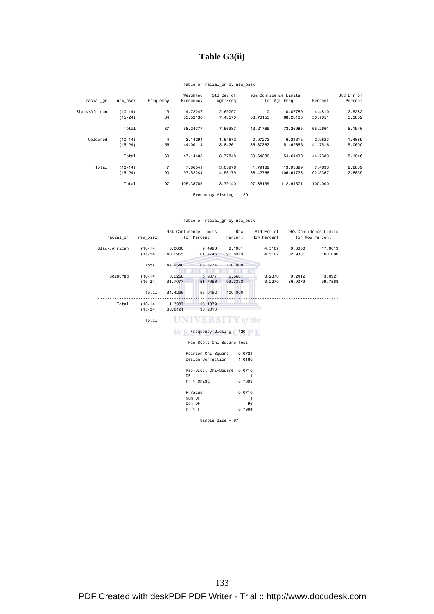# **Table G3(ii)**

### Table of racial\_gr by new\_osex

| Std Err of |         |           | 95% Confidence Limits | Std Dev of | Weighted  |                |           |               |  |  |
|------------|---------|-----------|-----------------------|------------|-----------|----------------|-----------|---------------|--|--|
| Percent    | Percent |           | for Wgt Freq          |            | Frequency | Frequency      | new osex  | racial gr     |  |  |
| 2.5282     | 4,4810  | 10.07789  | $\Omega$              | 2.69797    | 4.72247   | 3              | $(10-14)$ | Black/African |  |  |
| 5.3852     | 50.7851 | 68,28105  | 38.76155              | 7.43570    | 53.52130  | 34             | $(15-24)$ |               |  |  |
| 5.1946     | 55.2661 | 73.26985  | 43.21769              | 7.56987    | 58,24377  | 37             | Total     |               |  |  |
| 1.4889     | 2.9823  | 6.21315   | 0.07272               | 1.54672    | 3.14294   | 4              | $(10-14)$ | Coloured      |  |  |
| 5,0600     | 41.7516 | 51,62866  | 36.37362              | 3.84261    | 44,00114  | 56             | $(15-24)$ |               |  |  |
| 5.1946     | 44,7339 | 54,64430  | 39,64386              | 3,77848    | 47.14408  | 60             | Total     |               |  |  |
| 2.8839     | 7.4633  | 13,93899  | 1,79182               | 3.05976    | 7.86541   | $\overline{7}$ | $(10-14)$ | Total         |  |  |
| 2.8839     | 92.5367 | 106,61723 | 88,42766              | 4.58179    | 97.52244  | 90             | $(15-24)$ |               |  |  |
|            | 100,000 | 112,91371 | 97.86199              | 3,79140    | 105.38785 | 97             | Total     |               |  |  |

Frequency Missing = 120

### Table of racial\_gr by new\_osex

| racial gr     | new osex  |         | 95% Confidence Limits<br>for Percent | Row<br>Percent | Std Err of<br>Row Percent |         | 95% Confidence Limits<br>for Row Percent |
|---------------|-----------|---------|--------------------------------------|----------------|---------------------------|---------|------------------------------------------|
| Black/African | $(10-14)$ | 0.0000  | 9.4996                               | 8.1081         | 4.5107                    | 0.0000  | 17.0619                                  |
|               | $(15-24)$ | 40.0955 | 61.4746                              | 91.8919        | 4.5107                    | 82.9381 | 100.000                                  |
|               | Total     | 44.9548 | 65.5774                              | 100,000        |                           |         |                                          |
| Coloured      | $(10-14)$ | 0.0268  | 5.9377                               | 6.6667         | 3.2370                    | 0.2412  | 13.0921                                  |
|               | $(15-24)$ | 31.7077 | 51.7956                              | 93.3333        | 3.2370                    | 86.9079 | 99.7588                                  |
|               | Total     | 34.4226 | 55,0452                              | 100,000        |                           |         |                                          |
| Total         | $(10-14)$ | 1.7387  | 13.1879                              |                |                           |         |                                          |
|               | $(15-24)$ | 86.8121 | 98.2613                              |                |                           |         |                                          |
|               | Total     |         | <b>UNIVERSITY</b> of the             |                |                           |         |                                          |
|               |           |         | $Frequency$ Missing = 120            |                |                           |         |                                          |
|               |           |         | Rao-Scott Chi-Square Test            |                |                           |         |                                          |
|               |           |         | Pearson Chi-Square                   | 0.0721         |                           |         |                                          |

| Pearson Chi-Square   | 0.0721 |
|----------------------|--------|
| Design Correction    | 1.0160 |
| Rao-Scott Chi-Square | 0.0710 |
| DF                   |        |
| Pr > Chisq           | 0.7899 |
| F Value              | 0.0710 |
| Num DF               |        |
| Den DF               | 96     |
| Pr > F               | 0.7904 |
|                      |        |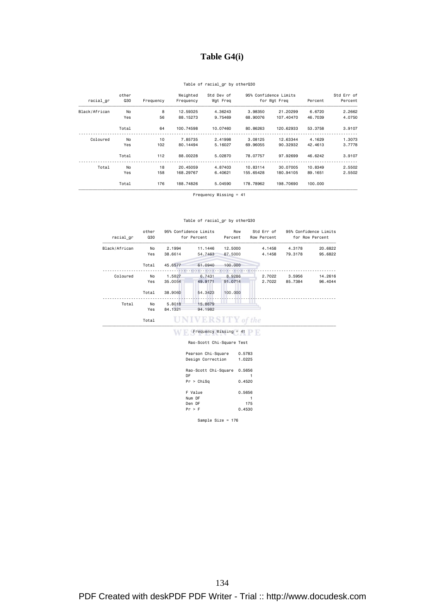# **Table G4(i)**

### Table of racial\_gr by otherQ30

| Std Err of |          | 95% Confidence Limits |              | Std Dev of | Weighted  |           | other |               |
|------------|----------|-----------------------|--------------|------------|-----------|-----------|-------|---------------|
| Percent    | Percent  |                       | for Wgt Freq |            | Frequency | Frequency | Q30   | racial gr     |
| 2.2662     | 6.6720   | 21,20299              | 3,98350      | 4.36243    | 12.59325  | 8         | No    | Black/African |
| 4.0750     | 46,7039  | 107,40470             | 68,90076     | 9.75469    | 88,15273  | 56        | Yes   |               |
| 3.9107     | 53,3758  | 120.62933             | 80.86263     | 10.07460   | 100.74598 | 64        | Total |               |
| 1.3073     | 4.1629   | 12.63344              | 3.08125      | 2.41998    | 7.85735   | 10        | No    | Coloured      |
| 3,7778     | 42,4613  | 90.32932              | 69,96055     | 5.16027    | 80.14494  | 102       | Yes   |               |
| 3,9107     | 46.6242  | 97.92699              | 78.07757     | 5.02870    | 88,00228  | 112       | Total |               |
| 2.5502     | 10.8349  | 30,07005              | 10.83114     | 4.87403    | 20,45059  | 18        | No    | Total         |
| 2.5502     | 89, 1651 | 180.94105             | 155,65428    | 6.40621    | 168,29767 | 158       | Yes   |               |
|            | 100,000  | 198,70690             | 178,78962    | 5.04590    | 188,74826 | 176       | Total |               |

Frequency Missing = 41

#### Table of racial\_gr by otherQ30

| racial gr     | other<br>Q30 |         | 95% Confidence Limits<br>for Percent | Row<br>Percent | Std Err of<br>Row Percent |         | 95% Confidence Limits<br>for Row Percent |
|---------------|--------------|---------|--------------------------------------|----------------|---------------------------|---------|------------------------------------------|
| Black/African | No           | 2.1994  | 11,1446                              | 12,5000        | 4.1458                    | 4.3178  | 20,6822                                  |
|               | Yes          | 38,6614 | 54.7463                              | 87.5000        | 4.1458                    | 79.3178 | 95.6822                                  |
|               | Total        | 45.6577 | 61,0940                              | 100,000        |                           |         |                                          |
| Coloured      | No           | 1.5827  | 6.7431                               | 8.9286         | 2.7022                    | 3.5956  | 14.2616                                  |
|               | Yes          | 35,0054 | 49.9171                              | 91.0714        | 2.7022                    | 85.7384 | 96.4044                                  |
|               | Total        | 38,9060 | 54.3423                              | 100,000        |                           |         |                                          |
| Total         | No           | 5.8018  | 15,8679                              |                |                           |         |                                          |
|               | Yes          | 84.1321 | 94.1982                              |                |                           |         |                                          |
|               | Total        |         | <b>UNIVERSITY</b> of the             |                |                           |         |                                          |
|               |              |         | $Frequency Missing = 41$             |                |                           |         |                                          |

### Rao-Scott Chi-Square Test

| Pearson Chi-Square<br>Design Correction  | 0.5783<br>1.0225        |
|------------------------------------------|-------------------------|
| Rao-Scott Chi-Square<br>DF<br>Pr > Chisq | 0.5656<br>0.4520        |
| F Value<br>Num DF<br>Den DF<br>Pr > F    | 0.5656<br>175<br>0.4530 |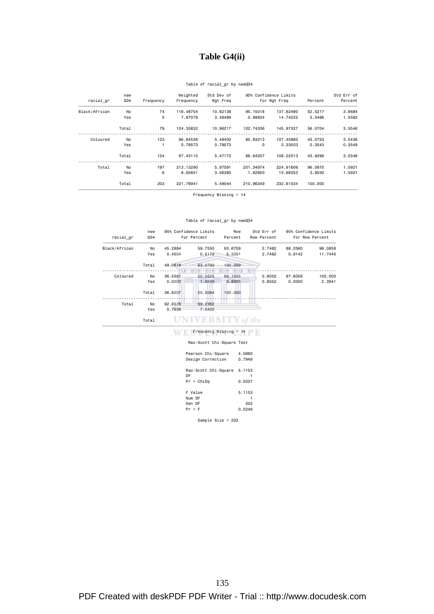# **Table G4(ii)**

### Table of racial\_gr by newQ34

| Std Err of |         | 95% Confidence Limits |           | Std Dev of | Weighted  |           | new   |               |
|------------|---------|-----------------------|-----------|------------|-----------|-----------|-------|---------------|
| Percent    | Percent | for Wgt Freq          |           | Wgt Freq   | Frequency | Frequency | Q34   | racial gr     |
| 3.6684     | 52,5217 | 137,82490             | 95,15018  | 10.82138   | 116,48754 | 74        | No    | Black/African |
| 1.5562     | 3.5488  | 14.74222              | 0.99934   | 3.48489    | 7.87078   | 5         | Yes   |               |
| 3.5546     | 56,0704 | 145.97327             | 102.74336 | 10.96217   | 124,35832 | 79        | Total |               |
| 3.5436     | 43.5753 | 107,45860             | 85,83213  | 5.48400    | 96.64536  | 123       | No    | Coloured      |
| 0.3549     | 0.3543  | 2.33503               | $\Omega$  | 0.78573    | 0.78573   | 1         | Yes   |               |
| 3.5546     | 43.9296 | 108,22013             | 86.64207  | 5.47173    | 97,43110  | 124       | Total |               |
| 1.5921     | 96,0970 | 224,91606             | 201,34974 | 5.97591    | 213,13290 | 197       | No.   | Total         |
| 1.5921     | 3,9030  | 15.68353              | 1.62950   | 3.56380    | 8.65651   | 6         | Yes   |               |
|            | 100,000 | 232.61534             | 210,96349 | 5.49044    | 221,78941 | 203       | Total |               |

Frequency Missing = 14

#### Table of racial\_gr by newQ34

| racial gr     | new<br>Q34 |         | 95% Confidence Limits<br>for Percent | Row<br>Percent | Std Err of<br>Row Percent |         | 95% Confidence Limits<br>for Row Percent |
|---------------|------------|---------|--------------------------------------|----------------|---------------------------|---------|------------------------------------------|
| Black/African | No         | 45.2884 | 59,7550                              | 93.6709        | 2.7462                    | 88,2560 | 99.0858                                  |
|               | Yes        | 0.4804  | 6.6172                               | 6.3291         | 2.7462                    | 0.9142  | 11.7440                                  |
|               | Total      | 49,0616 | 63,0793                              | 100,000        |                           |         |                                          |
| Coloured      | No         | 36,5881 | 50.5625                              | 99.1935        | 0.8052                    | 97,6059 | 100.000                                  |
|               | Yes        | 0.0000  | 1.0540                               | 0.8065         | 0.8052                    | 0.0000  | 2.3941                                   |
|               | Total      | 36,9207 | 50.9384                              | 100,000        |                           |         |                                          |
| Total         | No         | 92.9578 | 99.2362                              |                |                           |         |                                          |
|               | Yes        | 0.7638  | 7.0422                               |                |                           |         |                                          |
|               | Total      |         | $UNIVERSITY$ of the                  |                |                           |         |                                          |
|               |            |         | $Frequency Missing = 14$             |                |                           |         |                                          |

### Rao-Scott Chi-Square Test

| Rao-Scott Chi-Square lest               |                         |
|-----------------------------------------|-------------------------|
| Pearson Chi-Square<br>Design Correction | 4.0660<br>0.7949        |
| Rao-Scott Chi-Square<br>DF              | 5.1153                  |
| Pr > Chisq                              | 0.0237                  |
| F Value<br>Num DF<br>Den DF<br>Pr > F   | 5.1153<br>202<br>0.0248 |
|                                         |                         |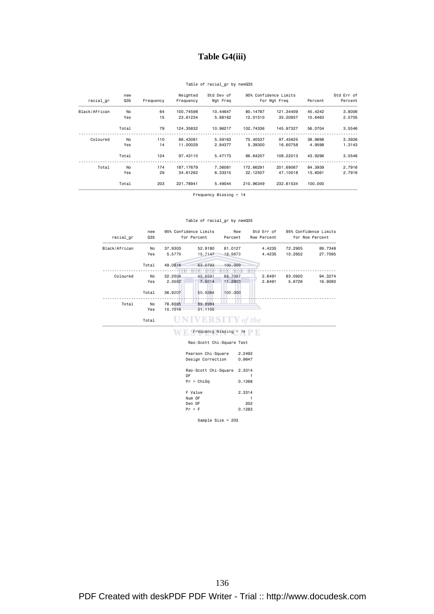# **Table G4(iii)**

### Table of racial\_gr by newQ35

| Std Err of |         | 95% Confidence Limits |           | Std Dev of | Weighted   |           | new   |               |
|------------|---------|-----------------------|-----------|------------|------------|-----------|-------|---------------|
| Percent    | Percent | for Wgt Freq          |           | Wgt Freq   | Frequency  | Frequency | Q35   | racial gr     |
| 3,8006     | 45.4242 | 121,34409             | 80.14787  | 10.44647   | 100.74598  | 64        | No    | Black/African |
| 2.5705     | 10.6463 | 35,20957              | 12,01510  | 5.88162    | 23.61234   | 15        | Yes   |               |
| 3.5546     | 56,0704 | 145.97327             | 102.74336 | 10.96217   | 124,35832  | 79        | Total |               |
| 3.3926     | 38,9698 | 97.45625              | 75,40537  | 5.59163    | 86,43081   | 110       | No    | Coloured      |
| 1.3143     | 4.9598  | 16.60758              | 5.39300   | 2.84377    | 11,00029   | 14        | Yes   |               |
| 3.5546     | 43.9296 | 108,22013             | 86.64207  | 5.47173    | 97.43110   | 124       | Total |               |
| 2.7916     | 84,3939 | 201.69067             | 172,66291 | 7.36081    | 187, 17679 | 174       | No    | Total         |
| 2.7916     | 15,6061 | 47,10018              | 22.12507  | 6.33315    | 34,61262   | 29        | Yes   |               |
|            | 100,000 | 232.61534             | 210,96349 | 5.49044    | 221,78941  | 203       | Total |               |

Frequency Missing = 14

#### Table of racial\_gr by newQ35

|  | racial gr<br>Black/African | new<br>Q35 |         | 95% Confidence Limits<br>for Percent | Row<br>Percent       | Std Err of<br>Row Percent |         | 95% Confidence Limits<br>for Row Percent |
|--|----------------------------|------------|---------|--------------------------------------|----------------------|---------------------------|---------|------------------------------------------|
|  |                            | No         | 37,9303 | 52,9180                              | 81.0127              | 4.4235                    | 72.2905 | 89.7348                                  |
|  |                            | Yes        | 5.5779  | 15,7147                              | 18,9873              | 4.4235                    | 10.2652 | 27,7095                                  |
|  |                            | Total      | 49,0616 | 63,0793                              | 100,000              |                           |         |                                          |
|  | Coloured                   | No         | 32,2804 | 45.6591                              | 88,7097              | 2.8491                    | 83,0920 | 94.3274                                  |
|  |                            | Yes        | 2.3682  | 7.5514                               | 11,2903              | 2.8491                    | 5.6726  | 16.9080                                  |
|  |                            | Total      | 36,9207 | 50.9384                              | 100,000              |                           |         |                                          |
|  | Total                      | No         | 78.8895 | 89.8984                              |                      |                           |         |                                          |
|  |                            | Yes        | 10.1016 | 21.1105                              |                      |                           |         |                                          |
|  |                            | Total      |         |                                      | <b>ERSITY</b> of the |                           |         |                                          |

# $\blacksquare$   $\blacksquare$   $\blacksquare$   $\blacksquare$   $\blacksquare$   $\blacksquare$   $\blacksquare$   $\blacksquare$   $\blacksquare$   $\blacksquare$   $\blacksquare$   $\blacksquare$   $\blacksquare$   $\blacksquare$   $\blacksquare$   $\blacksquare$   $\blacksquare$   $\blacksquare$   $\blacksquare$   $\blacksquare$   $\blacksquare$   $\blacksquare$   $\blacksquare$   $\blacksquare$   $\blacksquare$   $\blacksquare$   $\blacksquare$   $\blacksquare$   $\blacksquare$   $\blacksquare$   $\blacksquare$   $\blacks$

### Rao-Scott Chi-Square Test

| Pearson Chi-Square<br>Design Correction  | 2.2492<br>0.9647        |
|------------------------------------------|-------------------------|
| Rao-Scott Chi-Square<br>DF<br>Pr > Chisq | 2.3314<br>0.1268        |
| F Value<br>Num DF<br>Den DF<br>Pr > F    | 2.3314<br>202<br>0.1283 |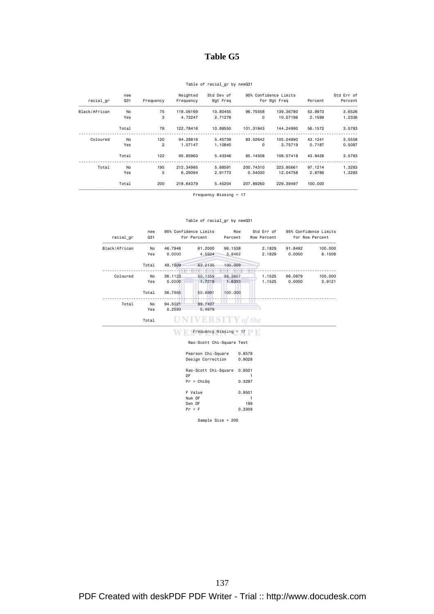# **Table G5**

### Table of racial\_gr by newQ31

| Std Err of |         | 95% Confidence Limits |              | Std Dev of | Weighted  |                | new   |               |
|------------|---------|-----------------------|--------------|------------|-----------|----------------|-------|---------------|
| Percent    | Percent |                       | for Wgt Freq |            | Frequency | Frequency      | Q31   | racial gr     |
| 3.6526     | 53,9973 | 139,36780             | 96.75558     | 10.80455   | 118.06169 | 75             | No    | Black/African |
| 1.2336     | 2.1599  | 10.07196              | $\Omega$     | 2.71278    | 4.72247   | 3              | Yes   |               |
| 3.5783     | 56.1572 | 144,24990             | 101.31843    | 10.88550   | 122,78416 | 78             | Total |               |
| 3.5558     | 43.1241 | 105,04990             | 83.52642     | 5.45739    | 94,28816  | 120            | No    | Coloured      |
| 0.5087     | 0.7187  | 3,75719               | $\Omega$     | 1.10840    | 1.57147   | $\overline{2}$ | Yes   |               |
| 3.5783     | 43.8428 | 106,57418             | 85,14508     | 5.43346    | 95,85963  | 122            | Total |               |
| 1.3283     | 97.1214 | 223,95661             | 200.74310    | 5.88591    | 212,34985 | 195            | No    | Total         |
| 1.3283     | 2.8786  | 12.04758              | 0.54030      | 2.91773    | 6.29394   | 5              | Yes   |               |
|            | 100,000 | 229,39497             | 207,89260    | 5.45204    | 218,64379 | 200            | Total |               |

Frequency Missing = 17

#### Table of racial\_gr by newQ31

| racial gr     | new<br>Q31 |         | 95% Confidence Limits<br>for Percent | Row<br>Percent           | Std Err of<br>Row Percent |         | 95% Confidence Limits<br>for Row Percent |
|---------------|------------|---------|--------------------------------------|--------------------------|---------------------------|---------|------------------------------------------|
| Black/African | No         | 46.7946 | 61,2000                              | 96.1538                  | 2.1829                    | 91.8492 | 100.000                                  |
|               | Yes        | 0.0000  | 4.5924                               | 3.8462                   | 2.1829                    | 0.0000  | 8.1508                                   |
|               | Total      | 49,1009 | 63,2135                              | 100,000                  |                           |         |                                          |
| Coloured      | No         | 36.1123 | 50.1359                              | 98.3607                  | 1.1525                    | 96,0879 | 100.000                                  |
|               | Yes        | 0.0000  | 1.7219                               | 1.6393                   | 1.1525                    | 0.0000  | 3.9121                                   |
|               | Total      | 36.7865 | 50.8991                              | 100,000                  |                           |         |                                          |
| Total         | No         | 94.5021 | 99.7407                              |                          |                           |         |                                          |
|               | Yes        | 0.2593  | 5.4979                               |                          |                           |         |                                          |
|               | Total      |         | <b>UNIVERSITY</b> of the             |                          |                           |         |                                          |
|               |            |         |                                      | $Frequency Missing = 17$ |                           |         |                                          |

#### Rao-Scott Chi-Square Test

| Rau-Scott Chil-Square rest |        |
|----------------------------|--------|
| Pearson Chi-Square         | 0.8578 |
| Design Correction          | 0.9028 |
| Rao-Scott Chi-Square       | 0.9501 |
| DF                         |        |
| Pr > Chisq                 | 0.3297 |
| F Value                    | 0.9501 |
| Num DF                     |        |
| Den DF                     | 199    |
| Pr > F                     | 0.3309 |
|                            |        |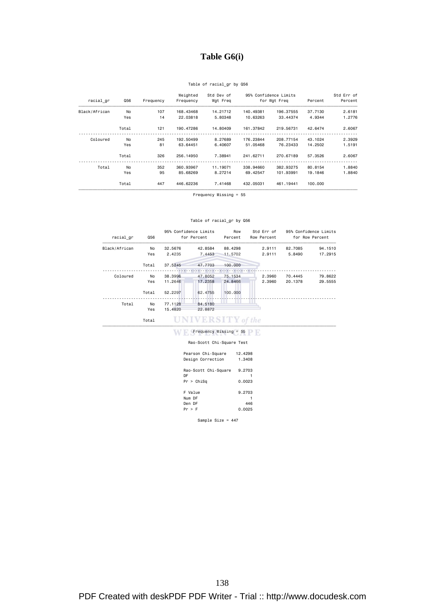# **Table G6(i)**

### Table of racial\_gr by Q56

| Std Err of<br>Percent | Percent | 95% Confidence Limits<br>for Wgt Freg |           | Std Dev of<br>Wgt Freg | Weighted<br>Frequency | Frequency | Q56   | racial gr     |
|-----------------------|---------|---------------------------------------|-----------|------------------------|-----------------------|-----------|-------|---------------|
| 2.6181                | 37,7130 | 196.37555                             | 140,49381 | 14.21712               | 168,43468             | 107       | No    | Black/African |
| 1.2776                | 4.9344  | 33.44374                              | 10.63263  | 5.80348                | 22,03818              | 14        | Yes   |               |
| 2.6067                | 42.6474 | 219,56731                             | 161.37842 | 14,80409               | 190.47286             | 121       | Total |               |
| 2.3929                | 43.1024 | 208,77154                             | 176.23844 | 8.27689                | 192.50499             | 245       | No    | Coloured      |
| 1.5191                | 14,2502 | 76.23433                              | 51,05468  | 6,40607                | 63.64451              | 81        | Yes   |               |
| 2.6067                | 57.3526 | 270.67189                             | 241.62711 | 7.38941                | 256,14950             | 326       | Total |               |
| 1.8840                | 80.8154 | 382.93275                             | 338,94660 | 11.19071               | 360,93967             | 352       | No    | Total         |
| 1.8840                | 19,1846 | 101.93991                             | 69.42547  | 8.27214                | 85.68269              | 95        | Yes   |               |
|                       | 100,000 | 461.19441                             | 432,05031 | 7.41468                | 446.62236             | 447       | Total |               |

Frequency Missing = 55

#### Table of racial\_gr by Q56

| racial gr     | Q56   |         | 95% Confidence Limits<br>for Percent | Row<br>Percent | Std Err of<br>Row Percent |         | 95% Confidence Limits<br>for Row Percent |
|---------------|-------|---------|--------------------------------------|----------------|---------------------------|---------|------------------------------------------|
| Black/African | No    | 32,5676 | 42.8584                              | 88,4298        | 2.9111                    | 82.7085 | 94.1510                                  |
|               | Yes   | 2.4235  | 7.4453                               | 11.5702        | 2.9111                    | 5.8490  | 17,2915                                  |
|               | Total | 37.5245 | 47,7703                              | 100,000        |                           |         |                                          |
| Coloured      | No    | 38,3996 | 47,8052                              | 75.1534        | 2,3960                    | 70.4445 | 79.8622                                  |
|               | Yes   | 11,2646 | 17.2358                              | 24,8466        | 2,3960                    | 20.1378 | 29.5555                                  |
|               | Total | 52,2297 | 62.4755                              | 100,000        |                           |         |                                          |
| Total         | No    | 77.1128 | 84.5180                              |                |                           |         |                                          |
|               | Yes   | 15,4820 | 22.8872                              |                |                           |         |                                          |
|               | Total |         | <b>UNIVERSITY</b> of the             |                |                           |         |                                          |
|               |       |         | $Frequency$ Missing = 55             |                |                           |         |                                          |

#### Rao-Scott Chi-Square Test

| Pearson Chi-Square<br>Design Correction | 12.4298<br>1.3408 |
|-----------------------------------------|-------------------|
| Rao-Scott Chi-Square<br>DF              | 9.2703            |
| Pr > Chisq<br>F Value                   | 0.0023<br>9.2703  |
| Num DF<br>Den DF                        | 446               |
| Pr > F                                  | 0.0025            |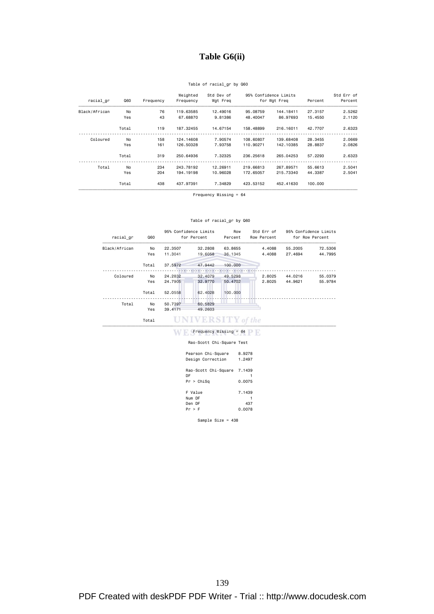# **Table G6(ii)**

### Table of racial\_gr by Q60

| Std Err of |         | 95% Confidence Limits |           | Std Dev of | Weighted  |           |       |               |
|------------|---------|-----------------------|-----------|------------|-----------|-----------|-------|---------------|
| Percent    | Percent | for Wgt Freq          |           | Wgt Freg   | Frequency | Frequency | Q60   | racial gr     |
| 2.5262     | 27,3157 | 144,18411             | 95,08759  | 12,49016   | 119,63585 | 76        | No    | Black/African |
| 2,1120     | 15,4550 | 86.97693              | 48,40047  | 9.81386    | 67.68870  | 43        | Yes   |               |
| 2.6323     | 42.7707 | 216,16011             | 158,48899 | 14,67154   | 187.32455 | 119       | Total |               |
| 2,0669     | 28,3455 | 139,68408             | 108,60807 | 7.90574    | 124,14608 | 158       | No    | Coloured      |
| 2.0826     | 28,8837 | 142,10385             | 110,90271 | 7.93758    | 126,50328 | 161       | Yes   |               |
| 2.6323     | 57.2293 | 265.04253             | 236.25618 | 7.32325    | 250,64936 | 319       | Total |               |
| 2.5041     | 55,6613 | 267,89571             | 219,66813 | 12,26911   | 243,78192 | 234       | No    | Total         |
| 2.5041     | 44.3387 | 215,73340             | 172,65057 | 10.96028   | 194.19198 | 204       | Yes   |               |
|            | 100,000 | 452,41630             | 423.53152 | 7.34829    | 437.97391 | 438       | Total |               |

Frequency Missing = 64

#### Table of racial\_gr by Q60

| racial gr     |       | Q60     |                          | 95% Confidence Limits<br>for Percent | Row<br>Percent | Std Err of<br>Row Percent |         | 95% Confidence Limits<br>for Row Percent |
|---------------|-------|---------|--------------------------|--------------------------------------|----------------|---------------------------|---------|------------------------------------------|
| Black/African | No    | 22,3507 | 32,2808                  | 63.8655                              | 4,4088         | 55,2005                   | 72.5306 |                                          |
|               | Yes   | 11,3041 | 19,6058                  | 36.1345                              | 4,4088         | 27.4694                   | 44.7995 |                                          |
|               | Total | 37.5972 | 47.9442                  | 100,000                              |                |                           |         |                                          |
| Coloured      | No    | 24.2832 | 32,4079                  | 49.5298                              | 2.8025         | 44,0216                   | 55.0379 |                                          |
|               | Yes   | 24,7905 | 32,9770                  | 50,4702                              | 2.8025         | 44.9621                   | 55.9784 |                                          |
|               | Total | 52.0558 | 62.4028                  | 100,000                              |                |                           |         |                                          |
| Total         | No    | 50.7397 | 60.5829                  |                                      |                |                           |         |                                          |
|               | Yes   | 39.4171 | 49.2603                  |                                      |                |                           |         |                                          |
|               | Total |         | <b>UNIVERSITY</b> of the |                                      |                |                           |         |                                          |
|               |       |         | $Frequency Missing = 64$ |                                      |                |                           |         |                                          |

### Rao-Scott Chi-Square Test

| Pearson Chi-Square<br>Design Correction  | 8.9278<br>1.2497        |
|------------------------------------------|-------------------------|
| Rao-Scott Chi-Square<br>DF<br>Pr > Chisq | 7.1439<br>0.0075        |
| F Value<br>Num DF<br>Den DF<br>Pr > F    | 7.1439<br>437<br>0.0078 |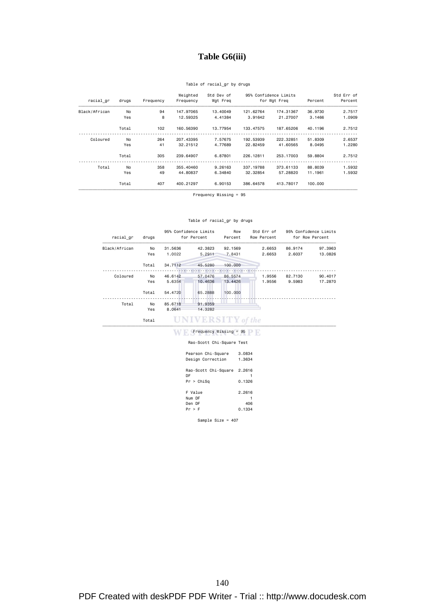# **Table G6(iii)**

### Table of racial\_gr by drugs

| Std Err of<br>Percent | Percent | for Wgt Freq | 95% Confidence Limits | Std Dev of<br>Wgt Freg | Weighted<br>Frequency | Frequency | drugs | racial gr     |  |
|-----------------------|---------|--------------|-----------------------|------------------------|-----------------------|-----------|-------|---------------|--|
| 2.7517                | 36,9730 | 174,31367    | 121.62764             | 13,40049               | 147.97065             | 94        | No    | Black/African |  |
| 1.0909                | 3.1466  | 21,27007     | 3.91642               | 4.41384                | 12.59325              | 8         | Yes   |               |  |
| 2.7512                | 40.1196 | 187.65206    | 133,47575             | 13,77954               | 160,56390             | 102       | Total |               |  |
| 2.6537                | 51,8309 | 222.32851    | 192.53939             | 7.57675                | 207,43395             | 264       | No    | Coloured      |  |
| 1.2280                | 8.0495  | 41.60565     | 22,82459              | 4.77689                | 32,21512              | 41        | Yes   |               |  |
| 2.7512                | 59,8804 | 253,17003    | 226, 12811            | 6.87801                | 239,64907             | 305       | Total |               |  |
| 1.5932                | 88,8039 | 373.61133    | 337, 19788            | 9.26163                | 355,40460             | 358       | No    | Total         |  |
| 1.5932                | 11,1961 | 57,28820     | 32,32854              | 6.34840                | 44,80837              | 49        | Yes   |               |  |
|                       | 100,000 | 413,78017    | 386,64578             | 6.90153                | 400.21297             | 407       | Total |               |  |

Frequency Missing = 95

#### Table of racial\_gr by drugs

| racial gr     | drugs |         | 95% Confidence Limits<br>for Percent | Row<br>Percent | Std Err of<br>Row Percent |         | 95% Confidence Limits<br>for Row Percent |
|---------------|-------|---------|--------------------------------------|----------------|---------------------------|---------|------------------------------------------|
| Black/African | No    | 31.5636 | 42.3823                              | 92.1569        | 2.6653                    | 86.9174 | 97.3963                                  |
|               | Yes   | 1.0022  | 5.2911                               | 7.8431         | 2.6653                    | 2.6037  | 13.0826                                  |
|               | Total | 34.7112 | 45,5280                              | 100,000        |                           |         |                                          |
|               |       |         |                                      |                |                           |         |                                          |
| Coloured      | No    | 46.6142 | 57,0476                              | 86.5574        | 1.9556                    | 82,7130 | 90.4017                                  |
|               | Yes   | 5.6354  | 10,4636                              | 13,4426        | 1.9556                    | 9.5983  | 17,2870                                  |
|               | Total | 54,4720 | 65.2888                              | 100.000        |                           |         |                                          |
| Total         | No    | 85.6718 | 91.9359                              |                |                           |         |                                          |
|               | Yes   | 8.0641  | 14.3282                              |                |                           |         |                                          |
|               | Total |         | $UNIVERSITY$ of the                  |                |                           |         |                                          |
|               |       |         | $Frequency$ Missing = 95             |                |                           |         |                                          |

Rao-Scott Chi-Square Test

| nao ooott on± oquare reot |        |
|---------------------------|--------|
| Pearson Chi-Square        | 3.0834 |
| Design Correction         | 1.3634 |
| Rao-Scott Chi-Square      | 2.2616 |
| DF                        |        |
| Pr > Chisq                | 0.1326 |
|                           |        |
| F Value                   | 2.2616 |
| Num DF                    |        |
| Den DF                    | 406    |
| Pr > F                    | 0.1334 |
|                           |        |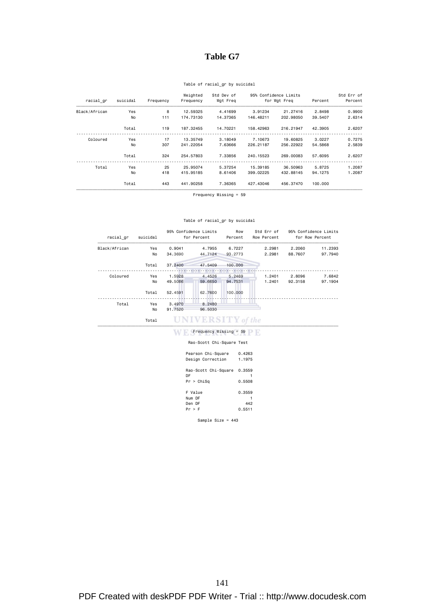# **Table G7**

### Table of racial\_gr by suicidal

| Std Err of<br>Percent | Percent | for Wgt Freq | 95% Confidence Limits | Std Dev of<br>Wgt Freq | Weighted<br>Frequency | Frequency | suicidal | racial gr     |  |
|-----------------------|---------|--------------|-----------------------|------------------------|-----------------------|-----------|----------|---------------|--|
| 0.9900                | 2.8498  | 21, 27416    | 3.91234               | 4.41699                | 12,59325              | 8         | Yes      | Black/African |  |
| 2.6314                | 39.5407 | 202,98050    | 146,48211             | 14,37365               | 174,73130             | 111       | No       |               |  |
| 2.6207                | 42.3905 | 216, 21947   | 158,42963             | 14,70221               | 187.32455             | 119       | Total    |               |  |
| 0.7275                | 3.0227  | 19,60825     | 7.10673               | 3.18049                | 13,35749              | 17        | Yes      | Coloured      |  |
| 2.5839                | 54,5868 | 256,22922    | 226, 21187            | 7.63666                | 241,22054             | 307       | No       |               |  |
| 2.6207                | 57.6095 | 269,00083    | 240.15523             | 7.33856                | 254,57803             | 324       | Total    |               |  |
| 1.2087                | 5.8725  | 36,50963     | 15,39185              | 5.37254                | 25,95074              | 25        | Yes      | Total         |  |
| 1.2087                | 94.1275 | 432,88145    | 399.02225             | 8.61406                | 415,95185             | 418       | No.      |               |  |
|                       | 100,000 | 456,37470    | 427.43046             | 7.36365                | 441.90258             | 443       | Total    |               |  |

Frequency Missing = 59

#### Table of racial\_gr by suicidal

| racial gr     | suicidal |         | 95% Confidence Limits<br>for Percent | Row<br>Percent | Std Err of<br>Row Percent |         | 95% Confidence Limits<br>for Row Percent |
|---------------|----------|---------|--------------------------------------|----------------|---------------------------|---------|------------------------------------------|
| Black/African | Yes      | 0.9041  | 4.7955                               | 6.7227         | 2.2981                    | 2,2060  | 11.2393                                  |
|               | No       | 34.3690 | 44.7124                              | 93, 2773       | 2.2981                    | 88.7607 | 97.7940                                  |
|               | Total    | 37,2400 | 47.5409                              | 100,000        |                           |         |                                          |
| Coloured      | Yes      | 1.5928  | 4.4526                               | 5.2469         | 1.2401                    | 2.8096  | 7.6842                                   |
|               | No       | 49,5086 | 59,6650                              | 94.7531        | 1.2401                    | 92.3158 | 97.1904                                  |
|               | Total    | 52.4591 | 62,7600                              | 100,000        |                           |         |                                          |
| Total         | Yes      | 3,4970  | 8.2480                               |                |                           |         |                                          |
|               | No       | 91,7520 | 96.5030                              |                |                           |         |                                          |
|               | Total    |         | <b>UNIVERSITY</b> of the             |                |                           |         |                                          |
|               |          |         | $Frequency$ Missing = 59             |                |                           |         |                                          |

#### Rao-Scott Chi-Square Test

| Pearson Chi-Square   | 0.4263 |
|----------------------|--------|
| Design Correction    | 1.1975 |
| Rao-Scott Chi-Square | 0.3559 |
| DF                   |        |
| Pr > Chisq           | 0.5508 |
| F Value              | 0.3559 |
| Num DF               |        |
| Den DF               | 442    |
| Pr > F               | 0.5511 |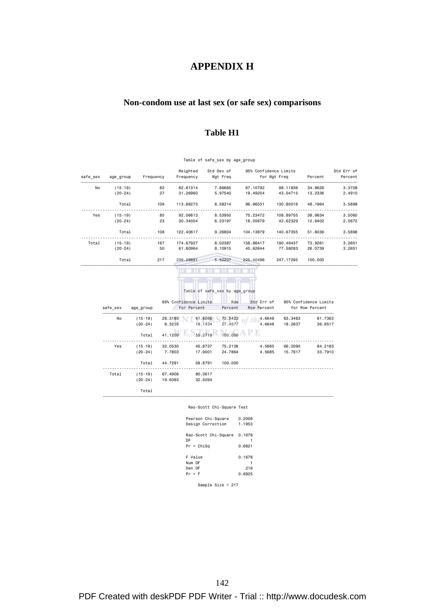# **APPENDIX H**

# **Non-condom use at last sex (or safe sex) comparisons**

# **Table H1**

| Percent             |                                                                                                                                  | 95% Confidence Limits<br>for Wgt Freq                                                 | Std Dev of<br>Wgt Freq | Weighted<br>Frequency         |                                | Frequency                                                                                                                    | age_group | safe_sex                                         |
|---------------------|----------------------------------------------------------------------------------------------------------------------------------|---------------------------------------------------------------------------------------|------------------------|-------------------------------|--------------------------------|------------------------------------------------------------------------------------------------------------------------------|-----------|--------------------------------------------------|
| 98.11836<br>34.9628 |                                                                                                                                  | 67.10792                                                                              | 7.86665                | 82.61314                      | 82                             |                                                                                                                              | $(15-19)$ | No                                               |
| 43.04715            |                                                                                                                                  | 19.49204                                                                              | 5.97540                | 31.26960                      | 27                             |                                                                                                                              | $(20-24)$ |                                                  |
|                     |                                                                                                                                  | 96.96531                                                                              | 8.58314                |                               | 109                            |                                                                                                                              |           |                                                  |
|                     |                                                                                                                                  | 75.23472                                                                              | 8.53950                |                               | 85                             |                                                                                                                              | $(15-19)$ | Yes                                              |
|                     |                                                                                                                                  | 18.05679                                                                              | 6.23197                |                               | 23                             |                                                                                                                              | $(20-24)$ |                                                  |
|                     |                                                                                                                                  | 104.13879                                                                             | 9.26804                |                               | 108                            |                                                                                                                              |           |                                                  |
|                     |                                                                                                                                  | 158.86417                                                                             | 8.02387                |                               | 167                            |                                                                                                                              | $(15-19)$ | Total                                            |
|                     |                                                                                                                                  | 45.62644                                                                              | 8.10915                |                               | 50                             |                                                                                                                              | $(20-24)$ |                                                  |
|                     |                                                                                                                                  | 225.40486                                                                             | 5.52207                |                               | 217                            |                                                                                                                              |           |                                                  |
|                     |                                                                                                                                  |                                                                                       |                        |                               |                                |                                                                                                                              |           |                                                  |
| 63.3483             |                                                                                                                                  | 4.6646                                                                                | 72.5423                | 41.6066                       | 28.3189                        | $(15-19)$                                                                                                                    | No        |                                                  |
| 18.2637             |                                                                                                                                  | 4.6646                                                                                | 27.4577                | 18.1434                       | 8.3238                         | $(20-24)$                                                                                                                    |           |                                                  |
|                     |                                                                                                                                  |                                                                                       | 100.000                | 55.2719                       | 41.1209                        | Total                                                                                                                        |           |                                                  |
| 66.2090             |                                                                                                                                  | 4.5685                                                                                | 75.2136                | 45.8737                       | 32.0530                        | $(15-19)$                                                                                                                    | Yes       |                                                  |
| 15.7817             |                                                                                                                                  | 4.5685                                                                                | 24.7864<br>100.000     | 17.9001<br>58.8791            | 7.7803<br>44.7281              | $(20-24)$<br>Total                                                                                                           |           |                                                  |
|                     |                                                                                                                                  |                                                                                       |                        |                               |                                |                                                                                                                              |           |                                                  |
|                     |                                                                                                                                  |                                                                                       |                        | 80.3617<br>32.5094            | 67.4906<br>19.6383             | $(15-19)$<br>$(20-24)$                                                                                                       | Total     |                                                  |
|                     | 13.2336<br>48.1964<br>38.9634<br>12.8402<br>51.8036<br>73.9261<br>26.0739<br>100.000<br>95% Confidence Limits<br>for Row Percent | 130.80016<br>108.89755<br>42.62329<br>140.67355<br>190.49437<br>77.59283<br>247.17295 | Std Err of             | Row<br>Percent<br>Row Percent | Table of safe_sex by age_group | 113.88273<br>92.06613<br>30.34004<br>122.40617<br>174.67927<br>61.60964<br>236.28891<br>95% Confidence Limits<br>for Percent |           | Total<br>Total<br>Total<br>safe_sex<br>age group |

#### Table of safe\_sex by age\_group

| Pearson Chi-Square<br>Design Correction  | 0.2006<br>1.1953        |
|------------------------------------------|-------------------------|
| Rao-Scott Chi-Square<br>DF<br>Pr > Chisq | 0.1678<br>0.6821        |
| F Value<br>Num DF<br>Den DF<br>Pr > F    | 0.1678<br>216<br>0.6825 |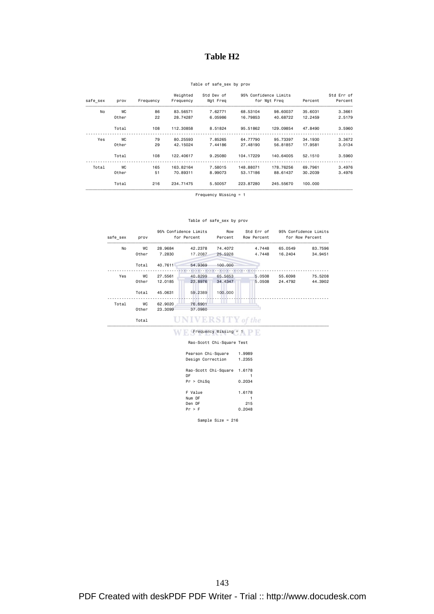# **Table H2**

### Table of safe\_sex by prov

| Std Err of |         |              | 95% Confidence Limits | Std Dev of | Weighted  |           |           |          |  |
|------------|---------|--------------|-----------------------|------------|-----------|-----------|-----------|----------|--|
| Percent    | Percent | for Wgt Freg |                       | Wgt Freq   | Frequency | Frequency | prov      | safe sex |  |
| 3.3661     | 35,6031 | 98,60037     | 68,53104              | 7.62771    | 83.56571  | 86        | <b>WC</b> | No       |  |
| 2.5179     | 12.2459 | 40.68722     | 16,79853              | 6.05986    | 28,74287  | 22        | Other     |          |  |
| 3,5960     | 47,8490 | 129,09854    | 95.51862              | 8.51824    | 112,30858 | 108       | Total     |          |  |
| 3.3672     | 34,1930 | 95.73397     | 64,77790              | 7.85265    | 80.25593  | 79        | <b>WC</b> | Yes      |  |
| 3.0134     | 17,9581 | 56.81857     | 27,48190              | 7.44186    | 42.15024  | 29        | Other     |          |  |
| 3,5960     | 52,1510 | 140.64005    | 104.17229             | 9.25080    | 122,40617 | 108       | Total     |          |  |
| 3,4976     | 69,7961 | 178,76256    | 148,88071             | 7.58015    | 163,82164 | 165       | <b>WC</b> | Total    |  |
| 3,4976     | 30,2039 | 88.61437     | 53, 17186             | 8,99073    | 70.89311  | 51        | Other     |          |  |
|            | 100,000 | 245.55670    | 223,87280             | 5.50057    | 234.71475 | 216       | Total     |          |  |

Frequency Missing = 1

### Table of safe\_sex by prov

| safe sex | prov  |         | 95% Confidence Limits<br>for Percent | Row<br>Percent        | Std Err of<br>Row Percent |         | 95% Confidence Limits<br>for Row Percent |
|----------|-------|---------|--------------------------------------|-----------------------|---------------------------|---------|------------------------------------------|
| No       | WC    | 28,9684 | 42.2378                              | 74,4072               | 4.7448                    | 65,0549 | 83.7596                                  |
|          | Other | 7,2830  | 17,2087                              | 25,5928               | 4.7448                    | 16,2404 | 34.9451                                  |
|          | Total | 40.7611 | 54,9369                              | 100,000               |                           |         |                                          |
| Yes      | WC    | 27.5561 | 40.8299                              | 65.5653               | 5.0508                    | 55,6098 | 75.5208                                  |
|          | Other | 12,0185 | 23,8976                              | 34,4347               | 5.0508                    | 24,4792 | 44,3902                                  |
|          | Total | 45,0631 | 59,2389                              | 100,000               |                           |         |                                          |
| Total    | WC    | 62,9020 | 76.6901                              |                       |                           |         |                                          |
|          | Other | 23,3099 | 37,0980                              |                       |                           |         |                                          |
|          | Total |         |                                      | <b>VERSITY</b> of the |                           |         |                                          |

### $\blacksquare$  Frequency Missing = 1

### Rao-Scott Chi-Square Test

| Pearson Chi-Square<br>Design Correction  | 1.9989<br>1.2355        |
|------------------------------------------|-------------------------|
| Rao-Scott Chi-Square<br>DF<br>Pr > Chisq | 1.6178<br>0.2034        |
| F Value<br>Num DF<br>Den DF<br>Pr > F    | 1.6178<br>215<br>0.2048 |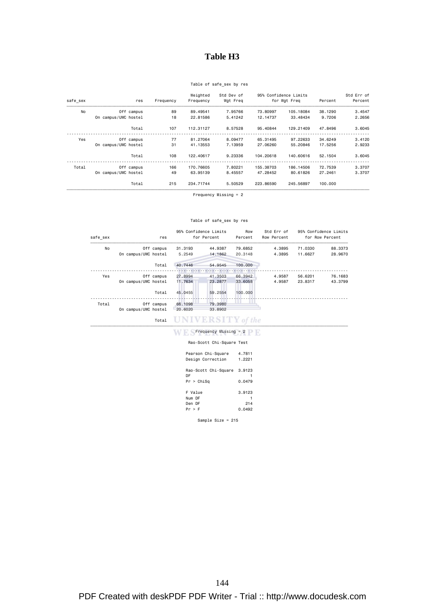# **Table H3**

### Table of safe\_sex by res

|          |                      |            |           | Weighted  | Std Dev of |           | 95% Confidence Limits |         | Std Err of |
|----------|----------------------|------------|-----------|-----------|------------|-----------|-----------------------|---------|------------|
| safe sex |                      | res        | Frequency | Frequency | Wgt Freg   |           | for Wgt Freq          | Percent | Percent    |
| No       |                      | Off campus | 89        | 89,49541  | 7.95766    | 73,80997  | 105.18084             | 38,1290 | 3.4547     |
|          | On campus/UWC hostel |            | 18        | 22,81586  | 5.41242    | 12.14737  | 33,48434              | 9.7206  | 2.2656     |
|          |                      | Total      | 107       | 112,31127 | 8.57528    | 95,40844  | 129,21409             | 47.8496 | 3.6045     |
| Yes      |                      | Off campus | 77        | 81,27064  | 8.09477    | 65,31495  | 97.22633              | 34,6249 | 3,4120     |
|          | On campus/UWC hostel |            | 31        | 41.13553  | 7.13959    | 27,06260  | 55,20846              | 17.5256 | 2.9233     |
|          |                      | Total      | 108       | 122,40617 | 9.23336    | 104,20618 | 140,60616             | 52.1504 | 3.6045     |
| Total    |                      | Off campus | 166       | 170.76605 | 7.80221    | 155,38703 | 186,14506             | 72.7539 | 3.3707     |
|          | On campus/UWC hostel |            | 49        | 63,95139  | 8.45557    | 47.28452  | 80.61826              | 27,2461 | 3.3707     |
|          |                      | Total      | 215       | 234,71744 | 5.50529    | 223,86590 | 245,56897             | 100,000 |            |

Frequency Missing = 2

#### Table of safe\_sex by res

| safe sex |                      | res        | 95% Confidence Limits<br>for Percent |                         | Row<br>Percent | Std Err of<br>Row Percent | 95% Confidence Limits<br>for Row Percent |         |
|----------|----------------------|------------|--------------------------------------|-------------------------|----------------|---------------------------|------------------------------------------|---------|
| No       | Off campus           |            | 31,3193                              | 44.9387                 | 79.6852        | 4.3895                    | 71,0330                                  | 88,3373 |
|          | On campus/UWC hostel |            | 5.2549                               | 14,1862                 | 20,3148        | 4.3895                    | 11,6627                                  | 28,9670 |
|          |                      | Total      | 40.7446                              | 54.9545                 | 100,000        |                           |                                          |         |
| Yes      |                      | Off campus | 27.8994                              | 41.3503                 | 66.3942        | 4.9587                    | 56,6201                                  | 76.1683 |
|          | On campus/UWC hostel |            | 11.7634                              | 23.2877                 | 33,6058        | 4.9587                    | 23,8317                                  | 43,3799 |
|          |                      | Total      | 45.0455                              | 59.2554                 | 100,000        |                           |                                          |         |
| Total    |                      | Off campus | 66,1098                              | 79,3980                 |                |                           |                                          |         |
|          | On campus/UWC hostel |            | 20,6020                              | 33.8902                 |                |                           |                                          |         |
|          |                      | Total      |                                      | <b>NIVERSITY</b> of the |                |                           |                                          |         |

 $\blacksquare$   $\blacksquare$   $\blacksquare$   $\blacksquare$   $\blacksquare$   $\blacksquare$   $\blacksquare$   $\blacksquare$   $\blacksquare$   $\blacksquare$   $\blacksquare$   $\blacksquare$   $\blacksquare$   $\blacksquare$   $\blacksquare$   $\blacksquare$   $\blacksquare$   $\blacksquare$   $\blacksquare$   $\blacksquare$   $\blacksquare$   $\blacksquare$   $\blacksquare$   $\blacksquare$   $\blacksquare$   $\blacksquare$   $\blacksquare$   $\blacksquare$   $\blacksquare$   $\blacksquare$   $\blacksquare$   $\blacks$ 

### Rao-Scott Chi-Square Test

| Pearson Chi-Square<br>Design Correction  | 4.7811<br>1.2221 |
|------------------------------------------|------------------|
| Rao-Scott Chi-Square<br>DF<br>Pr > Chisq | 3.9123<br>0.0479 |
| F Value<br>Num DF                        | 3.9123           |
| Den DF<br>Pr > F                         | 214<br>0.0492    |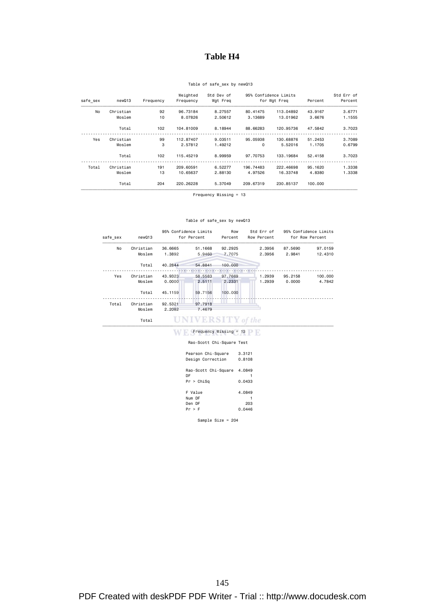### **Table H4**

### Table of safe\_sex by newQ13

| Std Err of<br>Percent | Percent | 95% Confidence Limits<br>for Wgt Freq |           | Std Dev of<br>Wgt Freq | Weighted<br>Frequency | Frequency | newQ13    | safe sex |
|-----------------------|---------|---------------------------------------|-----------|------------------------|-----------------------|-----------|-----------|----------|
| 3.6771                | 43,9167 | 113,04892                             | 80.41475  | 8.27557                | 96.73184              | 92        | Christian | No       |
| 1.1555                | 3.6676  | 13,01962                              | 3.13689   | 2.50612                | 8.07826               | 10        | Moslem    |          |
| 3,7023                | 47.5842 | 120.95736                             | 88,66283  | 8.18944                | 104,81009             | 102       | Total     |          |
| 3,7089                | 51.2453 | 130.68876                             | 95,05938  | 9.03511                | 112,87407             | 99        | Christian | Yes      |
| 0.6799                | 1,1705  | 5.52016                               | $\Omega$  | 1.49212                | 2.57812               | 3         | Moslem    |          |
| 3,7023                | 52,4158 | 133.19684                             | 97.70753  | 8.99959                | 115,45219             | 102       | Total     |          |
| 1.3338                | 95.1620 | 222,46698                             | 196,74483 | 6.52277                | 209,60591             | 191       | Christian | Total    |
| 1.3338                | 4.8380  | 16.33748                              | 4.97526   | 2.88130                | 10.65637              | 13        | Moslem    |          |
|                       | 100,000 | 230.85137                             | 209,67319 | 5.37049                | 220,26228             | 204       | Total     |          |

Frequency Missing = 13

#### Table of safe\_sex by newQ13

| safe sex | newQ13    |         | 95% Confidence Limits<br>for Percent | Row<br>Percent         | Std Err of<br>Row Percent |         | 95% Confidence Limits<br>for Row Percent |
|----------|-----------|---------|--------------------------------------|------------------------|---------------------------|---------|------------------------------------------|
| No       | Christian | 36,6665 | 51,1668                              | 92.2925                | 2.3956                    | 87.5690 | 97.0159                                  |
|          | Moslem    | 1.3892  | 5.9460                               | 7.7075                 | 2.3956                    | 2.9841  | 12,4310                                  |
|          | Total     | 40.2844 | 54,8841                              | 100,000                |                           |         |                                          |
| Yes      | Christian | 43,9323 | 58.5583                              | 97.7669                | 1,2939                    | 95,2158 | 100.000                                  |
|          | Moslem    | 0.0000  | 2.5111                               | 2.2331                 | 1.2939                    | 0.0000  | 4.7842                                   |
|          | Total     | 45.1159 | 59.7156                              | 100,000                |                           |         |                                          |
| Total    | Christian | 92.5321 | 97.7918                              |                        |                           |         |                                          |
|          | Moslem    | 2.2082  | 7.4679                               |                        |                           |         |                                          |
|          | Total     |         | $UNIVERSITY$ of the                  |                        |                           |         |                                          |
|          |           |         |                                      | Frequency Missing = 13 |                           |         |                                          |

Rao-Scott Chi-Square Test

| Rao-Scott Chi-Square Test |        |
|---------------------------|--------|
| Pearson Chi-Square        | 3.3121 |
| Design Correction         | 0.8108 |
| Rao-Scott Chi-Square      | 4.0849 |
| DF                        |        |
| Pr > Chisq                | 0.0433 |
| F Value                   | 4.0849 |
| Num DF                    |        |
| Den DF                    | 203    |
| Pr > F                    | 0.0446 |
|                           |        |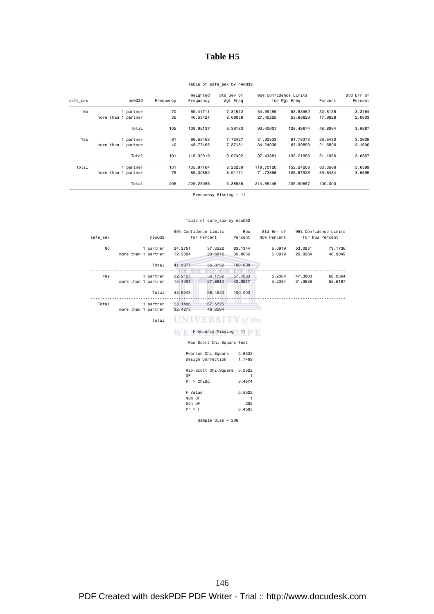### **Table H5**

### Table of safe\_sex by newQ32

| Std Err of |         |           | 95% Confidence Limits | Std Dev of<br>Wgt Freg | Weighted  |           |                     |          |
|------------|---------|-----------|-----------------------|------------------------|-----------|-----------|---------------------|----------|
| Percent    | Percent |           | for Wgt Freq          |                        | Frequency | Frequency | newQ32              | safe_sex |
| 3.3164     | 30.8136 | 83,83962  | 54,99459              | 7.31512                | 69,41711  | 70        | 1 partner           | No       |
| 2.8933     | 17.9928 | 53.66628  | 27,40225              | 6.66058                | 40.53427  | 35        | more than 1 partner |          |
| 3.6867     | 48,8064 | 126,49674 | 93,40601              | 8.39183                | 109.95137 | 105       | Total               |          |
| 3.3629     | 29,5430 | 81,78373  | 51,32533              | 7.72427                | 66,55453  | 61        | 1 partner           | Yes      |
| 3,1500     | 21,6506 | 63,30893  | 34,24038              | 7.37181                | 48.77465  | 40        | more than 1 partner |          |
| 3.6867     | 51,1936 | 133,21956 | 97,43881              | 9.07402                | 115,32919 | 101       | Total               |          |
| 3.6599     | 60.3566 | 152,24208 | 119,70120             | 8.25239                | 135.97164 | 131       | 1 partner           | Total    |
| 3.6599     | 39.6434 | 106,87928 | 71.73856              | 8.91171                | 89,30892  | 75        | more than 1 partner |          |
|            | 100,000 | 235,90667 | 214,65445             | 5.38958                | 225,28056 | 206       | Total               |          |

Frequency Missing = 11

#### Table of safe\_sex by newQ32

| safe sex | newQ32              |          | 95% Confidence Limits<br>for Percent | Row<br>Percent | Std Err of<br>Row Percent |         | 95% Confidence Limits<br>for Row Percent |
|----------|---------------------|----------|--------------------------------------|----------------|---------------------------|---------|------------------------------------------|
| No       | 1 partner           | 24, 2751 | 37.3522                              | 63.1344        | 5.0919                    | 53,0951 | 73,1736                                  |
|          | more than 1 partner | 12.2884  | 23.6972                              | 36,8656        | 5.0919                    | 26,8264 | 46.9049                                  |
|          | Total               | 41.5377  | 56,0752                              | 100,000        |                           |         |                                          |
| Yes      | 1 partner           | 22.9127  | 36.1732                              | 57.7083        | 5.2384                    | 47,3803 | 68.0364                                  |
|          | more than 1 partner | 15,4401  | 27,8612                              | 42.2917        | 5.2384                    | 31,9636 | 52.6197                                  |
|          | Total               | 43,9248  | 58,4623                              | 100,000        |                           |         |                                          |
| Total    | 1 partner           | 53.1406  | 67.5725                              |                |                           |         |                                          |
|          | more than 1 partner | 32.4275  | 46.8594                              |                |                           |         |                                          |
|          | Total               |          |                                      |                |                           |         |                                          |

### $\blacksquare$   $\blacksquare$   $\blacksquare$   $\blacksquare$   $\blacksquare$   $\blacksquare$   $\blacksquare$   $\blacksquare$   $\blacksquare$   $\blacksquare$   $\blacksquare$   $\blacksquare$   $\blacksquare$   $\blacksquare$   $\blacksquare$   $\blacksquare$   $\blacksquare$   $\blacksquare$   $\blacksquare$   $\blacksquare$   $\blacksquare$   $\blacksquare$   $\blacksquare$   $\blacksquare$   $\blacksquare$   $\blacksquare$   $\blacksquare$   $\blacksquare$   $\blacksquare$   $\blacksquare$   $\blacksquare$   $\blacks$

### Rao-Scott Chi-Square Test

| Pearson Chi-Square<br>Design Correction | 0.6333<br>1.1469                         |
|-----------------------------------------|------------------------------------------|
| DF<br>Pr > Chisq                        | Rao-Scott Chi-Square<br>0.5522<br>0.4574 |
| F Value<br>Num DF<br>Den DF<br>Pr > F   | 0.5522<br>205<br>0.4583                  |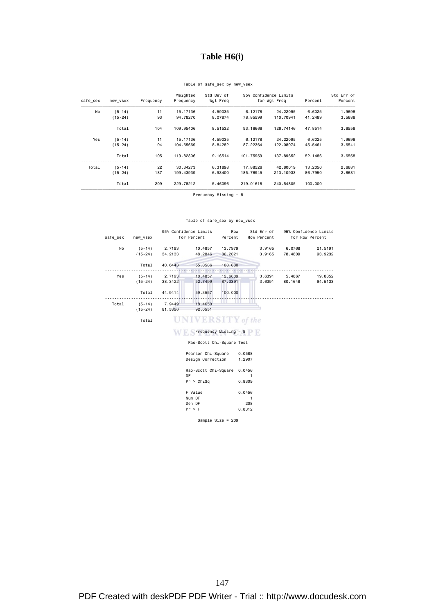## **Table H6(i)**

### Table of safe\_sex by new\_vsex

| Std Err of |         |              | 95% Confidence Limits | Std Dev of | Weighted  |           |           |          |
|------------|---------|--------------|-----------------------|------------|-----------|-----------|-----------|----------|
| Percent    | Percent | for Wgt Freq |                       | Wgt Freq   | Frequency | Frequency | new vsex  | safe sex |
| 1.9698     | 6.6025  | 24,22095     | 6.12178               | 4.59035    | 15, 17136 | 11        | $(5-14)$  | No       |
| 3.5688     | 41,2489 | 110,70941    | 78.85599              | 8.07874    | 94.78270  | 93        | $(15-24)$ |          |
| 3.6558     | 47.8514 | 126,74146    | 93.16666              | 8.51532    | 109,95406 | 104       | Total     |          |
| 1.9698     | 6.6025  | 24,22095     | 6.12178               | 4.59035    | 15, 17136 | 11        | $(5-14)$  | Yes      |
| 3.6541     | 45.5461 | 122,08974    | 87.22364              | 8.84282    | 104,65669 | 94        | $(15-24)$ |          |
| 3.6558     | 52.1486 | 137,89652    | 101.75959             | 9.16514    | 119,82806 | 105       | Total     |          |
| 2.6681     | 13,2050 | 42,80019     | 17.88526              | 6,31898    | 30.34273  | 22        | $(5-14)$  | Total    |
| 2.6681     | 86.7950 | 213, 10933   | 185.76945             | 6,93400    | 199,43939 | 187       | (15-24)   |          |
|            | 100,000 | 240.54805    | 219,01618             | 5,46096    | 229,78212 | 209       | Total     |          |

Frequency Missing = 8

#### Table of safe\_sex by new\_vsex

| safe sex | new vsex    |         | 95% Confidence Limits<br>for Percent | Row<br>Percent          | Std Err of<br>Row Percent |         | 95% Confidence Limits<br>for Row Percent |
|----------|-------------|---------|--------------------------------------|-------------------------|---------------------------|---------|------------------------------------------|
| No       | $(5-14)$    | 2.7193  | 10,4857                              | 13,7979                 | 3.9165                    | 6.0768  | 21,5191                                  |
|          | $(15 - 24)$ | 34.2133 | 48.2846                              | 86,2021                 | 3.9165                    | 78,4809 | 93.9232                                  |
|          | Total       | 40.6443 | 55,0586                              | 100,000                 |                           |         |                                          |
| Yes      | $(5-14)$    | 2.7193  | 10.4857                              | 12.6609                 | 3.6391                    | 5.4867  | 19.8352                                  |
|          | $(15-24)$   | 38,3422 | 52.7499                              | 87,3391                 | 3.6391                    | 80.1648 | 94.5133                                  |
|          | Total       | 44.9414 | 59.3557                              | 100,000                 |                           |         |                                          |
| Total    | $(5-14)$    | 7.9449  | 18.4650                              |                         |                           |         |                                          |
|          | $(15-24)$   | 81.5350 | 92.0551                              |                         |                           |         |                                          |
|          | Total       |         | <b>UNIVERSITY</b> of the             |                         |                           |         |                                          |
|          |             |         |                                      | $Frequency$ Missing = 8 |                           |         |                                          |

### Rao-Scott Chi-Square Test

| Pearson Chi-Square<br>Design Correction  | 0.0588<br>1.2907        |
|------------------------------------------|-------------------------|
| Rao-Scott Chi-Square<br>DF<br>Pr > Chisq | 0.0456<br>0.8309        |
| F Value<br>Num DF<br>Den DF<br>Pr > F    | 0.0456<br>208<br>0.8312 |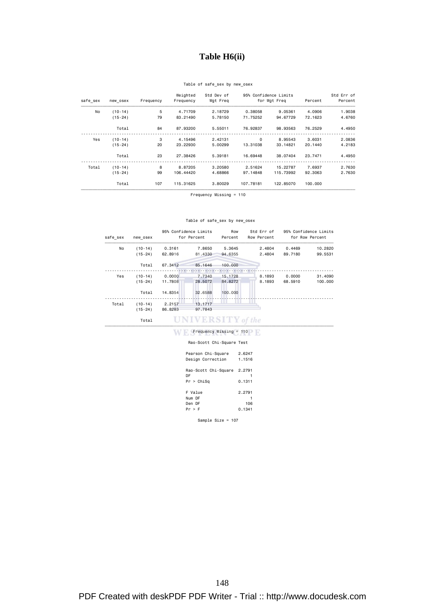## **Table H6(ii)**

### Table of safe\_sex by new\_osex

| Std Err of<br>Percent | Percent |              | 95% Confidence Limits | Std Dev of | Weighted  |           |           |          |
|-----------------------|---------|--------------|-----------------------|------------|-----------|-----------|-----------|----------|
|                       |         | for Wgt Freq |                       | Wgt Freq   | Frequency | Frequency | new osex  | safe sex |
| 1.9038                | 4.0906  | 9.05361      | 0.38058               | 2.18729    | 4.71709   | 5         | $(10-14)$ | No       |
| 4.6760                | 72.1623 | 94.67729     | 71.75252              | 5.78150    | 83,21490  | 79        | $(15-24)$ |          |
| 4.4950                | 76.2529 | 98,93563     | 76.92837              | 5.55011    | 87,93200  | 84        | Total     |          |
| 2.0836                | 3.6031  | 8,95543      | $\mathbf 0$           | 2.42131    | 4.15496   | 3         | $(10-14)$ | Yes      |
| 4.2183                | 20.1440 | 33.14821     | 13,31038              | 5.00299    | 23,22930  | 20        | $(15-24)$ |          |
| 4.4950                | 23,7471 | 38,07404     | 16.69448              | 5.39181    | 27,38426  | 23        | Total     |          |
| 2.7630                | 7.6937  | 15,22787     | 2.51624               | 3,20580    | 8.87205   | 8         | $(10-14)$ | Total    |
| 2.7630                | 92,3063 | 115,73992    | 97.14848              | 4.68866    | 106,44420 | 99        | $(15-24)$ |          |
|                       | 100,000 | 122,85070    | 107.78181             | 3,80029    | 115,31625 | 107       | Total     |          |

Frequency Missing = 110

#### Table of safe\_sex by new\_osex

| safe sex | new osex    |         | 95% Confidence Limits<br>for Percent | Row<br>Percent            | Std Err of<br>Row Percent |         | 95% Confidence Limits<br>for Row Percent |
|----------|-------------|---------|--------------------------------------|---------------------------|---------------------------|---------|------------------------------------------|
| No       | $(10-14)$   | 0.3161  | 7.8650                               | 5.3645                    | 2.4804                    | 0.4469  | 10.2820                                  |
|          | $(15 - 24)$ | 62.8916 | 81,4330                              | 94,6355                   | 2.4804                    | 89,7180 | 99.5531                                  |
|          | Total       | 67.3412 | 85,1646                              | 100,000                   |                           |         |                                          |
| Yes      | $(10-14)$   | 0.0000  | 7.7340                               | 15.1728                   | 8.1893                    | 0.0000  | 31.4090                                  |
|          | $(15-24)$   | 11,7808 | 28.5072                              | 84.8272                   | 8.1893                    | 68,5910 | 100.000                                  |
|          | Total       | 14.8354 | 32.6588                              | 100,000                   |                           |         |                                          |
| Total    | $(10-14)$   | 2.2157  | 13.1717                              |                           |                           |         |                                          |
|          | $(15 - 24)$ | 86.8283 | 97.7843                              |                           |                           |         |                                          |
|          | Total       |         | <b>UNIVERSITY</b> of the             |                           |                           |         |                                          |
|          |             |         |                                      | $Frequency$ Missing = 110 |                           |         |                                          |

### Rao-Scott Chi-Square Test

| Pearson Chi-Square<br>Design Correction  | 2.6247<br>1.1516        |
|------------------------------------------|-------------------------|
| Rao-Scott Chi-Square<br>DF<br>Pr > Chisq | 2.2791<br>0.1311        |
| F Value<br>Num DF<br>Den DF<br>Pr > F    | 2.2791<br>106<br>0.1341 |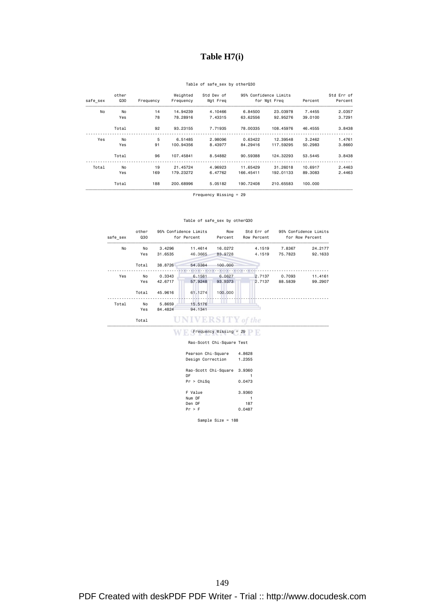### **Table H7(i)**

### Table of safe\_sex by otherQ30

| Std Err of |         |              | 95% Confidence Limits | Std Dev of | Weighted  |           | other      |          |
|------------|---------|--------------|-----------------------|------------|-----------|-----------|------------|----------|
| Percent    | Percent | for Wgt Freq |                       | Wgt Freq   | Frequency | Frequency | <b>Q30</b> | safe sex |
| 2.0357     | 7.4455  | 23,03978     | 6,84500               | 4.10466    | 14,94239  | 14        | No         | No       |
| 3.7291     | 39,0100 | 92.95276     | 63.62556              | 7.43315    | 78,28916  | 78        | Yes        |          |
| 3.8438     | 46,4555 | 108,45976    | 78,00335              | 7.71935    | 93.23155  | 92        | Total      |          |
| 1.4761     | 3.2462  | 12,39548     | 0.63422               | 2.98096    | 6.51485   | 5         | No         | Yes      |
| 3.8660     | 50.2983 | 117.59295    | 84,29416              | 8.43977    | 100.94356 | 91        | Yes        |          |
| 3.8438     | 53.5445 | 124,32293    | 90.59388              | 8.54882    | 107.45841 | 96        | Total      |          |
| 2.4463     | 10.6917 | 31,26018     | 11,65429              | 4.96923    | 21,45724  | 19        | No         | Total    |
| 2.4463     | 89,3083 | 192,01133    | 166,45411             | 6.47762    | 179,23272 | 169       | Yes        |          |
|            | 100,000 | 210.65583    | 190.72408             | 5.05182    | 200.68996 | 188       | Total      |          |

Frequency Missing = 29

#### Table of safe\_sex by otherQ30

| safe sex | other<br>Q30 |         | 95% Confidence Limits<br>for Percent | Row<br>Percent            | Std Err of<br>Row Percent |         | 95% Confidence Limits<br>for Row Percent |
|----------|--------------|---------|--------------------------------------|---------------------------|---------------------------|---------|------------------------------------------|
| No       | No           | 3.4296  | 11.4614                              | 16.0272                   | 4.1519                    | 7.8367  | 24.2177                                  |
|          | Yes          | 31.6535 | 46.3665                              | 83.9728                   | 4.1519                    | 75.7823 | 92.1633                                  |
|          | Total        | 38.8726 | 54,0384                              | 100,000                   |                           |         |                                          |
| Yes      | No           | 0.3343  | 6.1581                               | 6.0627                    | 2.7137                    | 0.7093  | 11.4161                                  |
|          | Yes          | 42.6717 | 57,9248                              | 93.9373                   | 2.7137                    | 88,5839 | 99.2907                                  |
|          | Total        | 45.9616 | 61.1274                              | 100.000                   |                           |         |                                          |
| Total    | No           | 5.8659  | 15.5176                              |                           |                           |         |                                          |
|          | Yes          | 84.4824 | 94.1341                              |                           |                           |         |                                          |
|          | Total        |         | <b>UNIVERSITY</b> of the             |                           |                           |         |                                          |
|          |              |         |                                      | $Frequency$ Missing = 29  |                           |         |                                          |
|          |              |         |                                      | Rao-Scott Chi-Square Test |                           |         |                                          |

# Pearson Chi-Square 4.8628 Design Correction 1.2355 Rao-Scott Chi-Square 3.9360 DF 1 Pr > ChiSq 0.0473 F Value 3.9360<br>2.9360 Num DF<br>2.9 Den DF 187<br>Pr > F 0.0487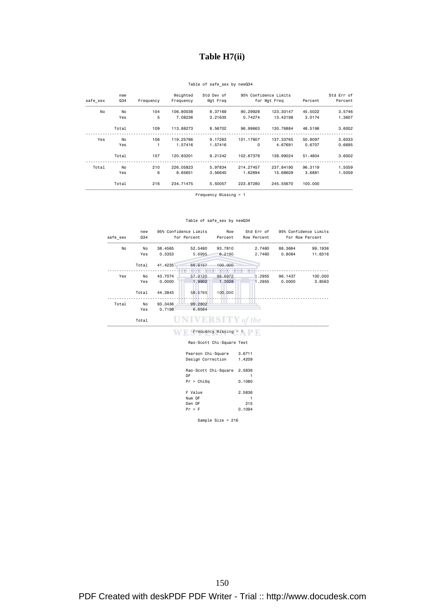## **Table H7(ii)**

### Table of safe\_sex by newQ34

| Std Err of |         | 95% Confidence Limits |            | Std Dev of | Weighted  |           | new        |          |
|------------|---------|-----------------------|------------|------------|-----------|-----------|------------|----------|
| Percent    | Percent | for Wgt Freg          |            | Wgt Freq   | Frequency | Frequency | <b>Q34</b> | safe sex |
| 3.5746     | 45.5022 | 123,30147             | 90.29928   | 8,37169    | 106,80038 | 104       | No         | No       |
| 1.3607     | 3.0174  | 13,42198              | 0.74274    | 3.21635    | 7.08236   | 5         | Yes        |          |
| 3.6002     | 48,5196 | 130.76884             | 96.99663   | 8.56702    | 113,88273 | 109       | Total      |          |
| 3,6033     | 50,8097 | 137,33765             | 101.17807  | 9.17263    | 119,25786 | 106       | No         | Yes      |
| 0.6695     | 0.6707  | 4.67691               | $\Omega$   | 1.57416    | 1.57416   |           | Yes        |          |
| 3.6002     | 51,4804 | 138,99024             | 102.67378  | 9.21242    | 120,83201 | 107       | Total      |          |
| 1.5059     | 96,3119 | 237,84190             | 214, 27457 | 5.97834    | 226,05823 | 210       | No         | Total    |
| 1.5059     | 3.6881  | 15,68609              | 1.62694    | 3,56640    | 8.65651   | 6         | Yes        |          |
|            | 100,000 | 245,55670             | 223,87280  | 5.50057    | 234,71475 | 216       | Total      |          |

Frequency Missing = 1

### Table of safe\_sex by newQ34

| safe sex | new<br><b>Q34</b> |         | 95% Confidence Limits<br>for Percent | Row<br>Percent            | Std Err of<br>Row Percent |         | 95% Confidence Limits<br>for Row Percent |
|----------|-------------------|---------|--------------------------------------|---------------------------|---------------------------|---------|------------------------------------------|
| No       | No                | 38.4565 | 52.5480                              | 93,7810                   | 2.7460                    | 88.3684 | 99.1936                                  |
|          | Yes               | 0.3353  | 5.6995                               | 6,2190                    | 2.7460                    | 0.8064  | 11.6316                                  |
|          | Total             | 41.4235 | 55.6157                              | 100,000                   |                           |         |                                          |
| Yes      | No                | 43,7074 | 57,9120                              | 98.6972                   | 1.2955                    | 96.1437 | 100.000                                  |
|          | Yes               | 0.0000  | 1.9902                               | 1.3028                    | 1.2955                    | 0.0000  | 3.8563                                   |
|          | Total             | 44.3843 | 58.5765                              | 100.000                   |                           |         |                                          |
| Total    | No                | 93.3436 | 99.2802                              |                           |                           |         |                                          |
|          | Yes               | 0.7198  | 6.6564                               |                           |                           |         |                                          |
|          | Total             |         | <b>UNIVERSITY</b> of the             |                           |                           |         |                                          |
|          |                   |         |                                      | Frequency Missing $= 1$   |                           |         |                                          |
|          |                   |         |                                      | Rao-Scott Chi-Square Test |                           |         |                                          |

| Pearson Chi-Square<br>Design Correction  | 3.6711<br>1.4209        |
|------------------------------------------|-------------------------|
| Rao-Scott Chi-Square<br>DF<br>Pr > Chisq | 2.5836<br>0.1080        |
| F Value<br>Num DF<br>Den DF<br>Pr > F    | 2.5836<br>215<br>0.1094 |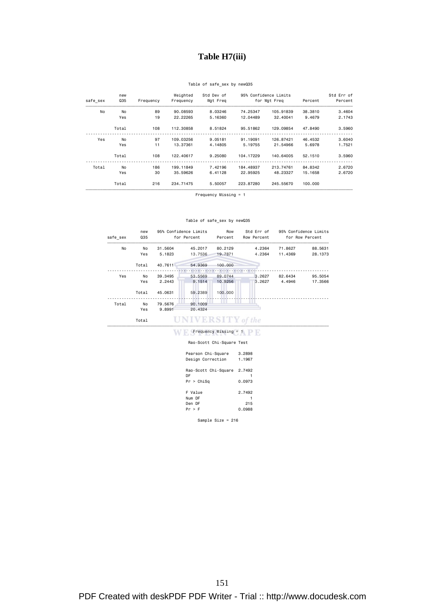### **Table H7(iii)**

### Table of safe\_sex by newQ35

| Std Err of<br>Percent | Percent | 95% Confidence Limits<br>for Wgt Freq |           | Std Dev of<br>Wgt Freq | Weighted<br>Frequency | Frequency | new<br>Q35 | safe sex |
|-----------------------|---------|---------------------------------------|-----------|------------------------|-----------------------|-----------|------------|----------|
|                       |         |                                       |           |                        |                       |           |            |          |
| 3,4604                | 38,3810 | 105.91839                             | 74.25347  | 8.03246                | 90.08593              | 89        | No         | No       |
| 2.1743                | 9,4679  | 32,40041                              | 12,04489  | 5.16360                | 22.22265              | 19        | Yes        |          |
| 3,5960                | 47,8490 | 129,09854                             | 95.51862  | 8.51824                | 112,30858             | 108       | Total      |          |
| 3,6040                | 46,4532 | 126,87421                             | 91,19091  | 9.05181                | 109,03256             | 97        | No         | Yes      |
| 1.7521                | 5.6978  | 21.54966                              | 5.19755   | 4.14805                | 13,37361              | 11        | Yes        |          |
| 3,5960                | 52,1510 | 140.64005                             | 104.17229 | 9.25080                | 122,40617             | 108       | Total      |          |
| 2.6720                | 84,8342 | 213,74761                             | 184,48937 | 7.42196                | 199, 11849            | 186       | No         | Total    |
| 2.6720                | 15,1658 | 48.23327                              | 22,95925  | 6.41128                | 35.59626              | 30        | Yes.       |          |
|                       | 100,000 | 245,55670                             | 223,87280 | 5.50057                | 234,71475             | 216       | Total      |          |

Frequency Missing = 1

#### Table of safe\_sex by newQ35

| safe sex | new<br>Q35 |         | 95% Confidence Limits<br>for Percent | Row<br>Percent          | Std Err of<br>Row Percent |         | 95% Confidence Limits<br>for Row Percent |
|----------|------------|---------|--------------------------------------|-------------------------|---------------------------|---------|------------------------------------------|
| No       | No         | 31.5604 | 45.2017                              | 80.2129                 | 4.2364                    | 71.8627 | 88.5631                                  |
|          | Yes        | 5.1823  | 13,7536                              | 19,7871                 | 4.2364                    | 11,4369 | 28.1373                                  |
|          | Total      | 40.7611 | 54,9369                              | 100,000                 |                           |         |                                          |
| Yes      | No         | 39.3495 | 53.5569                              | 89,0744                 | 3.2627                    | 82.6434 | 95.5054                                  |
|          | Yes        | 2.2443  | 9.1514                               | 10.9256                 | 3.2627                    | 4.4946  | 17.3566                                  |
|          | Total      | 45.0631 | 59.2389                              | 100,000                 |                           |         |                                          |
| Total    | No         | 79,5676 | 90,1009                              |                         |                           |         |                                          |
|          | Yes        | 9.8991  | 20.4324                              |                         |                           |         |                                          |
|          | Total      |         | <b>UNIVERSITY</b> of the             |                         |                           |         |                                          |
|          |            |         |                                      | $Frequency Missing = 1$ |                           |         |                                          |

#### Rao-Scott Chi-Square Test

| Rau-Scott Chil-Square rest |        |
|----------------------------|--------|
| Pearson Chi-Square         | 3.2898 |
| Design Correction          | 1.1967 |
| Rao-Scott Chi-Square       | 2.7492 |
| DF                         |        |
| Pr > Chisq                 | 0.0973 |
| F Value                    | 2.7492 |
| Num DF                     |        |
| Den DF                     | 215    |
| Pr > F                     | 0.0988 |
|                            |        |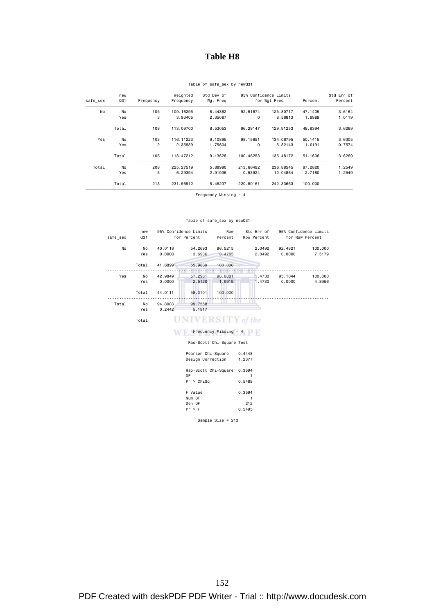### **Table H8**

### Table of safe\_sex by newQ31

| Std Err of |         | 95% Confidence Limits |           | Std Dev of | Weighted   |                | new   |          |
|------------|---------|-----------------------|-----------|------------|------------|----------------|-------|----------|
| Percent    | Percent | for Wgt Freq          |           | Wgt Freq   | Frequency  | Frequency      | 031   | safe sex |
| 3.6164     | 47.1405 | 125,80717             | 92.51874  | 8.44362    | 109.16295  | 105            | No    | No       |
| 1.0119     | 1.6989  | 8.56813               | 0         | 2.35087    | 3.93405    | 3              | Yes   |          |
| 3.6269     | 48.8394 | 129.91253             | 96.28147  | 8.53053    | 113,09700  | 108            | Total |          |
| 3.6305     | 50.1415 | 134,06795             | 98,15651  | 9.10895    | 116, 11223 | 103            | No    | Yes      |
| 0.7574     | 1.0191  | 5.82143               | 0         | 1.75604    | 2.35989    | $\overline{2}$ | Yes   |          |
| 3.6269     | 51,1606 | 136,48172             | 100.46253 | 9.13628    | 118,47212  | 105            | Total |          |
| 1.2549     | 97,2820 | 236,88545             | 213,66492 | 5.88990    | 225, 27519 | 208            | No    | Total    |
| 1.2549     | 2,7180  | 12.04864              | 0.53924   | 2.91936    | 6.29394    | 5              | Yes   |          |
|            | 100,000 | 242.33663             | 220,80161 | 5.46237    | 231,56912  | 213            | Total |          |

Frequency Missing = 4

### Table of safe\_sex by newQ31

| No<br>Yes | 40.0118<br>0.0000 | 54.2693 | 96.5215 | 2.0492 |                                                     |         |
|-----------|-------------------|---------|---------|--------|-----------------------------------------------------|---------|
|           |                   |         |         |        | 92.4821                                             | 100.000 |
|           |                   | 3.6936  | 3.4785  | 2.0492 | 0.0000                                              | 7.5179  |
| Total     | 41.6899           | 55,9889 | 100,000 |        |                                                     |         |
| No        | 42.9849           | 57.2981 | 98.0081 | 1.4730 | 95.1044                                             | 100.000 |
| Yes       | 0.0000            | 2.5120  | 1.9919  | 1.4730 | 0.0000                                              | 4.8956  |
| Total     | 44.0111           | 58.3101 | 100,000 |        |                                                     |         |
| No        | 94,8083           | 99,7558 |         |        |                                                     |         |
| Yes       | 0.2442            | 5.1917  |         |        |                                                     |         |
| Total     |                   |         |         |        |                                                     |         |
|           |                   |         |         |        | <b>UNIVERSITY</b> of the<br>$Frequency$ Missing = 4 |         |

### Rao-Scott Chi-Square Test

| Pearson Chi-Square<br>Design Correction  | 0.4448<br>1.2377        |
|------------------------------------------|-------------------------|
| Rao-Scott Chi-Square<br>DF<br>Pr > Chisq | 0.3594<br>0.5489        |
| F Value<br>Num DF<br>Den DF<br>Pr > F    | 0.3594<br>212<br>0.5495 |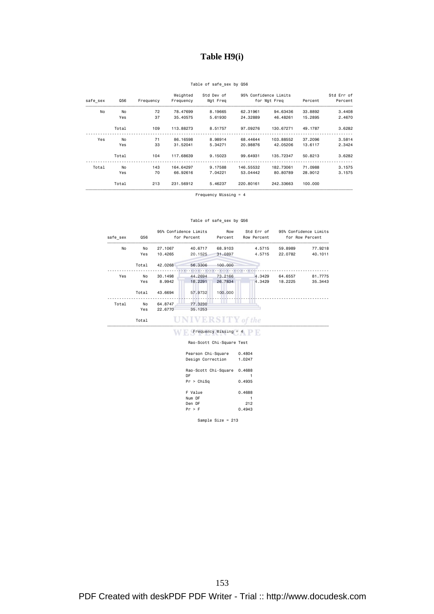### **Table H9(i)**

### Table of safe\_sex by Q56

|         |           |           | Std Dev of                            | Weighted  |           |       |          |
|---------|-----------|-----------|---------------------------------------|-----------|-----------|-------|----------|
| Percent |           |           | Wgt Freq                              | Frequency | Frequency | Q56   | safe sex |
| 33,8892 | 94.63436  | 62,31961  | 8.19665                               | 78,47699  | 72        | No    | No       |
| 15,2895 | 46,48261  | 24,32889  | 5.61930                               | 35,40575  | 37        | Yes   |          |
| 49.1787 | 130.67271 | 97,09276  | 8.51757                               | 113,88273 | 109       | Total |          |
| 37,2096 | 103.88552 | 68,44644  | 8.98914                               | 86.16598  | 71        | No    | Yes      |
| 13.6117 | 42.05206  | 20,98876  | 5.34271                               | 31.52041  | 33        | Yes   |          |
| 50,8213 | 135.72347 | 99.64931  | 9.15023                               | 117,68639 | 104       | Total |          |
| 71,0988 | 182,73061 | 146.55532 | 9.17588                               | 164.64297 | 143       | No    | Total    |
| 28,9012 | 80.80789  | 53.04442  | 7.04221                               | 66,92616  | 70        | Yes   |          |
| 100,000 | 242,33663 | 220,80161 | 5.46237                               | 231.56912 | 213       | Total |          |
|         |           |           | 95% Confidence Limits<br>for Wgt Freq |           |           |       |          |

Frequency Missing = 4

#### Table of safe\_sex by Q56

| safe sex |       | Q56     |                          | 95% Confidence Limits<br>for Percent | Row<br>Percent | Std Err of<br>Row Percent | 95% Confidence Limits<br>for Row Percent |  |
|----------|-------|---------|--------------------------|--------------------------------------|----------------|---------------------------|------------------------------------------|--|
| No       | No    | 27,1067 | 40.6717                  | 68,9103                              | 4.5715         | 59.8989                   | 77.9218                                  |  |
|          | Yes   | 10.4265 | 20.1525                  | 31,0897                              | 4.5715         | 22.0782                   | 40.1011                                  |  |
|          | Total | 42.0268 | 56,3306                  | 100,000                              |                |                           |                                          |  |
| Yes      | No    | 30.1498 | 44.2694                  | 73.2166                              | 4.3429         | 64.6557                   | 81.7775                                  |  |
|          | Yes   | 8.9942  | 18,2291                  | 26.7834                              | 4.3429         | 18,2225                   | 35, 3443                                 |  |
|          | Total | 43.6694 | 57,9732                  | 100,000                              |                |                           |                                          |  |
| Total    | No    | 64.8747 | 77,3230                  |                                      |                |                           |                                          |  |
|          | Yes   | 22,6770 | 35.1253                  |                                      |                |                           |                                          |  |
|          | Total |         | <b>UNIVERSITY</b> of the |                                      |                |                           |                                          |  |
|          |       |         |                          | $Frequency$ Missing = 4              |                |                           |                                          |  |

### Rao-Scott Chi-Square Test

| Pearson Chi-Square<br>Design Correction  | 0.4804<br>1.0247        |
|------------------------------------------|-------------------------|
| Rao-Scott Chi-Square<br>DF<br>Pr > Chisq | 0.4688<br>0.4935        |
| F Value<br>Num DF<br>Den DF<br>Pr > F    | 0.4688<br>212<br>0.4943 |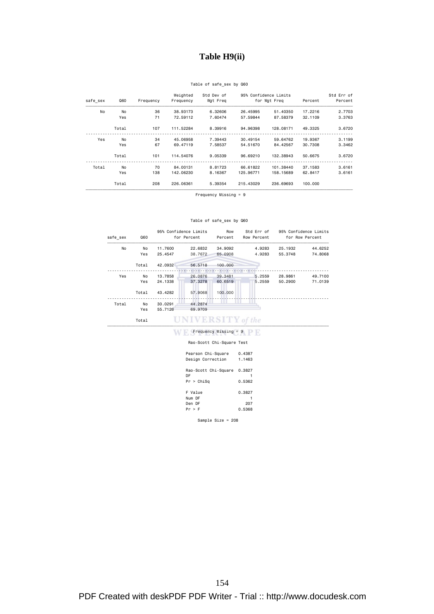### **Table H9(ii)**

### Table of safe\_sex by Q60

| Std Err of<br>Percent | Percent | for Wgt Freg | 95% Confidence Limits | Weighted<br>Std Dev of<br>Wgt Freq<br>Frequency |           | Q60<br>Frequency |       | safe sex |  |
|-----------------------|---------|--------------|-----------------------|-------------------------------------------------|-----------|------------------|-------|----------|--|
| 2,7703                | 17.2216 | 51,40350     | 26,45995              | 6.32606                                         | 38,93173  | 36               | No    | No       |  |
| 3,3763                | 32.1109 | 87.58379     | 57.59844              | 7.60474                                         | 72.59112  | 71               | Yes   |          |  |
| 3.6720                | 49.3325 | 128,08171    | 94,96398              | 8.39916                                         | 111.52284 | 107              | Total |          |  |
| 3,1199                | 19,9367 | 59.64762     | 30,49154              | 7.39443                                         | 45.06958  | 34               | No    | Yes      |  |
| 3.3462                | 30.7308 | 84.42567     | 54,51670              | 7.58537                                         | 69,47119  | 67               | Yes   |          |  |
| 3.6720                | 50.6675 | 132,38943    | 96.69210              | 9.05339                                         | 114,54076 | 101              | Total |          |  |
| 3.6161                | 37.1583 | 101.38440    | 66.61822              | 8.81723                                         | 84,00131  | 70               | No    | Total    |  |
| 3.6161                | 62.8417 | 158,15689    | 125.96771             | 8.16367                                         | 142.06230 | 138              | Yes   |          |  |
|                       | 100,000 | 236,69693    | 215,43029             | 5.39354                                         | 226,06361 | 208              | Total |          |  |

Frequency Missing = 9

### Table of safe\_sex by Q60

| safe sex | Q60   |          | 95% Confidence Limits<br>for Percent | Row<br>Percent            | Std Err of<br>Row Percent |         | 95% Confidence Limits<br>for Row Percent |  |
|----------|-------|----------|--------------------------------------|---------------------------|---------------------------|---------|------------------------------------------|--|
| No       | No    | 11,7600  | 22.6832                              | 34,9092                   | 4.9283                    | 25,1932 | 44.6252                                  |  |
|          | Yes   | 25.4547  | 38.7672                              | 65.0908                   | 4.9283                    | 55.3748 | 74.8068                                  |  |
|          | Total | 42.0932  | 56,5718                              | 100,000                   |                           |         |                                          |  |
| Yes      | No    | 13,7858  | 26.0876                              | 39.3481                   | 5.2559                    | 28.9861 | 49.7100                                  |  |
|          | Yes   | 24, 1338 | 37.3278                              | 60.6519                   | 5.2559                    | 50,2900 | 71.0139                                  |  |
|          | Total | 43.4282  | 57,9068                              | 100,000                   |                           |         |                                          |  |
| Total    | No    | 30,0291  | 44.2874                              |                           |                           |         |                                          |  |
|          | Yes   | 55.7126  | 69.9709                              |                           |                           |         |                                          |  |
|          | Total |          | <b>UNIVERSITY</b> of the             |                           |                           |         |                                          |  |
|          |       |          |                                      | Frequency Missing $= 9$   |                           |         |                                          |  |
|          |       |          |                                      | Rao-Scott Chi-Square Test |                           |         |                                          |  |

| Pearson Chi-Square | 0.4387               |
|--------------------|----------------------|
| Design Correction  | 1.1463               |
|                    | 0.3827               |
| DF                 |                      |
| Pr > Chisq         | 0.5362               |
| F Value            | 0.3827               |
| Num DF             |                      |
| Den DF             | 207                  |
| Pr > F             | 0.5368               |
|                    | Rao-Scott Chi-Square |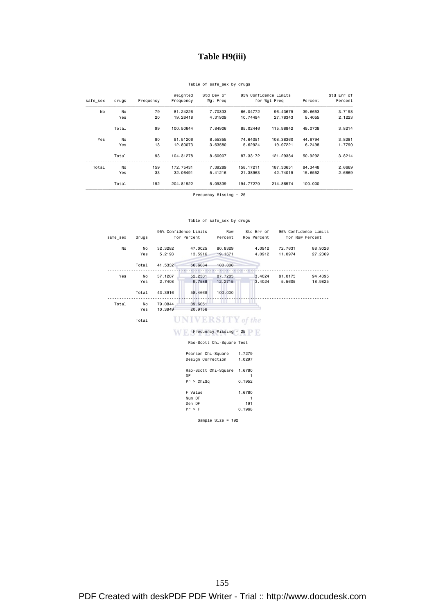### **Table H9(iii)**

### Table of safe\_sex by drugs

|         |           |           | Std Dev of                            | Weighted  |           |       |          |
|---------|-----------|-----------|---------------------------------------|-----------|-----------|-------|----------|
| Percent |           |           | Wgt Freq                              | Frequency | Frequency | drugs | safe sex |
| 39,6653 | 96,43679  | 66,04772  | 7.70333                               | 81,24226  | 79        | No    | No       |
| 9.4055  | 27.78343  | 10.74494  | 4.31909                               | 19.26418  | 20        | Yes   |          |
| 49,0708 | 115,98842 | 85,02446  | 7.84906                               | 100.50644 | 99        | Total |          |
| 44.6794 | 108,38360 | 74.64051  | 8.55355                               | 91,51206  | 80        | No    | Yes      |
| 6.2498  | 19,97221  | 5.62924   | 3.63580                               | 12,80073  | 13        | Yes   |          |
| 50,9292 | 121.29384 | 87,33172  | 8.60907                               | 104.31278 | 93        | Total |          |
| 84,3448 | 187.33651 | 158.17211 | 7.39289                               | 172,75431 | 159       | No    | Total    |
| 15,6552 | 42.74019  | 21,38963  | 5.41216                               | 32,06491  | 33        | Yes   |          |
| 100,000 | 214,86574 | 194,77270 | 5.09339                               | 204.81922 | 192       | Total |          |
|         |           |           | 95% Confidence Limits<br>for Wgt Freq |           |           |       |          |

Frequency Missing = 25

### Table of safe\_sex by drugs

| 47.0025<br>32,3282<br>5.2193<br>13.5916<br>41.5332<br>56,6084 | 80.8329<br>19.1671        | 4.0912<br>4.0912                        | 72.7631          |         |
|---------------------------------------------------------------|---------------------------|-----------------------------------------|------------------|---------|
|                                                               |                           |                                         |                  | 88.9026 |
|                                                               |                           |                                         | 11.0974          | 27.2369 |
|                                                               | 100,000                   |                                         |                  |         |
| 37.1287<br>52,2301                                            | 87.7285                   | 3.4024                                  | 81.0175          | 94.4395 |
| 2.7408<br>9.7588                                              | 12.2715                   | 3.4024                                  | 5.5605           | 18.9825 |
| 43.3916<br>58.4668                                            | 100.000                   |                                         |                  |         |
| 79,0844<br>89,6051                                            |                           |                                         |                  |         |
| 10.3949<br>20.9156                                            |                           |                                         |                  |         |
| <b>UNIVERSITY</b> of the                                      |                           |                                         |                  |         |
|                                                               | Frequency Missing = 25    |                                         |                  |         |
|                                                               | Rao-Scott Chi-Square Test |                                         |                  |         |
|                                                               |                           |                                         |                  |         |
|                                                               |                           |                                         |                  |         |
|                                                               |                           | Pearson Chi-Square<br>Design Correction | 1.7279<br>1.0297 |         |

| Rao-Scott Chi-Square 1.6780<br>DF |        |
|-----------------------------------|--------|
| Pr > Chisq                        | 0.1952 |
| F Value                           | 1.6780 |
| Num DF                            |        |
| Den DF                            | 191    |
| Pr > F                            | 0.1968 |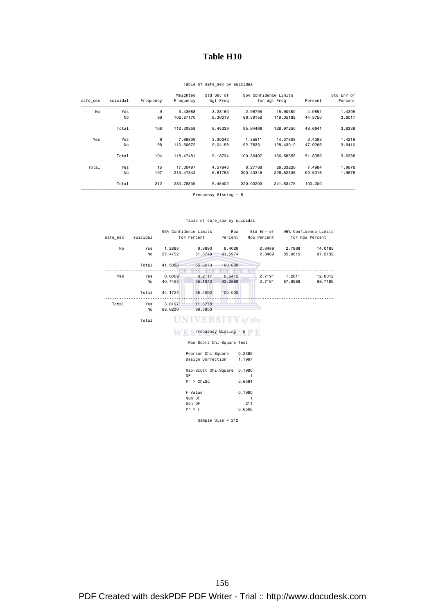### **Table H10**

### Table of safe\_sex by suicidal

| Std Err of |         | 95% Confidence Limits |           | Std Dev of | Weighted  |           |          |          |
|------------|---------|-----------------------|-----------|------------|-----------|-----------|----------|----------|
| Percent    | Percent | for Wgt Freq          |           | Wgt Freq   | Frequency | Frequency | suicidal | safe sex |
| 1.4205     | 4,0891  | 15,90580              | 2.96795   | 3.28160    | 9.43688   | 9         | Yes      | No       |
| 3.6017     | 44.5750 | 119,35189             | 86.39152  | 8,36019    | 102.87170 | 99        | No       |          |
| 3.6338     | 48.6641 | 128,97250             | 95.64466  | 8.45339    | 112,30858 | 108       | Total    |          |
| 1.4216     | 3,4093  | 14,37808              | 1.35811   | 3.30243    | 7.86809   | 6         | Yes      | Yes      |
| 3.6410     | 47.9266 | 128,43012             | 92.78331  | 9.04158    | 110,60672 | 98        | No       |          |
| 3.6338     | 51,3359 | 136,58555             | 100.36407 | 9.18734    | 118,47481 | 104       | Total    |          |
| 1.9676     | 7.4984  | 26,33226              | 8.27768   | 4.57943    | 17,30497  | 15        | Yes      | Total    |
| 1.9676     | 92,5016 | 226,52336             | 200.43348 | 6.61753    | 213,47842 | 197       | No       |          |
|            | 100,000 | 241.53475             | 220,03203 | 5.45402    | 230.78339 | 212       | Total    |          |

Frequency Missing = 5

#### Table of safe\_sex by suicidal

| safe sex | suicidal |         | 95% Confidence Limits<br>for Percent | Row<br>Percent       | Std Err of<br>Row Percent | 95% Confidence Limits | for Row Percent |
|----------|----------|---------|--------------------------------------|----------------------|---------------------------|-----------------------|-----------------|
| No       | Yes      | 1,2888  | 6.8893                               | 8,4026               | 2.8489                    | 2.7868                | 14.0185         |
|          | No       | 37,4752 | 51.6749                              | 91.5974              | 2.8489                    | 85,9815               | 97.2132         |
|          | Total    | 41.5008 | 55,8273                              | 100,000              |                           |                       |                 |
| Yes      | Yes      | 0.6069  | 6.2117                               | 6.6412               | 2.7191                    | 1,2811                | 12,0012         |
|          | No       | 40.7493 | 55,1040                              | 93,3588              | 2.7191                    | 87.9988               | 98.7189         |
|          | Total    | 44.1727 | 58,4992                              | 100,000              |                           |                       |                 |
| Total    | Yes      | 3.6197  | 11,3770                              |                      |                           |                       |                 |
|          | No       | 88.6230 | 96.3803                              |                      |                           |                       |                 |
|          | Total    |         |                                      | <b>ERSITY</b> of the |                           |                       |                 |

 $F = F$ Frequency Missing =  $5$ 

#### Rao-Scott Chi-Square Test

|                                       | Pearson Chi-Square<br>0.2369<br>Design Correction<br>1.1967 |  |
|---------------------------------------|-------------------------------------------------------------|--|
| DF                                    | Rao-Scott Chi-Square<br>0.1980<br>Pr > Chisq<br>0.6564      |  |
| F Value<br>Num DF<br>Den DF<br>Pr > F | 0.1980<br>211<br>0.6568                                     |  |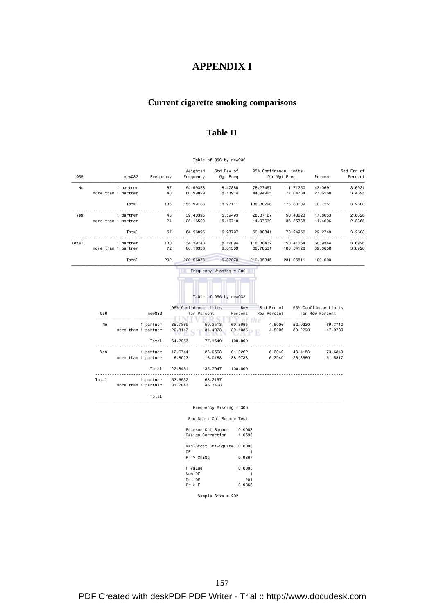### **APPENDIX I**

### **Current cigarette smoking comparisons**

### **Table I1**

Table of Q56 by newQ32

| Q56   |                     | newQ32              | Frequency                    |                               | Weighted<br>Frequency                                                 | Std Dev of<br>Wgt Freq |                                                 | 95% Confidence Limits<br>for Wgt Freq         |                    | Percent                                                        | Std Err of<br>Percent |
|-------|---------------------|---------------------|------------------------------|-------------------------------|-----------------------------------------------------------------------|------------------------|-------------------------------------------------|-----------------------------------------------|--------------------|----------------------------------------------------------------|-----------------------|
| No    |                     | 1 partner           |                              | 87                            | 94.99353                                                              | 8.47888                |                                                 | 78,27457                                      | 111.71250          | 43,0691                                                        | 3.6931                |
|       | more than 1 partner |                     |                              | 48                            | 60.99829                                                              | 8.13914                |                                                 | 44.94925                                      | 77.04734           | 27.6560                                                        | 3.4695                |
|       |                     | Total               |                              | 135                           | 155.99183                                                             | 8.97111                |                                                 | 138.30226                                     | 173.68139          | 70.7251                                                        | 3,2608                |
| Yes   |                     | 1 partner           |                              | 43                            | 39.40395                                                              | 5.59493                |                                                 | 28.37167                                      | 50.43623           | 17.8653                                                        | 2.6326                |
|       |                     | more than 1 partner |                              | 24                            | 25.16500                                                              | 5.16710                |                                                 | 14.97632                                      | 35.35368           | 11.4096                                                        | 2.3365                |
|       |                     | Total               |                              | 67                            | 64.56895                                                              | 6.93797                |                                                 | 50.88841                                      | 78.24950           | 29.2749                                                        | 3,2608                |
| Total |                     | 1 partner           |                              | 130                           | 134.39748                                                             | 8.12094                |                                                 | 118.38432                                     | 150.41064          | 60.9344                                                        | 3.6926                |
|       |                     | more than 1 partner |                              | 72                            | 86.16330                                                              | 8.81309                |                                                 | 68.78531                                      | 103.54128          | 39.0656                                                        | 3.6926                |
|       |                     | Total               |                              | 202                           | 220.56078                                                             | 5.32870                |                                                 | 210.05345                                     | 231.06811          | 100.000                                                        |                       |
|       | Q56<br>No           | more than 1 partner | newQ32<br>1 partner<br>Total | 35.7869<br>20.8147<br>64.2953 | 95% Confidence Limits<br>for Percent<br>50.3513<br>34.4973<br>77.1549 | Table of Q56 by newQ32 | Row<br>Percent<br>60.8965<br>39.1035<br>100,000 | Std Err of<br>Row Percent<br>4.5006<br>4,5006 | 52.0220<br>30.2290 | 95% Confidence Limits<br>for Row Percent<br>69.7710<br>47.9780 |                       |
|       | Yes                 | more than 1 partner | 1 partner                    | 12.6744<br>6.8023             | 23.0563<br>16.0168                                                    |                        | 61.0262<br>38.9738                              | 6.3940<br>6.3940                              | 48.4183<br>26.3660 | 73.6340<br>51.5817                                             |                       |
|       | Total               | more than 1 partner | Total<br>1 partner           | 22.8451<br>53.6532<br>31.7843 | 35.7047<br>68.2157<br>46.3468                                         |                        | 100.000                                         |                                               |                    |                                                                |                       |
|       |                     |                     | Total                        |                               |                                                                       |                        |                                                 |                                               |                    |                                                                |                       |
|       |                     |                     |                              |                               | Frequency Missing = $300$                                             |                        |                                                 |                                               |                    |                                                                |                       |
|       |                     |                     |                              |                               | Rao-Scott Chi-Square Test                                             |                        |                                                 |                                               |                    |                                                                |                       |

 Pearson Chi-Square 0.0003 Design Correction 1.0693 Rao-Scott Chi-Square 0.0003 DF 1 Pr > ChiSq 0.9867 F Value 0.0003<br>2011 - Num DF<br>201 Den DF Pr > F 0.9868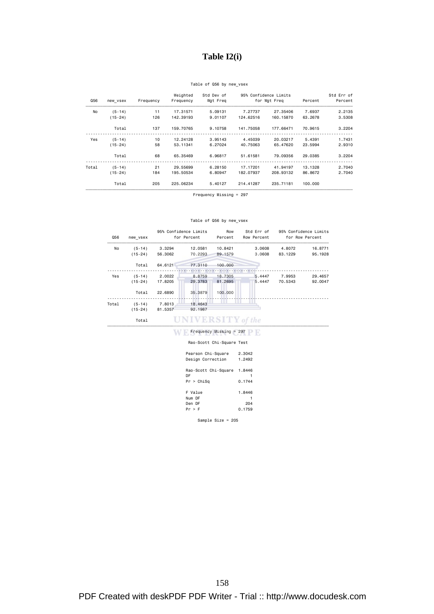## **Table I2(i)**

### Table of Q56 by new\_vsex

| Std Err of<br>Percent | Percent | for Wgt Freq | 95% Confidence Limits | Std Dev of<br>Wgt Freq | Weighted<br>Frequency | Frequency | new vsex    | Q56   |
|-----------------------|---------|--------------|-----------------------|------------------------|-----------------------|-----------|-------------|-------|
| 2.2135                | 7.6937  | 27,35406     | 7.27737               | 5.09131                | 17.31571              | 11        | $(5-14)$    | No    |
| 3.5308                | 63.2678 | 160.15870    | 124,62516             | 9.01107                | 142,39193             | 126       | $(15-24)$   |       |
| 3.2204                | 70.9615 | 177.66471    | 141.75058             | 9.10758                | 159,70765             | 137       | Total       |       |
| 1.7431                | 5.4391  | 20.03217     | 4.45039               | 3.95143                | 12,24128              | 10        | $(5-14)$    | Yes   |
| 2,9310                | 23,5994 | 65.47620     | 40.75063              | 6.27024                | 53.11341              | 58        | $(15 - 24)$ |       |
| 3.2204                | 29,0385 | 79,09356     | 51,61581              | 6,96817                | 65.35469              | 68        | Total       |       |
| 2,7040                | 13.1328 | 41.94197     | 17, 17201             | 6.28150                | 29.55699              | 21        | $(5-14)$    | Total |
| 2,7040                | 86,8672 | 208,93132    | 182.07937             | 6.80947                | 195,50534             | 184       | $(15-24)$   |       |
|                       | 100,000 | 235,71181    | 214,41287             | 5.40127                | 225,06234             | 205       | Total       |       |

Frequency Missing = 297

#### Table of Q56 by new\_vsex

| Q56   | new vsex  |         | 95% Confidence Limits<br>for Percent | Row<br>Percent            | Std Err of<br>Row Percent |         | 95% Confidence Limits<br>for Row Percent |
|-------|-----------|---------|--------------------------------------|---------------------------|---------------------------|---------|------------------------------------------|
| No    | $(5-14)$  | 3.3294  | 12.0581                              | 10.8421                   | 3,0608                    | 4.8072  | 16.8771                                  |
|       | $(15-24)$ | 56.3062 | 70.2293                              | 89, 1579                  | 3,0608                    | 83.1229 | 95.1928                                  |
|       | Total     | 64.6121 | 77,3110                              | 100,000                   |                           |         |                                          |
|       |           |         |                                      |                           |                           |         |                                          |
| Yes   | $(5-14)$  | 2.0022  | 8.8759                               | 18.7305                   | 5.4447                    | 7.9953  | 29.4657                                  |
|       | $(15-24)$ | 17.8205 | 29,3783                              | 81.2695                   | 5.4447                    | 70.5343 | 92.0047                                  |
|       | Total     | 22,6890 | 35,3879                              | 100,000                   |                           |         |                                          |
| Total | $(5-14)$  | 7.8013  | 18.4643                              |                           |                           |         |                                          |
|       | $(15-24)$ | 81.5357 | 92.1987                              |                           |                           |         |                                          |
|       | Total     |         |                                      | <b>ERSITY</b> of the      |                           |         |                                          |
|       |           |         |                                      | $Frequency$ Missing = 297 |                           |         |                                          |

#### Rao-Scott Chi-Square Test

| Pearson Chi-Square   | 2.3042 |
|----------------------|--------|
| Design Correction    | 1.2492 |
| Rao-Scott Chi-Square | 1.8446 |
| DF                   |        |
| Pr > Chisq           | 0.1744 |
| F Value              | 1.8446 |
| Num DF               |        |
| Den DF               | 204    |
| Pr > F               | 0.1759 |
|                      |        |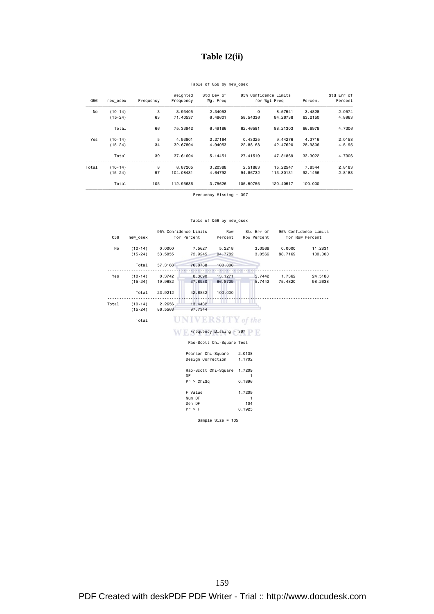### **Table I2(ii)**

### Table of Q56 by new\_osex

| Std Err of |         |              | 95% Confidence Limits | Std Dev of | Weighted  |           |             |       |
|------------|---------|--------------|-----------------------|------------|-----------|-----------|-------------|-------|
| Percent    | Percent | for Wgt Freq |                       | Wgt Freg   | Frequency | Frequency | new osex    | Q56   |
| 2.0574     | 3,4828  | 8.57541      | 0                     | 2.34053    | 3.93405   | 3         | $(10-14)$   | No    |
| 4.8963     | 63,2150 | 84,26738     | 58,54336              | 6,48601    | 71,40537  | 63        | $(15-24)$   |       |
| 4.7306     | 66,6978 | 88,21303     | 62,46581              | 6.49186    | 75.33942  | 66        | Total       |       |
| 2.0158     | 4.3716  | 9.44276      | 0.43325               | 2.27164    | 4.93801   | 5         | $(10-14)$   | Yes   |
| 4.5195     | 28,9306 | 42.47620     | 22,88168              | 4.94053    | 32.67894  | 34        | $(15 - 24)$ |       |
| 4.7306     | 33,3022 | 47.81869     | 27,41519              | 5.14451    | 37.61694  | 39        | Total       |       |
| 2,8183     | 7.8544  | 15.22547     | 2.51863               | 3,20388    | 8.87205   | 8         | $(10-14)$   | Total |
| 2.8183     | 92.1456 | 113,30131    | 94,86732              | 4.64792    | 104,08431 | 97        | $(15 - 24)$ |       |
|            | 100,000 | 120,40517    | 105.50755             | 3.75626    | 112.95636 | 105       | Total       |       |

Frequency Missing = 397

#### Table of Q56 by new\_osex

| Q56   | new osex  |         | 95% Confidence Limits<br>for Percent | Row<br>Percent            | Std Err of<br>Row Percent |         | 95% Confidence Limits<br>for Row Percent |  |  |
|-------|-----------|---------|--------------------------------------|---------------------------|---------------------------|---------|------------------------------------------|--|--|
| No    | $(10-14)$ | 0.0000  | 7.5627                               | 5.2218                    | 3.0566                    | 0.0000  | 11.2831                                  |  |  |
|       | $(15-24)$ | 53.5055 | 72.9245                              | 94.7782                   | 3.0566                    | 88.7169 | 100.000                                  |  |  |
|       | Total     | 57.3168 | 76.0788                              | 100,000                   |                           |         |                                          |  |  |
| Yes   | $(10-14)$ | 0.3742  | 8.3690                               | 13.1271                   | 5.7442                    | 1.7362  | 24.5180                                  |  |  |
|       | $(15-24)$ | 19.9682 | 37,8930                              | 86.8729                   | 5.7442                    | 75.4820 | 98.2638                                  |  |  |
|       | Total     | 23.9212 | 42.6832                              | 100,000                   |                           |         |                                          |  |  |
| Total | $(10-14)$ | 2.2656  | 13.4432                              |                           |                           |         |                                          |  |  |
|       | $(15-24)$ | 86.5568 | 97.7344                              |                           |                           |         |                                          |  |  |
|       | Total     |         | UNIVERSITY of                        |                           | the                       |         |                                          |  |  |
|       |           |         |                                      |                           | Frequency Missing = 397   |         |                                          |  |  |
|       |           |         |                                      | Rao-Scott Chi-Square Test |                           |         |                                          |  |  |
|       |           |         | Pearson Chi-Square                   |                           | 2.0138                    |         |                                          |  |  |
|       |           |         | Design Correction                    |                           | 1.1702                    |         |                                          |  |  |

Rao-Scott Chi-Square 1.7209

Sample Size = 105

DF 1 Pr > ChiSq 0.1896

F Value 1.7209<br>20 Num DF 104<br>20 Den DF 104<br>1925 Pr > F 0.1925

PDF Created with deskPDF PDF Writer - Trial :: http://www.docudesk.com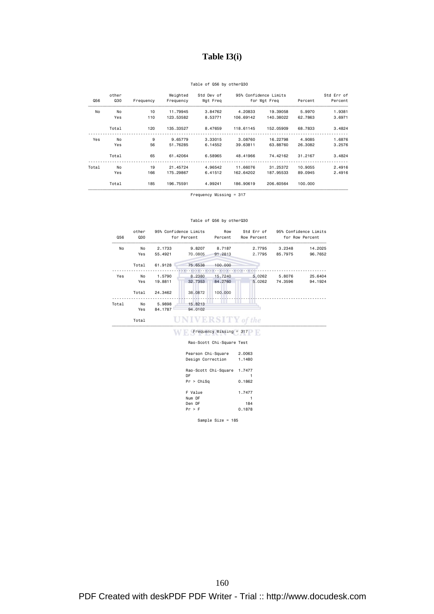### **Table I3(i)**

### Table of Q56 by otherQ30

| Std Err of |         |              | Std Dev of<br>95% Confidence Limits |          | Weighted  |           | other      |       |
|------------|---------|--------------|-------------------------------------|----------|-----------|-----------|------------|-------|
| Percent    | Percent | for Wgt Freg |                                     | Wgt Freq | Frequency | Frequency | <b>Q30</b> | Q56   |
| 1.9381     | 5,9970  | 19,39058     | 4.20833                             | 3.84762  | 11.79945  | 10        | No         | No    |
| 3.6971     | 62.7863 | 140.38022    | 106,69142                           | 8.53771  | 123.53582 | 110       | Yes        |       |
| 3.4824     | 68,7833 | 152,05909    | 118,61145                           | 8.47659  | 135,33527 | 120       | Total      |       |
| 1.6876     | 4.9085  | 16,22798     | 3,08760                             | 3.33015  | 9.65779   | 9         | No         | Yes   |
| 3.2576     | 26,3082 | 63.88760     | 39,63811                            | 6.14552  | 51.76285  | 56        | Yes        |       |
| 3.4824     | 31,2167 | 74.42162     | 48,41966                            | 6.58965  | 61.42064  | 65        | Total      |       |
| 2.4916     | 10,9055 | 31,25372     | 11,66076                            | 4.96542  | 21,45724  | 19        | No         | Total |
| 2.4916     | 89,0945 | 187.95533    | 162,64202                           | 6.41512  | 175,29867 | 166       | Yes        |       |
|            | 100,000 | 206,60564    | 186,90619                           | 4.99241  | 196.75591 | 185       | Total      |       |

Frequency Missing = 317

#### Table of Q56 by otherQ30

| Q56   | other<br>Q30 |         | 95% Confidence Limits<br>for Percent | Row<br>Percent            | Std Err of<br>Row Percent |         | 95% Confidence Limits<br>for Row Percent |
|-------|--------------|---------|--------------------------------------|---------------------------|---------------------------|---------|------------------------------------------|
| No    | No           | 2.1733  | 9.8207                               | 8.7187                    | 2.7795                    | 3.2348  | 14.2025                                  |
|       | Yes          | 55,4921 | 70,0805                              | 91.2813                   | 2.7795                    | 85.7975 | 96.7652                                  |
|       | Total        | 61,9128 | 75,6538                              | 100,000                   |                           |         |                                          |
| Yes   | No           | 1.5790  | 8.2380                               | 15.7240                   | 5.0262                    | 5.8076  | 25.6404                                  |
|       | Yes          | 19.8811 | 32.7353                              | 84,2760                   | 5.0262                    | 74,3596 | 94.1924                                  |
|       | Total        | 24.3462 | 38.0872                              | 100,000                   |                           |         |                                          |
| Total | No           | 5.9898  | 15,8213                              |                           |                           |         |                                          |
|       | Yes          | 84.1787 | 94.0102                              |                           |                           |         |                                          |
|       | Total        |         | <b>UNIVERSITY</b> of the             |                           |                           |         |                                          |
|       |              |         |                                      | $Frequency$ Missing = 317 |                           |         |                                          |

#### Rao-Scott Chi-Square Test

|            | Pearson Chi-Square   | 2,0063 |
|------------|----------------------|--------|
|            | Design Correction    | 1.1480 |
|            | Rao-Scott Chi-Square | 1.7477 |
|            |                      |        |
| Pr > Chisq |                      | 0.1862 |
| F Value    |                      | 1.7477 |
|            |                      |        |
|            |                      | 184    |
|            |                      | 0.1878 |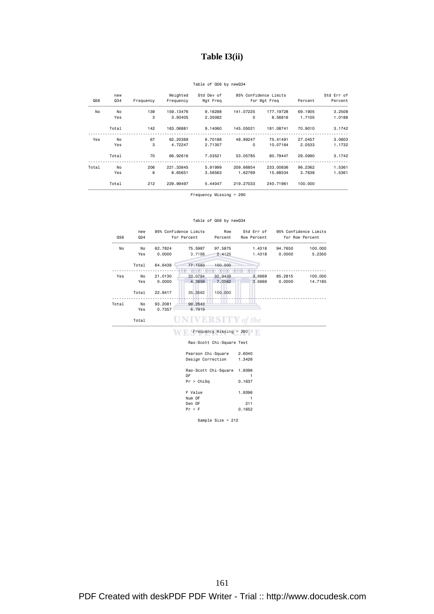### **Table I3(ii)**

### Table of Q56 by newQ34

| Std Err of<br>Percent |         |              | 95% Confidence Limits | Std Dev of | Weighted   |           | new   |       |
|-----------------------|---------|--------------|-----------------------|------------|------------|-----------|-------|-------|
|                       | Percent | for Wgt Freg |                       | Wgt Freq   | Frequency  | Frequency | Q34   | Q56   |
| 3,2508                | 69,1905 | 177, 19728   | 141.07225             | 9.16288    | 159, 13476 | 139       | No    | No    |
| 1.0188                | 1,7105  | 8.56816      | $\Omega$              | 2.35082    | 3.93405    | 3         | Yes   |       |
| 3.1742                | 70,9010 | 181.08741    | 145,05021             | 9,14060    | 163,06881  | 142       | Total |       |
| 3,0603                | 27,0457 | 75.41491     | 48.99247              | 6,70188    | 62.20369   | 67        | No    | Yes   |
| 1.1732                | 2.0533  | 10.07164     | $\Omega$              | 2.71357    | 4.72247    | 3         | Yes   |       |
| 3.1742                | 29,0990 | 80.79447     | 53.05785              | 7.03521    | 66,92616   | 70        | Total |       |
| 1.5361                | 96.2362 | 233,00836    | 209,66854             | 5.91999    | 221,33845  | 206       | No    | Total |
| 1.5361                | 3.7638  | 15.68534     | 1.62769               | 3.56563    | 8.65651    | 6         | Yes   |       |
|                       | 100,000 | 240.71961    | 219,27033             | 5.44047    | 229,99497  | 212       | Total |       |

Frequency Missing = 290

#### Table of Q56 by newQ34

| Q56   | new<br>Q34 |         | 95% Confidence Limits<br>for Percent | Row<br>Percent            | Std Err of<br>Row Percent |         | 95% Confidence Limits<br>for Row Percent |  |  |  |
|-------|------------|---------|--------------------------------------|---------------------------|---------------------------|---------|------------------------------------------|--|--|--|
| No    | No         | 62.7824 | 75.5987                              | 97.5875                   | 1.4318                    | 94.7650 | 100,000                                  |  |  |  |
|       | Yes        | 0.0000  | 3.7188                               | 2.4125                    | 1.4318                    | 0.0000  | 5.2350                                   |  |  |  |
|       | Total      | 64.6438 | 77.1583                              | 100,000                   |                           |         |                                          |  |  |  |
|       |            |         |                                      |                           |                           |         |                                          |  |  |  |
| Yes   | No         | 21.0130 | 33.0784                              | 92.9438                   | 3.8869                    | 85.2815 | 100.000                                  |  |  |  |
|       | Yes        | 0.0000  | 4.3659                               | 7.0562                    | 3.8869                    | 0.0000  | 14.7185                                  |  |  |  |
|       | Total      | 22.8417 | 35,3562                              | 100,000                   |                           |         |                                          |  |  |  |
| Total | No         | 93.2081 | 99.2643                              |                           |                           |         |                                          |  |  |  |
|       | Yes        | 0.7357  | 6.7919                               |                           |                           |         |                                          |  |  |  |
|       | Total      |         | <b>UNIVERSITY</b> of the             |                           |                           |         |                                          |  |  |  |
|       |            |         |                                      | $Frequency$ Missing = 290 |                           |         |                                          |  |  |  |

Rao-Scott Chi-Square Test

| Pearson Chi-Square   | 2.6040 |
|----------------------|--------|
| Design Correction    | 1.3426 |
| Rao-Scott Chi-Square | 1.9396 |
| DF                   |        |
| Pr > Chisq           | 0.1637 |
| F Value              | 1.9396 |
| Num DF               |        |
| Den DF               | 211    |
| Pr > F               | 0.1652 |
|                      |        |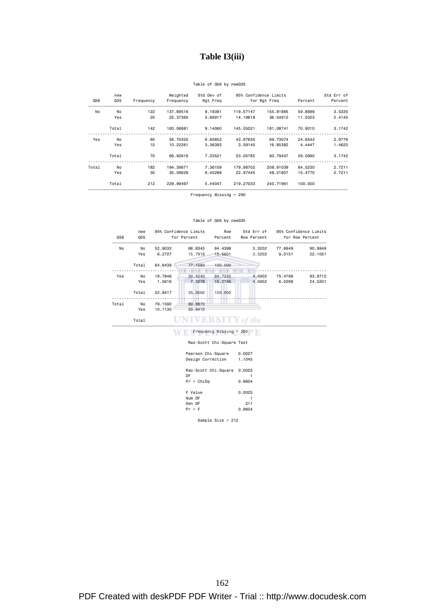### **Table I3(iii)**

### Table of Q56 by newQ35

| Std Err of |         |           | 95% Confidence Limits    |         | Weighted  |           | new   |       |
|------------|---------|-----------|--------------------------|---------|-----------|-----------|-------|-------|
| Percent    | Percent |           | Wgt Freq<br>for Wgt Freq |         | Frequency | Frequency | Q35   | Q56   |
| 3.5335     | 59,8688 | 155,81885 | 119,57147                | 9.19391 | 137,69516 | 122       | No    | No    |
| 2.4145     | 11,0323 | 36.54912  | 14,19818                 | 5.66917 | 25,37365  | 20        | Yes   |       |
| 3.1742     | 70.9010 | 181.08741 | 145,05021                | 9.14060 | 163,06881 | 142       | Total |       |
| 2.9776     | 24,6543 | 69.73074  | 43.67635                 | 6.60853 | 56.70355  | 60        | No    | Yes   |
| 1.4625     | 4.4447  | 16,85382  | 3.59140                  | 3.36393 | 10.22261  | 10        | Yes   |       |
| 3.1742     | 29,0990 | 80.79447  | 53.05785                 | 7.03521 | 66,92616  | 70        | Total |       |
| 2.7211     | 84,5230 | 208,91039 | 179,88702                | 7.36159 | 194,39871 | 182       | No    | Total |
| 2.7211     | 15,4770 | 48,21807  | 22.97445                 | 6,40288 | 35.59626  | 30        | Yes   |       |
|            | 100,000 | 240.71961 | 219,27033                | 5.44047 | 229,99497 | 212       | Total |       |

Frequency Missing = 290

#### Table of Q56 by newQ35

| Q56   | new<br>Q35 | 95% Confidence Limits | for Percent              | Row<br>Percent            | Std Err of<br>Row Percent |         | 95% Confidence Limits<br>for Row Percent |
|-------|------------|-----------------------|--------------------------|---------------------------|---------------------------|---------|------------------------------------------|
| No    | No         | 52,9032               | 66.8343                  | 84,4399                   | 3.3202                    | 77.8949 | 90.9849                                  |
|       | Yes        | 6.2727                | 15.7918                  | 15.5601                   | 3.3202                    | 9.0151  | 22.1051                                  |
|       | Total      | 64.6438               | 77.1583                  | 100,000                   |                           |         |                                          |
| Yes   | No         | 18,7846               | 30.5240                  | 84.7255                   | 4.6902                    | 75.4799 | 93.9712                                  |
|       | Yes        | 1.5616                | 7.3278                   | 15,2745                   | 4.6902                    | 6.0288  | 24.5201                                  |
|       | Total      | 22.8417               | 35,3562                  | 100,000                   |                           |         |                                          |
| Total | No         | 79.1590               | 89.8870                  |                           |                           |         |                                          |
|       | Yes        | 10.1130               | 20.8410                  |                           |                           |         |                                          |
|       | Total      |                       | <b>UNIVERSITY</b> of the |                           |                           |         |                                          |
|       |            |                       |                          | Frequency Missing = 290   |                           |         |                                          |
|       |            |                       |                          | Rao-Scott Chi-Square Test |                           |         |                                          |

Rao-Scott Chi-Square 0.0025

Sample Size = 212

Pearson Chi-Square 0.0027 Design Correction 1.1045

DF 1 Pr > ChiSq 0.9604

F Value 0.0025 Num DF 1 Den DF 211 Pr > F 0.9604

PDF Created with deskPDF PDF Writer - Trial :: http://www.docudesk.com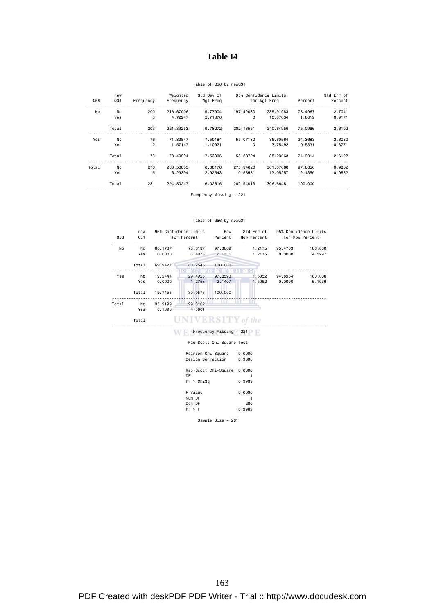### **Table I4**

### Table of Q56 by newQ31

| Std Err of |         |           | 95% Confidence Limits | Std Dev of<br>Wgt Freq | Weighted  |                | new   |       |
|------------|---------|-----------|-----------------------|------------------------|-----------|----------------|-------|-------|
| Percent    | Percent |           | for Wgt Freq          |                        | Frequency | Frequency      | Q31   | Q56   |
| 2.7041     | 73,4967 | 235,91983 | 197,42030             | 9.77904                | 216,67006 | 200            | No    | No    |
| 0.9171     | 1,6019  | 10.07034  | $\Omega$              | 2.71676                | 4.72247   | 3              | Yes   |       |
| 2.6192     | 75,0986 | 240.64956 | 202.13551             | 9.78272                | 221,39253 | 203            | Total |       |
| 2,6030     | 24,3683 | 86.60564  | 57.07130              | 7.50184                | 71.83847  | 76             | No    | Yes   |
| 0.3771     | 0.5331  | 3.75492   | $\Omega$              | 1.10921                | 1.57147   | $\overline{2}$ | Yes   |       |
| 2.6192     | 24,9014 | 88,23263  | 58.58724              | 7.53005                | 73,40994  | 78             | Total |       |
| 0.9882     | 97,8650 | 301,07086 | 275,94620             | 6,38176                | 288,50853 | 276            | No    | Total |
| 0.9882     | 2.1350  | 12,05257  | 0.53531               | 2.92543                | 6.29394   | 5              | Yes   |       |
|            | 100,000 | 306,66481 | 282,94013             | 6.02616                | 294,80247 | 281            | Total |       |

Frequency Missing = 221

#### Table of Q56 by newQ31

| Q56   | new<br>Q31 |         | 95% Confidence Limits<br>for Percent | Row<br>Percent            | Std Err of<br>Row Percent |         | 95% Confidence Limits<br>for Row Percent |  |
|-------|------------|---------|--------------------------------------|---------------------------|---------------------------|---------|------------------------------------------|--|
| No    | No         | 68.1737 | 78.8197                              | 97.8669                   | 1.2175                    | 95.4703 | 100.000                                  |  |
|       | Yes        | 0.0000  | 3,4073                               | 2.1331                    | 1.2175                    | 0.0000  | 4.5297                                   |  |
|       | Total      | 69.9427 | 80.2545                              | 100,000                   |                           |         |                                          |  |
|       |            |         |                                      |                           |                           |         |                                          |  |
| Yes   | No         | 19,2444 | 29,4923                              | 97.8593                   | 1.5052                    | 94,8964 | 100,000                                  |  |
|       | Yes        | 0.0000  | 1.2753                               | 2.1407                    | 1.5052                    | 0.0000  | 5.1036                                   |  |
|       | Total      | 19.7455 | 30,0573                              | 100,000                   |                           |         |                                          |  |
| Total | No         | 95.9199 | 99.8102                              |                           |                           |         |                                          |  |
|       | Yes        | 0.1898  | 4.0801                               |                           |                           |         |                                          |  |
|       | Total      |         | <b>UNIVERSITY</b> of the             |                           |                           |         |                                          |  |
|       |            |         |                                      | $Frequency Missing = 221$ |                           |         |                                          |  |

#### Rao-Scott Chi-Square Test

| Pearson Chi-Square<br>0.0000   |
|--------------------------------|
| Design Correction<br>0.9386    |
| Rao-Scott Chi-Square<br>0.0000 |
|                                |
| 0.9969                         |
| 0.0000                         |
|                                |
| 280                            |
| 0.9969                         |
|                                |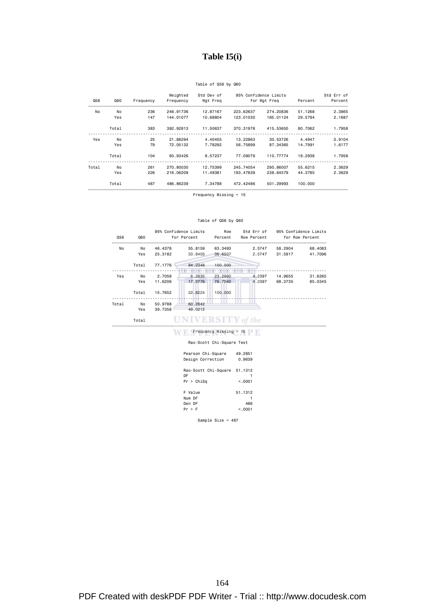## **Table I5(i)**

### Table of Q56 by Q60

| Std Err of<br>Percent | Percent | 95% Confidence Limits<br>Wgt Freq<br>for Wgt Freg |           | Std Dev of | Weighted<br>Frequency | Frequency | Q60   | Q56   |
|-----------------------|---------|---------------------------------------------------|-----------|------------|-----------------------|-----------|-------|-------|
| 2.3865                | 51,1268 | 274,20836                                         | 223,62637 | 12,87167   | 248,91736             | 236       | No    | No    |
| 2.1687                | 29.5794 | 165,01124                                         | 123,01030 | 10.68804   | 144,01077             | 147       | Yes   |       |
| 1.7958                | 80.7062 | 415,53650                                         | 370.31976 | 11,50637   | 392.92813             | 383       | Total |       |
| 0.9104                | 4.4947  | 30.53726                                          | 13,22863  | 4.40455    | 21,88294              | 25        | No    | Yes   |
| 1.6177                | 14,7991 | 87.34365                                          | 56.75899  | 7.78292    | 72.05132              | 79        | Yes   |       |
| 1.7958                | 19,2938 | 110.77774                                         | 77,09079  | 8.57237    | 93.93426              | 104       | Total |       |
| 2.3629                | 55.6215 | 295,86007                                         | 245,74054 | 12,75399   | 270,80030             | 261       | No    | Total |
| 2.3629                | 44,3785 | 238,64579                                         | 193,47839 | 11,49381   | 216,06209             | 226       | Yes   |       |
|                       | 100,000 | 501.29993                                         | 472.42486 | 7.34788    | 486,86239             | 487       | Total |       |

Frequency Missing = 15

#### Table of Q56 by Q60

| Q56   | Q60            | 95% Confidence Limits<br>for Percent | Row<br>Percent           | Std Err of<br>Row Percent |         | 95% Confidence Limits<br>for Row Percent |
|-------|----------------|--------------------------------------|--------------------------|---------------------------|---------|------------------------------------------|
| No    | 46,4378<br>No  | 55.8159                              | 63.3493                  | 2.5747                    | 58.2904 | 68.4083                                  |
|       | Yes<br>25,3182 | 33,8405                              | 36,6507                  | 2.5747                    | 31,5917 | 41.7096                                  |
| Total | 77.1776        | 84.2348                              | 100,000                  |                           |         |                                          |
|       |                |                                      |                          |                           |         |                                          |
| Yes   | 2,7058<br>No   | 6.2835                               | 23.2960                  | 4.2397                    | 14,9655 | 31.6265                                  |
|       | 11.6206<br>Yes | 17.9776                              | 76,7040                  | 4.2397                    | 68,3735 | 85.0345                                  |
| Total | 15.7652        | 22.8224                              | 100,000                  |                           |         |                                          |
| Total | 50.9788<br>No  | 60.2642                              |                          |                           |         |                                          |
|       | 39,7358<br>Yes | 49.0212                              |                          |                           |         |                                          |
|       | Total          | <b>UNIVERSITY</b> of the             |                          |                           |         |                                          |
|       |                |                                      | $Frequency Missing = 15$ |                           |         |                                          |

Rao-Scott Chi-Square Test

| Pearson Chi-Square   | 49.2851  |
|----------------------|----------|
| Design Correction    | 0.9639   |
| Rao-Scott Chi-Square | 51.1312  |
|                      |          |
|                      | < 0.001  |
|                      | 51.1312  |
|                      |          |
|                      | 486      |
|                      | < 0.0001 |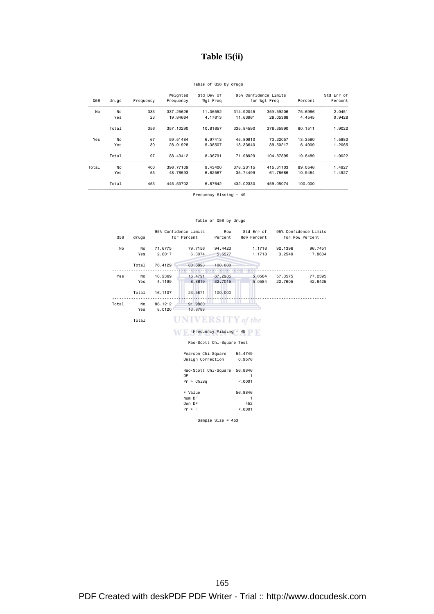### **Table I5(ii)**

### Table of Q56 by drugs

|         |            |              | Std Dev of            | Weighted   |           |       |       |
|---------|------------|--------------|-----------------------|------------|-----------|-------|-------|
| Percent |            | for Wgt Freq |                       | Frequency  | Frequency | drugs | Q56   |
| 75,6966 | 359,59206  | 314,92045    | 11,36552              | 337,25626  | 333       | No    | No    |
| 4.4545  | 28,05368   | 11,63961     | 4.17613               | 19,84664   | 23        | Yes   |       |
| 80.1511 | 378,35990  | 335,84590    | 10.81657              | 357, 10290 | 356       | Total |       |
| 13,3580 | 73,22057   | 45,80910     | 6.97413               | 59.51484   | 67        | No    | Yes   |
| 6,4909  | 39.50217   | 18,33640     | 5.38507               | 28,91928   | 30        | Yes   |       |
| 19,8489 | 104,87895  | 71,98929     | 8.36791               | 88,43412   | 97        | Total |       |
| 89,0546 | 415, 31103 | 378,23115    | 9,43400               | 396,77109  | 400       | No    | Total |
| 10.9454 | 61.78686   | 35,74499     | 6.62567               | 48.76593   | 53        | Yes   |       |
| 100,000 | 459,05074  | 432.02330    | 6.87642               | 445.53702  | 453       | Total |       |
|         |            |              | 95% Confidence Limits | Wgt Freq   |           |       |       |

Frequency Missing = 49

#### Table of Q56 by drugs

| Q56   | drugs |         | 95% Confidence Limits                                                                                                                                                | Row<br>Percent | Std Err of<br>Row Percent |         | 95% Confidence Limits<br>for Row Percent |  |
|-------|-------|---------|----------------------------------------------------------------------------------------------------------------------------------------------------------------------|----------------|---------------------------|---------|------------------------------------------|--|
| No    | No    | 71.6775 | 79.7156                                                                                                                                                              | 94.4423        | 1.1718                    | 92.1396 | 96.7451                                  |  |
|       | Yes   | 2.6017  | 6.3074                                                                                                                                                               | 5.5577         | 1.1718                    | 3,2549  | 7.8604                                   |  |
|       | Total | 76.4129 | 83.8893                                                                                                                                                              | 100.000        |                           |         |                                          |  |
| Yes   | No    | 10.2369 | for Percent<br>67.2985<br>16,4791<br>4.1199<br>8.8619<br>32.7015<br>23,5871<br>100,000<br>91,9880<br>13.8788<br><b>UNIVERSITY</b> of the<br>$Frequency$ Missing = 49 | 5.0584         | 57.3575                   | 77.2395 |                                          |  |
|       | Yes   |         |                                                                                                                                                                      |                | 5.0584                    | 22,7605 | 42.6425                                  |  |
|       | Total | 16.1107 |                                                                                                                                                                      |                |                           |         |                                          |  |
| Total | No    | 86.1212 |                                                                                                                                                                      |                |                           |         |                                          |  |
|       | Yes   | 8.0120  |                                                                                                                                                                      |                |                           |         |                                          |  |
|       | Total |         |                                                                                                                                                                      |                |                           |         |                                          |  |
|       |       |         |                                                                                                                                                                      |                |                           |         |                                          |  |

#### Rao-Scott Chi-Square Test

| Pearson Chi-Square   | 54.4749  |
|----------------------|----------|
| Design Correction    | 0.9576   |
| Rao-Scott Chi-Square | 56.8846  |
| DF                   |          |
| Pr > Chisq           | < 0.001  |
| F Value              | 56.8846  |
| Num DF               |          |
| Den DF               | 452      |
| Pr > F               | < 0.0001 |
|                      |          |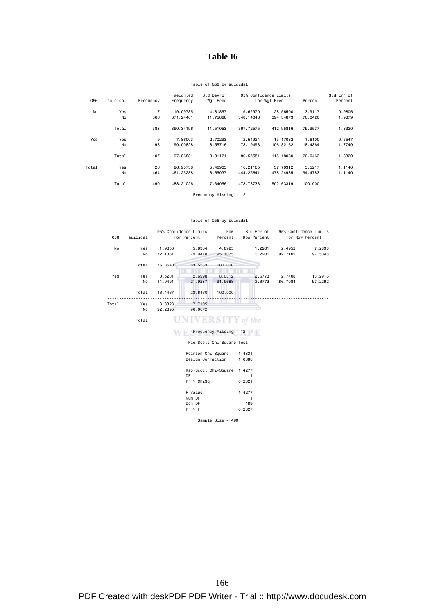### **Table I6**

### Table of Q56 by suicidal

| Std Err of<br>Percent | Percent | for Wgt Freq | 95% Confidence Limits | Std Dev of<br>Wgt Freq | Weighted<br>Frequency | Frequency | suicidal | Q56   |
|-----------------------|---------|--------------|-----------------------|------------------------|-----------------------|-----------|----------|-------|
| 0.9806                | 3.9117  | 28,56500     | 9.62970               | 4.81857                | 19,09735              | 17        | Yes      | No    |
| 1.9879                | 76,0420 | 394.34873    | 348,14048             | 11,75886               | 371.24461             | 366       | No       |       |
| 1.8320                | 79,9537 | 412.95816    | 367.72575             | 11,51053               | 390.34196             | 383       | Total    |       |
| 0.5547                | 1.6100  | 13,17082     | 2.54924               | 2.70293                | 7.86003               | 9         | Yes      | Yes   |
| 1.7749                | 18,4364 | 106.82162    | 73,19493              | 8.55716                | 90.00828              | 98        | No       |       |
| 1.8320                | 20,0463 | 115,18080    | 80.55581              | 8.81121                | 97.86831              | 107       | Total    |       |
| 1.1140                | 5.5217  | 37.70312     | 16,21165              | 5.46905                | 26,95738              | 26        | Yes      | Total |
| 1.1140                | 94,4783 | 478.24935    | 444.25641             | 8.65037                | 461.25288             | 464       | No       |       |
|                       | 100,000 | 502.63319    | 473.78733             | 7.34056                | 488,21026             | 490       | Total    |       |

Frequency Missing = 12

#### Table of Q56 by suicidal

|  | Q56   | suicidal |         | 95% Confidence Limits<br>for Percent | Row<br>Percent | Std Err of<br>Row Percent | 95% Confidence Limits<br>for Row Percent |         |
|--|-------|----------|---------|--------------------------------------|----------------|---------------------------|------------------------------------------|---------|
|  | No    | Yes      | 1.9850  | 5.8384                               | 4.8925         | 1.2201                    | 2.4952                                   | 7.2898  |
|  |       | No       | 72.1361 | 79,9478                              | 95,1075        | 1.2201                    | 92.7102                                  | 97.5048 |
|  |       | Total    | 76.3540 | 83.5533                              | 100,000        |                           |                                          |         |
|  | Yes   | Yes      | 0.5201  | 2.6998                               | 8,0312         | 2.6773                    | 2.7708                                   | 13,2916 |
|  |       | No       | 14,9491 | 21,9237                              | 91,9688        | 2.6773                    | 86.7084                                  | 97.2292 |
|  |       | Total    | 16.4467 | 23,6460                              | 100,000        |                           |                                          |         |
|  | Total | Yes      | 3.3328  | 7.7105                               |                |                           |                                          |         |
|  |       | No       | 92.2895 | 96.6672                              |                |                           |                                          |         |
|  |       | Total    |         |                                      | ERSITY of the  |                           |                                          |         |

### $\blacksquare$   $\blacksquare$   $\blacksquare$   $\blacksquare$   $\blacksquare$   $\blacksquare$   $\blacksquare$   $\blacksquare$   $\blacksquare$   $\blacksquare$   $\blacksquare$   $\blacksquare$   $\blacksquare$   $\blacksquare$   $\blacksquare$   $\blacksquare$   $\blacksquare$   $\blacksquare$   $\blacksquare$   $\blacksquare$   $\blacksquare$   $\blacksquare$   $\blacksquare$   $\blacksquare$   $\blacksquare$   $\blacksquare$   $\blacksquare$   $\blacksquare$   $\blacksquare$   $\blacksquare$   $\blacksquare$   $\blacks$

#### Rao-Scott Chi-Square Test

| Pearson Chi-Square<br>Design Correction  | 1.4831<br>1.0388        |
|------------------------------------------|-------------------------|
| Rao-Scott Chi-Square<br>DF<br>Pr > Chisq | 1.4277<br>0.2321        |
| F Value<br>Num DF<br>Den DF<br>Pr > F    | 1.4277<br>489<br>0.2327 |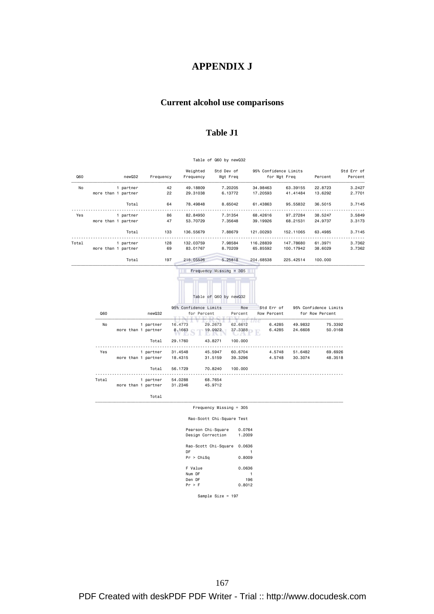## **APPENDIX J**

## **Current alcohol use comparisons**

### **Table J1**

Table of Q60 by newQ32

| Q60   |       | newQ32              | Frequency |         | Weighted<br>Frequency                |         | Std Dev of<br>Wgt Freq    | 95% Confidence Limits     | for Wgt Freq | Percent                                  | Std Err of<br>Percent |
|-------|-------|---------------------|-----------|---------|--------------------------------------|---------|---------------------------|---------------------------|--------------|------------------------------------------|-----------------------|
| No    |       | 1 partner           |           | 42      | 49.18809                             |         | 7.20205                   | 34,98463                  | 63.39155     | 22.8723                                  | 3.2427                |
|       |       | more than 1 partner |           | 22      | 29.31038                             |         | 6.13772                   | 17.20593                  | 41.41484     | 13.6292                                  | 2.7701                |
|       |       | Total               |           | 64      | 78.49848                             |         | 8.65042                   | 61.43863                  | 95.55832     | 36.5015                                  | 3.7145                |
| Yes   |       | 1 partner           |           | 86      | 82.84950                             |         | 7.31354                   | 68.42616                  | 97.27284     | 38.5247                                  | 3.5849                |
|       |       | more than 1 partner |           | 47      | 53.70729                             |         | 7.35648                   | 39.19926                  | 68.21531     | 24.9737                                  | 3.3173                |
|       |       | Total               |           | 133     | 136.55679                            |         | 7.88679                   | 121.00293                 | 152.11065    | 63.4985                                  | 3.7145                |
| Total |       | 1 partner           |           | 128     | 132.03759                            |         | 7.98584                   | 116.28839                 | 147.78680    | 61.3971                                  | 3.7362                |
|       |       | more than 1 partner |           | 69      | 83.01767                             |         | 8.70209                   | 65.85592                  | 100.17942    | 38.6029                                  | 3.7362                |
|       |       | Total               |           | 197     | 215.05526                            |         | 5.25818                   | 204.68538                 | 225.42514    | 100.000                                  |                       |
|       |       |                     |           |         |                                      |         | Frequency Missing = 305   |                           |              |                                          |                       |
|       |       |                     |           |         |                                      |         |                           |                           |              |                                          |                       |
|       |       |                     |           |         |                                      |         | Table of Q60 by newQ32    |                           |              |                                          |                       |
|       | Q60   |                     | newQ32    |         | 95% Confidence Limits<br>for Percent |         | Row<br>Percent            | Std Err of<br>Row Percent |              | 95% Confidence Limits<br>for Row Percent |                       |
|       | No    |                     | 1 partner | 16.4773 | <b>.</b>                             | 29,2673 | 62.6612                   | uw<br>6.4285              | 49.9832      | 75.3392                                  |                       |
|       |       | more than 1 partner |           | 8.1663  |                                      | 19.0922 | 37.3388                   | 6.4285                    | 24,6608      | 50.0168                                  |                       |
|       |       |                     | Total     | 29.1760 |                                      | 43.8271 | 100.000                   |                           |              |                                          |                       |
|       | Yes   |                     | 1 partner | 31.4548 |                                      | 45.5947 | 60.6704                   | 4.5748                    | 51.6482      | 69.6926                                  |                       |
|       |       | more than 1 partner |           | 18.4315 |                                      | 31.5159 | 39.3296                   | 4.5748                    | 30.3074      | 48.3518                                  |                       |
|       |       |                     | Total     | 56.1729 |                                      | 70.8240 | 100.000                   |                           |              |                                          |                       |
|       | Total |                     | 1 partner | 54.0288 |                                      | 68.7654 |                           |                           |              |                                          |                       |
|       |       | more than 1 partner |           | 31.2346 |                                      | 45.9712 |                           |                           |              |                                          |                       |
|       |       |                     | Total     |         |                                      |         |                           |                           |              |                                          |                       |
|       |       |                     |           |         |                                      |         | $Frequency$ Missing = 305 |                           |              |                                          |                       |
|       |       |                     |           |         |                                      |         | Rao-Scott Chi-Square Test |                           |              |                                          |                       |

|                                          | Rao-Scott Chi-Square Test |                         |
|------------------------------------------|---------------------------|-------------------------|
| Pearson Chi-Square<br>Design Correction  |                           | 0.0764<br>1,2009        |
| Rao-Scott Chi-Square<br>DF<br>Pr > Chisq |                           | 0.0636<br>0.8009        |
| F Value<br>Num DF<br>Den DF<br>Pr > F    |                           | 0.0636<br>196<br>0.8012 |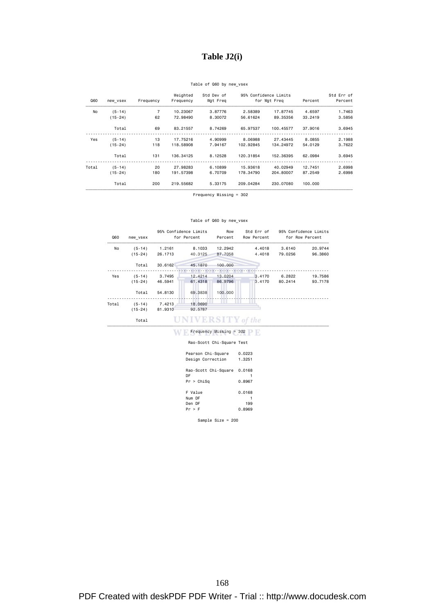## **Table J2(i)**

### Table of Q60 by new\_vsex

| Std Err of<br>Percent | Percent | for Wgt Freq | 95% Confidence Limits | Std Dev of<br>Wgt Freq | Weighted<br>Frequency | Frequency      | new vsex    | Q60   |
|-----------------------|---------|--------------|-----------------------|------------------------|-----------------------|----------------|-------------|-------|
|                       |         |              |                       |                        |                       |                |             |       |
| 1.7463                | 4.6597  | 17.87745     | 2.58389               | 3.87776                | 10.23067              | $\overline{7}$ | $(5-14)$    | No    |
| 3.5856                | 33,2419 | 89.35356     | 56.61624              | 8.30072                | 72.98490              | 62             | $(15 - 24)$ |       |
| 3.6945                | 37,9016 | 100.45577    | 65.97537              | 8.74269                | 83.21557              | 69             | Total       |       |
| 2.1988                | 8.0855  | 27.43445     | 8,06988               | 4.90999                | 17,75216              | 13             | $(5-14)$    | Yes   |
| 3.7622                | 54,0129 | 134,24972    | 102.92845             | 7.94167                | 118,58908             | 118            | $(15-24)$   |       |
| 3.6945                | 62,0984 | 152,36395    | 120,31854             | 8.12528                | 136, 34125            | 131            | Total       |       |
| 2.6998                | 12.7451 | 40.02949     | 15,93618              | 6,10899                | 27,98283              | 20             | $(5-14)$    | Total |
| 2.6998                | 87.2549 | 204,80007    | 178,34790             | 6.70709                | 191.57398             | 180            | $(15-24)$   |       |
|                       | 100,000 | 230,07080    | 209,04284             | 5.33175                | 219,55682             | 200            | Total       |       |

Frequency Missing = 302

### Table of Q60 by new\_vsex

| $(5-14)$<br>$(15-24)$ | 1.2161   |         |         |         |                                                                 |         |
|-----------------------|----------|---------|---------|---------|-----------------------------------------------------------------|---------|
|                       |          | 8.1033  | 12,2942 | 4.4018  | 3.6140                                                          | 20.9744 |
|                       | 26.1713  | 40.3125 | 87,7058 | 4.4018  | 79,0256                                                         | 96.3860 |
| Total                 | 30.6162  | 45,1870 | 100,000 |         |                                                                 |         |
|                       |          |         |         |         |                                                                 | 19.7586 |
| $(15-24)$             | 46.5941  | 61.4318 | 86.9796 | 3.4170  | 80.2414                                                         | 93.7178 |
| Total                 | 54.8130  | 69.3838 | 100,000 |         |                                                                 |         |
| $(5-14)$              | 7.4213   | 18.0690 |         |         |                                                                 |         |
| $(15-24)$             | 81.9310  | 92.5787 |         |         |                                                                 |         |
| Total                 |          |         |         |         |                                                                 |         |
|                       | $(5-14)$ | 3.7495  | 12.4214 | 13.0204 | 3.4170<br><b>UNIVERSITY</b> of the<br>$Frequency$ Missing = 302 | 6.2822  |

#### Rao-Scott Chi-Square Test

| Pearson Chi-Square   | 0.0223 |
|----------------------|--------|
| Design Correction    | 1.3251 |
|                      |        |
| Rao-Scott Chi-Square | 0.0168 |
| DF                   |        |
| Pr > Chisq           | 0.8967 |
|                      |        |
| F Value              | 0.0168 |
| Num DF               |        |
| Den DF               | 199    |
| Pr > F               | 0.8969 |
|                      |        |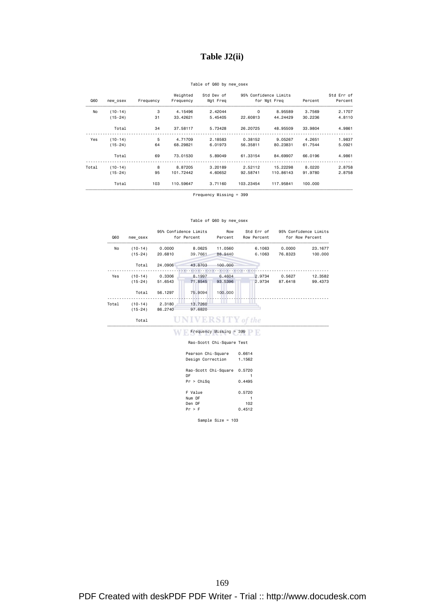### **Table J2(ii)**

### Table of Q60 by new\_osex

| Std Err of |         |              | 95% Confidence Limits | Std Dev of | Weighted  |           |             |       |
|------------|---------|--------------|-----------------------|------------|-----------|-----------|-------------|-------|
| Percent    | Percent | for Wgt Freq |                       | Wgt Freg   | Frequency | Frequency | new osex    | Q60   |
| 2.1707     | 3,7569  | 8.95589      | 0                     | 2.42044    | 4.15496   | 3         | $(10-14)$   | No    |
| 4.8110     | 30,2236 | 44.24429     | 22,60813              | 5.45405    | 33,42621  | 31        | $(15 - 24)$ |       |
| 4.9861     | 33,9804 | 48.95509     | 26,20725              | 5.73428    | 37.58117  | 34        | Total       |       |
| 1.9837     | 4.2651  | 9.05267      | 0.38152               | 2.18583    | 4.71709   | 5         | $(10-14)$   | Yes   |
| 5.0921     | 61.7544 | 80.23831     | 56.35811              | 6.01973    | 68.29821  | 64        | $(15-24)$   |       |
| 4.9861     | 66,0196 | 84.69907     | 61.33154              | 5.89049    | 73.01530  | 69        | Total       |       |
| 2.8758     | 8,0220  | 15.22298     | 2.52112               | 3.20189    | 8.87205   | 8         | $(10-14)$   | Total |
| 2.8758     | 91,9780 | 110,86143    | 92.58741              | 4.60652    | 101.72442 | 95        | $(15 - 24)$ |       |
|            | 100,000 | 117,95841    | 103.23454             | 3,71160    | 110.59647 | 103       | Total       |       |

Frequency Missing = 399

#### Table of Q60 by new\_osex

| Q60   | new osex  | 95% Confidence Limits<br>for Percent |                          | Row<br>Percent            | Std Err of<br>Row Percent |         | 95% Confidence Limits<br>for Row Percent |
|-------|-----------|--------------------------------------|--------------------------|---------------------------|---------------------------|---------|------------------------------------------|
| No    | $(10-14)$ | 0.0000                               | 8.0625                   | 11.0560                   | 6.1063                    | 0.0000  | 23.1677                                  |
|       | $(15-24)$ | 20,6810                              | 39,7661                  | 88,9440                   | 6.1063                    | 76.8323 | 100.000                                  |
|       | Total     | 24,0906                              | 43.8703                  | 100,000                   |                           |         |                                          |
|       |           |                                      |                          |                           |                           |         |                                          |
| Yes   | $(10-14)$ | 0.3306                               | 8.1997                   | 6.4604                    | 2.9734                    | 0.5627  | 12.3582                                  |
|       | $(15-24)$ | 51.6543                              | 71.8545                  | 93.5396                   | 2.9734                    | 87.6418 | 99.4373                                  |
|       | Total     | 56.1297                              | 75,9094                  | 100,000                   |                           |         |                                          |
| Total | $(10-14)$ | 2,3180                               | 13.7260                  |                           |                           |         |                                          |
|       | $(15-24)$ | 86.2740                              | 97,6820                  |                           |                           |         |                                          |
|       | Total     |                                      | <b>UNIVERSITY</b> of the |                           |                           |         |                                          |
|       |           |                                      |                          | $Frequency$ Missing = 399 |                           |         |                                          |

#### Rao-Scott Chi-Square Test

| Pearson Chi-Square   | 0.6614 |
|----------------------|--------|
| Design Correction    | 1.1562 |
| Rao-Scott Chi-Square | 0.5720 |
| DF                   |        |
| Pr > Chisq           | 0.4495 |
| F Value              | 0.5720 |
| Num DF               |        |
| Den DF               | 102    |
| Pr > F               | 0.4512 |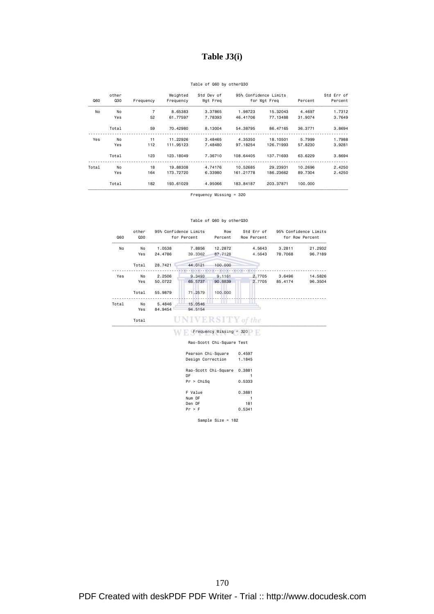### **Table J3(i)**

### Table of Q60 by otherQ30

| Std Err of |         | 95% Confidence Limits |           | Std Dev of | Weighted   |                | other |       |
|------------|---------|-----------------------|-----------|------------|------------|----------------|-------|-------|
| Percent    | Percent | for Wgt Freg          |           | Wgt Freq   | Frequency  | Frequency      | Q30   | Q60   |
| 1.7312     | 4.4697  | 15,32043              | 1.98723   | 3,37865    | 8.65383    | $\overline{7}$ | No    | No    |
| 3,7649     | 31,9074 | 77.13488              | 46,41706  | 7.78393    | 61.77597   | 52             | Yes   |       |
| 3.8694     | 36,3771 | 86,47165              | 54.38795  | 8.13004    | 70.42980   | 59             | Total |       |
| 1.7988     | 5.7999  | 18,10501              | 4.35350   | 3,48465    | 11,22926   | 11             | No    | Yes   |
| 3.9281     | 57,8230 | 126,71993             | 97.18254  | 7.48480    | 111.95123  | 112            | Yes   |       |
| 3.8694     | 63.6229 | 137.71693             | 108,64405 | 7.36710    | 123, 18049 | 123            | Total |       |
| 2.4250     | 10.2696 | 29,23931              | 10.52685  | 4.74176    | 19,88308   | 18             | No    | Total |
| 2.4250     | 89,7304 | 186,23662             | 161.21778 | 6.33980    | 173,72720  | 164            | Yes   |       |
|            | 100,000 | 203.37871             | 183,84187 | 4.95066    | 193,61029  | 182            | Total |       |

Frequency Missing = 320

#### Table of Q60 by otherQ30

| Q60   | other<br>Q30 |         | 95% Confidence Limits<br>for Percent | Row<br>Percent            | Std Err of<br>Row Percent |         | 95% Confidence Limits<br>for Row Percent |  |  |
|-------|--------------|---------|--------------------------------------|---------------------------|---------------------------|---------|------------------------------------------|--|--|
| No    | No           | 1.0538  | 7.8856                               | 12.2872                   | 4.5643                    | 3.2811  | 21.2932                                  |  |  |
|       | Yes          | 24,4786 | 39,3362                              | 87.7128                   | 4.5643                    | 78,7068 | 96.7189                                  |  |  |
|       | Total        | 28.7421 | 44.0121                              | 100,000                   |                           |         |                                          |  |  |
| Yes   | No           | 2.2506  | 9.3493                               | 9.1161                    | 2.7705                    | 3.6496  | 14.5826                                  |  |  |
|       | Yes          | 50.0722 | 65.5737                              | 90.8839                   | 2.7705                    | 85.4174 | 96.3504                                  |  |  |
|       | Total        | 55.9879 | 71.2579                              | 100.000                   |                           |         |                                          |  |  |
| Total | No           | 5.4846  | 15,0546                              |                           |                           |         |                                          |  |  |
|       | Yes          | 84.9454 | 94.5154                              |                           |                           |         |                                          |  |  |
|       | Total        |         | <b>UNIVERSITY</b> of the             |                           |                           |         |                                          |  |  |
|       |              |         |                                      | $Frequency$ Missing = 320 |                           |         |                                          |  |  |
|       |              |         |                                      | Rao-Scott Chi-Square Test |                           |         |                                          |  |  |

Rao-Scott Chi-Square 0.3881

Sample Size = 182

Pearson Chi-Square 0.4597 Design Correction 1.1845

DF 1 Pr > ChiSq 0.5333

F Value 0.3881<br>2 Num DF 181<br>2 Den DF 181<br>Pr > F 0.5341

PDF Created with deskPDF PDF Writer - Trial :: http://www.docudesk.com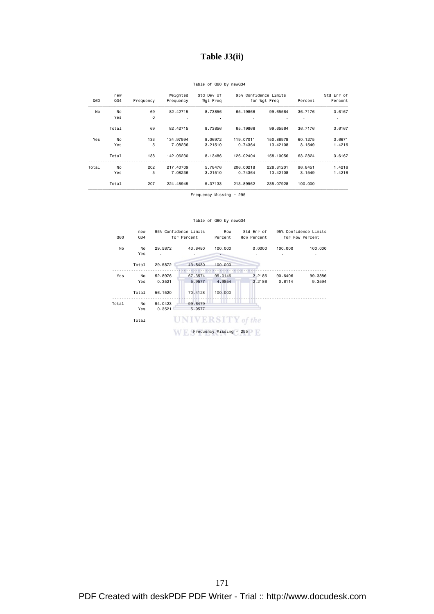## **Table J3(ii)**

### Table of Q60 by newQ34

| Std Err of     |                | 95% Confidence Limits |           | Std Dev of | Weighted  |           | new   |       |
|----------------|----------------|-----------------------|-----------|------------|-----------|-----------|-------|-------|
| Percent        | Percent        | for Wgt Freg          |           | Wgt Freq   | Frequency | Frequency | Q34   | Q60   |
| 3.6167         | 36.7176        | 99.65564              | 65,19866  | 8,73856    | 82.42715  | 69        | No    | No    |
| $\blacksquare$ | $\blacksquare$ | $\bullet$             |           |            | $\cdot$   | $\Omega$  | Yes   |       |
| 3.6167         | 36,7176        | 99.65564              | 65,19866  | 8,73856    | 82.42715  | 69        | Total |       |
| 3.6671         | 60.1275        | 150,88978             | 119,07011 | 8,06972    | 134,97994 | 133       | No    | Yes   |
| 1.4216         | 3.1549         | 13,42108              | 0.74364   | 3.21510    | 7.08236   | 5         | Yes   |       |
| 3.6167         | 63.2824        | 158,10056             | 126,02404 | 8,13486    | 142,06230 | 138       | Total |       |
| 1.4216         | 96.8451        | 228,81201             | 206,00218 | 5.78476    | 217,40709 | 202       | No    | Total |
| 1.4216         | 3.1549         | 13,42108              | 0.74364   | 3,21510    | 7.08236   | 5         | Yes   |       |
|                | 100,000        | 235,07928             | 213,89962 | 5.37133    | 224,48945 | 207       | Total |       |

Frequency Missing = 295

### Table of Q60 by newQ34

| Q60<br>No | new<br>Q34 | 95% Confidence Limits<br>for Percent |                   | Row<br>Percent            | Std Err of<br>Row Percent |                    | 95% Confidence Limits<br>for Row Percent |  |
|-----------|------------|--------------------------------------|-------------------|---------------------------|---------------------------|--------------------|------------------------------------------|--|
|           | No<br>Yes  | 29.5872<br>$\cdot$                   | 43,8480           | 100,000                   | 0.0000<br>$\blacksquare$  | 100,000<br>$\cdot$ | 100.000<br>$\cdot$                       |  |
|           | Total      | 29.5872                              | 43,8480           | 100,000                   |                           |                    |                                          |  |
| Yes       | No         | 52.8976                              | 67.3574           | 95.0146                   | 2.2186                    | 90.6406            | 99.3886                                  |  |
|           | Yes        | 0.3521                               | 5.9577            | 4.9854                    | 2.2186                    | 0.6114             | 9.3594                                   |  |
|           | Total      | 56.1520                              | 70.4128           | 100,000                   |                           |                    |                                          |  |
| Total     | No<br>Yes  | 94.0423<br>0.3521                    | 99.6479<br>5.9577 |                           |                           |                    |                                          |  |
|           | Total      |                                      |                   | <b>ERSITY</b> of the      |                           |                    |                                          |  |
|           |            |                                      |                   | $Frequency$ Missing = 295 |                           |                    |                                          |  |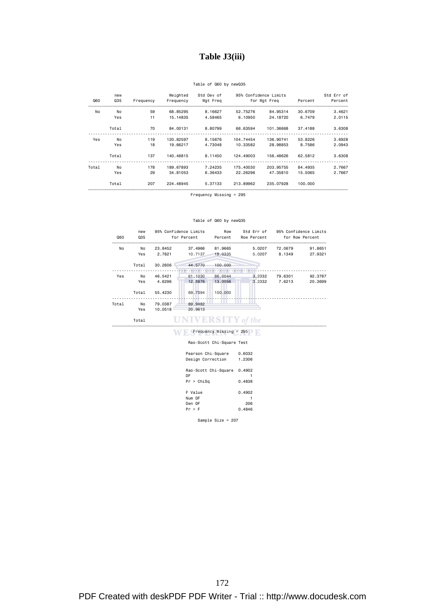## **Table J3(iii)**

### Table of Q60 by newQ35

| Std Err of |         |              | 95% Confidence Limits | Std Dev of | Weighted  |           | new   |       |
|------------|---------|--------------|-----------------------|------------|-----------|-----------|-------|-------|
| Percent    | Percent | for Wgt Freg |                       | Wgt Freq   | Frequency | Frequency | Q35   | Q60   |
| 3.4621     | 30,6709 | 84,95314     | 52,75276              | 8.16627    | 68.85295  | 59        | No    | No    |
| 2.0115     | 6.7479  | 24, 18720    | 6,10950               | 4.58465    | 15, 14835 | 11        | Yes   |       |
| 3.6308     | 37,4188 | 101.36668    | 66.63594              | 8,80799    | 84,00131  | 70        | Total |       |
| 3.6928     | 53,8226 | 136,90741    | 104.74454             | 8.15676    | 120,82597 | 119       | No    | Yes   |
| 2.0943     | 8,7586  | 28,98853     | 10.33582              | 4.73048    | 19,66217  | 18        | Yes   |       |
| 3.6308     | 62.5812 | 156,48626    | 124,49003             | 8.11450    | 140.48815 | 137       | Total |       |
| 2.7667     | 84,4935 | 203.95755    | 175,40030             | 7.24235    | 189,67893 | 178       | No    | Total |
| 2.7667     | 15,5065 | 47,35810     | 22,26296              | 6.36433    | 34,81053  | 29        | Yes   |       |
|            | 100,000 | 235,07928    | 213,89962             | 5.37133    | 224,48945 | 207       | Total |       |

Frequency Missing = 295

#### Table of Q60 by newQ35

| Q60   | new<br>Q35 |         | 95% Confidence Limits<br>for Percent | Row<br>Percent            | Std Err of<br>Row Percent |         | 95% Confidence Limits<br>for Row Percent |
|-------|------------|---------|--------------------------------------|---------------------------|---------------------------|---------|------------------------------------------|
| No    | No         | 23,8452 | 37,4966                              | 81,9665                   | 5.0207                    | 72,0679 | 91.8651                                  |
|       | Yes        | 2.7821  | 10.7137                              | 18,0335                   | 5.0207                    | 8,1349  | 27.9321                                  |
|       | Total      | 30,2606 | 44.5770                              | 100.000                   |                           |         |                                          |
|       |            |         |                                      |                           |                           |         |                                          |
| Yes   | No         | 46.5421 | 61.1030                              | 86.0044                   | 3.2332                    | 79.6301 | 92.3787                                  |
|       | Yes        | 4.6296  | 12.8876                              | 13,9956                   | 3.2332                    | 7.6213  | 20.3699                                  |
|       | Total      | 55,4230 | 69.7394                              | 100,000                   |                           |         |                                          |
| Total | No         | 79,0387 | 89.9482                              |                           |                           |         |                                          |
|       | Yes        | 10.0518 | 20.9613                              |                           |                           |         |                                          |
|       | Total      |         | <b>UNIVERSITY</b> of the             |                           |                           |         |                                          |
|       |            |         |                                      | $Frequency$ Missing = 295 |                           |         |                                          |

Rao-Scott Chi-Square Test

| Pearson Chi-Square   | 0.6032 |  |
|----------------------|--------|--|
| Design Correction    | 1,2306 |  |
| Rao-Scott Chi-Square | 0.4902 |  |
| DF                   |        |  |
| Pr > Chisq           | 0.4838 |  |
| F Value              | 0.4902 |  |
| Num DF               |        |  |
| Den DF               | 206    |  |
| Pr > F               | 0.4846 |  |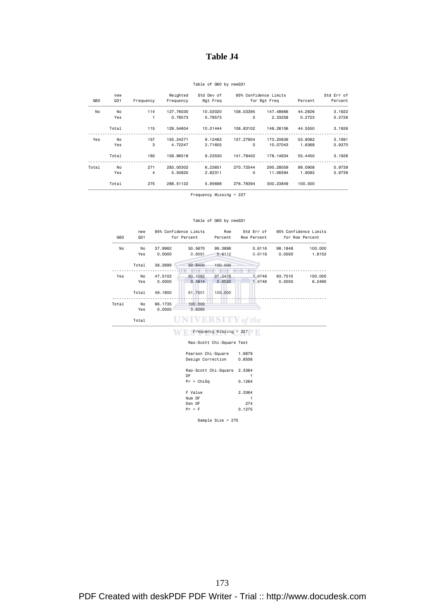### **Table J4**

### Table of Q60 by newQ31

| Std Err of |         |              | Std Dev of 95% Confidence Limits |          | Weighted  |           | new<br>Q31 |       |
|------------|---------|--------------|----------------------------------|----------|-----------|-----------|------------|-------|
| Percent    | Percent | for Wgt Freq |                                  | Wgt Freq | Frequency | Frequency |            | Q60   |
| 3.1922     | 44.2826 | 147.48666    | 108,03395                        | 10.02020 | 127,76030 | 114       | No         | No    |
| 0.2726     | 0.2723  | 2.33258      | $\Omega$                         | 0.78573  | 0.78573   | 1         | Yes        |       |
| 3.1926     | 44.5550 | 148,26106    | 108,83102                        | 10.01444 | 128,54604 | 115       | Total      |       |
| 3.1991     | 53,8082 | 173,20639    | 137,27904                        | 9.12483  | 155.24271 | 157       | No         | Yes   |
| 0.9370     | 1.6368  | 10.07043     | $\Omega$                         | 2.71655  | 4.72247   | 3         | Yes        |       |
| 3.1926     | 55,4450 | 178,14634    | 141.78402                        | 9.23530  | 159,96518 | 160       | Total      |       |
| 0.9739     | 98,0908 | 295,28059    | 270.72544                        | 6.23651  | 283,00302 | 271       | No         | Total |
| 0.9739     | 1,9092  | 11,06594     | $\Omega$                         | 2.82311  | 5.50820   | 4         | Yes        |       |
|            | 100,000 | 300.23849    | 276,78394                        | 5.95698  | 288,51122 | 275       | Total      |       |

Frequency Missing = 227

#### Table of Q60 by newQ31

| Q60   | new<br>Q31 |         | 95% Confidence Limits<br>for Percent | Row<br>Percent            | Std Err of<br>Row Percent |         | 95% Confidence Limits<br>for Row Percent |
|-------|------------|---------|--------------------------------------|---------------------------|---------------------------|---------|------------------------------------------|
| No    | No         | 37.9982 | 50.5670                              | 99.3888                   | 0.6116                    | 98.1848 | 100.000                                  |
|       | Yes        | 0.0000  | 0.8091                               | 0.6112                    | 0.6116                    | 0.0000  | 1.8152                                   |
|       | Total      | 38,2699 | 50,8400                              | 100,000                   |                           |         |                                          |
| Yes   | No         | 47.5102 | 60, 1062                             | 97.0478                   | 1.6746                    | 93.7510 | 100.000                                  |
|       | Yes        | 0.0000  | 3.4814                               | 2.9522                    | 1.6746                    | 0.0000  | 6.2490                                   |
|       | Total      | 49,1600 | 61,7301                              | 100,000                   |                           |         |                                          |
| Total | No         | 96.1735 | 100,000                              |                           |                           |         |                                          |
|       | Yes        | 0.0000  | 3.8265                               |                           |                           |         |                                          |
|       | Total      |         | <b>UNIVERSITY</b> of the             |                           |                           |         |                                          |
|       |            |         |                                      | $Frequency$ Missing = 227 |                           |         |                                          |

### Rao-Scott Chi-Square Test

| Pearson Chi-Square<br>Design Correction  | 1.9879<br>0.8508        |
|------------------------------------------|-------------------------|
| Rao-Scott Chi-Square<br>DF<br>Pr > Chisq | 2.3364<br>0.1264        |
| F Value<br>Num DF<br>Den DF<br>Pr > F    | 2.3364<br>274<br>0.1275 |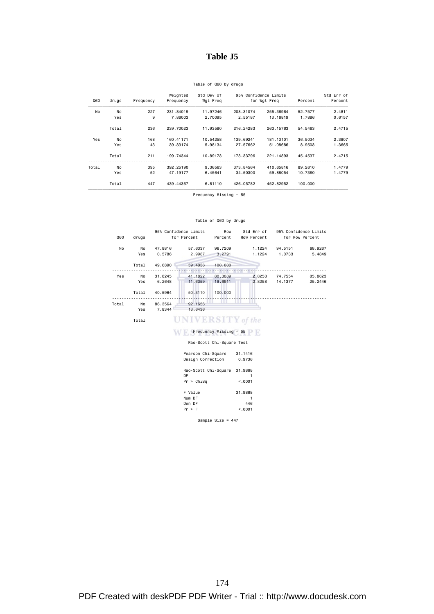### **Table J5**

### Table of Q60 by drugs

| Std Err of<br>Percent | Percent | 95% Confidence Limits<br>for Wgt Freg |           | Std Dev of<br>Wgt Freq | Weighted<br>Frequency | Frequency | drugs | Q60   |
|-----------------------|---------|---------------------------------------|-----------|------------------------|-----------------------|-----------|-------|-------|
| 2.4811                | 52.7577 | 255,36964                             | 208,31074 | 11.97246               | 231,84019             | 227       | No    | No    |
| 0.6157                | 1,7886  | 13, 16819                             | 2.55187   | 2.70095                | 7.86003               | 9         | Yes   |       |
| 2.4715                | 54.5463 | 263.15763                             | 216,24283 | 11,93580               | 239,70023             | 236       | Total |       |
| 2.3807                | 36.5034 | 181.13101                             | 139,69241 | 10.54258               | 160.41171             | 168       | No    | Yes   |
| 1.3665                | 8,9503  | 51,08686                              | 27.57662  | 5.98134                | 39, 33174             | 43        | Yes   |       |
| 2.4715                | 45.4537 | 221.14893                             | 178,33796 | 10.89173               | 199.74344             | 211       | Total |       |
| 1.4779                | 89,2610 | 410,65816                             | 373,84564 | 9.36563                | 392, 25190            | 395       | No    | Total |
| 1.4779                | 10.7390 | 59,88054                              | 34,50300  | 6.45641                | 47.19177              | 52        | Yes   |       |
|                       | 100,000 | 452,82952                             | 426.05782 | 6.81110                | 439,44367             | 447       | Total |       |

Frequency Missing = 55

#### Table of Q60 by drugs

| Q60   | drugs |         | 95% Confidence Limits<br>for Percent | Std Err of<br>Row<br>Row Percent<br>Percent |         |          | 95% Confidence Limits<br>for Row Percent |  |
|-------|-------|---------|--------------------------------------|---------------------------------------------|---------|----------|------------------------------------------|--|
| No    | No    | 47.8816 | 57.6337                              | 96.7209                                     | 1.1224  | 94.5151  | 98.9267                                  |  |
|       | Yes   | 0.5786  | 2.9987                               | 3.2791                                      | 1.1224  | 1,0733   | 5.4849                                   |  |
|       | Total | 49.6890 | 59.4036                              | 100.000                                     |         |          |                                          |  |
| Yes   | No    | 31.8245 | 41.1822                              | 80.3089                                     | 2.8258  | 74.7554  | 85.8623                                  |  |
|       | Yes   | 6.2648  | 11,6359                              | 19,6911                                     | 2.8258  | 14, 1377 | 25.2446                                  |  |
|       | Total | 40.5964 | 50,3110                              | 100,000                                     |         |          |                                          |  |
| Total | No    | 86.3564 | 92.1656                              |                                             |         |          |                                          |  |
|       | Yes   | 7.8344  | 13.6436                              |                                             |         |          |                                          |  |
|       | Total |         | <b>UNIVERSITY</b> of the             |                                             |         |          |                                          |  |
|       |       |         |                                      | $Frequency$ Missing = 55                    |         |          |                                          |  |
|       |       |         |                                      | Rao-Scott Chi-Square Test                   |         |          |                                          |  |
|       |       |         | Pearson Chi-Square                   |                                             | 31.1416 |          |                                          |  |
|       |       |         | Design Correction 0.9736             |                                             |         |          |                                          |  |

Rao-Scott Chi-Square 31.9868

Sample Size = 447

DF 1 Pr > ChiSq <.0001

F Value 31.9868 Num DF 1 Den DF 446 Pr > F <.0001

PDF Created with deskPDF PDF Writer - Trial :: http://www.docudesk.com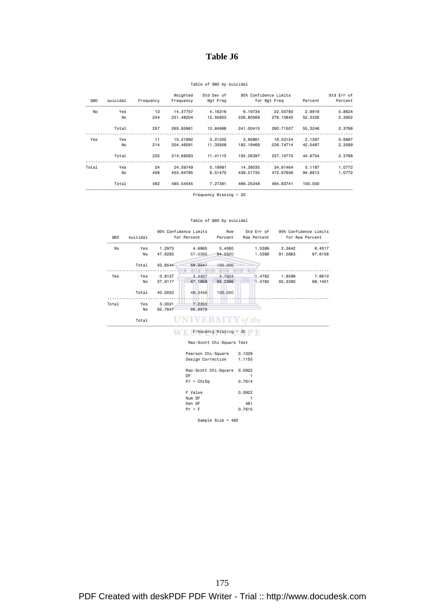### **Table J6**

### Table of Q60 by suicidal

| Std Err of |         |              | 95% Confidence Limits | Std Dev of | Weighted  |           |          |       |
|------------|---------|--------------|-----------------------|------------|-----------|-----------|----------|-------|
| Percent    | Percent | for Wgt Freg |                       | Wgt Freq   | Frequency | Frequency | suicidal | Q60   |
| 0.8624     | 2,9919  | 22.55780     | 6.19734               | 4.16316    | 14.37757  | 13        | Yes      | No    |
| 2.3952     | 52,3326 | 276,15840    | 226,80569             | 12,55853   | 251,48204 | 244       | No       |       |
| 2.3768     | 55,3246 | 290.71507    | 241,00415             | 12,64968   | 265,85961 | 257       | Total    |       |
| 0.6687     | 2.1267  | 16.53124     | 3.90861               | 3.21202    | 10.21992  | 11        | Yes      | Yes   |
| 2,3599     | 42.5487 | 226,74714    | 182, 18468            | 11,33958   | 204,46591 | 214       | No       |       |
| 2.3768     | 44.6754 | 237, 10770   | 192,26397             | 11,41115   | 214,68583 | 225       | Total    |       |
| 1.0772     | 5.1187  | 34,81464     | 14,38035              | 5.19981    | 24.59749  | 24        | Yes      | Total |
| 1.0772     | 94,8813 | 472.67856    | 439,21735             | 8.51470    | 455.94795 | 458       | No       |       |
|            | 100,000 | 494,83741    | 466.25348             | 7.27361    | 480.54545 | 482       | Total    |       |

Frequency Missing = 20

#### Table of Q60 by suicidal

| Q60   | suicidal |         | 95% Confidence Limits<br>for Percent | Row<br>Percent                  | Std Err of<br>Row Percent |         | 95% Confidence Limits<br>for Row Percent |
|-------|----------|---------|--------------------------------------|---------------------------------|---------------------------|---------|------------------------------------------|
| No    | Yes      | 1.2973  | 4.6865                               | 5.4080                          | 1.5389                    | 2.3842  | 8.4317                                   |
|       | No       | 47.6263 | 57,0390                              | 94,5920                         | 1.5389                    | 91.5683 | 97.6158                                  |
|       | Total    | 50.6544 | 59.9947                              | 100,000                         |                           |         |                                          |
|       |          |         |                                      |                                 |                           |         |                                          |
| Yes   | Yes      | 0.8127  | 3.4407                               | 4.7604                          | 1.4762                    | 1.8599  | 7.6610                                   |
|       | No       | 37.9117 | 47.1858                              | 95.2396                         | 1.4762                    | 92.3390 | 98.1401                                  |
|       | Total    | 40.0053 | 49.3456                              | 100,000                         |                           |         |                                          |
| Total | Yes      | 3,0021  | 7.2353                               |                                 |                           |         |                                          |
|       | No       | 92.7647 | 96.9979                              |                                 |                           |         |                                          |
|       | Total    |         | <b>UNIVERSITY</b> of the             |                                 |                           |         |                                          |
|       |          |         |                                      | $Frequency \text{Missing} = 20$ |                           |         |                                          |

### Rao-Scott Chi-Square Test

| Pearson Chi-Square   | 0.1029<br>1.1155 |  |
|----------------------|------------------|--|
| Design Correction    |                  |  |
| Rao-Scott Chi-Square | 0.0922           |  |
| DF                   |                  |  |
| Pr > Chisq           | 0.7614           |  |
| F Value              | 0.0922           |  |
| Num DF               |                  |  |
| Den DF               | 481              |  |
| Pr > F               | 0.7615           |  |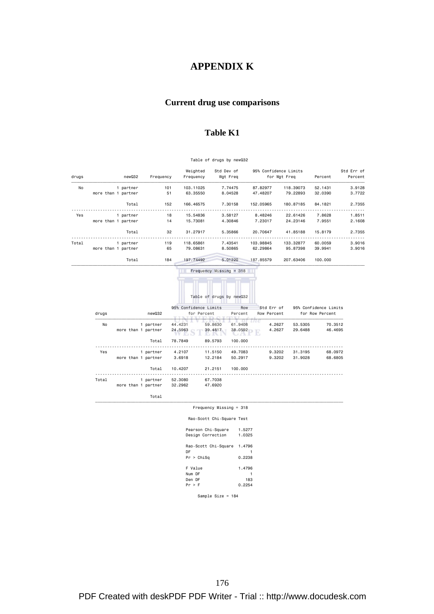## **APPENDIX K**

## **Current drug use comparisons**

### **Table K1**

Table of drugs by newQ32

| Std Err of<br>Percent | Percent                                  |                    | 95% Confidence Limits<br>for Wgt Freq | Std Dev of<br>Wgt Freq | Weighted<br>Frequency                               |                    | Frequency | newQ32              |                     | drugs |
|-----------------------|------------------------------------------|--------------------|---------------------------------------|------------------------|-----------------------------------------------------|--------------------|-----------|---------------------|---------------------|-------|
| 3.9128                | 52.1431                                  | 118.39073          | 87.82977                              | 7.74475                | 103.11025                                           | 101                |           | 1 partner           |                     | No    |
| 3.7722                | 32,0390                                  | 79,22893           | 47.48207                              | 8.04528                | 63.35550                                            | 51                 |           |                     | more than 1 partner |       |
| 2.7355                | 84.1821                                  | 180.87185          | 152.05965                             | 7.30158                | 166.46575                                           | 152                |           | Total               |                     |       |
| 1.8511                | 7.8628                                   | 22.61426           | 8.48246                               | 3.58127                | 15.54836                                            | 18                 |           | 1 partner           |                     | Yes   |
| 2.1608                | 7.9551                                   | 24.23146           | 7.23017                               | 4.30846                | 15.73081                                            | 14                 |           |                     | more than 1 partner |       |
| 2.7355                | 15.8179                                  | 41.85188           | 20.70647                              | 5.35866                | 31.27917                                            | 32                 |           | Total               |                     |       |
| 3,9016                | 60.0059                                  | 133.32877          | 103.98845                             | 7.43541                | 118.65861                                           | 119                |           | 1 partner           |                     | Total |
| 3.9016                | 39.9941                                  | 95.87398           | 62.29864                              | 8.50865                | 79.08631                                            | 65                 |           |                     | more than 1 partner |       |
|                       | 100.000                                  | 207.63406          | 187.85579                             | 5.01220                | 197.74492                                           | 184                |           | Total               |                     |       |
|                       |                                          |                    |                                       |                        | Frequency Missing = 318<br>Table of drugs by new032 |                    |           |                     |                     |       |
|                       | 95% Confidence Limits<br>for Row Percent |                    | Std Err of<br>Row Percent             | Row<br>Percent         | 95% Confidence Limits<br>for Percent                |                    | newQ32    |                     | drugs               |       |
|                       |                                          |                    |                                       |                        |                                                     |                    |           |                     |                     |       |
|                       | 70.3512<br>46.4695                       | 53.5305<br>29.6488 | 4.2627<br>4.2627                      | 61.9408<br>38.0592     | 59.8630<br>39.4817                                  | 44.4231<br>24.5963 | 1 partner | more than 1 partner | No                  |       |
|                       |                                          |                    |                                       | 100,000                | 10 J.N. L<br>89.5793                                | 78,7849            | Total     |                     |                     |       |
|                       |                                          |                    |                                       |                        |                                                     |                    |           |                     |                     |       |
|                       | 68.0972<br>68.6805                       | 31.3195<br>31.9028 | 9.3202<br>9.3202                      | 49.7083<br>50.2917     | 11.5150<br>12.2184                                  | 4.2107<br>3.6918   | 1 partner | more than 1 partner | Yes                 |       |
|                       |                                          |                    |                                       | 100,000                | 21.2151                                             | 10.4207            | Total     |                     |                     |       |
|                       |                                          |                    |                                       |                        | 67.7038                                             | 52.3080            | 1 partner |                     | Total               |       |
|                       |                                          |                    |                                       |                        | 47.6920                                             | 32.2962            |           | more than 1 partner |                     |       |

| Rao-Scott Chi-Square Test                |                  |
|------------------------------------------|------------------|
| Pearson Chi-Square<br>Design Correction  | 1.5277<br>1.0325 |
| Rao-Scott Chi-Square<br>DF<br>Pr > Chisq | 1.4796<br>0.2238 |
| F Value<br>Num DF<br>Den DF              | 1.4796<br>183    |
| Pr > F                                   | 0.2254           |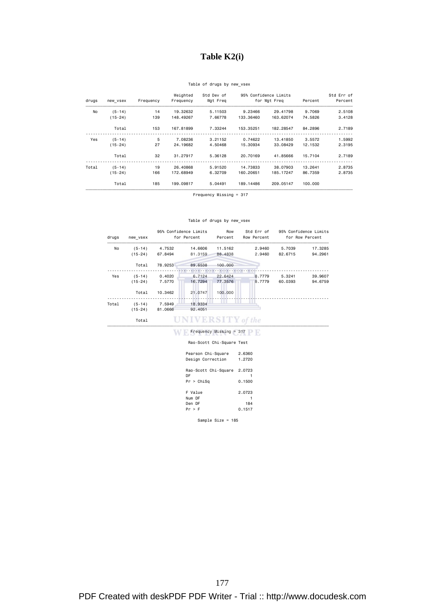## **Table K2(i)**

### Table of drugs by new\_vsex

| Std Err of<br>Percent | Percent | for Wgt Freq | 95% Confidence Limits | Std Dev of<br>Wgt Freq | Weighted<br>Frequency | Frequency | new vsex    | drugs |  |
|-----------------------|---------|--------------|-----------------------|------------------------|-----------------------|-----------|-------------|-------|--|
|                       |         |              |                       |                        |                       |           |             |       |  |
| 2.5108                | 9,7069  | 29,41798     | 9.23466               | 5.11503                | 19,32632              | 14        | $(5-14)$    | No    |  |
| 3.4128                | 74.5826 | 163.62074    | 133,36460             | 7.66778                | 148,49267             | 139       | $(15-24)$   |       |  |
| 2,7189                | 84,2896 | 182.28547    | 153.35251             | 7.33244                | 167,81899             | 153       | Total       |       |  |
| 1.5992                | 3.5572  | 13,41850     | 0.74622               | 3.21152                | 7.08236               | 5         | $(5-14)$    | Yes   |  |
| 2.3195                | 12.1532 | 33,08429     | 15,30934              | 4.50468                | 24,19682              | 27        | $(15 - 24)$ |       |  |
| 2.7189                | 15,7104 | 41.85666     | 20,70169              | 5.36128                | 31,27917              | 32        | Total       |       |  |
| 2.8735                | 13,2641 | 38,07903     | 14,73833              | 5.91520                | 26,40868              | 19        | $(5-14)$    | Total |  |
| 2.8735                | 86.7359 | 185.17247    | 160,20651             | 6.32709                | 172.68949             | 166       | $(15 - 24)$ |       |  |
|                       | 100,000 | 209,05147    | 189, 14486            | 5.04491                | 199.09817             | 185       | Total       |       |  |

Frequency Missing = 317

### Table of drugs by new\_vsex

| drugs | new vsex  |         | 95% Confidence Limits<br>for Percent | Row<br>Percent            | Std Err of<br>Row Percent |         | 95% Confidence Limits<br>for Row Percent |
|-------|-----------|---------|--------------------------------------|---------------------------|---------------------------|---------|------------------------------------------|
| No    | $(5-14)$  | 4.7532  | 14.6606                              | 11.5162                   | 2.9460                    | 5.7039  | 17.3285                                  |
|       | $(15-24)$ | 67.8494 | 81.3159                              | 88.4838                   | 2.9460                    | 82.6715 | 94.2961                                  |
|       | Total     | 78.9253 | 89.6538                              | 100,000                   |                           |         |                                          |
| Yes   | $(5-14)$  | 0.4020  | 6.7124                               | 22.6424                   | 8.7779                    | 5.3241  | 39.9607                                  |
|       | $(15-24)$ | 7.5770  | 16.7294                              | 77.3576                   | 8.7779                    | 60.0393 | 94.6759                                  |
|       | Total     | 10.3462 | 21.0747                              | 100.000                   |                           |         |                                          |
| Total | $(5-14)$  | 7.5949  | 18.9334                              |                           |                           |         |                                          |
|       | $(15-24)$ | 81.0666 | 92.4051                              |                           |                           |         |                                          |
|       | Total     |         | <b>UNIVERSITY</b> of the             |                           |                           |         |                                          |
|       |           |         |                                      | Frequency Missing = 317   |                           |         |                                          |
|       |           |         |                                      | Rao-Scott Chi-Square Test |                           |         |                                          |

| Pearson Chi-Square<br>Design Correction  | 2.6360<br>1,2720        |
|------------------------------------------|-------------------------|
| Rao-Scott Chi-Square<br>DF<br>Pr > Chisq | 2.0723<br>0.1500        |
| F Value<br>Num DF<br>Den DF<br>Pr > F    | 2.0723<br>184<br>0.1517 |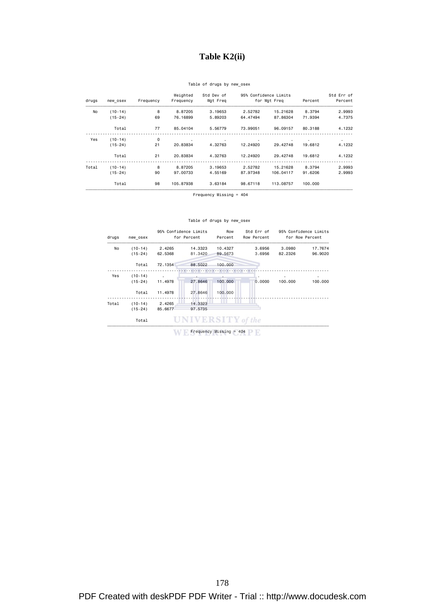## **Table K2(ii)**

### Table of drugs by new\_osex

| Std Err of |         |              | 95% Confidence Limits | Std Dev of | Weighted  |           |             | drugs |
|------------|---------|--------------|-----------------------|------------|-----------|-----------|-------------|-------|
| Percent    | Percent | for Wgt Freq |                       | Wgt Freg   | Frequency | Frequency | new osex    |       |
| 2.9993     | 8.3794  | 15.21628     | 2.52782               | 3.19653    | 8.87205   | 8         | $(10-14)$   | No    |
| 4.7375     | 71.9394 | 87.86304     | 64.47494              | 5.89203    | 76,16899  | 69        | $(15 - 24)$ |       |
| 4.1232     | 80.3188 | 96.09157     | 73,99051              | 5.56779    | 85,04104  | 77        | Total       |       |
| $\bullet$  | $\cdot$ | $\cdot$      | $\blacksquare$        | ٠          | ٠.        | 0         | $(10-14)$   | Yes   |
| 4.1232     | 19,6812 | 29.42748     | 12,24920              | 4.32763    | 20.83834  | 21        | $(15-24)$   |       |
| 4.1232     | 19,6812 | 29.42748     | 12,24920              | 4.32763    | 20.83834  | 21        | Total       |       |
| 2.9993     | 8.3794  | 15,21628     | 2.52782               | 3.19653    | 8.87205   | 8         | $(10-14)$   | Total |
| 2.9993     | 91,6206 | 106.04117    | 87.97348              | 4.55169    | 97,00733  | 90        | $(15 - 24)$ |       |
|            | 100,000 | 113,08757    | 98.67118              | 3.63184    | 105,87938 | 98        | Total       |       |

Frequency Missing = 404

#### Table of drugs by new\_osex

| drugs<br>No | new osex  |         | 95% Confidence Limits<br>for Percent | Row<br>Percent | Std Err of<br>Row Percent | 95% Confidence Limits | for Row Percent |
|-------------|-----------|---------|--------------------------------------|----------------|---------------------------|-----------------------|-----------------|
|             | $(10-14)$ | 2.4265  | 14.3323                              | 10.4327        | 3.6956                    | 3,0980                | 17.7674         |
|             | $(15-24)$ | 62.5368 | 81,3420                              | 89.5673        | 3.6956                    | 82.2326               | 96,9020         |
|             | Total     | 72.1354 | 88.5022                              | 100,000        |                           |                       |                 |
| Yes         | $(10-14)$ | $\sim$  |                                      |                | ٠                         | ٠                     | $\bullet$       |
|             | $(15-24)$ | 11.4978 | 27,8646                              | 100,000        | 0.0000                    | 100,000               | 100,000         |
|             | Total     | 11,4978 | 27.8646                              | 100,000        |                           |                       |                 |
| Total       | $(10-14)$ | 2.4265  | 14.3323                              |                |                           |                       |                 |
|             | $(15-24)$ | 85.6677 | 97.5735                              |                |                           |                       |                 |
|             | Total     |         |                                      | es pr          | V of the                  |                       |                 |

Frequency Missing = 404

PDF Created with deskPDF PDF Writer - Trial :: http://www.docudesk.com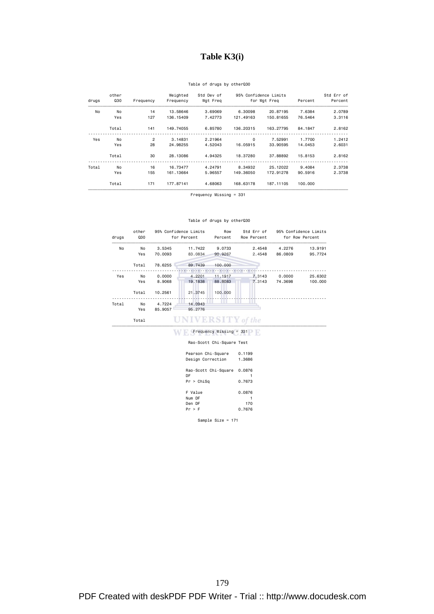## **Table K3(i)**

### Table of drugs by otherQ30

| Std Err of |         |            | 95% Confidence Limits<br>Std Dev of<br>Wgt Freq<br>for Wgt Freq |         | Weighted<br>Frequency |                         | other |       |
|------------|---------|------------|-----------------------------------------------------------------|---------|-----------------------|-------------------------|-------|-------|
| Percent    | Percent |            |                                                                 |         |                       | <b>Q30</b><br>Frequency |       | drugs |
| 2.0789     | 7.6384  | 20.87195   | 6,30098                                                         | 3.69069 | 13.58646              | 14                      | No    | No    |
| 3.3116     | 76.5464 | 150.81655  | 121.49163                                                       | 7.42773 | 136, 15409            | 127                     | Yes   |       |
| 2.8162     | 84.1847 | 163,27795  | 136,20315                                                       | 6.85780 | 149.74055             | 141                     | Total |       |
| 1.2412     | 1,7700  | 7.52991    | $\Omega$                                                        | 2.21964 | 3,14831               | 2                       | No    | Yes   |
| 2.6031     | 14,0453 | 33,90595   | 16,05915                                                        | 4.52043 | 24.98255              | 28                      | Yes   |       |
| 2.8162     | 15,8153 | 37.88892   | 18,37280                                                        | 4.94325 | 28,13086              | 30                      | Total |       |
| 2.3738     | 9.4084  | 25.12022   | 8.34932                                                         | 4.24791 | 16,73477              | 16                      | No    | Total |
| 2.3738     | 90.5916 | 172.91278  | 149,36050                                                       | 5.96557 | 161.13664             | 155                     | Yes   |       |
|            | 100,000 | 187, 11105 | 168,63178                                                       | 4.68063 | 177.87141             | 171                     | Total |       |

Frequency Missing = 331

### Table of drugs by otherQ30

| drugs | 95% Confidence Limits<br>other<br>Q30<br>for Percent |         |                   | Row<br>Percent            | Std Err of<br>Row Percent | 95% Confidence Limits<br>for Row Percent |         |
|-------|------------------------------------------------------|---------|-------------------|---------------------------|---------------------------|------------------------------------------|---------|
| No    | No                                                   | 3.5345  | 11,7422           | 9.0733                    | 2.4548                    | 4.2276                                   | 13.9191 |
|       | Yes                                                  | 70.0093 | 83,0834           | 90.9267                   | 2.4548                    | 86,0809                                  | 95.7724 |
|       | Total                                                | 78.6255 | 89.7439           | 100,000                   |                           |                                          |         |
| Yes   | No                                                   | 0.0000  | 4.2201            | 11.1917                   | 7.3143                    | 0.0000                                   | 25.6302 |
|       | Yes                                                  | 8.9068  | 19,1838           | 88.8083                   | 7.3143                    | 74.3698                                  | 100.000 |
|       | Total                                                | 10.2561 | 21,3745           | 100,000                   |                           |                                          |         |
| Total | No                                                   | 4.7224  | 14,0943           |                           |                           |                                          |         |
|       | Yes                                                  | 85.9057 | 95.2776           |                           |                           |                                          |         |
|       | Total                                                |         | UNIVERSITY of the |                           |                           |                                          |         |
|       |                                                      |         |                   | Frequency Missing = 331   |                           |                                          |         |
|       |                                                      |         |                   | Rao-Scott Chi-Square Test |                           |                                          |         |

| Pearson Chi-Square<br>Design Correction  | 0.1199<br>1.3686        |
|------------------------------------------|-------------------------|
| Rao-Scott Chi-Square<br>DF<br>Pr > Chisq | 0.0876<br>0.7673        |
| F Value<br>Num DF<br>Den DF<br>Pr > F    | 0.0876<br>170<br>0.7676 |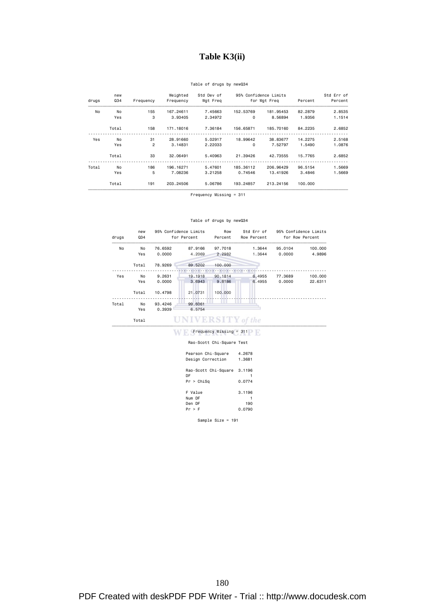## **Table K3(ii)**

### Table of drugs by newQ34

| Std Err of |         |              | Std Dev of<br>95% Confidence Limits |          | Weighted   |                | new   |       |
|------------|---------|--------------|-------------------------------------|----------|------------|----------------|-------|-------|
| Percent    | Percent | for Wgt Freq |                                     | Wgt Freq | Frequency  | Frequency      | Q34   | drugs |
| 2.8535     | 82,2879 | 181.95453    | 152,53769                           | 7.45663  | 167,24611  | 155            | No    | No    |
| 1.1514     | 1.9356  | 8.56894      | $\Omega$                            | 2.34972  | 3.93405    | 3              | Yes   |       |
| 2.6852     | 84.2235 | 185,70160    | 156,65871                           | 7.36184  | 171,18016  | 158            | Total |       |
| 2.5168     | 14,2275 | 38,83677     | 18,99642                            | 5.02917  | 28,91660   | 31             | No    | Yes   |
| 1.0876     | 1,5490  | 7.52797      | $\Omega$                            | 2.22033  | 3.14831    | $\overline{2}$ | Yes   |       |
| 2.6852     | 15.7765 | 42.73555     | 21,39426                            | 5,40963  | 32,06491   | 33             | Total |       |
| 1.5669     | 96.5154 | 206,96429    | 185,36112                           | 5.47601  | 196, 16271 | 186            | No    | Total |
| 1.5669     | 3.4846  | 13,41926     | 0.74546                             | 3.21258  | 7.08236    | 5              | Yes   |       |
|            | 100,000 | 213, 24156   | 193.24857                           | 5.06786  | 203,24506  | 191            | Total |       |

Frequency Missing = 311

#### Table of drugs by newQ34

| drugs<br>No |       | new<br>Q34 | 95% Confidence Limits<br>for Percent |                           | Row<br>Percent | Std Err of<br>Row Percent |         | 95% Confidence Limits<br>for Row Percent |
|-------------|-------|------------|--------------------------------------|---------------------------|----------------|---------------------------|---------|------------------------------------------|
|             | No    | 76.6592    | 87.9166                              | 97.7018                   | 1.3644         | 95.0104                   | 100.000 |                                          |
|             | Yes   | 0.0000     | 4.2069                               | 2.2982                    | 1.3644         | 0.0000                    | 4.9896  |                                          |
|             | Total | 78,9269    | 89.5202                              | 100,000                   |                |                           |         |                                          |
|             |       |            |                                      |                           |                |                           |         |                                          |
| Yes         | No    | 9.2631     | 19, 1918                             | 90.1814                   | 6.4955         | 77.3689                   | 100,000 |                                          |
|             | Yes   | 0.0000     | 3.6943                               | 9.8186                    | 6.4955         | 0.0000                    | 22.6311 |                                          |
|             | Total | 10.4798    | 21,0731                              | 100,000                   |                |                           |         |                                          |
| Total       | No    | 93,4246    | 99,6061                              |                           |                |                           |         |                                          |
|             | Yes   | 0.3939     | 6.5754                               |                           |                |                           |         |                                          |
|             | Total |            | <b>UNIVERSITY</b> of the             |                           |                |                           |         |                                          |
|             |       |            |                                      | $Frequency$ Missing = 311 |                |                           |         |                                          |

### Rao-Scott Chi-Square Test

| Rao-Scott Uni-Square lest  |        |
|----------------------------|--------|
| Pearson Chi-Square         | 4.2678 |
| Design Correction          | 1.3681 |
| Rao-Scott Chi-Square<br>DF | 3.1196 |
| Pr > Chisq                 | 0.0774 |
| F Value                    | 3,1196 |
| Num DF                     |        |
| Den DF                     | 190    |
| Pr > F                     | 0.0790 |
|                            |        |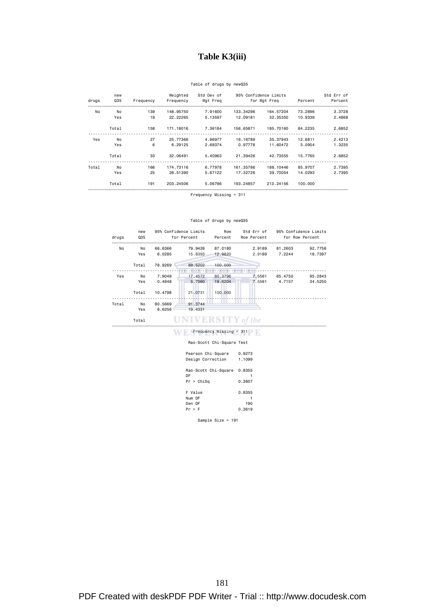## **Table K3(iii)**

## Table of drugs by newQ35

| Std Err of |         | 95% Confidence Limits |           | Std Dev of | Weighted  |           | new   |       |
|------------|---------|-----------------------|-----------|------------|-----------|-----------|-------|-------|
| Percent    | Percent | for Wgt Freq          |           | Wgt Freq   | Frequency | Frequency | Q35   | drugs |
| 3.3728     | 73.2896 | 164.57204             | 133,34296 | 7.91600    | 148,95750 | 139       | No    | No    |
| 2.4868     | 10.9339 | 32,35350              | 12,09181  | 5.13597    | 22.22265  | 19        | Yes   |       |
| 2.6852     | 84.2235 | 185,70160             | 156,65871 | 7.36184    | 171,18016 | 158       | Total |       |
| 2.4213     | 12,6811 | 35,37943              | 16,16789  | 4.86977    | 25,77366  | 27        | No    | Yes   |
| 1.3235     | 3,0954  | 11.60472              | 0.97778   | 2.69374    | 6.29125   | 6         | Yes   |       |
| 2.6852     | 15.7765 | 42.73555              | 21,39426  | 5,40963    | 32,06491  | 33        | Total |       |
| 2.7395     | 85,9707 | 188,10446             | 161,35786 | 6,77978    | 174,73116 | 166       | No    | Total |
| 2.7395     | 14,0293 | 39,70054              | 17,32726  | 5.67122    | 28,51390  | 25        | Yes   |       |
|            | 100,000 | 213, 24156            | 193.24857 | 5.06786    | 203,24506 | 191       | Total |       |

Frequency Missing = 311

## Table of drugs by newQ35

| drugs | 95% Confidence Limits<br>new<br>Q35<br>for Percent |         | Row<br>Percent           | Std Err of<br>Row Percent | 95% Confidence Limits<br>for Row Percent |         |         |
|-------|----------------------------------------------------|---------|--------------------------|---------------------------|------------------------------------------|---------|---------|
| No    | No                                                 | 66.6366 | 79.9426                  | 87,0180                   | 2.9189                                   | 81,2603 | 92.7756 |
|       | Yes                                                | 6.0285  | 15.8393                  | 12,9820                   | 2.9189                                   | 7.2244  | 18.7397 |
|       | Total                                              | 78,9269 | 89,5202                  | 100,000                   |                                          |         |         |
|       |                                                    |         |                          |                           |                                          |         |         |
| Yes   | No                                                 | 7.9049  | 17.4572                  | 80.3796                   | 7.5561                                   | 65.4750 | 95.2843 |
|       | Yes                                                | 0.4848  | 5.7060                   | 19,6204                   | 7.5561                                   | 4.7157  | 34.5250 |
|       | Total                                              | 10.4798 | 21,0731                  | 100,000                   |                                          |         |         |
| Total | No                                                 | 80.5669 | 91.3744                  |                           |                                          |         |         |
|       | Yes                                                | 8.6256  | 19,4331                  |                           |                                          |         |         |
|       | Total                                              |         | <b>UNIVERSITY</b> of the |                           |                                          |         |         |
|       |                                                    |         |                          | $Frequency$ Missing = 311 |                                          |         |         |

Rao-Scott Chi-Square Test

| Pearson Chi-Square   | 0.9273 |
|----------------------|--------|
| Design Correction    | 1,1099 |
| Rao-Scott Chi-Square | 0.8355 |
| DF                   |        |
| Pr > Chisq           | 0.3607 |
| F Value              | 0.8355 |
| Num DF               |        |
| Den DF               | 190    |
| Pr > F               | 0.3619 |

Sample Size = 191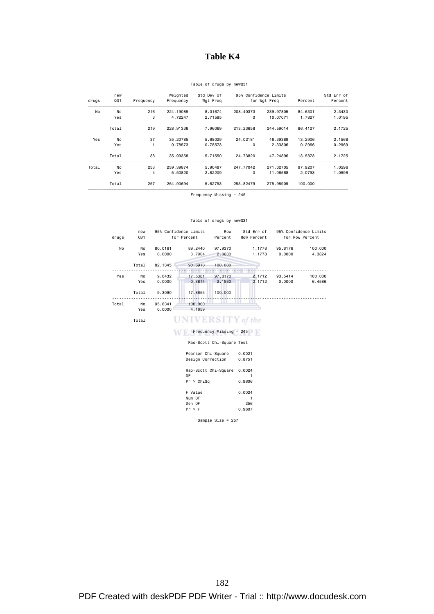## **Table K4**

## Table of drugs by newQ31

| Std Err of<br>Percent | Percent | 95% Confidence Limits<br>for Wgt Freq |           | Std Dev of<br>Wgt Freq | Weighted<br>Frequency | Frequency | new<br>Q31 |       |
|-----------------------|---------|---------------------------------------|-----------|------------------------|-----------------------|-----------|------------|-------|
|                       |         |                                       |           |                        |                       |           |            | drugs |
| 2.3430                | 84,6301 | 239,97805                             | 208,40373 | 8,01674                | 224,19089             | 216       | No         | No    |
| 1.0195                | 1.7827  | 10.07071                              | $\Omega$  | 2.71585                | 4.72247               | 3         | Yes        |       |
| 2.1725                | 86.4127 | 244,59014                             | 213.23658 | 7.96069                | 228,91336             | 219       | Total      |       |
| 2.1568                | 13,2906 | 46.39389                              | 24,02181  | 5.68029                | 35,20785              | 37        | No         | Yes   |
| 0.2969                | 0.2966  | 2.33306                               | $\Omega$  | 0.78573                | 0.78573               |           | Yes        |       |
| 2.1725                | 13,5873 | 47.24896                              | 24,73820  | 5.71550                | 35,99358              | 38        | Total      |       |
| 1.0596                | 97.9207 | 271,02705                             | 247,77042 | 5.90487                | 259,39874             | 253       | No         | Total |
| 1.0596                | 2.0793  | 11,06568                              | $\Omega$  | 2.82209                | 5.50820               | 4         | Yes        |       |
|                       | 100,000 | 275,98909                             | 253,82479 | 5.62753                | 264,90694             | 257       | Total      |       |

Frequency Missing = 245

## Table of drugs by newQ31

| drugs | new<br>Q31 |         | 95% Confidence Limits<br>for Percent | Row<br>Percent            | Std Err of<br>Row Percent |         | 95% Confidence Limits<br>for Row Percent |
|-------|------------|---------|--------------------------------------|---------------------------|---------------------------|---------|------------------------------------------|
| No    | No         | 80.0161 | 89,2440                              | 97.9370                   | 1.1778                    | 95,6176 | 100,000                                  |
|       | Yes        | 0.0000  | 3.7904                               | 2.0630                    | 1.1778                    | 0.0000  | 4.3824                                   |
|       | Total      | 82.1345 | 90,6910                              | 100,000                   |                           |         |                                          |
|       |            |         |                                      |                           |                           |         |                                          |
| Yes   | No         | 9.0432  | 17.5381                              | 97.8170                   | 2.1712                    | 93.5414 | 100.000                                  |
|       | Yes        | 0.0000  | 0.8814                               | 2,1830                    | 2.1712                    | 0.0000  | 6.4586                                   |
|       | Total      | 9.3090  | 17.8655                              | 100,000                   |                           |         |                                          |
| Total | No         | 95.8341 | 100,000                              |                           |                           |         |                                          |
|       | Yes        | 0.0000  | 4.1659                               |                           |                           |         |                                          |
|       | Total      |         | <b>UNIVERSITY</b> of the             |                           |                           |         |                                          |
|       |            |         |                                      | $Frequency$ Missing = 245 |                           |         |                                          |

## Rao-Scott Chi-Square Test

| Pearson Chi-Square   | 0.0021 |
|----------------------|--------|
| Design Correction    | 0.8751 |
|                      |        |
| Rao-Scott Chi-Square | 0.0024 |
| DF                   |        |
| Pr > Chisq           | 0.9606 |
|                      |        |
| F Value              | 0.0024 |
| Num DF               |        |
| Den DF               | 256    |
| Pr > F               | 0.9607 |
|                      |        |

Sample Size = 257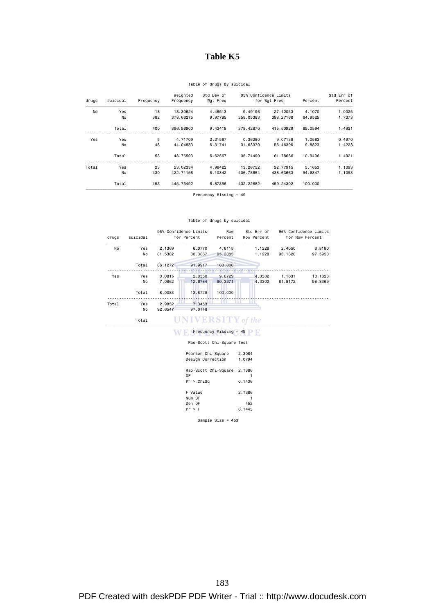## **Table K5**

## Table of drugs by suicidal

| Std Err of<br>Percent | Percent | for Wgt Freg | 95% Confidence Limits | Std Dev of<br>Wgt Freq | Weighted<br>Frequency | Frequency | suicidal<br>drugs |       |  |  |  |
|-----------------------|---------|--------------|-----------------------|------------------------|-----------------------|-----------|-------------------|-------|--|--|--|
| 1.0025                | 4.1070  | 27, 12053    | 9.49196               | 4.48513                | 18,30624              | 18        | Yes               | No    |  |  |  |
| 1.7373                | 84.9525 | 398,27168    | 359,05383             | 9.97795                | 378,66275             | 382       | No                |       |  |  |  |
| 1.4921                | 89,0594 | 415,50929    | 378,42870             | 9.43418                | 396,96900             | 400       | Total             |       |  |  |  |
| 0.4970                | 1,0583  | 9.07139      | 0.36280               | 2.21567                | 4.71709               | 5         | Yes               | Yes   |  |  |  |
| 1.4228                | 9.8823  | 56,46396     | 31,63370              | 6.31741                | 44.04883              | 48        | No                |       |  |  |  |
| 1.4921                | 10,9406 | 61.78686     | 35,74499              | 6.62567                | 48.76593              | 53        | Total             |       |  |  |  |
| 1.1093                | 5.1653  | 32.77915     | 13,26752              | 4.96422                | 23.02334              | 23        | Yes               | Total |  |  |  |
| 1.1093                | 94,8347 | 438,63663    | 406.78654             | 8.10342                | 422.71158             | 430       | No                |       |  |  |  |
|                       | 100,000 | 459,24302    | 432.22682             | 6.87356                | 445.73492             | 453       | Total             |       |  |  |  |

Frequency Missing = 49

## Table of drugs by suicidal

| drugs | suicidal | 95% Confidence Limits<br>for Percent |                          | Row<br>Percent           | Std Err of<br>Row Percent | 95% Confidence Limits<br>for Row Percent |         |
|-------|----------|--------------------------------------|--------------------------|--------------------------|---------------------------|------------------------------------------|---------|
| No    | Yes      | 2.1369                               | 6.0770                   | 4.6115                   | 1.1228                    | 2.4050                                   | 6.8180  |
|       | No       | 81.5382                              | 88.3667                  | 95,3885                  | 1.1228                    | 93,1820                                  | 97.5950 |
|       | Total    | 86.1272                              | 91.9917                  | 100,000                  |                           |                                          |         |
| Yes   | Yes      | 0.0815                               | 2.0350                   | 9.6729                   | 4.3302                    | 1,1631                                   | 18.1828 |
|       | No       | 7.0862                               | 12.6784                  | 90.3271                  | 4.3302                    | 81,8172                                  | 98.8369 |
|       | Total    | 8,0083                               | 13,8728                  | 100,000                  |                           |                                          |         |
| Total | Yes      | 2.9852                               | 7.3453                   |                          |                           |                                          |         |
|       | No       | 92.6547                              | 97.0148                  |                          |                           |                                          |         |
|       | Total    |                                      | <b>UNIVERSITY</b> of the |                          |                           |                                          |         |
|       |          |                                      |                          | $Frequency Missing = 49$ |                           |                                          |         |

## Rao-Scott Chi-Square Test

| Pearson Chi-Square<br>Design Correction  | 2.3084<br>1.0794        |
|------------------------------------------|-------------------------|
| Rao-Scott Chi-Square<br>DF<br>Pr > Chisq | 2.1386<br>0.1436        |
| F Value<br>Num DF<br>Den DF<br>Pr > F    | 2.1386<br>452<br>0.1443 |

Sample Size = 453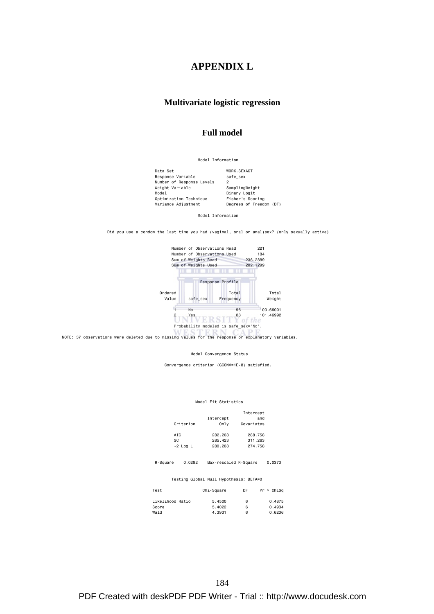## **APPENDIX L**

## **Multivariate logistic regression**

## **Full model**

Model Information

Data Set WORK.SEXACT Response Variable safe\_sex Number of Response Levels<br>
Weight Variable<br>
Weight Variable<br>
SamplingWeight Weight Variable Model Binary Logit mouer<br>Optimization Technique<br>Variance Adjustment

Variance Adjustment Degrees of Freedom (DF)

Model Information

Did you use a condom the last time you had (vaginal, oral or anal)sex? (only sexually active)



NOTE: 37 observations were deleted due to missing values for the response or explanatory variables.

Model Convergence Status

Convergence criterion (GCONV=1E-8) satisfied.

#### Model Fit Statistics

|            |           | Intercept  |
|------------|-----------|------------|
|            | Intercept | and        |
| Criterion  | Only      | Covariates |
|            |           |            |
| AIC        | 282,208   | 288.758    |
| sc         | 285,423   | 311.263    |
| $-2$ Log L | 280,208   | 274.758    |

R-Square 0.0292 Max-rescaled R-Square 0.0373

#### Testing Global Null Hypothesis: BETA=0

| Test             | Chi-Square | DF | Pr > ChiSq |
|------------------|------------|----|------------|
| Likelihood Ratio | 5,4500     | 6  | 0.4875     |
| Score            | 5.4022     | 6  | 0.4934     |
| Wald             | 4.3931     | 6  | 0.6236     |

PDF Created with deskPDF PDF Writer - Trial :: http://www.docudesk.com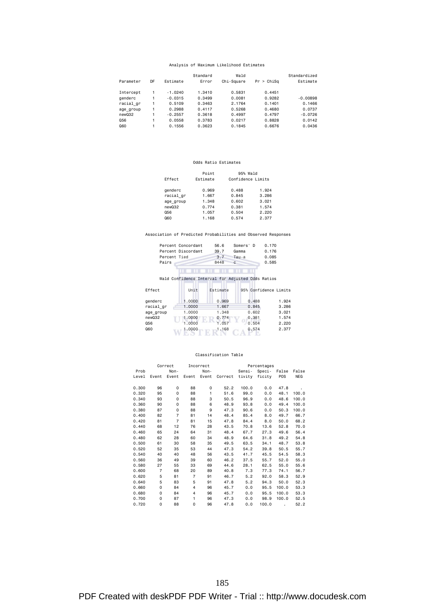## Analysis of Maximum Likelihood Estimates

| Parameter | DF | Estimate  | Standard<br>Error | Wald<br>Chi-Sauare | Pr > Chisq | Standardized<br>Estimate |
|-----------|----|-----------|-------------------|--------------------|------------|--------------------------|
| Intercept |    | $-1.0240$ | 1.3410            | 0.5831             | 0.4451     |                          |
| aenderc   |    | $-0.0315$ | 0.3499            | 0.0081             | 0.9282     | $-0.00898$               |
| racial gr |    | 0.5109    | 0.3463            | 2.1764             | 0.1401     | 0.1466                   |
| age group |    | 0.2988    | 0.4117            | 0.5268             | 0.4680     | 0.0737                   |
| newQ32    |    | $-0.2557$ | 0.3618            | 0.4997             | 0.4797     | $-0.0726$                |
| Q56       |    | 0.0558    | 0.3783            | 0.0217             | 0.8828     | 0.0142                   |
| Q60       |    | 0.1556    | 0.3623            | 0.1845             | 0.6676     | 0.0436                   |

#### Odds Ratio Estimates

|           | Point    | 95% Wald          |       |  |
|-----------|----------|-------------------|-------|--|
| Effect    | Estimate | Confidence Limits |       |  |
| genderc   | 0.969    | 0.488             | 1.924 |  |
| racial gr | 1.667    | 0.845             | 3.286 |  |
| age group | 1.348    | 0.602             | 3.021 |  |
| newQ32    | 0.774    | 0.381             | 1.574 |  |
| Q56       | 1.057    | 0.504             | 2.220 |  |
| Q60       | 1.168    | 0.574             | 2.377 |  |

Association of Predicted Probabilities and Observed Responses

|           | Percent Concordant                                | 56.6     | Somers' D    | 0.170                 |
|-----------|---------------------------------------------------|----------|--------------|-----------------------|
|           | Percent Discordant                                | 39.7     | Gamma        | 0.176                 |
|           | Percent Tied                                      | 3.7      | Tau-a        | 0.085                 |
|           | Pairs                                             | 8448     | $\mathbf{C}$ | 0.585                 |
|           |                                                   |          |              |                       |
|           |                                                   | .        |              |                       |
|           | Wald Confidence Interval for Adjusted Odds Ratios |          |              |                       |
| Effect    | Unit                                              | Estimate |              | 95% Confidence Limits |
| genderc   | 1,0000                                            | 0.969    | 0.488        | 1.924                 |
| racial gr | 1,0000                                            | 1.667    | 0.845        | 3.286                 |
| age group | 1,0000                                            | 1.348    | 0.602        | 3.021                 |
| newQ32    | 1.0000                                            | 0.774    | 0.381        | 1.574                 |
| Q56       | 1,0000                                            | 1.057    | 0.504        | 2.220                 |
| Q60       | 1,0000                                            | 1,168    | 0.574        | 2.377                 |
|           |                                                   |          |              |                       |

## Classification Table

|       |                | Correct        |                | Incorrect    |                           |        | Percentages  |              |         |
|-------|----------------|----------------|----------------|--------------|---------------------------|--------|--------------|--------------|---------|
| Prob  |                | Non-           |                | Non-         |                           | Sensi- | Speci- False |              | False   |
|       | Level Event    |                |                |              | Event Event Event Correct | tivity | ficity       | <b>POS</b>   | NEG     |
|       |                |                |                |              |                           |        |              |              |         |
| 0.300 | 96             | 0              | 88             | 0            | 52.2                      | 100.0  | 0.0          | 47.8         | $\cdot$ |
| 0.320 | 95             | 0              | 88             | $\mathbf{1}$ | 51.6                      | 99.0   | 0.0          | 48.1         | 100.0   |
| 0.340 | 93             | 0              | 88             | 3            | 50.5                      | 96.9   | 0.0          | 48.6         | 100.0   |
| 0.360 | 90             | 0              | 88             | 6            | 48.9                      | 93.8   | 0.0          | 49.4         | 100.0   |
| 0.380 | 87             | 0              | 88             | 9            | 47.3                      | 90.6   | 0.0          | 50.3         | 100.0   |
| 0.400 | 82             | $\overline{7}$ | 81             | 14           | 48.4                      | 85.4   | 8.0          | 49.7         | 66.7    |
| 0.420 | 81             | $\overline{7}$ | 81             | 15           | 47.8                      | 84.4   | 8.0          | 50.0         | 68.2    |
| 0.440 | 68             | 12             | 76             | 28           | 43.5                      | 70.8   | 13.6         | 52.8         | 70.0    |
| 0.460 | 65             | 24             | 64             | 31           | 48.4                      | 67.7   | 27.3         | 49.6         | 56.4    |
| 0.480 | 62             | 28             | 60             | 34           | 48.9                      | 64.6   | 31.8         | 49.2         | 54.8    |
| 0.500 | 61             | 30             | 58             | 35           | 49.5                      | 63.5   | 34.1         | 48.7         | 53.8    |
| 0.520 | 52             | 35             | 53             | 44           | 47.3                      | 54.2   | 39.8         | 50.5         | 55.7    |
| 0.540 | 40             | 40             | 48             | 56           | 43.5                      | 41.7   | 45.5         | 54.5         | 58.3    |
| 0.560 | 36             | 49             | 39             | 60           | 46.2                      | 37.5   | 55.7         | 52.0         | 55.0    |
| 0.580 | 27             | 55             | 33             | 69           | 44.6                      | 28.1   | 62.5         | 55.0         | 55.6    |
| 0.600 | $\overline{7}$ | 68             | 20             | 89           | 40.8                      | 7.3    | 77.3         | 74.1         | 56.7    |
| 0.620 | 5              | 81             | $\overline{7}$ | 91           | 46.7                      | 5.2    | 92.0         | 58.3         | 52.9    |
| 0.640 | 5              | 83             | 5              | 91           | 47.8                      | 5.2    | 94.3         | 50.0         | 52.3    |
| 0.660 | 0              | 84             | 4              | 96           | 45.7                      | 0.0    | 95.5         | 100.0        | 53.3    |
| 0.680 | 0              | 84             | 4              | 96           | 45.7                      | 0.0    | 95.5         | 100.0        | 53.3    |
| 0.700 | $\mathbf 0$    | 87             | 1              | 96           | 47.3                      | 0.0    | 98.9         | 100.0        | 52.5    |
| 0.720 | 0              | 88             | 0              | 96           | 47.8                      | 0.0    | 100.0        | $\mathbf{r}$ | 52.2    |
|       |                |                |                |              |                           |        |              |              |         |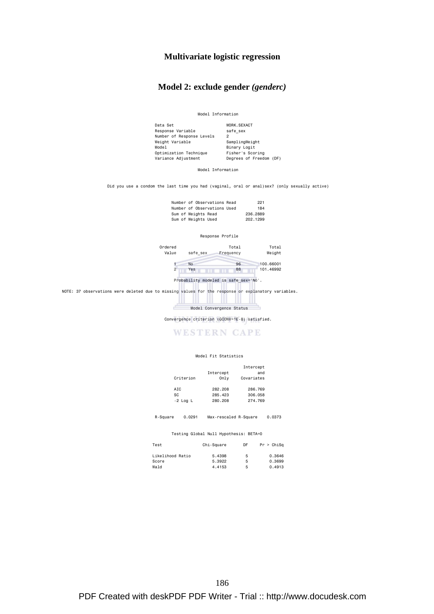## **Multivariate logistic regression**

## **Model 2: exclude gender** *(genderc)*

 Model Information Data Set WORK.SEXACT Response Variable safe\_sex Number of Response Levels 2 Weight Variable SamplingWeight Model Binary Logit Optimization Technique Fisher's Scoring Variance Adjustment Degrees of Freedom (DF)

Model Information

Did you use a condom the last time you had (vaginal, oral or anal)sex? (only sexually active)



Convergence criterion (GCONV=1E-8) satisfied.

**WESTERN CAPE** 

#### Model Fit Statistics

|            |           | Intercept  |
|------------|-----------|------------|
|            | Intercept | and        |
| Criterion  | Only      | Covariates |
| AIC        | 282,208   | 286,769    |
| SC         | 285,423   | 306,058    |
| $-2$ Log L | 280,208   | 274.769    |
|            |           |            |

R-Square 0.0291 Max-rescaled R-Square 0.0373

Testing Global Null Hypothesis: BETA=0

| Test             | Chi-Square | DF | Pr > Chisq |
|------------------|------------|----|------------|
| Likelihood Ratio | 5.4398     | 5  | 0.3646     |
| Score            | 5.3922     | 5  | 0.3699     |
| Wald             | 4.4153     | 5  | 0.4913     |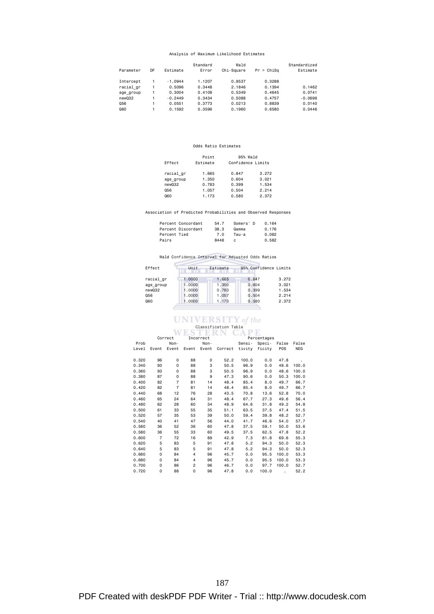## Analysis of Maximum Likelihood Estimates

| Parameter | DF | Estimate  | Standard<br>Error | Wald<br>Chi-Square | Pr > Chisq | Standardized<br>Estimate |
|-----------|----|-----------|-------------------|--------------------|------------|--------------------------|
| Intercept |    | $-1.0944$ | 1.1207            | 0.9537             | 0.3288     |                          |
| racial gr |    | 0.5096    | 0.3448            | 2.1846             | 0.1394     | 0.1462                   |
| age group |    | 0.3004    | 0.4108            | 0.5349             | 0.4645     | 0.0741                   |
| newQ32    |    | $-0.2449$ | 0.3434            | 0.5088             | 0.4757     | $-0.0696$                |
| Q56       |    | 0.0551    | 0.3773            | 0.0213             | 0.8839     | 0.0140                   |
| Q60       |    | 0.1592    | 0.3596            | 0.1960             | 0.6580     | 0.0446                   |

#### Odds Ratio Estimates

| Effect    | Point<br>Estimate | 95% Wald<br>Confidence Limits |       |  |
|-----------|-------------------|-------------------------------|-------|--|
| racial gr | 1.665             | 0.847                         | 3.272 |  |
| age group | 1.350             | 0.604                         | 3.021 |  |
| newQ32    | 0.783             | 0.399                         | 1.534 |  |
| Q56       | 1.057             | 0.504                         | 2.214 |  |
| Q60       | 1.173             | 0.580                         | 2.372 |  |

Association of Predicted Probabilities and Observed Responses

| Percent Concordant | 54.7 | Somers' D | 0.164 |
|--------------------|------|-----------|-------|
| Percent Discordant | 38.3 | Gamma     | 0.176 |
| Percent Tied       | 7.0  | Tau-a     | 0.082 |
| Pairs              | 8448 | C         | 0.582 |

## Wald Confidence Interval for Adjusted Odds Ratios

| Effect    | Unit   | Estimate | 95% Confidence Limits |       |
|-----------|--------|----------|-----------------------|-------|
| racial gr | 1.0000 | 1.665    | 0.847                 | 3.272 |
| age group | 1,0000 | 1.350    | 0.604                 | 3.021 |
| newQ32    | 1,0000 | 0.783    | 0.399                 | 1.534 |
| Q56       | 1,0000 | 1.057    | 0.504                 | 2.214 |
| Q60       | 1,0000 | 1.173    | 0.580                 | 2.372 |

# Classification Table

|       |                | Correct        |             | Incorrect |                           |        | Percentages        |              |       |
|-------|----------------|----------------|-------------|-----------|---------------------------|--------|--------------------|--------------|-------|
| Prob  |                | Non-           |             | Non-      |                           | Sensi- | Speci- False False |              |       |
|       | Level Event    |                |             |           | Event Event Event Correct | tivity | ficity             | <b>POS</b>   | NEG   |
|       |                |                |             |           |                           |        |                    |              |       |
| 0.320 | 96             | 0              | 88          | 0         | 52.2                      | 100.0  | 0.0                | 47.8         |       |
| 0.340 | 93             | 0              | 88          | 3         | 50.5                      | 96.9   | 0.0                | 48.6         | 100.0 |
| 0.360 | 93             | 0              | 88          | 3         | 50.5                      | 96.9   | 0.0                | 48.6         | 100.0 |
| 0.380 | 87             | 0              | 88          | 9         | 47.3                      | 90.6   | 0.0                | 50.3         | 100.0 |
| 0.400 | 82             | $\overline{7}$ | 81          | 14        | 48.4                      | 85.4   | 8.0                | 49.7         | 66.7  |
| 0.420 | 82             | $\overline{7}$ | 81          | 14        | 48.4                      | 85.4   | 8.0                | 49.7         | 66.7  |
| 0.440 | 68             | 12             | 76          | 28        | 43.5                      | 70.8   | 13.6               | 52.8         | 70.0  |
| 0.460 | 65             | 24             | 64          | 31        | 48.4                      | 67.7   | 27.3               | 49.6         | 56.4  |
| 0.480 | 62             | 28             | 60          | 34        | 48.9                      | 64.6   | 31.8               | 49.2         | 54.8  |
| 0.500 | 61             | 33             | 55          | 35        | 51.1                      | 63.5   | 37.5               | 47.4         | 51.5  |
| 0.520 | 57             | 35             | 53          | 39        | 50.0                      | 59.4   | 39.8               | 48.2         | 52.7  |
| 0.540 | 40             | 41             | 47          | 56        | 44.0                      | 41.7   | 46.6               | 54.0         | 57.7  |
| 0.560 | 36             | 52             | 36          | 60        | 47.8                      | 37.5   | 59.1               | 50.0         | 53.6  |
| 0.580 | 36             | 55             | 33          | 60        | 49.5                      | 37.5   | 62.5               | 47.8         | 52.2  |
| 0.600 | $\overline{7}$ | 72             | 16          | 89        | 42.9                      | 7.3    | 81.8               | 69.6         | 55.3  |
| 0.620 | 5              | 83             | 5           | 91        | 47.8                      | 5.2    | 94.3               | 50.0         | 52.3  |
| 0.640 | 5              | 83             | 5           | 91        | 47.8                      | 5.2    | 94.3               | 50.0         | 52.3  |
| 0.660 | $\mathbf 0$    | 84             | 4           | 96        | 45.7                      | 0.0    | 95.5               | 100.0        | 53.3  |
| 0.680 | 0              | 84             | 4           | 96        | 45.7                      | 0.0    | 95.5               | 100.0        | 53.3  |
| 0.700 | 0              | 86             | 2           | 96        | 46.7                      | 0.0    | 97.7               | 100.0        | 52.7  |
| 0.720 | 0              | 88             | $\mathbf 0$ | 96        | 47.8                      | 0.0    | 100.0              | $\mathbf{r}$ | 52.2  |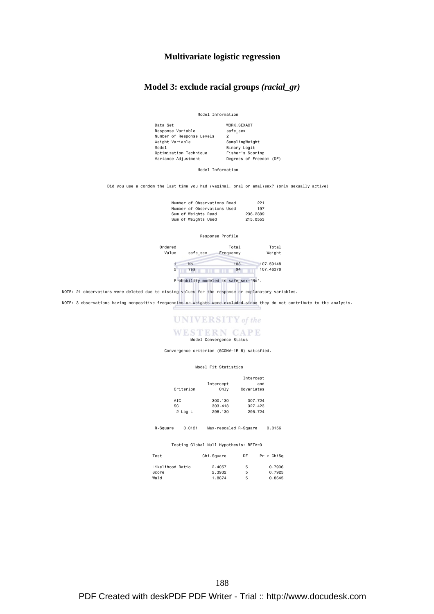## **Multivariate logistic regression**

## **Model 3: exclude racial groups** *(racial\_gr)*

 Model Information Data Set WORK.SEXACT<br>
Response Variable safe\_sex<br>
Number of Response Levels 2<br>
Weight Variable SamplingWeight<br>
Model Binary Logit<br>
Optimization Technique Fisher's Scoring<br>
Variance Adjustment Degrees of Freedom (DF)

Model Information

Did you use a condom the last time you had (vaginal, oral or anal)sex? (only sexually active)

|                                                                                                                            | Number of Observations Read<br>Number of Observations Used<br>Sum of Weights Read<br>Sum of Weights Used | 221<br>197<br>236,2889<br>215,0553 |                        |
|----------------------------------------------------------------------------------------------------------------------------|----------------------------------------------------------------------------------------------------------|------------------------------------|------------------------|
|                                                                                                                            | Response Profile                                                                                         |                                    |                        |
| Ordered                                                                                                                    |                                                                                                          | Total                              | Total                  |
|                                                                                                                            | Value<br>safe sex                                                                                        | Frequency                          | Weight                 |
|                                                                                                                            | <b>No</b><br>$\overline{2}$<br>Yes                                                                       | 103<br>94                          | 107.59148<br>107,46378 |
|                                                                                                                            | Probability modeled is safe sex='No'.                                                                    |                                    |                        |
| NOTE: 21 observations were deleted due to missing values for the response or explanatory variables.                        |                                                                                                          |                                    |                        |
| NOTE: 3 observations having nonpositive frequencies or weights were excluded since they do not contribute to the analysis. |                                                                                                          |                                    |                        |

## **UNIVERSITY** of the **WESTERN CAPE** Model Convergence Status

Convergence criterion (GCONV=1E-8) satisfied.

#### Model Fit Statistics

| Criterion  | Intercept<br>Only | Intercept<br>and<br>Covariates |
|------------|-------------------|--------------------------------|
| AIC        | 300,130           | 307.724                        |
| SC         | 303,413           | 327,423                        |
| $-2$ Log L | 298,130           | 295.724                        |

R-Square 0.0121 Max-rescaled R-Square 0.0156

#### Testing Global Null Hypothesis: BETA=0

| Test             | Chi-Square | DF | Pr > Chisq |
|------------------|------------|----|------------|
| Likelihood Ratio | 2.4057     | 5  | 0.7906     |
| Score            | 2.3932     | 5  | 0.7925     |
| Wald             | 1.8874     | 5  | 0.8645     |